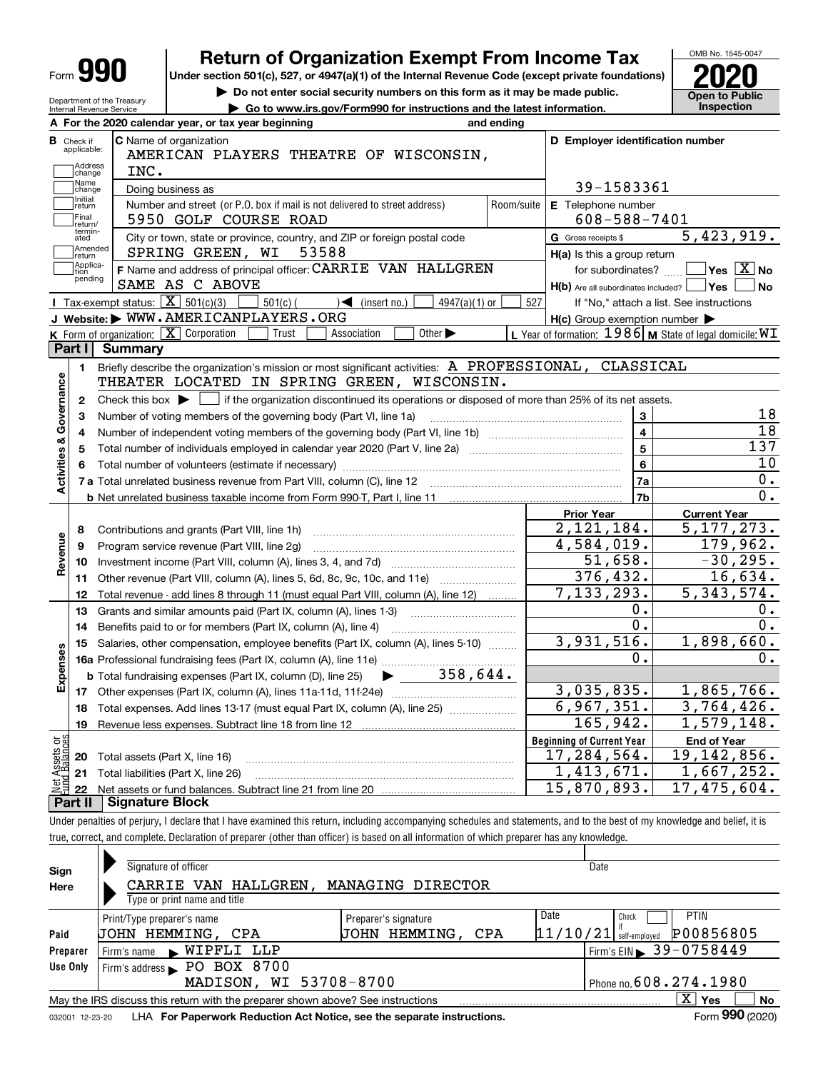| Form |
|------|
|------|

# **Return of Organization Exempt From Income Tax**

**Under section 501(c), 527, or 4947(a)(1) of the Internal Revenue Code (except private foundations) 2020**

**| Do not enter social security numbers on this form as it may be made public. | Go to www.irs.gov/Form990 for instructions and the latest information. Inspection**



Department of the Treasury Internal Revenue Service

|                         |                          | A For the 2020 calendar year, or tax year beginning                                                                                         | and ending     |                                                           |                                                             |
|-------------------------|--------------------------|---------------------------------------------------------------------------------------------------------------------------------------------|----------------|-----------------------------------------------------------|-------------------------------------------------------------|
| В                       | Check if<br>applicable:  | <b>C</b> Name of organization<br>AMERICAN PLAYERS THEATRE OF WISCONSIN,                                                                     |                | D Employer identification number                          |                                                             |
|                         | Address<br>change        | INC.                                                                                                                                        |                |                                                           |                                                             |
|                         | Name<br>change           | Doing business as                                                                                                                           |                | 39-1583361                                                |                                                             |
|                         | ,<br> Initial<br> return | Number and street (or P.O. box if mail is not delivered to street address)                                                                  | Room/suite     | E Telephone number                                        |                                                             |
|                         | Final<br>return/         | 5950 GOLF COURSE ROAD                                                                                                                       |                | $608 - 588 - 7401$                                        |                                                             |
|                         | termin-<br>ated          | City or town, state or province, country, and ZIP or foreign postal code                                                                    |                | G Gross receipts \$                                       | 5,423,919.                                                  |
|                         | Amended<br>return        | SPRING GREEN, WI<br>53588                                                                                                                   |                | H(a) Is this a group return                               |                                                             |
|                         | Applica-<br>tion         | F Name and address of principal officer: CARRIE VAN HALLGREN                                                                                |                | for subordinates?                                         | $\sqrt{}$ Yes $\sqrt{}$ X $\sqrt{}$ No                      |
|                         | pending                  | SAME AS C ABOVE                                                                                                                             |                | $H(b)$ Are all subordinates included? $\vert$ Yes $\vert$ | No                                                          |
|                         |                          | Tax-exempt status: $\boxed{\mathbf{X}}$ 501(c)(3)<br>$501(c)$ (<br>$\mathcal{A}$ (insert no.)<br>$4947(a)(1)$ or                            | 527            |                                                           | If "No," attach a list. See instructions                    |
|                         |                          | J Website: WWW.AMERICANPLAYERS.ORG                                                                                                          |                | $H(c)$ Group exemption number $\blacktriangleright$       |                                                             |
|                         |                          | K Form of organization: $\boxed{\mathbf{X}}$ Corporation<br>Trust<br>Association<br>Other $\blacktriangleright$                             |                |                                                           | L Year of formation: $1986$ M State of legal domicile: $WT$ |
|                         | Part I                   | <b>Summary</b>                                                                                                                              |                |                                                           |                                                             |
|                         | 1.                       | Briefly describe the organization's mission or most significant activities: A PROFESSIONAL, CLASSICAL                                       |                |                                                           |                                                             |
|                         |                          | THEATER LOCATED IN SPRING GREEN, WISCONSIN.                                                                                                 |                |                                                           |                                                             |
|                         | $\mathbf{2}$             | Check this box $\blacktriangleright$ $\Box$ if the organization discontinued its operations or disposed of more than 25% of its net assets. |                |                                                           |                                                             |
| Activities & Governance | 3                        | Number of voting members of the governing body (Part VI, line 1a)                                                                           |                | 3                                                         | 18                                                          |
|                         | 4                        |                                                                                                                                             | $\overline{4}$ | $\overline{18}$                                           |                                                             |
|                         | 5                        | Total number of individuals employed in calendar year 2020 (Part V, line 2a) manufacture controller to intervent                            | $\overline{5}$ | 137                                                       |                                                             |
|                         | 6                        |                                                                                                                                             |                | 6                                                         | $\overline{10}$                                             |
|                         |                          |                                                                                                                                             | 7a             | 0.                                                        |                                                             |
|                         |                          | <b>b</b> Net unrelated business taxable income from Form 990-T, Part I, line 11                                                             | 7b             | 0.                                                        |                                                             |
|                         |                          |                                                                                                                                             |                | <b>Prior Year</b>                                         | <b>Current Year</b>                                         |
|                         | 8                        | Contributions and grants (Part VIII, line 1h)                                                                                               |                | 2, 121, 184.                                              | 5, 177, 273.                                                |
| Revenue                 | 9                        | Program service revenue (Part VIII, line 2g)                                                                                                |                | $\overline{4,584,019}$ .                                  | 179,962.                                                    |
|                         | 10                       |                                                                                                                                             |                | 51,658.                                                   | $-30, 295.$                                                 |
|                         | 11                       | Other revenue (Part VIII, column (A), lines 5, 6d, 8c, 9c, 10c, and 11e)                                                                    |                | 376,432.                                                  | 16,634.                                                     |
|                         | 12                       | Total revenue - add lines 8 through 11 (must equal Part VIII, column (A), line 12)                                                          |                | 7, 133, 293.                                              | 5,343,574.                                                  |
|                         | 13                       | Grants and similar amounts paid (Part IX, column (A), lines 1-3)                                                                            |                | 0.                                                        | Ο.                                                          |
|                         | 14                       | Benefits paid to or for members (Part IX, column (A), line 4)                                                                               |                | 0.                                                        | 0.                                                          |
|                         | 15                       | Salaries, other compensation, employee benefits (Part IX, column (A), lines 5-10)                                                           |                | 3,931,516.                                                | 1,898,660.                                                  |
|                         |                          |                                                                                                                                             |                | 0.                                                        | О.                                                          |
| Expenses                |                          | <b>b</b> Total fundraising expenses (Part IX, column (D), line 25)                                                                          |                |                                                           |                                                             |
|                         |                          |                                                                                                                                             |                | 3,035,835.                                                | 1,865,766.                                                  |
|                         | 18                       | Total expenses. Add lines 13-17 (must equal Part IX, column (A), line 25) <i>managered</i>                                                  |                | 6,967,351.                                                | 3,764,426.                                                  |
|                         | 19                       |                                                                                                                                             |                | 165,942.                                                  | 1,579,148.                                                  |
|                         |                          |                                                                                                                                             |                | <b>Beginning of Current Year</b>                          | <b>End of Year</b>                                          |
| äğ<br>asets<br>alanc    | 20                       | Total assets (Part X, line 16)                                                                                                              |                | 17,284,564.                                               | 19, 142, 856.                                               |
|                         |                          | 21 Total liabilities (Part X, line 26)                                                                                                      |                | 1,413,671.                                                | 1,667,252.                                                  |
|                         |                          |                                                                                                                                             |                | 15,870,893.                                               | 17,475,604.                                                 |
|                         | 22                       |                                                                                                                                             |                |                                                           |                                                             |

Under penalties of perjury, I declare that I have examined this return, including accompanying schedules and statements, and to the best of my knowledge and belief, it is true, correct, and complete. Declaration of preparer (other than officer) is based on all information of which preparer has any knowledge.

| Sign            | Signature of officer                                                            |                      | Date                                       |
|-----------------|---------------------------------------------------------------------------------|----------------------|--------------------------------------------|
| Here            | MANAGING DIRECTOR<br>CARRIE VAN HALLGREN.                                       |                      |                                            |
|                 | Type or print name and title                                                    |                      |                                            |
|                 | Print/Type preparer's name                                                      | Preparer's signature | Date<br><b>PTIN</b><br>Check               |
| Paid            | JOHN HEMMING, CPA                                                               | JOHN HEMMING, CPA    | P00856805<br> 11/10/21 <br>self-emploved   |
| Preparer        | WIPFLI LLP<br>Firm's name                                                       |                      | $1$ Firm's EIN $\triangleright$ 39-0758449 |
| Use Only        | Firm's address PO BOX 8700                                                      |                      |                                            |
|                 | MADISON, WI 53708-8700                                                          |                      | Phone no. $608.274.1980$                   |
|                 | May the IRS discuss this return with the preparer shown above? See instructions |                      | x<br>No<br>Yes                             |
| 032001 12-23-20 | LHA For Paperwork Reduction Act Notice, see the separate instructions.          |                      | Form 990 (2020)                            |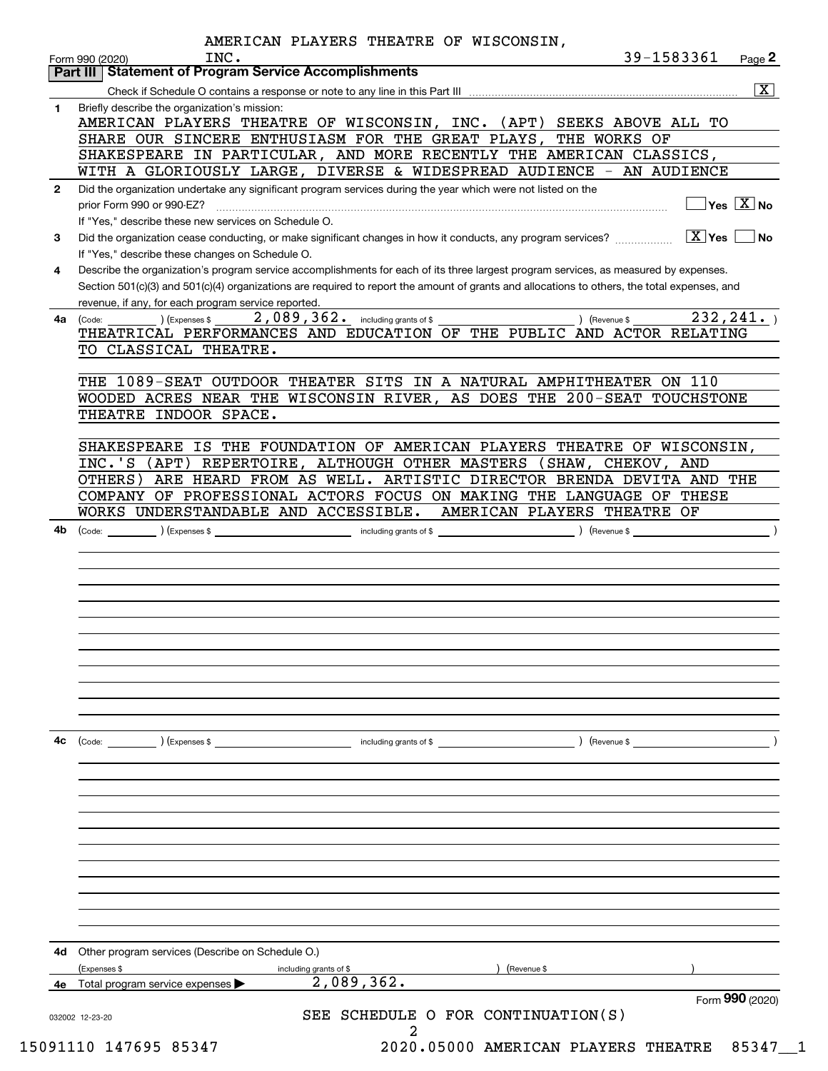|              | AMERICAN PLAYERS THEATRE OF WISCONSIN,<br>39-1583361<br>INC.<br>Page 2<br>Form 990 (2020)                                                    |
|--------------|----------------------------------------------------------------------------------------------------------------------------------------------|
|              | Part III Statement of Program Service Accomplishments                                                                                        |
|              | $\overline{\mathbf{x}}$                                                                                                                      |
| 1.           | Briefly describe the organization's mission:                                                                                                 |
|              | AMERICAN PLAYERS THEATRE OF WISCONSIN, INC. (APT) SEEKS ABOVE ALL TO                                                                         |
|              | SHARE OUR SINCERE ENTHUSIASM FOR THE GREAT PLAYS, THE WORKS OF                                                                               |
|              | SHAKESPEARE IN PARTICULAR, AND MORE RECENTLY THE AMERICAN CLASSICS,                                                                          |
|              | WITH A GLORIOUSLY LARGE, DIVERSE & WIDESPREAD AUDIENCE - AN AUDIENCE                                                                         |
| $\mathbf{2}$ | Did the organization undertake any significant program services during the year which were not listed on the                                 |
|              | $\overline{\ }$ Yes $\overline{\ \ X}$ No<br>prior Form 990 or 990-EZ?                                                                       |
|              | If "Yes," describe these new services on Schedule O.                                                                                         |
| 3            | $ X $ Yes<br>Did the organization cease conducting, or make significant changes in how it conducts, any program services?<br>∣No             |
|              | If "Yes," describe these changes on Schedule O.                                                                                              |
| 4            | Describe the organization's program service accomplishments for each of its three largest program services, as measured by expenses.         |
|              | Section 501(c)(3) and 501(c)(4) organizations are required to report the amount of grants and allocations to others, the total expenses, and |
|              | revenue, if any, for each program service reported.                                                                                          |
| 4a           | 232, 241.<br>2,089,362. including grants of \$<br>) (Revenue \$<br>(Expenses \$<br>(Code:                                                    |
|              | THEATRICAL PERFORMANCES AND EDUCATION OF THE PUBLIC AND ACTOR RELATING                                                                       |
|              | TO CLASSICAL THEATRE.                                                                                                                        |
|              |                                                                                                                                              |
|              | THE 1089-SEAT OUTDOOR THEATER SITS IN A NATURAL AMPHITHEATER ON 110                                                                          |
|              | WOODED ACRES NEAR THE WISCONSIN RIVER, AS DOES THE 200-SEAT TOUCHSTONE                                                                       |
|              | THEATRE INDOOR SPACE.                                                                                                                        |
|              |                                                                                                                                              |
|              | SHAKESPEARE IS THE FOUNDATION OF AMERICAN PLAYERS THEATRE OF WISCONSIN,                                                                      |
|              | INC.'S (APT) REPERTOIRE, ALTHOUGH OTHER MASTERS (SHAW, CHEKOV, AND                                                                           |
|              | OTHERS) ARE HEARD FROM AS WELL. ARTISTIC DIRECTOR BRENDA DEVITA AND THE                                                                      |
|              | COMPANY OF PROFESSIONAL ACTORS FOCUS ON MAKING THE LANGUAGE OF THESE                                                                         |
|              | WORKS UNDERSTANDABLE AND ACCESSIBLE. AMERICAN PLAYERS THEATRE OF                                                                             |
| 4b           |                                                                                                                                              |
|              |                                                                                                                                              |
|              |                                                                                                                                              |
|              |                                                                                                                                              |
|              |                                                                                                                                              |
|              |                                                                                                                                              |
|              |                                                                                                                                              |
|              |                                                                                                                                              |
|              |                                                                                                                                              |
|              |                                                                                                                                              |
|              |                                                                                                                                              |
|              |                                                                                                                                              |
|              |                                                                                                                                              |
| 4c           |                                                                                                                                              |
|              | (Code: ) (Expenses \$<br>) (Revenue \$<br>including grants of \$                                                                             |
|              |                                                                                                                                              |
|              |                                                                                                                                              |
|              |                                                                                                                                              |
|              |                                                                                                                                              |
|              |                                                                                                                                              |
|              |                                                                                                                                              |
|              |                                                                                                                                              |
|              |                                                                                                                                              |
|              |                                                                                                                                              |
|              |                                                                                                                                              |
|              |                                                                                                                                              |
|              |                                                                                                                                              |
|              |                                                                                                                                              |
| 4d           | Other program services (Describe on Schedule O.)                                                                                             |
|              | (Revenue \$<br>(Expenses \$<br>including grants of \$                                                                                        |
|              | 2,089,362.<br>4e Total program service expenses                                                                                              |
|              | Form 990 (2020)<br>SEE SCHEDULE O FOR CONTINUATION(S)<br>032002 12-23-20                                                                     |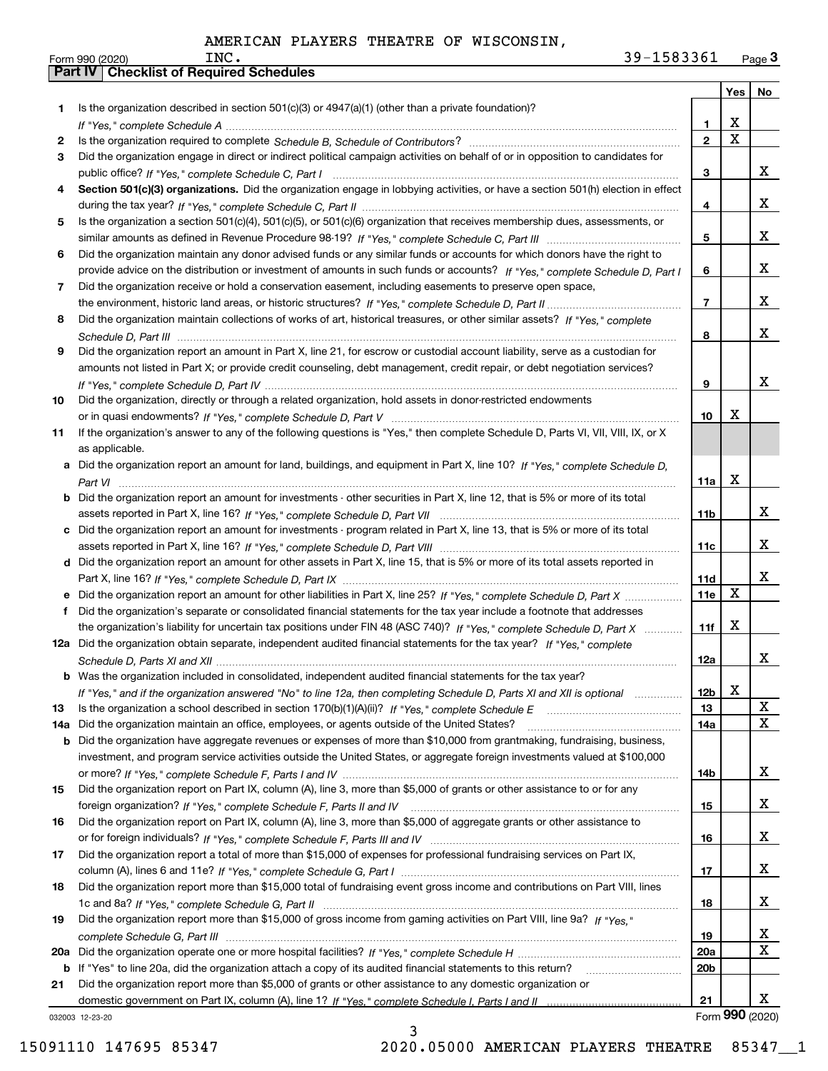|     |                                                                                                                                                                                                                             |                 | Yes                     | No          |
|-----|-----------------------------------------------------------------------------------------------------------------------------------------------------------------------------------------------------------------------------|-----------------|-------------------------|-------------|
| 1.  | Is the organization described in section $501(c)(3)$ or $4947(a)(1)$ (other than a private foundation)?                                                                                                                     |                 |                         |             |
|     |                                                                                                                                                                                                                             | 1               | X                       |             |
| 2   |                                                                                                                                                                                                                             | $\mathbf{2}$    | $\overline{\mathbf{x}}$ |             |
| 3   | Did the organization engage in direct or indirect political campaign activities on behalf of or in opposition to candidates for                                                                                             |                 |                         |             |
|     |                                                                                                                                                                                                                             | 3               |                         | x           |
| 4   | Section 501(c)(3) organizations. Did the organization engage in lobbying activities, or have a section 501(h) election in effect                                                                                            |                 |                         |             |
|     |                                                                                                                                                                                                                             | 4               |                         | x           |
| 5   | Is the organization a section 501(c)(4), 501(c)(5), or 501(c)(6) organization that receives membership dues, assessments, or                                                                                                |                 |                         |             |
|     |                                                                                                                                                                                                                             | 5               |                         | x           |
| 6   | Did the organization maintain any donor advised funds or any similar funds or accounts for which donors have the right to                                                                                                   |                 |                         |             |
|     | provide advice on the distribution or investment of amounts in such funds or accounts? If "Yes," complete Schedule D, Part I                                                                                                | 6               |                         | x           |
| 7   | Did the organization receive or hold a conservation easement, including easements to preserve open space,                                                                                                                   |                 |                         |             |
|     |                                                                                                                                                                                                                             | $\overline{7}$  |                         | x           |
| 8   | Did the organization maintain collections of works of art, historical treasures, or other similar assets? If "Yes," complete                                                                                                |                 |                         |             |
|     |                                                                                                                                                                                                                             | 8               |                         | x           |
| 9   | Did the organization report an amount in Part X, line 21, for escrow or custodial account liability, serve as a custodian for                                                                                               |                 |                         |             |
|     | amounts not listed in Part X; or provide credit counseling, debt management, credit repair, or debt negotiation services?                                                                                                   |                 |                         |             |
|     |                                                                                                                                                                                                                             | 9               |                         | x           |
| 10  | Did the organization, directly or through a related organization, hold assets in donor-restricted endowments                                                                                                                |                 |                         |             |
|     |                                                                                                                                                                                                                             | 10              | X                       |             |
| 11  | If the organization's answer to any of the following questions is "Yes," then complete Schedule D, Parts VI, VII, VIII, IX, or X                                                                                            |                 |                         |             |
|     | as applicable.                                                                                                                                                                                                              |                 |                         |             |
|     | a Did the organization report an amount for land, buildings, and equipment in Part X, line 10? If "Yes," complete Schedule D,                                                                                               |                 |                         |             |
|     |                                                                                                                                                                                                                             | 11a             | X                       |             |
|     | <b>b</b> Did the organization report an amount for investments - other securities in Part X, line 12, that is 5% or more of its total                                                                                       |                 |                         |             |
|     |                                                                                                                                                                                                                             | 11b             |                         | x           |
|     | c Did the organization report an amount for investments - program related in Part X, line 13, that is 5% or more of its total                                                                                               |                 |                         |             |
|     |                                                                                                                                                                                                                             | 11c             |                         | x           |
|     | d Did the organization report an amount for other assets in Part X, line 15, that is 5% or more of its total assets reported in                                                                                             |                 |                         |             |
|     |                                                                                                                                                                                                                             | 11d             |                         | x           |
|     | e Did the organization report an amount for other liabilities in Part X, line 25? If "Yes," complete Schedule D, Part X                                                                                                     | 11e             | $\mathbf X$             |             |
| f   | Did the organization's separate or consolidated financial statements for the tax year include a footnote that addresses                                                                                                     |                 |                         |             |
|     | the organization's liability for uncertain tax positions under FIN 48 (ASC 740)? If "Yes," complete Schedule D, Part X                                                                                                      | 11f             | X                       |             |
|     | 12a Did the organization obtain separate, independent audited financial statements for the tax year? If "Yes," complete                                                                                                     |                 |                         |             |
|     |                                                                                                                                                                                                                             | 12a             |                         | x           |
|     | <b>b</b> Was the organization included in consolidated, independent audited financial statements for the tax year?                                                                                                          |                 |                         |             |
|     | If "Yes," and if the organization answered "No" to line 12a, then completing Schedule D, Parts XI and XII is optional                                                                                                       | 12b             | x                       | X           |
| 13  |                                                                                                                                                                                                                             | 13              |                         | $\mathbf X$ |
| 14a | Did the organization maintain an office, employees, or agents outside of the United States?                                                                                                                                 | 14a             |                         |             |
|     | <b>b</b> Did the organization have aggregate revenues or expenses of more than \$10,000 from grantmaking, fundraising, business,                                                                                            |                 |                         |             |
|     | investment, and program service activities outside the United States, or aggregate foreign investments valued at \$100,000                                                                                                  | 14b             |                         | x           |
|     | Did the organization report on Part IX, column (A), line 3, more than \$5,000 of grants or other assistance to or for any                                                                                                   |                 |                         |             |
| 15  |                                                                                                                                                                                                                             |                 |                         | X           |
| 16  | Did the organization report on Part IX, column (A), line 3, more than \$5,000 of aggregate grants or other assistance to                                                                                                    | 15              |                         |             |
|     |                                                                                                                                                                                                                             |                 |                         | X           |
|     |                                                                                                                                                                                                                             | 16              |                         |             |
| 17  | Did the organization report a total of more than \$15,000 of expenses for professional fundraising services on Part IX,                                                                                                     | 17              |                         | X           |
| 18  | Did the organization report more than \$15,000 total of fundraising event gross income and contributions on Part VIII, lines                                                                                                |                 |                         |             |
|     |                                                                                                                                                                                                                             | 18              |                         | X           |
| 19  | Did the organization report more than \$15,000 of gross income from gaming activities on Part VIII, line 9a? If "Yes."                                                                                                      |                 |                         |             |
|     |                                                                                                                                                                                                                             | 19              |                         | X           |
|     |                                                                                                                                                                                                                             | <b>20a</b>      |                         | $\mathbf X$ |
| 20a |                                                                                                                                                                                                                             | 20 <sub>b</sub> |                         |             |
| b   | If "Yes" to line 20a, did the organization attach a copy of its audited financial statements to this return?<br>Did the organization report more than \$5,000 of grants or other assistance to any domestic organization or |                 |                         |             |
| 21  |                                                                                                                                                                                                                             | 21              |                         | х           |
|     |                                                                                                                                                                                                                             |                 |                         |             |

3

032003 12-23-20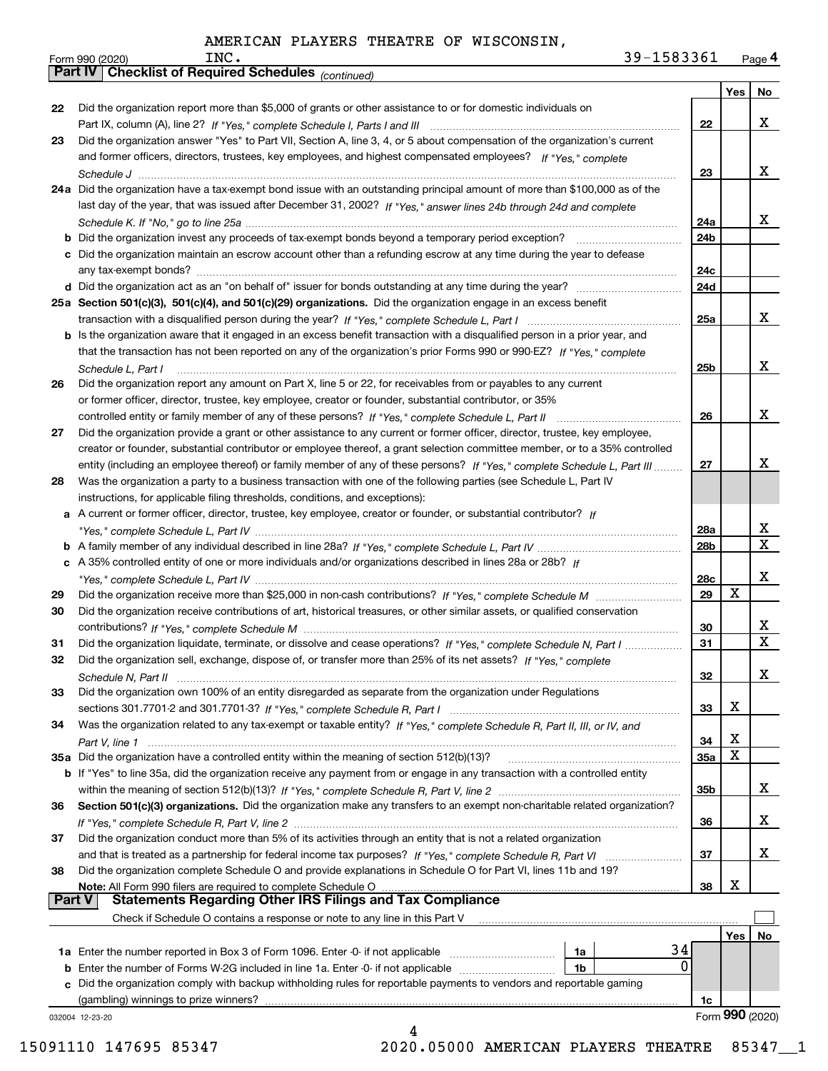| 39-1583361<br>INC. | Page 4 |
|--------------------|--------|
|--------------------|--------|

|               | 39-1583361<br>INC.<br>Form 990 (2020)                                                                                        |     |                         | Page 4                  |
|---------------|------------------------------------------------------------------------------------------------------------------------------|-----|-------------------------|-------------------------|
|               | <b>Checklist of Required Schedules (continued)</b><br><b>Part IV</b>                                                         |     |                         |                         |
|               |                                                                                                                              |     | Yes                     | No                      |
| 22            | Did the organization report more than \$5,000 of grants or other assistance to or for domestic individuals on                |     |                         |                         |
|               |                                                                                                                              | 22  |                         | X                       |
| 23            | Did the organization answer "Yes" to Part VII, Section A, line 3, 4, or 5 about compensation of the organization's current   |     |                         |                         |
|               | and former officers, directors, trustees, key employees, and highest compensated employees? If "Yes," complete               |     |                         |                         |
|               |                                                                                                                              | 23  |                         | X                       |
|               | 24a Did the organization have a tax-exempt bond issue with an outstanding principal amount of more than \$100,000 as of the  |     |                         |                         |
|               | last day of the year, that was issued after December 31, 2002? If "Yes," answer lines 24b through 24d and complete           |     |                         |                         |
|               |                                                                                                                              | 24a |                         | X                       |
|               |                                                                                                                              | 24b |                         |                         |
|               | c Did the organization maintain an escrow account other than a refunding escrow at any time during the year to defease       |     |                         |                         |
|               |                                                                                                                              | 24c |                         |                         |
|               | d Did the organization act as an "on behalf of" issuer for bonds outstanding at any time during the year?                    | 24d |                         |                         |
|               | 25a Section 501(c)(3), 501(c)(4), and 501(c)(29) organizations. Did the organization engage in an excess benefit             |     |                         |                         |
|               |                                                                                                                              | 25a |                         | x                       |
|               | b Is the organization aware that it engaged in an excess benefit transaction with a disqualified person in a prior year, and |     |                         |                         |
|               | that the transaction has not been reported on any of the organization's prior Forms 990 or 990-EZ? If "Yes," complete        |     |                         |                         |
|               | Schedule L, Part I                                                                                                           | 25b |                         | x                       |
| 26            | Did the organization report any amount on Part X, line 5 or 22, for receivables from or payables to any current              |     |                         |                         |
|               | or former officer, director, trustee, key employee, creator or founder, substantial contributor, or 35%                      |     |                         |                         |
|               |                                                                                                                              | 26  |                         | x                       |
| 27            | Did the organization provide a grant or other assistance to any current or former officer, director, trustee, key employee,  |     |                         |                         |
|               | creator or founder, substantial contributor or employee thereof, a grant selection committee member, or to a 35% controlled  |     |                         |                         |
|               | entity (including an employee thereof) or family member of any of these persons? If "Yes," complete Schedule L, Part III     | 27  |                         | х                       |
| 28            | Was the organization a party to a business transaction with one of the following parties (see Schedule L, Part IV            |     |                         |                         |
|               | instructions, for applicable filing thresholds, conditions, and exceptions):                                                 |     |                         |                         |
|               | a A current or former officer, director, trustee, key employee, creator or founder, or substantial contributor? If           |     |                         |                         |
|               |                                                                                                                              | 28a |                         | $\overline{\mathbf{x}}$ |
|               |                                                                                                                              | 28b |                         | $\overline{\mathtt{x}}$ |
|               | c A 35% controlled entity of one or more individuals and/or organizations described in lines 28a or 28b? If                  |     |                         |                         |
|               |                                                                                                                              | 28c |                         | x                       |
| 29            |                                                                                                                              | 29  | X                       |                         |
| 30            | Did the organization receive contributions of art, historical treasures, or other similar assets, or qualified conservation  |     |                         |                         |
|               |                                                                                                                              | 30  |                         | $\overline{\mathbf{x}}$ |
| 31            | Did the organization liquidate, terminate, or dissolve and cease operations? If "Yes," complete Schedule N, Part I           | 31  |                         | $\overline{\mathtt{x}}$ |
| 32            | Did the organization sell, exchange, dispose of, or transfer more than 25% of its net assets? If "Yes," complete             |     |                         |                         |
|               | Schedule N, Part II                                                                                                          | 32  |                         | x                       |
| 33            | Did the organization own 100% of an entity disregarded as separate from the organization under Regulations                   |     |                         |                         |
|               |                                                                                                                              | 33  | х                       |                         |
| 34            | Was the organization related to any tax-exempt or taxable entity? If "Yes," complete Schedule R, Part II, III, or IV, and    |     |                         |                         |
|               |                                                                                                                              | 34  | х                       |                         |
|               | 35a Did the organization have a controlled entity within the meaning of section 512(b)(13)?                                  | 35a | $\overline{\textbf{X}}$ |                         |
|               | b If "Yes" to line 35a, did the organization receive any payment from or engage in any transaction with a controlled entity  |     |                         |                         |
|               |                                                                                                                              | 35b |                         | X.                      |
| 36            | Section 501(c)(3) organizations. Did the organization make any transfers to an exempt non-charitable related organization?   |     |                         |                         |
|               |                                                                                                                              | 36  |                         | x                       |
| 37            | Did the organization conduct more than 5% of its activities through an entity that is not a related organization             |     |                         |                         |
|               |                                                                                                                              | 37  |                         | x                       |
| 38            | Did the organization complete Schedule O and provide explanations in Schedule O for Part VI, lines 11b and 19?               |     |                         |                         |
|               | Note: All Form 990 filers are required to complete Schedule O                                                                | 38  | х                       |                         |
| <b>Part V</b> | <b>Statements Regarding Other IRS Filings and Tax Compliance</b>                                                             |     |                         |                         |
|               | Check if Schedule O contains a response or note to any line in this Part V                                                   |     |                         |                         |
|               |                                                                                                                              |     | Yes                     | No                      |
|               | 1a                                                                                                                           | 34  |                         |                         |
| b             | Enter the number of Forms W-2G included in line 1a. Enter -0- if not applicable<br>1b                                        | 0   |                         |                         |
| c             | Did the organization comply with backup withholding rules for reportable payments to vendors and reportable gaming           |     |                         |                         |
|               | (gambling) winnings to prize winners?                                                                                        | 1c  |                         |                         |
|               | 032004 12-23-20                                                                                                              |     |                         | Form 990 (2020)         |
|               | 4                                                                                                                            |     |                         |                         |

15091110 147695 85347 2020.05000 AMERICAN PLAYERS THEATRE 85347\_\_1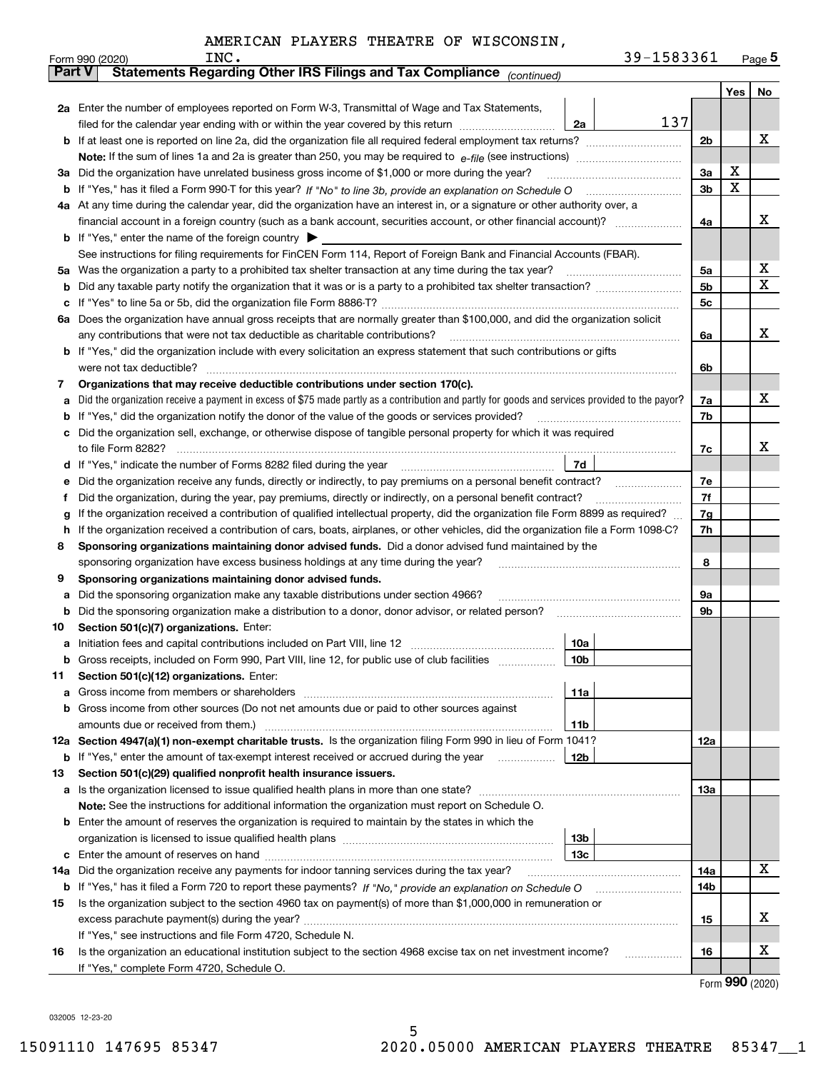|               | 39-1583361<br>INC.<br>Form 990 (2020)                                                                                                                                                   |                |     | $_{\text{Page}}$ 5 |  |  |  |  |  |  |
|---------------|-----------------------------------------------------------------------------------------------------------------------------------------------------------------------------------------|----------------|-----|--------------------|--|--|--|--|--|--|
| <b>Part V</b> | Statements Regarding Other IRS Filings and Tax Compliance (continued)                                                                                                                   |                |     |                    |  |  |  |  |  |  |
|               |                                                                                                                                                                                         |                | Yes | No                 |  |  |  |  |  |  |
|               | 2a Enter the number of employees reported on Form W-3, Transmittal of Wage and Tax Statements,                                                                                          |                |     |                    |  |  |  |  |  |  |
|               | 137<br>filed for the calendar year ending with or within the year covered by this return<br>2a                                                                                          |                |     |                    |  |  |  |  |  |  |
| b             |                                                                                                                                                                                         | 2 <sub>b</sub> |     | х                  |  |  |  |  |  |  |
|               |                                                                                                                                                                                         |                |     |                    |  |  |  |  |  |  |
| За            | Did the organization have unrelated business gross income of \$1,000 or more during the year?                                                                                           |                |     |                    |  |  |  |  |  |  |
| b             |                                                                                                                                                                                         |                |     |                    |  |  |  |  |  |  |
|               | 4a At any time during the calendar year, did the organization have an interest in, or a signature or other authority over, a                                                            |                |     |                    |  |  |  |  |  |  |
|               |                                                                                                                                                                                         | 4a             |     | x                  |  |  |  |  |  |  |
|               | <b>b</b> If "Yes," enter the name of the foreign country $\blacktriangleright$                                                                                                          |                |     |                    |  |  |  |  |  |  |
|               | See instructions for filing requirements for FinCEN Form 114, Report of Foreign Bank and Financial Accounts (FBAR).                                                                     |                |     |                    |  |  |  |  |  |  |
| 5a            | Was the organization a party to a prohibited tax shelter transaction at any time during the tax year?                                                                                   | 5a             |     | х                  |  |  |  |  |  |  |
| b             |                                                                                                                                                                                         | 5 <sub>b</sub> |     | х                  |  |  |  |  |  |  |
| с             |                                                                                                                                                                                         | 5c             |     |                    |  |  |  |  |  |  |
| 6а            | Does the organization have annual gross receipts that are normally greater than \$100,000, and did the organization solicit                                                             |                |     |                    |  |  |  |  |  |  |
|               | any contributions that were not tax deductible as charitable contributions?                                                                                                             | 6a             |     | x                  |  |  |  |  |  |  |
| b             | If "Yes," did the organization include with every solicitation an express statement that such contributions or gifts                                                                    |                |     |                    |  |  |  |  |  |  |
|               | were not tax deductible?                                                                                                                                                                | 6b             |     |                    |  |  |  |  |  |  |
| 7             | Organizations that may receive deductible contributions under section 170(c).                                                                                                           |                |     |                    |  |  |  |  |  |  |
| а             | Did the organization receive a payment in excess of \$75 made partly as a contribution and partly for goods and services provided to the payor?                                         | 7a             |     | x                  |  |  |  |  |  |  |
| b             | If "Yes," did the organization notify the donor of the value of the goods or services provided?                                                                                         | 7b             |     |                    |  |  |  |  |  |  |
| c             | Did the organization sell, exchange, or otherwise dispose of tangible personal property for which it was required                                                                       |                |     |                    |  |  |  |  |  |  |
|               |                                                                                                                                                                                         | 7c             |     | x                  |  |  |  |  |  |  |
| d             | 7d                                                                                                                                                                                      |                |     |                    |  |  |  |  |  |  |
| е             | Did the organization receive any funds, directly or indirectly, to pay premiums on a personal benefit contract?                                                                         | 7e             |     |                    |  |  |  |  |  |  |
| f             | Did the organization, during the year, pay premiums, directly or indirectly, on a personal benefit contract?                                                                            | 7f             |     |                    |  |  |  |  |  |  |
| g             | If the organization received a contribution of qualified intellectual property, did the organization file Form 8899 as required?                                                        | 7g             |     |                    |  |  |  |  |  |  |
| h             | If the organization received a contribution of cars, boats, airplanes, or other vehicles, did the organization file a Form 1098-C?                                                      | 7h             |     |                    |  |  |  |  |  |  |
| 8             | Sponsoring organizations maintaining donor advised funds. Did a donor advised fund maintained by the                                                                                    |                |     |                    |  |  |  |  |  |  |
|               | sponsoring organization have excess business holdings at any time during the year?                                                                                                      | 8              |     |                    |  |  |  |  |  |  |
| 9             | Sponsoring organizations maintaining donor advised funds.                                                                                                                               | 9а             |     |                    |  |  |  |  |  |  |
| а<br>b        | Did the sponsoring organization make any taxable distributions under section 4966?<br>Did the sponsoring organization make a distribution to a donor, donor advisor, or related person? | 9b             |     |                    |  |  |  |  |  |  |
| 10            | Section 501(c)(7) organizations. Enter:                                                                                                                                                 |                |     |                    |  |  |  |  |  |  |
|               | 10a                                                                                                                                                                                     |                |     |                    |  |  |  |  |  |  |
| а             | 10b<br>Gross receipts, included on Form 990, Part VIII, line 12, for public use of club facilities                                                                                      |                |     |                    |  |  |  |  |  |  |
| 11            | Section 501(c)(12) organizations. Enter:                                                                                                                                                |                |     |                    |  |  |  |  |  |  |
| a             | 11a<br>Gross income from members or shareholders                                                                                                                                        |                |     |                    |  |  |  |  |  |  |
| b             | Gross income from other sources (Do not net amounts due or paid to other sources against                                                                                                |                |     |                    |  |  |  |  |  |  |
|               | 11 <sub>b</sub><br>amounts due or received from them.)                                                                                                                                  |                |     |                    |  |  |  |  |  |  |
|               | 12a Section 4947(a)(1) non-exempt charitable trusts. Is the organization filing Form 990 in lieu of Form 1041?                                                                          | 12a            |     |                    |  |  |  |  |  |  |
|               | 12b<br><b>b</b> If "Yes," enter the amount of tax-exempt interest received or accrued during the year                                                                                   |                |     |                    |  |  |  |  |  |  |
| 13            | Section 501(c)(29) qualified nonprofit health insurance issuers.                                                                                                                        |                |     |                    |  |  |  |  |  |  |
| a             | Is the organization licensed to issue qualified health plans in more than one state?                                                                                                    | 13а            |     |                    |  |  |  |  |  |  |
|               | Note: See the instructions for additional information the organization must report on Schedule O.                                                                                       |                |     |                    |  |  |  |  |  |  |
| b             | Enter the amount of reserves the organization is required to maintain by the states in which the                                                                                        |                |     |                    |  |  |  |  |  |  |
|               | 13 <sub>b</sub>                                                                                                                                                                         |                |     |                    |  |  |  |  |  |  |
| с             | 13 <sub>c</sub>                                                                                                                                                                         |                |     |                    |  |  |  |  |  |  |
| 14a           | Did the organization receive any payments for indoor tanning services during the tax year?                                                                                              | 14a            |     | X                  |  |  |  |  |  |  |
|               | <b>b</b> If "Yes," has it filed a Form 720 to report these payments? If "No," provide an explanation on Schedule O                                                                      | 14b            |     |                    |  |  |  |  |  |  |
| 15            | Is the organization subject to the section 4960 tax on payment(s) of more than \$1,000,000 in remuneration or                                                                           |                |     |                    |  |  |  |  |  |  |
|               | excess parachute payment(s) during the year?                                                                                                                                            | 15             |     | x                  |  |  |  |  |  |  |
|               | If "Yes," see instructions and file Form 4720, Schedule N.                                                                                                                              |                |     |                    |  |  |  |  |  |  |
| 16            | Is the organization an educational institution subject to the section 4968 excise tax on net investment income?                                                                         | 16             |     | х                  |  |  |  |  |  |  |
|               | If "Yes," complete Form 4720, Schedule O.                                                                                                                                               |                |     |                    |  |  |  |  |  |  |

Form (2020) **990**

032005 12-23-20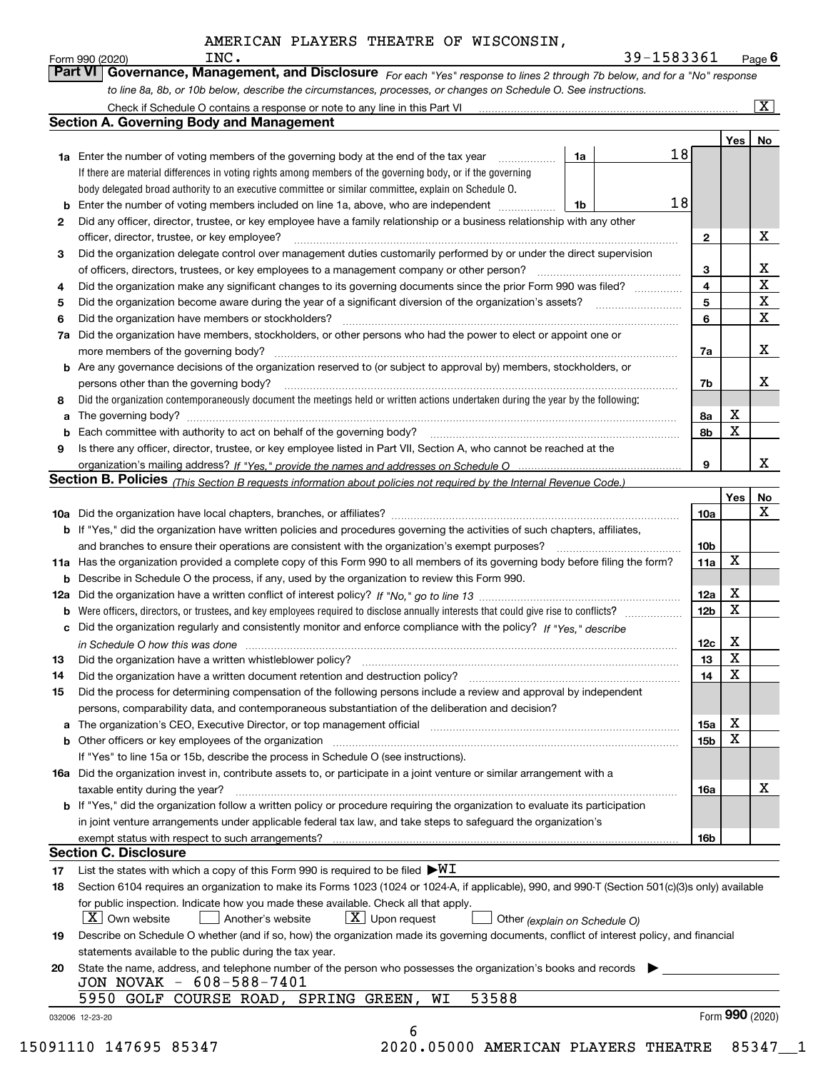|    | AMERICAN PLAYERS THEATRE OF WISCONSIN,                                                                                                                                                                                                                                                                                                                                                                                                                                                                                                                                        |    |            |                 |                         |                         |  |  |
|----|-------------------------------------------------------------------------------------------------------------------------------------------------------------------------------------------------------------------------------------------------------------------------------------------------------------------------------------------------------------------------------------------------------------------------------------------------------------------------------------------------------------------------------------------------------------------------------|----|------------|-----------------|-------------------------|-------------------------|--|--|
|    | INC.<br>Form 990 (2020)                                                                                                                                                                                                                                                                                                                                                                                                                                                                                                                                                       |    | 39-1583361 |                 |                         | Page $6$                |  |  |
|    | Part VI<br>Governance, Management, and Disclosure For each "Yes" response to lines 2 through 7b below, and for a "No" response                                                                                                                                                                                                                                                                                                                                                                                                                                                |    |            |                 |                         |                         |  |  |
|    | to line 8a, 8b, or 10b below, describe the circumstances, processes, or changes on Schedule O. See instructions.                                                                                                                                                                                                                                                                                                                                                                                                                                                              |    |            |                 |                         |                         |  |  |
|    |                                                                                                                                                                                                                                                                                                                                                                                                                                                                                                                                                                               |    |            |                 |                         | $\overline{\mathbf{x}}$ |  |  |
|    | <b>Section A. Governing Body and Management</b>                                                                                                                                                                                                                                                                                                                                                                                                                                                                                                                               |    |            |                 |                         |                         |  |  |
|    |                                                                                                                                                                                                                                                                                                                                                                                                                                                                                                                                                                               |    | 18         |                 | Yes                     | No                      |  |  |
|    | <b>1a</b> Enter the number of voting members of the governing body at the end of the tax year<br>$\mathcal{L} = \{1, 2, \ldots, 2, \ldots, 2, \ldots, 2, \ldots, 2, \ldots, 2, \ldots, 2, \ldots, 2, \ldots, 2, \ldots, 2, \ldots, 2, \ldots, 2, \ldots, 2, \ldots, 2, \ldots, 2, \ldots, 2, \ldots, 2, \ldots, 2, \ldots, 2, \ldots, 2, \ldots, 2, \ldots, 2, \ldots, 2, \ldots, 2, \ldots, 2, \ldots, 2, \ldots, 2, \ldots, 2, \ldots, 2, \ldots, 2, \ldots$<br>If there are material differences in voting rights among members of the governing body, or if the governing | 1a |            |                 |                         |                         |  |  |
|    | body delegated broad authority to an executive committee or similar committee, explain on Schedule O.                                                                                                                                                                                                                                                                                                                                                                                                                                                                         |    |            |                 |                         |                         |  |  |
| b  | Enter the number of voting members included on line 1a, above, who are independent                                                                                                                                                                                                                                                                                                                                                                                                                                                                                            | 1b | 18         |                 |                         |                         |  |  |
| 2  | Did any officer, director, trustee, or key employee have a family relationship or a business relationship with any other                                                                                                                                                                                                                                                                                                                                                                                                                                                      |    |            |                 |                         |                         |  |  |
|    | officer, director, trustee, or key employee?                                                                                                                                                                                                                                                                                                                                                                                                                                                                                                                                  |    |            | $\mathbf{2}$    |                         | х                       |  |  |
| 3  | Did the organization delegate control over management duties customarily performed by or under the direct supervision                                                                                                                                                                                                                                                                                                                                                                                                                                                         |    |            |                 |                         |                         |  |  |
|    |                                                                                                                                                                                                                                                                                                                                                                                                                                                                                                                                                                               |    |            | 3               |                         | x                       |  |  |
| 4  | Did the organization make any significant changes to its governing documents since the prior Form 990 was filed?                                                                                                                                                                                                                                                                                                                                                                                                                                                              |    |            | 4               |                         | X                       |  |  |
| 5  |                                                                                                                                                                                                                                                                                                                                                                                                                                                                                                                                                                               |    |            | 5               |                         | X                       |  |  |
| 6  | Did the organization have members or stockholders?                                                                                                                                                                                                                                                                                                                                                                                                                                                                                                                            |    |            | 6               |                         | X                       |  |  |
| 7a | Did the organization have members, stockholders, or other persons who had the power to elect or appoint one or                                                                                                                                                                                                                                                                                                                                                                                                                                                                |    |            |                 |                         |                         |  |  |
|    |                                                                                                                                                                                                                                                                                                                                                                                                                                                                                                                                                                               |    |            | 7a              |                         | x                       |  |  |
|    | <b>b</b> Are any governance decisions of the organization reserved to (or subject to approval by) members, stockholders, or                                                                                                                                                                                                                                                                                                                                                                                                                                                   |    |            |                 |                         |                         |  |  |
|    | persons other than the governing body?                                                                                                                                                                                                                                                                                                                                                                                                                                                                                                                                        |    |            | 7b              |                         | x.                      |  |  |
| 8  | Did the organization contemporaneously document the meetings held or written actions undertaken during the year by the following:                                                                                                                                                                                                                                                                                                                                                                                                                                             |    |            |                 |                         |                         |  |  |
| a  | The governing body?                                                                                                                                                                                                                                                                                                                                                                                                                                                                                                                                                           |    |            | 8a              | х                       |                         |  |  |
| b  |                                                                                                                                                                                                                                                                                                                                                                                                                                                                                                                                                                               |    |            | 8b              | X                       |                         |  |  |
|    | Is there any officer, director, trustee, or key employee listed in Part VII, Section A, who cannot be reached at the<br>9                                                                                                                                                                                                                                                                                                                                                                                                                                                     |    |            |                 |                         |                         |  |  |
|    |                                                                                                                                                                                                                                                                                                                                                                                                                                                                                                                                                                               |    |            | 9               |                         | x                       |  |  |
|    | <b>Section B. Policies</b> (This Section B requests information about policies not required by the Internal Revenue Code.)                                                                                                                                                                                                                                                                                                                                                                                                                                                    |    |            |                 |                         |                         |  |  |
|    |                                                                                                                                                                                                                                                                                                                                                                                                                                                                                                                                                                               |    |            | 10a             | Yes                     | No<br>x                 |  |  |
|    | <b>b</b> If "Yes," did the organization have written policies and procedures governing the activities of such chapters, affiliates,                                                                                                                                                                                                                                                                                                                                                                                                                                           |    |            |                 |                         |                         |  |  |
|    | and branches to ensure their operations are consistent with the organization's exempt purposes?                                                                                                                                                                                                                                                                                                                                                                                                                                                                               |    |            | 10 <sub>b</sub> |                         |                         |  |  |
|    | 11a Has the organization provided a complete copy of this Form 990 to all members of its governing body before filing the form?                                                                                                                                                                                                                                                                                                                                                                                                                                               |    |            | 11a             | X                       |                         |  |  |
|    | <b>b</b> Describe in Schedule O the process, if any, used by the organization to review this Form 990.                                                                                                                                                                                                                                                                                                                                                                                                                                                                        |    |            |                 |                         |                         |  |  |
|    |                                                                                                                                                                                                                                                                                                                                                                                                                                                                                                                                                                               |    |            | 12a             | X                       |                         |  |  |
|    |                                                                                                                                                                                                                                                                                                                                                                                                                                                                                                                                                                               |    |            | 12 <sub>b</sub> | $\overline{\textbf{X}}$ |                         |  |  |
| c  | Did the organization regularly and consistently monitor and enforce compliance with the policy? If "Yes," describe                                                                                                                                                                                                                                                                                                                                                                                                                                                            |    |            |                 |                         |                         |  |  |
|    |                                                                                                                                                                                                                                                                                                                                                                                                                                                                                                                                                                               |    |            | 12c             | х                       |                         |  |  |
| 13 | Did the organization have a written whistleblower policy?                                                                                                                                                                                                                                                                                                                                                                                                                                                                                                                     |    |            | 13              | X                       |                         |  |  |
| 14 | Did the organization have a written document retention and destruction policy?                                                                                                                                                                                                                                                                                                                                                                                                                                                                                                |    |            | 14              | X                       |                         |  |  |
| 15 | Did the process for determining compensation of the following persons include a review and approval by independent                                                                                                                                                                                                                                                                                                                                                                                                                                                            |    |            |                 |                         |                         |  |  |
|    | persons, comparability data, and contemporaneous substantiation of the deliberation and decision?                                                                                                                                                                                                                                                                                                                                                                                                                                                                             |    |            |                 |                         |                         |  |  |
| a  | The organization's CEO, Executive Director, or top management official manufactured content of the organization's CEO, Executive Director, or top management official                                                                                                                                                                                                                                                                                                                                                                                                         |    |            | 15a             | X                       |                         |  |  |
| b  | Other officers or key employees of the organization manufactured content to the content of the officers or key                                                                                                                                                                                                                                                                                                                                                                                                                                                                |    |            | 15 <sub>b</sub> | X                       |                         |  |  |
|    | If "Yes" to line 15a or 15b, describe the process in Schedule O (see instructions).                                                                                                                                                                                                                                                                                                                                                                                                                                                                                           |    |            |                 |                         |                         |  |  |
|    | 16a Did the organization invest in, contribute assets to, or participate in a joint venture or similar arrangement with a                                                                                                                                                                                                                                                                                                                                                                                                                                                     |    |            |                 |                         | х                       |  |  |
|    | taxable entity during the year?                                                                                                                                                                                                                                                                                                                                                                                                                                                                                                                                               |    |            | 16a             |                         |                         |  |  |
|    | b If "Yes," did the organization follow a written policy or procedure requiring the organization to evaluate its participation<br>in joint venture arrangements under applicable federal tax law, and take steps to safeguard the organization's                                                                                                                                                                                                                                                                                                                              |    |            |                 |                         |                         |  |  |
|    |                                                                                                                                                                                                                                                                                                                                                                                                                                                                                                                                                                               |    |            | 16b             |                         |                         |  |  |
|    | <b>Section C. Disclosure</b>                                                                                                                                                                                                                                                                                                                                                                                                                                                                                                                                                  |    |            |                 |                         |                         |  |  |
| 17 | List the states with which a copy of this Form 990 is required to be filed $\blacktriangleright\text{WL}$                                                                                                                                                                                                                                                                                                                                                                                                                                                                     |    |            |                 |                         |                         |  |  |
| 18 | Section 6104 requires an organization to make its Forms 1023 (1024 or 1024-A, if applicable), 990, and 990-T (Section 501(c)(3)s only) available                                                                                                                                                                                                                                                                                                                                                                                                                              |    |            |                 |                         |                         |  |  |
|    | for public inspection. Indicate how you made these available. Check all that apply.                                                                                                                                                                                                                                                                                                                                                                                                                                                                                           |    |            |                 |                         |                         |  |  |
|    | $\lfloor X \rfloor$ Own website<br>$X$ Upon request<br>Another's website<br>Other (explain on Schedule O)                                                                                                                                                                                                                                                                                                                                                                                                                                                                     |    |            |                 |                         |                         |  |  |
| 19 | Describe on Schedule O whether (and if so, how) the organization made its governing documents, conflict of interest policy, and financial                                                                                                                                                                                                                                                                                                                                                                                                                                     |    |            |                 |                         |                         |  |  |
|    | statements available to the public during the tax year.                                                                                                                                                                                                                                                                                                                                                                                                                                                                                                                       |    |            |                 |                         |                         |  |  |
| 20 | State the name, address, and telephone number of the person who possesses the organization's books and records<br>JON NOVAK - 608-588-7401                                                                                                                                                                                                                                                                                                                                                                                                                                    |    |            |                 |                         |                         |  |  |

|  |  |  |  | 5950 GOLF COURSE ROAD, SPRING GREEN, WI 53588 |  |  |  |
|--|--|--|--|-----------------------------------------------|--|--|--|
|--|--|--|--|-----------------------------------------------|--|--|--|

032006 12-23-20

15091110 147695 85347 2020.05000 AMERICAN PLAYERS THEATRE 85347\_\_1

 $\overline{6}$ 

Form (2020) **990**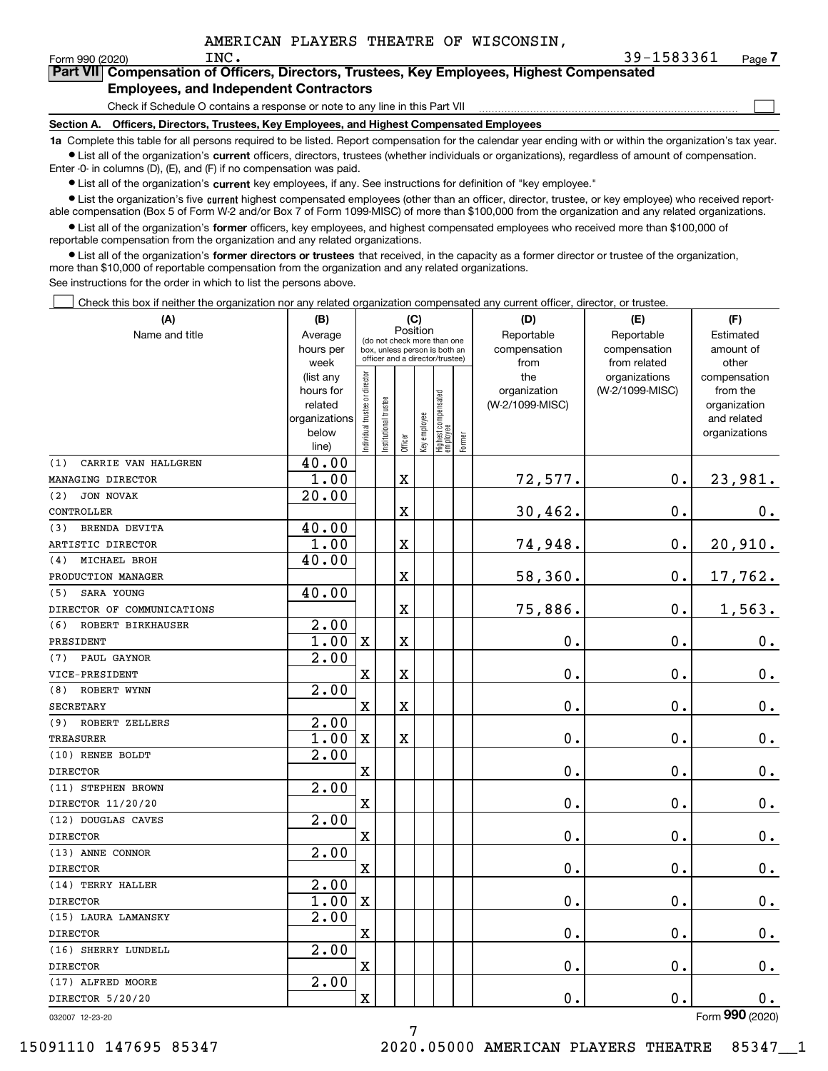$\mathcal{L}^{\text{max}}$ 

| orm 990 (2020) <sup>.</sup> | INC.                                          | 39-1583361                                                                                 | Page <i>I</i> |
|-----------------------------|-----------------------------------------------|--------------------------------------------------------------------------------------------|---------------|
|                             |                                               | Part VII Compensation of Officers, Directors, Trustees, Key Employees, Highest Compensated |               |
|                             | <b>Employees, and Independent Contractors</b> |                                                                                            |               |

Check if Schedule O contains a response or note to any line in this Part VII

**Section A. Officers, Directors, Trustees, Key Employees, and Highest Compensated Employees**

**1a**  Complete this table for all persons required to be listed. Report compensation for the calendar year ending with or within the organization's tax year. **•** List all of the organization's current officers, directors, trustees (whether individuals or organizations), regardless of amount of compensation.

Enter -0- in columns (D), (E), and (F) if no compensation was paid.

 $\bullet$  List all of the organization's  $\,$ current key employees, if any. See instructions for definition of "key employee."

**•** List the organization's five current highest compensated employees (other than an officer, director, trustee, or key employee) who received reportable compensation (Box 5 of Form W-2 and/or Box 7 of Form 1099-MISC) of more than \$100,000 from the organization and any related organizations.

**•** List all of the organization's former officers, key employees, and highest compensated employees who received more than \$100,000 of reportable compensation from the organization and any related organizations.

**former directors or trustees**  ¥ List all of the organization's that received, in the capacity as a former director or trustee of the organization, more than \$10,000 of reportable compensation from the organization and any related organizations.

See instructions for the order in which to list the persons above.

Check this box if neither the organization nor any related organization compensated any current officer, director, or trustee.  $\mathcal{L}^{\text{max}}$ 

| (A)                        | (B)                                                                  | (C)                                                                                                         |                      |             |              |                                 |        | (D)                                    | (E)                                        | (F)                                                                      |
|----------------------------|----------------------------------------------------------------------|-------------------------------------------------------------------------------------------------------------|----------------------|-------------|--------------|---------------------------------|--------|----------------------------------------|--------------------------------------------|--------------------------------------------------------------------------|
| Name and title             | Average<br>hours per<br>week                                         | Position<br>(do not check more than one<br>box, unless person is both an<br>officer and a director/trustee) |                      |             |              |                                 |        | Reportable<br>compensation<br>from     | Reportable<br>compensation<br>from related | Estimated<br>amount of<br>other                                          |
|                            | (list any<br>hours for<br>related<br>organizations<br>below<br>line) | ndividual trustee or director                                                                               | nstitutional trustee | Officer     | Key employee | Highest compensated<br>employee | Former | the<br>organization<br>(W-2/1099-MISC) | organizations<br>(W-2/1099-MISC)           | compensation<br>from the<br>organization<br>and related<br>organizations |
| (1)<br>CARRIE VAN HALLGREN | 40.00                                                                |                                                                                                             |                      |             |              |                                 |        |                                        |                                            |                                                                          |
| MANAGING DIRECTOR          | 1.00                                                                 |                                                                                                             |                      | $\mathbf X$ |              |                                 |        | 72,577.                                | $0$ .                                      | 23,981.                                                                  |
| (2)<br>JON NOVAK           | 20.00                                                                |                                                                                                             |                      |             |              |                                 |        |                                        |                                            |                                                                          |
| CONTROLLER                 |                                                                      |                                                                                                             |                      | X           |              |                                 |        | 30, 462.                               | 0.                                         | 0.                                                                       |
| BRENDA DEVITA<br>(3)       | 40.00                                                                |                                                                                                             |                      |             |              |                                 |        |                                        |                                            |                                                                          |
| ARTISTIC DIRECTOR          | 1.00                                                                 |                                                                                                             |                      | $\mathbf x$ |              |                                 |        | 74,948.                                | 0.                                         | 20,910.                                                                  |
| MICHAEL BROH<br>(4)        | 40.00                                                                |                                                                                                             |                      |             |              |                                 |        |                                        |                                            |                                                                          |
| PRODUCTION MANAGER         |                                                                      |                                                                                                             |                      | X           |              |                                 |        | 58,360.                                | 0.                                         | 17,762.                                                                  |
| SARA YOUNG<br>(5)          | 40.00                                                                |                                                                                                             |                      |             |              |                                 |        |                                        |                                            |                                                                          |
| DIRECTOR OF COMMUNICATIONS |                                                                      |                                                                                                             |                      | X           |              |                                 |        | 75,886.                                | 0.                                         | 1,563.                                                                   |
| (6)<br>ROBERT BIRKHAUSER   | 2.00                                                                 |                                                                                                             |                      |             |              |                                 |        |                                        |                                            |                                                                          |
| PRESIDENT                  | 1.00                                                                 | $\mathbf x$                                                                                                 |                      | $\mathbf X$ |              |                                 |        | 0.                                     | 0.                                         | $0_{\cdot}$                                                              |
| PAUL GAYNOR<br>(7)         | 2.00                                                                 |                                                                                                             |                      |             |              |                                 |        |                                        |                                            |                                                                          |
| VICE-PRESIDENT             |                                                                      | X                                                                                                           |                      | $\rm X$     |              |                                 |        | $\mathbf{0}$ .                         | $0$ .                                      | $0_{.}$                                                                  |
| ROBERT WYNN<br>(8)         | 2.00                                                                 |                                                                                                             |                      |             |              |                                 |        |                                        |                                            |                                                                          |
| <b>SECRETARY</b>           |                                                                      | X                                                                                                           |                      | $\mathbf X$ |              |                                 |        | $\mathbf 0$ .                          | 0.                                         | 0.                                                                       |
| (9) ROBERT ZELLERS         | 2.00                                                                 |                                                                                                             |                      |             |              |                                 |        |                                        |                                            |                                                                          |
| TREASURER                  | 1.00                                                                 | $\mathbf X$                                                                                                 |                      | $\mathbf X$ |              |                                 |        | $\mathbf 0$ .                          | 0.                                         | $\mathbf 0$ .                                                            |
| (10) RENEE BOLDT           | 2.00                                                                 |                                                                                                             |                      |             |              |                                 |        |                                        |                                            |                                                                          |
| <b>DIRECTOR</b>            |                                                                      | X                                                                                                           |                      |             |              |                                 |        | $\mathbf 0$ .                          | 0.                                         | $0_{.}$                                                                  |
| (11) STEPHEN BROWN         | $\overline{2.00}$                                                    |                                                                                                             |                      |             |              |                                 |        |                                        |                                            |                                                                          |
| DIRECTOR 11/20/20          |                                                                      | Χ                                                                                                           |                      |             |              |                                 |        | $\mathbf 0$ .                          | 0.                                         | $0_{.}$                                                                  |
| (12) DOUGLAS CAVES         | 2.00                                                                 |                                                                                                             |                      |             |              |                                 |        |                                        |                                            |                                                                          |
| <b>DIRECTOR</b>            |                                                                      | X                                                                                                           |                      |             |              |                                 |        | $\mathbf 0$ .                          | 0.                                         | $0_{.}$                                                                  |
| (13) ANNE CONNOR           | 2.00                                                                 |                                                                                                             |                      |             |              |                                 |        |                                        |                                            |                                                                          |
| <b>DIRECTOR</b>            |                                                                      | X                                                                                                           |                      |             |              |                                 |        | $\mathbf 0$ .                          | 0.                                         | $\mathbf 0$ .                                                            |
| (14) TERRY HALLER          | $\overline{2}$ .00                                                   |                                                                                                             |                      |             |              |                                 |        |                                        |                                            |                                                                          |
| <b>DIRECTOR</b>            | 1.00                                                                 | $\mathbf X$                                                                                                 |                      |             |              |                                 |        | 0.                                     | 0.                                         | $\mathbf 0$ .                                                            |
| (15) LAURA LAMANSKY        | $\overline{2.00}$                                                    |                                                                                                             |                      |             |              |                                 |        |                                        |                                            |                                                                          |
| <b>DIRECTOR</b>            |                                                                      | Χ                                                                                                           |                      |             |              |                                 |        | 0.                                     | 0.                                         | $0_{.}$                                                                  |
| (16) SHERRY LUNDELL        | 2.00                                                                 |                                                                                                             |                      |             |              |                                 |        |                                        |                                            |                                                                          |
| <b>DIRECTOR</b>            |                                                                      | X                                                                                                           |                      |             |              |                                 |        | $\mathbf 0$ .                          | 0.                                         | $\mathbf 0$ .                                                            |
| (17) ALFRED MOORE          | 2.00                                                                 |                                                                                                             |                      |             |              |                                 |        |                                        |                                            |                                                                          |
| DIRECTOR 5/20/20           |                                                                      | X                                                                                                           |                      |             |              |                                 |        | $\mathbf{0}$ .                         | 0.                                         | 0.                                                                       |
|                            |                                                                      |                                                                                                             |                      |             |              |                                 |        |                                        |                                            | $\overline{2}$                                                           |

032007 12-23-20

Form (2020) **990**

7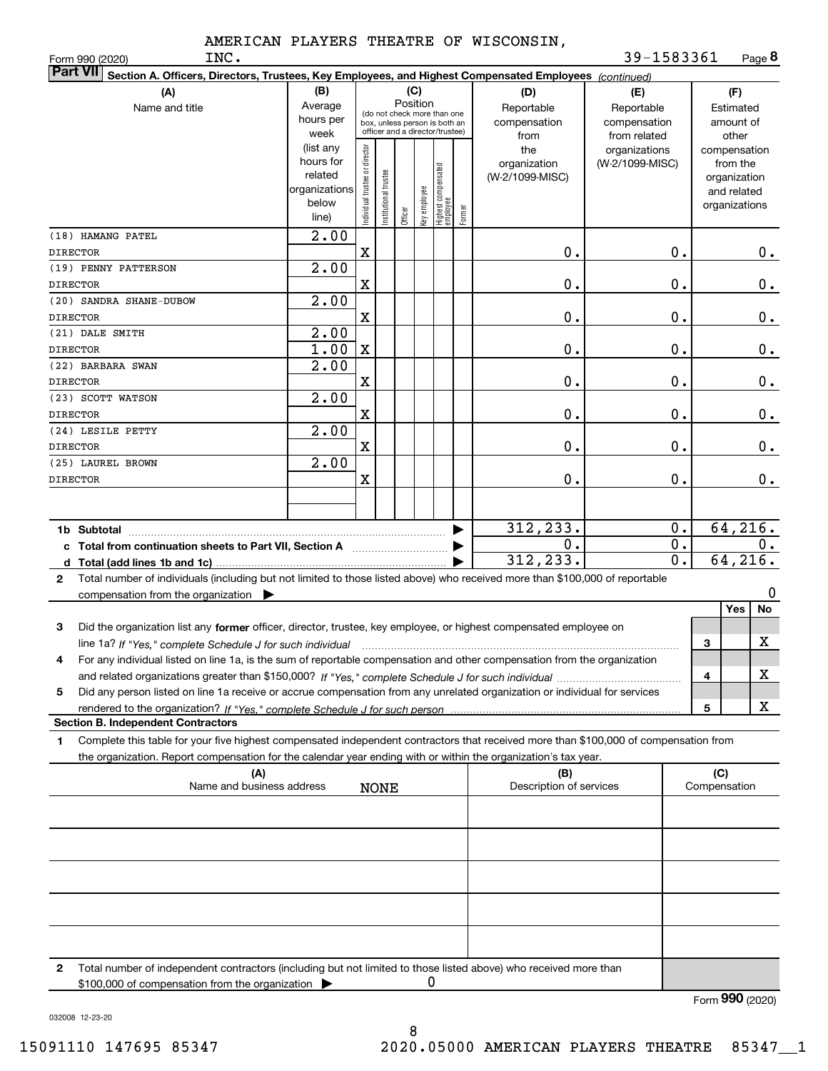INC.

Form 990 (2020) Page **8** 39-1583361

| <b>Part VII</b><br>Section A. Officers, Directors, Trustees, Key Employees, and Highest Compensated Employees (continued)                    |                        |                                         |                                 |         |              |                                   |        |                         |                                  |   |                          |               |
|----------------------------------------------------------------------------------------------------------------------------------------------|------------------------|-----------------------------------------|---------------------------------|---------|--------------|-----------------------------------|--------|-------------------------|----------------------------------|---|--------------------------|---------------|
| (A)                                                                                                                                          | (B)<br>(C)<br>(D)      |                                         |                                 |         |              |                                   | (E)    | (F)                     |                                  |   |                          |               |
| Name and title                                                                                                                               | Average                | Position<br>(do not check more than one |                                 |         |              |                                   |        | Reportable              | Reportable                       |   | Estimated                |               |
|                                                                                                                                              | hours per              |                                         | box, unless person is both an   |         |              |                                   |        | compensation            | compensation                     |   | amount of                |               |
|                                                                                                                                              | week                   |                                         | officer and a director/trustee) |         |              |                                   |        | from                    | from related                     |   | other                    |               |
|                                                                                                                                              | (list any<br>hours for |                                         |                                 |         |              |                                   |        | the<br>organization     | organizations<br>(W-2/1099-MISC) |   | compensation<br>from the |               |
|                                                                                                                                              | related                |                                         |                                 |         |              |                                   |        | (W-2/1099-MISC)         |                                  |   | organization             |               |
|                                                                                                                                              | organizations          |                                         |                                 |         |              |                                   |        |                         |                                  |   | and related              |               |
|                                                                                                                                              | below                  | Individual trustee or director          | Institutional trustee           |         | Key employee |                                   |        |                         |                                  |   | organizations            |               |
|                                                                                                                                              | line)                  |                                         |                                 | Officer |              | Highest compensated<br>  employee | Former |                         |                                  |   |                          |               |
| (18) HAMANG PATEL                                                                                                                            | 2.00                   |                                         |                                 |         |              |                                   |        |                         |                                  |   |                          |               |
| <b>DIRECTOR</b>                                                                                                                              |                        | X                                       |                                 |         |              |                                   |        | Ο.                      | 0.                               |   |                          | 0.            |
| (19) PENNY PATTERSON                                                                                                                         | 2.00                   |                                         |                                 |         |              |                                   |        |                         |                                  |   |                          |               |
| <b>DIRECTOR</b>                                                                                                                              |                        | $\mathbf X$                             |                                 |         |              |                                   |        | Ο.                      | $0$ .                            |   |                          | $\mathbf 0$ . |
| (20) SANDRA SHANE-DUBOW                                                                                                                      | 2.00                   |                                         |                                 |         |              |                                   |        |                         |                                  |   |                          |               |
| <b>DIRECTOR</b>                                                                                                                              |                        | $\mathbf X$                             |                                 |         |              |                                   |        | Ο.                      | $\mathbf 0$ .                    |   |                          | $\mathbf 0$ . |
| (21) DALE SMITH                                                                                                                              | 2.00                   |                                         |                                 |         |              |                                   |        |                         |                                  |   |                          |               |
| <b>DIRECTOR</b>                                                                                                                              | 1.00                   | X                                       |                                 |         |              |                                   |        | Ο.                      | $0$ .                            |   |                          | $\mathbf 0$ . |
| (22) BARBARA SWAN                                                                                                                            | 2.00                   |                                         |                                 |         |              |                                   |        |                         |                                  |   |                          |               |
| <b>DIRECTOR</b>                                                                                                                              |                        | $\mathbf X$                             |                                 |         |              |                                   |        | Ο.                      | $0$ .                            |   |                          | $\mathbf 0$ . |
| (23) SCOTT WATSON                                                                                                                            | 2.00                   |                                         |                                 |         |              |                                   |        |                         |                                  |   |                          |               |
| <b>DIRECTOR</b>                                                                                                                              |                        | $\mathbf X$                             |                                 |         |              |                                   |        | Ο.                      | $0$ .                            |   |                          | $\mathbf 0$ . |
| (24) LESILE PETTY                                                                                                                            | 2.00                   |                                         |                                 |         |              |                                   |        |                         |                                  |   |                          |               |
| <b>DIRECTOR</b>                                                                                                                              |                        | $\mathbf X$                             |                                 |         |              |                                   |        | Ο.                      | $0$ .                            |   |                          | 0.            |
| (25) LAUREL BROWN                                                                                                                            | 2.00                   |                                         |                                 |         |              |                                   |        |                         |                                  |   |                          |               |
| <b>DIRECTOR</b>                                                                                                                              |                        | X                                       |                                 |         |              |                                   |        | Ο.                      | 0.                               |   |                          | 0.            |
|                                                                                                                                              |                        |                                         |                                 |         |              |                                   |        |                         |                                  |   |                          |               |
|                                                                                                                                              |                        |                                         |                                 |         |              |                                   |        |                         |                                  |   |                          |               |
| 1b Subtotal                                                                                                                                  |                        |                                         |                                 |         |              |                                   |        | 312,233.                | 0.                               |   | 64, 216.                 |               |
| c Total from continuation sheets to Part VII, Section A                                                                                      |                        |                                         |                                 |         |              |                                   |        | 0.                      | 0.                               |   |                          | 0.            |
|                                                                                                                                              |                        |                                         |                                 |         |              |                                   |        | 312,233.                | $\overline{0}$ .                 |   | 64, 216.                 |               |
| Total number of individuals (including but not limited to those listed above) who received more than \$100,000 of reportable<br>$\mathbf{2}$ |                        |                                         |                                 |         |              |                                   |        |                         |                                  |   |                          |               |
| compensation from the organization $\blacktriangleright$                                                                                     |                        |                                         |                                 |         |              |                                   |        |                         |                                  |   |                          | 0             |
|                                                                                                                                              |                        |                                         |                                 |         |              |                                   |        |                         |                                  |   | Yes                      | No            |
| Did the organization list any former officer, director, trustee, key employee, or highest compensated employee on<br>3                       |                        |                                         |                                 |         |              |                                   |        |                         |                                  |   |                          |               |
| line 1a? If "Yes," complete Schedule J for such individual                                                                                   |                        |                                         |                                 |         |              |                                   |        |                         |                                  | 3 |                          | X             |
| For any individual listed on line 1a, is the sum of reportable compensation and other compensation from the organization<br>4                |                        |                                         |                                 |         |              |                                   |        |                         |                                  |   |                          |               |
|                                                                                                                                              |                        |                                         |                                 |         |              |                                   |        |                         |                                  | 4 |                          | X             |
| Did any person listed on line 1a receive or accrue compensation from any unrelated organization or individual for services<br>5              |                        |                                         |                                 |         |              |                                   |        |                         |                                  |   |                          |               |
|                                                                                                                                              |                        |                                         |                                 |         |              |                                   |        |                         |                                  | 5 |                          | X             |
| <b>Section B. Independent Contractors</b>                                                                                                    |                        |                                         |                                 |         |              |                                   |        |                         |                                  |   |                          |               |
| Complete this table for your five highest compensated independent contractors that received more than \$100,000 of compensation from<br>1    |                        |                                         |                                 |         |              |                                   |        |                         |                                  |   |                          |               |
| the organization. Report compensation for the calendar year ending with or within the organization's tax year.                               |                        |                                         |                                 |         |              |                                   |        |                         |                                  |   |                          |               |
| (A)                                                                                                                                          |                        |                                         |                                 |         |              |                                   |        | (B)                     |                                  |   | (C)                      |               |
| Name and business address                                                                                                                    |                        |                                         | <b>NONE</b>                     |         |              |                                   |        | Description of services |                                  |   | Compensation             |               |
|                                                                                                                                              |                        |                                         |                                 |         |              |                                   |        |                         |                                  |   |                          |               |
|                                                                                                                                              |                        |                                         |                                 |         |              |                                   |        |                         |                                  |   |                          |               |
|                                                                                                                                              |                        |                                         |                                 |         |              |                                   |        |                         |                                  |   |                          |               |
|                                                                                                                                              |                        |                                         |                                 |         |              |                                   |        |                         |                                  |   |                          |               |
|                                                                                                                                              |                        |                                         |                                 |         |              |                                   |        |                         |                                  |   |                          |               |
|                                                                                                                                              |                        |                                         |                                 |         |              |                                   |        |                         |                                  |   |                          |               |
|                                                                                                                                              |                        |                                         |                                 |         |              |                                   |        |                         |                                  |   |                          |               |
|                                                                                                                                              |                        |                                         |                                 |         |              |                                   |        |                         |                                  |   |                          |               |
|                                                                                                                                              |                        |                                         |                                 |         |              |                                   |        |                         |                                  |   |                          |               |
|                                                                                                                                              |                        |                                         |                                 |         |              |                                   |        |                         |                                  |   |                          |               |
| Total number of independent contractors (including but not limited to those listed above) who received more than<br>2                        |                        |                                         |                                 |         |              |                                   |        |                         |                                  |   |                          |               |

\$100,000 of compensation from the organization 0

Form (2020) **990**

032008 12-23-20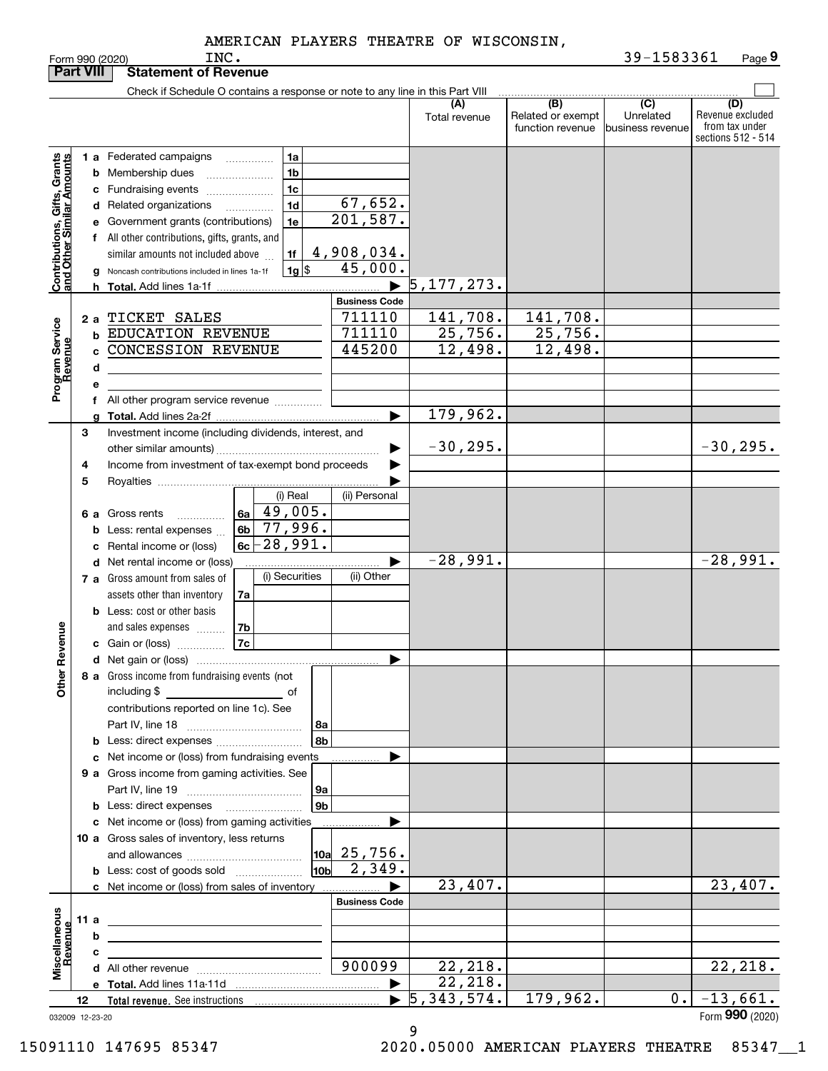| <b>Part VIII</b>                                          |      |    | <b>Statement of Revenue</b>                                                                                           |    |                    |                      |                      |                                              |                                                  |                                                                 |
|-----------------------------------------------------------|------|----|-----------------------------------------------------------------------------------------------------------------------|----|--------------------|----------------------|----------------------|----------------------------------------------|--------------------------------------------------|-----------------------------------------------------------------|
|                                                           |      |    | Check if Schedule O contains a response or note to any line in this Part VIII                                         |    |                    |                      |                      |                                              |                                                  |                                                                 |
|                                                           |      |    |                                                                                                                       |    |                    |                      | (A)<br>Total revenue | (B)<br>Related or exempt<br>function revenue | $\overline{C}$<br>Unrelated<br> business revenue | (D)<br>Revenue excluded<br>from tax under<br>sections 512 - 514 |
|                                                           |      |    | 1 a Federated campaigns                                                                                               |    | 1a                 |                      |                      |                                              |                                                  |                                                                 |
|                                                           |      |    | <b>b</b> Membership dues                                                                                              |    | 1 <sub>b</sub>     |                      |                      |                                              |                                                  |                                                                 |
|                                                           |      |    | c Fundraising events                                                                                                  |    | 1c                 |                      |                      |                                              |                                                  |                                                                 |
|                                                           |      |    | d Related organizations                                                                                               |    | 1 <sub>d</sub>     | 67,652.              |                      |                                              |                                                  |                                                                 |
|                                                           |      |    | e Government grants (contributions)                                                                                   |    | 1e                 | 201,587.             |                      |                                              |                                                  |                                                                 |
|                                                           |      |    | f All other contributions, gifts, grants, and                                                                         |    |                    |                      |                      |                                              |                                                  |                                                                 |
|                                                           |      |    | similar amounts not included above                                                                                    |    | 1f                 | 4,908,034.           |                      |                                              |                                                  |                                                                 |
| Contributions, Gifts, Grants<br>and Other Similar Amounts |      |    | Noncash contributions included in lines 1a-1f                                                                         |    | $1g$ $\frac{1}{3}$ | $45,000$ .           |                      |                                              |                                                  |                                                                 |
|                                                           |      |    |                                                                                                                       |    |                    |                      | 5, 177, 273.         |                                              |                                                  |                                                                 |
|                                                           |      |    |                                                                                                                       |    |                    | <b>Business Code</b> |                      |                                              |                                                  |                                                                 |
|                                                           |      |    | 2 a TICKET SALES                                                                                                      |    |                    | 711110               | 141,708.             | 141,708.                                     |                                                  |                                                                 |
| Program Service<br>Revenue                                |      |    | <b>b EDUCATION REVENUE</b>                                                                                            |    |                    | 711110<br>445200     | 25, 756.<br>12,498.  | 25,756.<br>12,498.                           |                                                  |                                                                 |
|                                                           |      | c. | <b>CONCESSION REVENUE</b>                                                                                             |    |                    |                      |                      |                                              |                                                  |                                                                 |
|                                                           |      | d  |                                                                                                                       |    |                    |                      |                      |                                              |                                                  |                                                                 |
|                                                           |      | е  | f All other program service revenue                                                                                   |    |                    |                      |                      |                                              |                                                  |                                                                 |
|                                                           |      |    |                                                                                                                       |    |                    | ▶                    | 179,962.             |                                              |                                                  |                                                                 |
|                                                           | З    |    | Investment income (including dividends, interest, and                                                                 |    |                    |                      |                      |                                              |                                                  |                                                                 |
|                                                           |      |    |                                                                                                                       |    |                    |                      | $-30, 295.$          |                                              |                                                  | $-30, 295.$                                                     |
|                                                           | 4    |    | Income from investment of tax-exempt bond proceeds                                                                    |    |                    |                      |                      |                                              |                                                  |                                                                 |
|                                                           | 5    |    |                                                                                                                       |    |                    |                      |                      |                                              |                                                  |                                                                 |
|                                                           |      |    |                                                                                                                       |    | (i) Real           | (ii) Personal        |                      |                                              |                                                  |                                                                 |
|                                                           |      |    | 6 a Gross rents<br>.                                                                                                  |    | $6a \mid 49,005.$  |                      |                      |                                              |                                                  |                                                                 |
|                                                           |      |    | <b>b</b> Less: rental expenses                                                                                        |    | $6b$ 77,996.       |                      |                      |                                              |                                                  |                                                                 |
|                                                           |      |    | c Rental income or (loss)                                                                                             |    | $6c - 28,991.$     |                      |                      |                                              |                                                  |                                                                 |
|                                                           |      |    | <b>d</b> Net rental income or (loss)                                                                                  |    |                    |                      | $-28,991.$           |                                              |                                                  | $-28,991.$                                                      |
|                                                           |      |    | 7 a Gross amount from sales of                                                                                        |    | (i) Securities     | (ii) Other           |                      |                                              |                                                  |                                                                 |
|                                                           |      |    | assets other than inventory<br><b>b</b> Less: cost or other basis                                                     | 7a |                    |                      |                      |                                              |                                                  |                                                                 |
|                                                           |      |    | and sales expenses                                                                                                    | 7b |                    |                      |                      |                                              |                                                  |                                                                 |
| Revenue                                                   |      |    | c Gain or (loss)                                                                                                      | 7c |                    |                      |                      |                                              |                                                  |                                                                 |
|                                                           |      |    |                                                                                                                       |    |                    | ▶                    |                      |                                              |                                                  |                                                                 |
|                                                           |      |    | 8 a Gross income from fundraising events (not                                                                         |    |                    |                      |                      |                                              |                                                  |                                                                 |
| <b>Othe</b>                                               |      |    | including \$<br><u>of</u> of                                                                                          |    |                    |                      |                      |                                              |                                                  |                                                                 |
|                                                           |      |    | contributions reported on line 1c). See                                                                               |    |                    |                      |                      |                                              |                                                  |                                                                 |
|                                                           |      |    |                                                                                                                       |    | 8a                 |                      |                      |                                              |                                                  |                                                                 |
|                                                           |      |    |                                                                                                                       |    | 8b                 |                      |                      |                                              |                                                  |                                                                 |
|                                                           |      |    | c Net income or (loss) from fundraising events                                                                        |    |                    |                      |                      |                                              |                                                  |                                                                 |
|                                                           |      |    | 9 a Gross income from gaming activities. See                                                                          |    |                    |                      |                      |                                              |                                                  |                                                                 |
|                                                           |      |    |                                                                                                                       |    | 9a                 |                      |                      |                                              |                                                  |                                                                 |
|                                                           |      |    | <b>b</b> Less: direct expenses <b>manually</b>                                                                        |    | 9 <sub>b</sub>     |                      |                      |                                              |                                                  |                                                                 |
|                                                           |      |    | c Net income or (loss) from gaming activities<br>10 a Gross sales of inventory, less returns                          |    |                    |                      |                      |                                              |                                                  |                                                                 |
|                                                           |      |    |                                                                                                                       |    |                    | $10a$ 25,756.        |                      |                                              |                                                  |                                                                 |
|                                                           |      |    | <b>b</b> Less: cost of goods sold                                                                                     |    | 10 <sub>b</sub>    | 2,349.               |                      |                                              |                                                  |                                                                 |
|                                                           |      |    | c Net income or (loss) from sales of inventory                                                                        |    |                    |                      | 23,407.              |                                              |                                                  | 23,407.                                                         |
|                                                           |      |    |                                                                                                                       |    |                    | <b>Business Code</b> |                      |                                              |                                                  |                                                                 |
|                                                           | 11 a |    | the control of the control of the control of the control of the control of the control of                             |    |                    |                      |                      |                                              |                                                  |                                                                 |
|                                                           |      | b  | <u> 1980 - Jan Sterling, mars and de la provincia de la provincia de la provincia de la provincia de la provincia</u> |    |                    |                      |                      |                                              |                                                  |                                                                 |
|                                                           |      | c  | <u> 1989 - Johann Barbara, martxa alemaniar a</u>                                                                     |    |                    |                      |                      |                                              |                                                  |                                                                 |
| Miscellaneous<br>Revenue                                  |      |    |                                                                                                                       |    |                    | 900099               | 22,218.              |                                              |                                                  | 22, 218.                                                        |
|                                                           |      |    |                                                                                                                       |    |                    | ▶                    | 22, 218.             |                                              |                                                  |                                                                 |
|                                                           | 12   |    |                                                                                                                       |    |                    |                      | 5,343,574.           | 179,962.                                     | 0.1                                              | $-13,661.$                                                      |
| 032009 12-23-20                                           |      |    |                                                                                                                       |    |                    |                      |                      |                                              |                                                  | Form 990 (2020)                                                 |

032009 12-23-20

9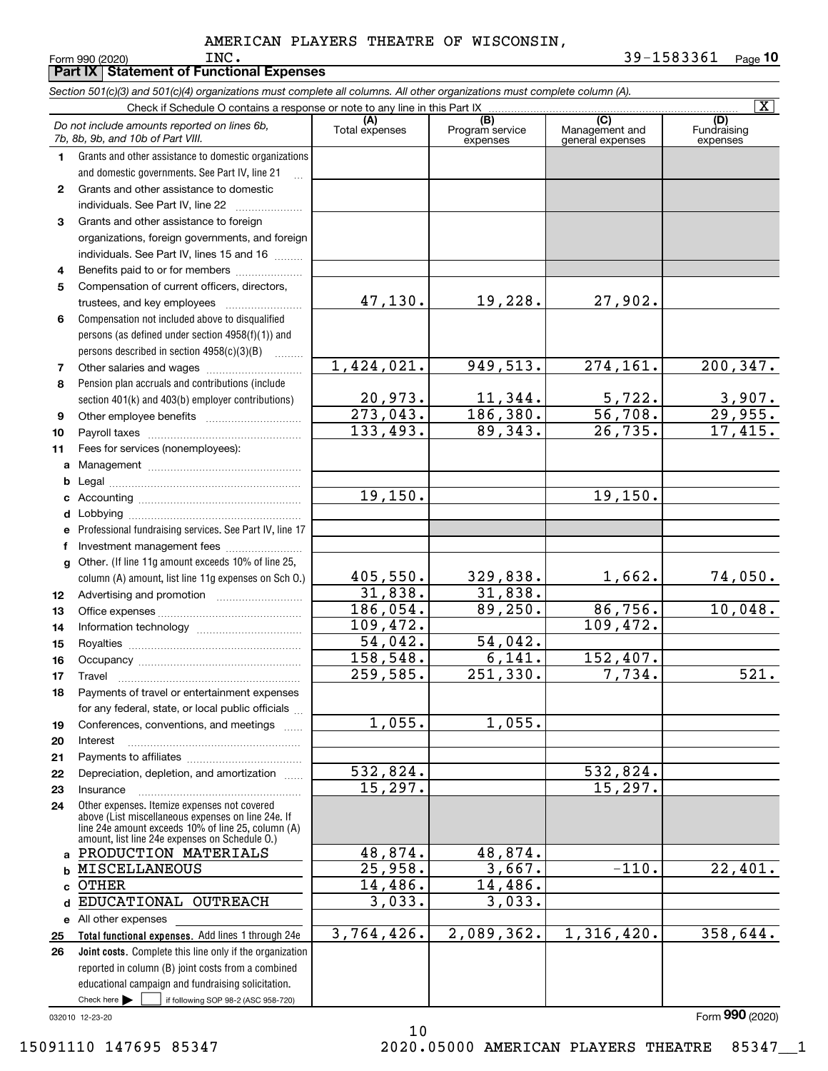**Form 990 (2020)**<br> **Part IX Statement of Function** 

|              | Part IX   Statement of Functional Expenses                                                                                                                                                                 |                            |                                    |                                           |                                |
|--------------|------------------------------------------------------------------------------------------------------------------------------------------------------------------------------------------------------------|----------------------------|------------------------------------|-------------------------------------------|--------------------------------|
|              | Section 501(c)(3) and 501(c)(4) organizations must complete all columns. All other organizations must complete column (A).                                                                                 |                            |                                    |                                           |                                |
|              | Check if Schedule O contains a response or note to any line in this Part IX                                                                                                                                |                            |                                    |                                           | $\overline{\mathbf{X}}$        |
|              | Do not include amounts reported on lines 6b,<br>7b, 8b, 9b, and 10b of Part VIII.                                                                                                                          | (A)<br>Total expenses      | (B)<br>Program service<br>expenses | (C)<br>Management and<br>general expenses | (D)<br>Fundraising<br>expenses |
| 1.           | Grants and other assistance to domestic organizations                                                                                                                                                      |                            |                                    |                                           |                                |
|              | and domestic governments. See Part IV, line 21                                                                                                                                                             |                            |                                    |                                           |                                |
| $\mathbf{2}$ | Grants and other assistance to domestic                                                                                                                                                                    |                            |                                    |                                           |                                |
|              | individuals. See Part IV, line 22                                                                                                                                                                          |                            |                                    |                                           |                                |
| 3            | Grants and other assistance to foreign                                                                                                                                                                     |                            |                                    |                                           |                                |
|              | organizations, foreign governments, and foreign                                                                                                                                                            |                            |                                    |                                           |                                |
|              | individuals. See Part IV, lines 15 and 16                                                                                                                                                                  |                            |                                    |                                           |                                |
| 4            | Benefits paid to or for members                                                                                                                                                                            |                            |                                    |                                           |                                |
| 5            | Compensation of current officers, directors,                                                                                                                                                               |                            |                                    |                                           |                                |
|              |                                                                                                                                                                                                            | 47,130.                    | 19,228.                            | 27,902.                                   |                                |
| 6            | Compensation not included above to disqualified                                                                                                                                                            |                            |                                    |                                           |                                |
|              | persons (as defined under section 4958(f)(1)) and                                                                                                                                                          |                            |                                    |                                           |                                |
|              | persons described in section 4958(c)(3)(B)                                                                                                                                                                 | 1,424,021.                 | 949,513.                           | 274,161.                                  | 200,347.                       |
| 7            |                                                                                                                                                                                                            |                            |                                    |                                           |                                |
| 8            | Pension plan accruals and contributions (include                                                                                                                                                           |                            |                                    |                                           |                                |
|              | section 401(k) and 403(b) employer contributions)                                                                                                                                                          | $\frac{20,973.}{273,043.}$ | 11,344.<br>186, 380.               | 5,722.<br>56,708.                         | $\frac{3,907}{29,955}$         |
| 9            |                                                                                                                                                                                                            | 133, 493.                  | 89,343.                            | 26,735.                                   | 17,415.                        |
| 10           |                                                                                                                                                                                                            |                            |                                    |                                           |                                |
| 11           | Fees for services (nonemployees):                                                                                                                                                                          |                            |                                    |                                           |                                |
| a            |                                                                                                                                                                                                            |                            |                                    |                                           |                                |
| b            |                                                                                                                                                                                                            | 19, 150.                   |                                    | 19, 150.                                  |                                |
| c            |                                                                                                                                                                                                            |                            |                                    |                                           |                                |
| d            |                                                                                                                                                                                                            |                            |                                    |                                           |                                |
| е            | Professional fundraising services. See Part IV, line 17                                                                                                                                                    |                            |                                    |                                           |                                |
| f            | Investment management fees<br>Other. (If line 11g amount exceeds 10% of line 25,                                                                                                                           |                            |                                    |                                           |                                |
| g            | column (A) amount, list line 11g expenses on Sch O.)                                                                                                                                                       | 405,550.                   | 329,838.                           | 1,662.                                    | 74,050.                        |
| 12           |                                                                                                                                                                                                            | 31,838.                    | 31,838.                            |                                           |                                |
| 13           |                                                                                                                                                                                                            | 186,054.                   | 89,250.                            | 86,756.                                   | 10,048.                        |
| 14           |                                                                                                                                                                                                            | 109,472.                   |                                    | 109,472.                                  |                                |
| 15           |                                                                                                                                                                                                            | 54,042.                    | 54,042.                            |                                           |                                |
| 16           |                                                                                                                                                                                                            | 158,548.                   | 6,141.                             | 152,407.                                  |                                |
| 17           | Travel                                                                                                                                                                                                     | 259,585.                   | 251,330.                           | 7,734.                                    | 521.                           |
| 18           | Payments of travel or entertainment expenses                                                                                                                                                               |                            |                                    |                                           |                                |
|              | for any federal, state, or local public officials                                                                                                                                                          |                            |                                    |                                           |                                |
| 19           | Conferences, conventions, and meetings                                                                                                                                                                     | 1,055.                     | 1,055.                             |                                           |                                |
| 20           | Interest                                                                                                                                                                                                   |                            |                                    |                                           |                                |
| 21           |                                                                                                                                                                                                            |                            |                                    |                                           |                                |
| 22           | Depreciation, depletion, and amortization                                                                                                                                                                  | 532,824.                   |                                    | 532,824.                                  |                                |
| 23           | Insurance                                                                                                                                                                                                  | 15,297.                    |                                    | 15, 297.                                  |                                |
| 24           | Other expenses. Itemize expenses not covered<br>above (List miscellaneous expenses on line 24e. If<br>line 24e amount exceeds 10% of line 25, column (A)<br>amount, list line 24e expenses on Schedule O.) |                            |                                    |                                           |                                |
| a            | PRODUCTION MATERIALS                                                                                                                                                                                       | 48,874.                    | 48,874.                            |                                           |                                |
| b            | <b>MISCELLANEOUS</b>                                                                                                                                                                                       | 25,958.                    | 3,667.                             | $-110.$                                   | 22,401.                        |
| C            | <b>OTHER</b>                                                                                                                                                                                               | 14,486.                    | 14,486.                            |                                           |                                |
| d            | EDUCATIONAL OUTREACH                                                                                                                                                                                       | 3,033.                     | 3,033.                             |                                           |                                |
| е            | All other expenses                                                                                                                                                                                         |                            |                                    |                                           |                                |
| 25           | Total functional expenses. Add lines 1 through 24e                                                                                                                                                         | 3,764,426.                 | 2,089,362.                         | 1,316,420.                                | 358,644.                       |
| 26           | Joint costs. Complete this line only if the organization                                                                                                                                                   |                            |                                    |                                           |                                |
|              | reported in column (B) joint costs from a combined                                                                                                                                                         |                            |                                    |                                           |                                |
|              | educational campaign and fundraising solicitation.                                                                                                                                                         |                            |                                    |                                           |                                |

10

032010 12-23-20

 $\mathcal{L}^{\text{max}}$ 

Check here

 $\int$  if following SOP 98-2 (ASC 958-720)

Form (2020) **990**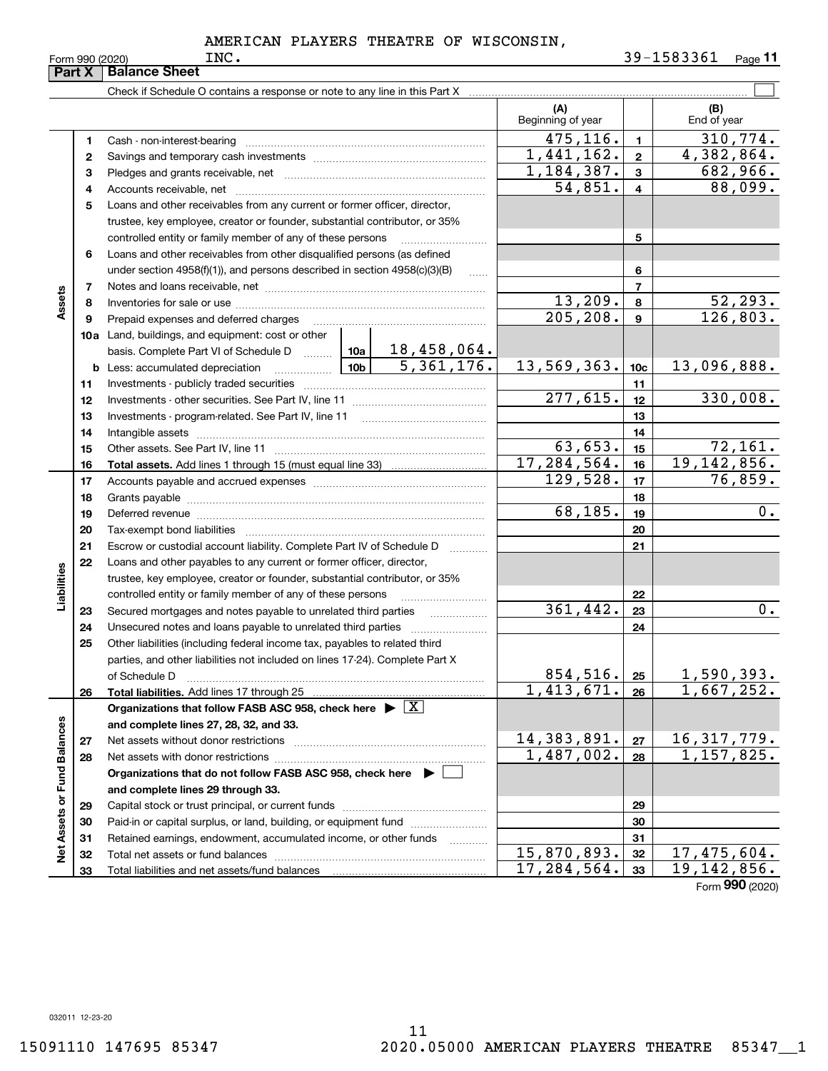|                             | Part X       | <b>Balance Sheet</b>                                                                                                                               |                         |                 |                            |                             |                           |
|-----------------------------|--------------|----------------------------------------------------------------------------------------------------------------------------------------------------|-------------------------|-----------------|----------------------------|-----------------------------|---------------------------|
|                             |              | Check if Schedule O contains a response or note to any line in this Part X                                                                         |                         |                 |                            |                             |                           |
|                             |              |                                                                                                                                                    |                         |                 | (A)<br>Beginning of year   |                             | (B)<br>End of year        |
|                             | 1            |                                                                                                                                                    |                         |                 | 475,116.                   | 1                           | 310,774.                  |
|                             | $\mathbf{2}$ |                                                                                                                                                    |                         |                 | 1,441,162.                 | $\overline{2}$              | $\overline{4,382,864.}$   |
|                             | 3            |                                                                                                                                                    | 1, 184, 387.            | $\mathbf{3}$    | 682,966.                   |                             |                           |
|                             | 4            |                                                                                                                                                    |                         |                 | 54,851.                    | 4                           | 88,099.                   |
|                             | 5            | Loans and other receivables from any current or former officer, director,                                                                          |                         |                 |                            |                             |                           |
|                             |              | trustee, key employee, creator or founder, substantial contributor, or 35%                                                                         |                         |                 |                            |                             |                           |
|                             |              | controlled entity or family member of any of these persons                                                                                         |                         |                 |                            | 5                           |                           |
|                             | 6            | Loans and other receivables from other disqualified persons (as defined                                                                            |                         |                 |                            |                             |                           |
|                             |              | under section $4958(f)(1)$ , and persons described in section $4958(c)(3)(B)$                                                                      |                         | 1.1.1.1         |                            | 6                           |                           |
|                             | 7            |                                                                                                                                                    |                         |                 |                            | 7                           |                           |
| Assets                      | 8            |                                                                                                                                                    |                         |                 | 13,209.                    | 8                           | 52, 293.                  |
|                             | 9            | Prepaid expenses and deferred charges                                                                                                              | 205, 208.               | $\mathbf{9}$    | 126,803.                   |                             |                           |
|                             |              | 10a Land, buildings, and equipment: cost or other                                                                                                  |                         |                 |                            |                             |                           |
|                             |              | basis. Complete Part VI of Schedule D  10a   18, 458, 064.                                                                                         |                         | 5,361,176.      |                            |                             |                           |
|                             |              |                                                                                                                                                    | 13,569,363.             | 10 <sub>c</sub> | 13,096,888.                |                             |                           |
|                             | 11           |                                                                                                                                                    |                         |                 | 11                         |                             |                           |
|                             | 12           |                                                                                                                                                    | 277,615.                | 12              | 330,008.                   |                             |                           |
|                             | 13           |                                                                                                                                                    |                         | 13              |                            |                             |                           |
|                             | 14           |                                                                                                                                                    |                         |                 | 14                         |                             |                           |
|                             | 15           |                                                                                                                                                    |                         | 63,653.         | 15                         | $\frac{72,161}{19,142,856}$ |                           |
|                             | 16           |                                                                                                                                                    | 17,284,564.<br>129,528. | 16              |                            |                             |                           |
|                             | 17           |                                                                                                                                                    |                         | 17              | 76,859.                    |                             |                           |
|                             | 18           |                                                                                                                                                    |                         | 68, 185.        | 18                         | 0.                          |                           |
|                             | 19           |                                                                                                                                                    |                         |                 |                            | 19                          |                           |
|                             | 20           |                                                                                                                                                    |                         |                 |                            | 20                          |                           |
|                             | 21<br>22     | Escrow or custodial account liability. Complete Part IV of Schedule D                                                                              |                         |                 |                            | 21                          |                           |
| Liabilities                 |              | Loans and other payables to any current or former officer, director,<br>trustee, key employee, creator or founder, substantial contributor, or 35% |                         |                 |                            |                             |                           |
|                             |              | controlled entity or family member of any of these persons                                                                                         |                         |                 |                            | 22                          |                           |
|                             | 23           |                                                                                                                                                    | 361,442.                | 23              | 0.                         |                             |                           |
|                             | 24           |                                                                                                                                                    |                         |                 |                            | 24                          |                           |
|                             | 25           | Other liabilities (including federal income tax, payables to related third                                                                         |                         |                 |                            |                             |                           |
|                             |              | parties, and other liabilities not included on lines 17-24). Complete Part X                                                                       |                         |                 |                            |                             |                           |
|                             |              | of Schedule D                                                                                                                                      |                         |                 | 854,516.                   | 25                          | <u>1,590,393.</u>         |
|                             | 26           | Total liabilities. Add lines 17 through 25                                                                                                         |                         |                 | $\overline{1}$ , 413, 671. | 26                          | 1,667,252.                |
|                             |              | Organizations that follow FASB ASC 958, check here $\blacktriangleright \boxed{X}$                                                                 |                         |                 |                            |                             |                           |
|                             |              | and complete lines 27, 28, 32, and 33.                                                                                                             |                         |                 |                            |                             |                           |
|                             | 27           | Net assets without donor restrictions                                                                                                              |                         |                 | 14,383,891.                | 27                          | 16, 317, 779.             |
|                             | 28           | Net assets with donor restrictions                                                                                                                 |                         | 1,487,002.      | 28                         | 1,157,825.                  |                           |
|                             |              | Organizations that do not follow FASB ASC 958, check here $\blacktriangleright$                                                                    |                         |                 |                            |                             |                           |
|                             |              | and complete lines 29 through 33.                                                                                                                  |                         |                 |                            |                             |                           |
|                             | 29           |                                                                                                                                                    |                         |                 |                            | 29                          |                           |
|                             | 30           | Paid-in or capital surplus, or land, building, or equipment fund                                                                                   |                         |                 |                            | 30                          |                           |
| Net Assets or Fund Balances | 31           | Retained earnings, endowment, accumulated income, or other funds                                                                                   |                         |                 |                            | 31                          |                           |
|                             | 32           |                                                                                                                                                    |                         |                 | 15,870,893.                | 32                          | 17,475,604.               |
|                             | 33           | Total liabilities and net assets/fund balances                                                                                                     |                         |                 | 17,284,564.                | 33                          | $\overline{19,142,856}$ . |
|                             |              |                                                                                                                                                    |                         |                 |                            |                             | Form 990 (2020)           |

032011 12-23-20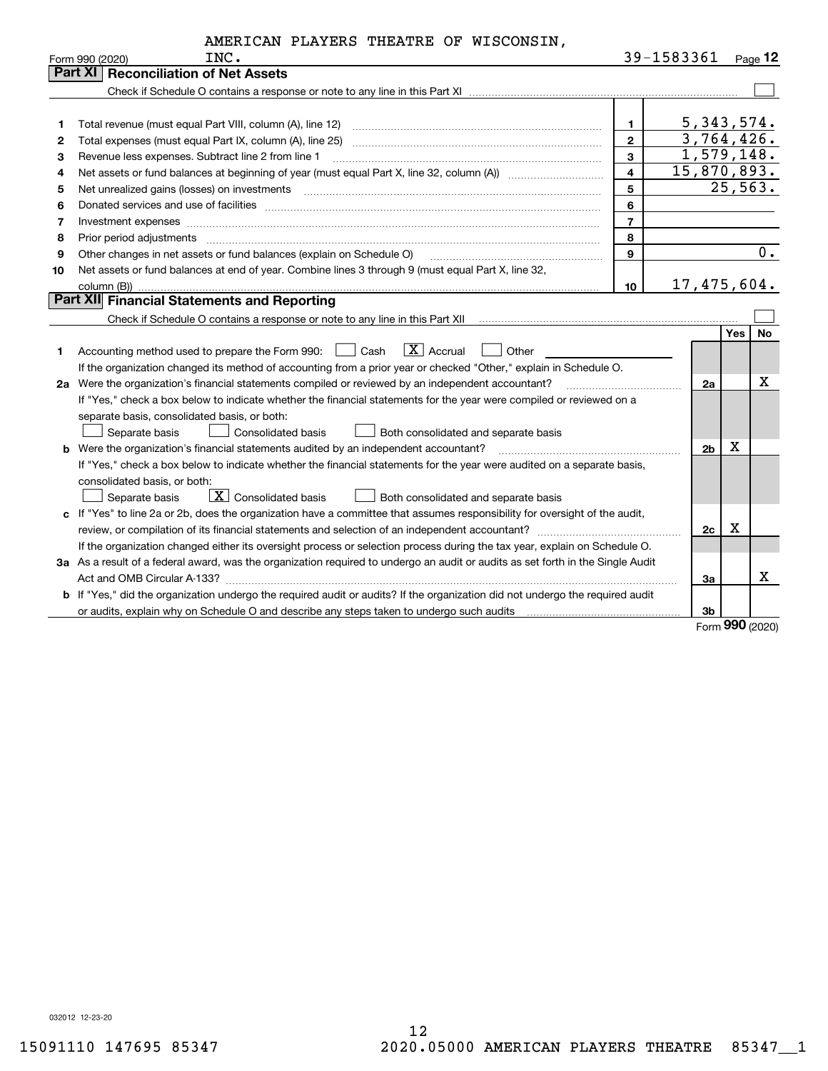|    | AMERICAN PLAYERS THEATRE OF WISCONSIN,                                                                                                                                                                                         |                |             |                          |     |           |
|----|--------------------------------------------------------------------------------------------------------------------------------------------------------------------------------------------------------------------------------|----------------|-------------|--------------------------|-----|-----------|
|    | INC.<br>Form 990 (2020)                                                                                                                                                                                                        |                | 39-1583361  |                          |     | Page $12$ |
|    | Part XI   Reconciliation of Net Assets                                                                                                                                                                                         |                |             |                          |     |           |
|    |                                                                                                                                                                                                                                |                |             |                          |     |           |
|    |                                                                                                                                                                                                                                |                |             |                          |     |           |
| 1  |                                                                                                                                                                                                                                | $\mathbf{1}$   |             | 5,343,574.               |     |           |
| 2  |                                                                                                                                                                                                                                | $\mathbf{2}$   |             | 3,764,426.               |     |           |
| 3  | Revenue less expenses. Subtract line 2 from line 1                                                                                                                                                                             | $\mathbf{3}$   |             | $\overline{1,579}, 148.$ |     |           |
| 4  |                                                                                                                                                                                                                                | $\overline{4}$ | 15,870,893. |                          |     |           |
| 5  |                                                                                                                                                                                                                                | 5              |             | 25,563.                  |     |           |
| 6  |                                                                                                                                                                                                                                | 6              |             |                          |     |           |
| 7  | Investment expenses                                                                                                                                                                                                            | $\overline{7}$ |             |                          |     |           |
| 8  | Prior period adjustments with an accommodal contract of the contract of the contract of the contract of the contract of the contract of the contract of the contract of the contract of the contract of the contract of the co | 8              |             |                          |     |           |
| 9  | Other changes in net assets or fund balances (explain on Schedule O)                                                                                                                                                           | $\mathbf{9}$   |             |                          |     | 0.        |
| 10 | Net assets or fund balances at end of year. Combine lines 3 through 9 (must equal Part X, line 32,                                                                                                                             |                |             |                          |     |           |
|    | column (B))                                                                                                                                                                                                                    | 10             | 17,475,604. |                          |     |           |
|    | Part XII Financial Statements and Reporting                                                                                                                                                                                    |                |             |                          |     |           |
|    |                                                                                                                                                                                                                                |                |             |                          |     |           |
|    |                                                                                                                                                                                                                                |                |             |                          | Yes | <b>No</b> |
| 1. | $ X $ Accrual<br>Accounting method used to prepare the Form 990: <u>June</u> Cash<br>Other                                                                                                                                     |                |             |                          |     |           |
|    | If the organization changed its method of accounting from a prior year or checked "Other," explain in Schedule O.                                                                                                              |                |             |                          |     |           |
|    | 2a Were the organization's financial statements compiled or reviewed by an independent accountant?                                                                                                                             |                |             | 2a                       |     | X         |
|    | If "Yes," check a box below to indicate whether the financial statements for the year were compiled or reviewed on a                                                                                                           |                |             |                          |     |           |
|    | separate basis, consolidated basis, or both:                                                                                                                                                                                   |                |             |                          |     |           |
|    | <b>Consolidated basis</b><br>Separate basis<br>Both consolidated and separate basis                                                                                                                                            |                |             |                          |     |           |
|    | <b>b</b> Were the organization's financial statements audited by an independent accountant?                                                                                                                                    |                |             | х<br>2b                  |     |           |
|    | If "Yes," check a box below to indicate whether the financial statements for the year were audited on a separate basis,                                                                                                        |                |             |                          |     |           |
|    | consolidated basis, or both:                                                                                                                                                                                                   |                |             |                          |     |           |
|    | $\boxed{\textbf{X}}$ Consolidated basis<br>Separate basis<br>Both consolidated and separate basis                                                                                                                              |                |             |                          |     |           |
|    | c If "Yes" to line 2a or 2b, does the organization have a committee that assumes responsibility for oversight of the audit,                                                                                                    |                |             |                          |     |           |
|    |                                                                                                                                                                                                                                |                |             | 2c                       | Χ   |           |
|    | If the organization changed either its oversight process or selection process during the tax year, explain on Schedule O.                                                                                                      |                |             |                          |     |           |
|    | 3a As a result of a federal award, was the organization required to undergo an audit or audits as set forth in the Single Audit                                                                                                |                |             |                          |     |           |
|    |                                                                                                                                                                                                                                |                |             | За                       |     | x         |
|    | b If "Yes," did the organization undergo the required audit or audits? If the organization did not undergo the required audit                                                                                                  |                |             |                          |     |           |
|    |                                                                                                                                                                                                                                |                |             | 3b                       |     |           |

Form (2020) **990**

032012 12-23-20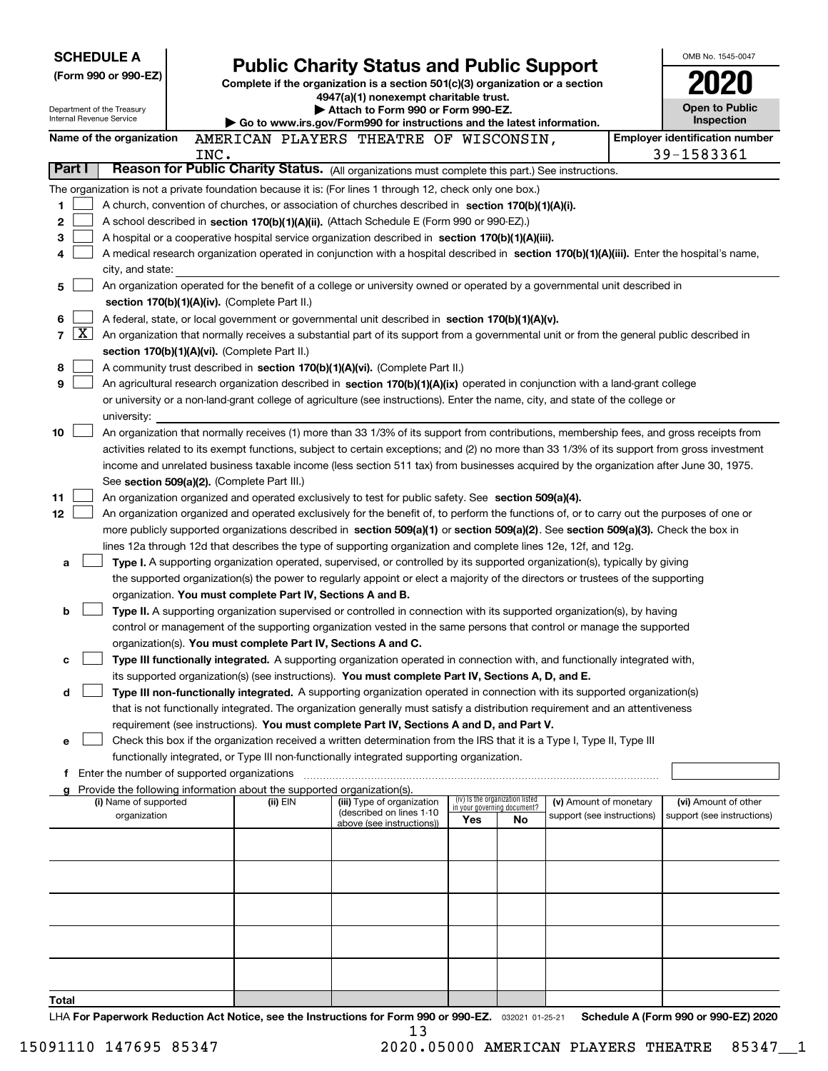| <b>SCHEDULE A</b>                                                                                 |      |                                                               | <b>Public Charity Status and Public Support</b>                                                                                                                                                                                                    |                                    |                                 |                            | OMB No. 1545-0047                                   |
|---------------------------------------------------------------------------------------------------|------|---------------------------------------------------------------|----------------------------------------------------------------------------------------------------------------------------------------------------------------------------------------------------------------------------------------------------|------------------------------------|---------------------------------|----------------------------|-----------------------------------------------------|
| (Form 990 or 990-EZ)                                                                              |      |                                                               | Complete if the organization is a section 501(c)(3) organization or a section                                                                                                                                                                      |                                    |                                 |                            |                                                     |
|                                                                                                   |      |                                                               | 4947(a)(1) nonexempt charitable trust.                                                                                                                                                                                                             |                                    |                                 |                            |                                                     |
| Department of the Treasury<br><b>Internal Revenue Service</b>                                     |      |                                                               | Attach to Form 990 or Form 990-EZ.                                                                                                                                                                                                                 |                                    |                                 |                            | <b>Open to Public</b>                               |
|                                                                                                   |      |                                                               | ▶ Go to www.irs.gov/Form990 for instructions and the latest information.                                                                                                                                                                           |                                    |                                 |                            | Inspection<br><b>Employer identification number</b> |
| Name of the organization                                                                          | INC. |                                                               | AMERICAN PLAYERS THEATRE OF WISCONSIN,                                                                                                                                                                                                             |                                    |                                 |                            | 39-1583361                                          |
| Part I                                                                                            |      |                                                               | Reason for Public Charity Status. (All organizations must complete this part.) See instructions.                                                                                                                                                   |                                    |                                 |                            |                                                     |
|                                                                                                   |      |                                                               | The organization is not a private foundation because it is: (For lines 1 through 12, check only one box.)                                                                                                                                          |                                    |                                 |                            |                                                     |
| 1                                                                                                 |      |                                                               | A church, convention of churches, or association of churches described in section 170(b)(1)(A)(i).                                                                                                                                                 |                                    |                                 |                            |                                                     |
| 2                                                                                                 |      |                                                               | A school described in section 170(b)(1)(A)(ii). (Attach Schedule E (Form 990 or 990-EZ).)                                                                                                                                                          |                                    |                                 |                            |                                                     |
| 3                                                                                                 |      |                                                               | A hospital or a cooperative hospital service organization described in section 170(b)(1)(A)(iii).                                                                                                                                                  |                                    |                                 |                            |                                                     |
| 4                                                                                                 |      |                                                               | A medical research organization operated in conjunction with a hospital described in section 170(b)(1)(A)(iii). Enter the hospital's name,                                                                                                         |                                    |                                 |                            |                                                     |
| city, and state:                                                                                  |      |                                                               |                                                                                                                                                                                                                                                    |                                    |                                 |                            |                                                     |
| 5                                                                                                 |      |                                                               | An organization operated for the benefit of a college or university owned or operated by a governmental unit described in                                                                                                                          |                                    |                                 |                            |                                                     |
|                                                                                                   |      | section 170(b)(1)(A)(iv). (Complete Part II.)                 |                                                                                                                                                                                                                                                    |                                    |                                 |                            |                                                     |
| 6<br>$\boxed{\text{X}}$                                                                           |      |                                                               | A federal, state, or local government or governmental unit described in section 170(b)(1)(A)(v).                                                                                                                                                   |                                    |                                 |                            |                                                     |
| 7                                                                                                 |      | section 170(b)(1)(A)(vi). (Complete Part II.)                 | An organization that normally receives a substantial part of its support from a governmental unit or from the general public described in                                                                                                          |                                    |                                 |                            |                                                     |
| 8                                                                                                 |      |                                                               | A community trust described in section 170(b)(1)(A)(vi). (Complete Part II.)                                                                                                                                                                       |                                    |                                 |                            |                                                     |
| 9                                                                                                 |      |                                                               | An agricultural research organization described in section 170(b)(1)(A)(ix) operated in conjunction with a land-grant college                                                                                                                      |                                    |                                 |                            |                                                     |
|                                                                                                   |      |                                                               | or university or a non-land-grant college of agriculture (see instructions). Enter the name, city, and state of the college or                                                                                                                     |                                    |                                 |                            |                                                     |
| university:                                                                                       |      |                                                               |                                                                                                                                                                                                                                                    |                                    |                                 |                            |                                                     |
| 10                                                                                                |      |                                                               | An organization that normally receives (1) more than 33 1/3% of its support from contributions, membership fees, and gross receipts from                                                                                                           |                                    |                                 |                            |                                                     |
|                                                                                                   |      |                                                               | activities related to its exempt functions, subject to certain exceptions; and (2) no more than 33 1/3% of its support from gross investment                                                                                                       |                                    |                                 |                            |                                                     |
|                                                                                                   |      |                                                               | income and unrelated business taxable income (less section 511 tax) from businesses acquired by the organization after June 30, 1975.                                                                                                              |                                    |                                 |                            |                                                     |
|                                                                                                   |      | See section 509(a)(2). (Complete Part III.)                   |                                                                                                                                                                                                                                                    |                                    |                                 |                            |                                                     |
| 11<br>12                                                                                          |      |                                                               | An organization organized and operated exclusively to test for public safety. See section 509(a)(4).<br>An organization organized and operated exclusively for the benefit of, to perform the functions of, or to carry out the purposes of one or |                                    |                                 |                            |                                                     |
|                                                                                                   |      |                                                               | more publicly supported organizations described in section 509(a)(1) or section 509(a)(2). See section 509(a)(3). Check the box in                                                                                                                 |                                    |                                 |                            |                                                     |
|                                                                                                   |      |                                                               | lines 12a through 12d that describes the type of supporting organization and complete lines 12e, 12f, and 12g.                                                                                                                                     |                                    |                                 |                            |                                                     |
| a                                                                                                 |      |                                                               | Type I. A supporting organization operated, supervised, or controlled by its supported organization(s), typically by giving                                                                                                                        |                                    |                                 |                            |                                                     |
|                                                                                                   |      |                                                               | the supported organization(s) the power to regularly appoint or elect a majority of the directors or trustees of the supporting                                                                                                                    |                                    |                                 |                            |                                                     |
|                                                                                                   |      | organization. You must complete Part IV, Sections A and B.    |                                                                                                                                                                                                                                                    |                                    |                                 |                            |                                                     |
| b                                                                                                 |      |                                                               | Type II. A supporting organization supervised or controlled in connection with its supported organization(s), by having                                                                                                                            |                                    |                                 |                            |                                                     |
|                                                                                                   |      |                                                               | control or management of the supporting organization vested in the same persons that control or manage the supported                                                                                                                               |                                    |                                 |                            |                                                     |
|                                                                                                   |      | organization(s). You must complete Part IV, Sections A and C. | Type III functionally integrated. A supporting organization operated in connection with, and functionally integrated with,                                                                                                                         |                                    |                                 |                            |                                                     |
| с                                                                                                 |      |                                                               | its supported organization(s) (see instructions). You must complete Part IV, Sections A, D, and E.                                                                                                                                                 |                                    |                                 |                            |                                                     |
| d                                                                                                 |      |                                                               | Type III non-functionally integrated. A supporting organization operated in connection with its supported organization(s)                                                                                                                          |                                    |                                 |                            |                                                     |
|                                                                                                   |      |                                                               | that is not functionally integrated. The organization generally must satisfy a distribution requirement and an attentiveness                                                                                                                       |                                    |                                 |                            |                                                     |
|                                                                                                   |      |                                                               | requirement (see instructions). You must complete Part IV, Sections A and D, and Part V.                                                                                                                                                           |                                    |                                 |                            |                                                     |
| е                                                                                                 |      |                                                               | Check this box if the organization received a written determination from the IRS that it is a Type I, Type II, Type III                                                                                                                            |                                    |                                 |                            |                                                     |
|                                                                                                   |      |                                                               | functionally integrated, or Type III non-functionally integrated supporting organization.                                                                                                                                                          |                                    |                                 |                            |                                                     |
| f Enter the number of supported organizations                                                     |      |                                                               |                                                                                                                                                                                                                                                    |                                    |                                 |                            |                                                     |
| g Provide the following information about the supported organization(s).<br>(i) Name of supported |      | (ii) EIN                                                      | (iii) Type of organization                                                                                                                                                                                                                         |                                    | (iv) Is the organization listed | (v) Amount of monetary     | (vi) Amount of other                                |
| organization                                                                                      |      |                                                               | (described on lines 1-10<br>above (see instructions))                                                                                                                                                                                              | in your governing document?<br>Yes | No.                             | support (see instructions) | support (see instructions)                          |
|                                                                                                   |      |                                                               |                                                                                                                                                                                                                                                    |                                    |                                 |                            |                                                     |
|                                                                                                   |      |                                                               |                                                                                                                                                                                                                                                    |                                    |                                 |                            |                                                     |
|                                                                                                   |      |                                                               |                                                                                                                                                                                                                                                    |                                    |                                 |                            |                                                     |
|                                                                                                   |      |                                                               |                                                                                                                                                                                                                                                    |                                    |                                 |                            |                                                     |
|                                                                                                   |      |                                                               |                                                                                                                                                                                                                                                    |                                    |                                 |                            |                                                     |
|                                                                                                   |      |                                                               |                                                                                                                                                                                                                                                    |                                    |                                 |                            |                                                     |
|                                                                                                   |      |                                                               |                                                                                                                                                                                                                                                    |                                    |                                 |                            |                                                     |
|                                                                                                   |      |                                                               |                                                                                                                                                                                                                                                    |                                    |                                 |                            |                                                     |
|                                                                                                   |      |                                                               |                                                                                                                                                                                                                                                    |                                    |                                 |                            |                                                     |
| Total                                                                                             |      |                                                               |                                                                                                                                                                                                                                                    |                                    |                                 |                            |                                                     |
|                                                                                                   |      |                                                               | LHA For Paperwork Reduction Act Notice, see the Instructions for Form 990 or 990-EZ. 032021 01-25-21                                                                                                                                               |                                    |                                 |                            | Schedule A (Form 990 or 990-EZ) 2020                |

13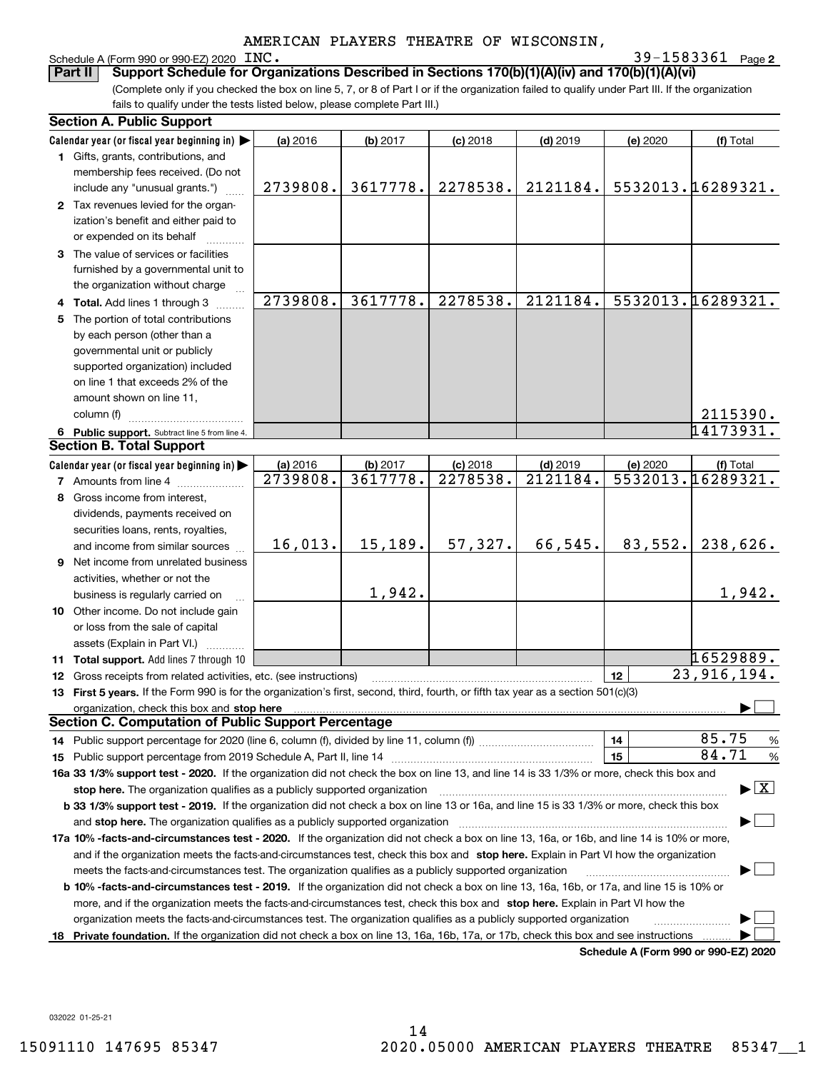## Schedule A (Form 990 or 990-EZ) 2020 INC.

**2** INC. 39-1583361

(Complete only if you checked the box on line 5, 7, or 8 of Part I or if the organization failed to qualify under Part III. If the organization fails to qualify under the tests listed below, please complete Part III.) **Part II** Support Schedule for Organizations Described in Sections 170(b)(1)(A)(iv) and 170(b)(1)(A)(vi)

| <b>Section A. Public Support</b>                                                                                                                                                                                               |          |          |            |            |                                      |                                          |
|--------------------------------------------------------------------------------------------------------------------------------------------------------------------------------------------------------------------------------|----------|----------|------------|------------|--------------------------------------|------------------------------------------|
| Calendar year (or fiscal year beginning in)                                                                                                                                                                                    | (a) 2016 | (b) 2017 | $(c)$ 2018 | $(d)$ 2019 | (e) 2020                             | (f) Total                                |
| 1 Gifts, grants, contributions, and                                                                                                                                                                                            |          |          |            |            |                                      |                                          |
| membership fees received. (Do not                                                                                                                                                                                              |          |          |            |            |                                      |                                          |
| include any "unusual grants.")                                                                                                                                                                                                 | 2739808. | 3617778. | 2278538.   | 2121184.   |                                      | 5532013.16289321.                        |
| 2 Tax revenues levied for the organ-                                                                                                                                                                                           |          |          |            |            |                                      |                                          |
| ization's benefit and either paid to                                                                                                                                                                                           |          |          |            |            |                                      |                                          |
| or expended on its behalf                                                                                                                                                                                                      |          |          |            |            |                                      |                                          |
| 3 The value of services or facilities                                                                                                                                                                                          |          |          |            |            |                                      |                                          |
| furnished by a governmental unit to                                                                                                                                                                                            |          |          |            |            |                                      |                                          |
| the organization without charge                                                                                                                                                                                                |          |          |            |            |                                      |                                          |
| 4 Total. Add lines 1 through 3                                                                                                                                                                                                 | 2739808. | 3617778. | 2278538.   | 2121184.   |                                      | 5532013.16289321.                        |
| 5 The portion of total contributions                                                                                                                                                                                           |          |          |            |            |                                      |                                          |
| by each person (other than a                                                                                                                                                                                                   |          |          |            |            |                                      |                                          |
| governmental unit or publicly                                                                                                                                                                                                  |          |          |            |            |                                      |                                          |
| supported organization) included                                                                                                                                                                                               |          |          |            |            |                                      |                                          |
| on line 1 that exceeds 2% of the                                                                                                                                                                                               |          |          |            |            |                                      |                                          |
| amount shown on line 11,                                                                                                                                                                                                       |          |          |            |            |                                      |                                          |
| column (f)                                                                                                                                                                                                                     |          |          |            |            |                                      | 2115390.                                 |
| 6 Public support. Subtract line 5 from line 4.                                                                                                                                                                                 |          |          |            |            |                                      | 14173931.                                |
| <b>Section B. Total Support</b>                                                                                                                                                                                                |          |          |            |            |                                      |                                          |
| Calendar year (or fiscal year beginning in)                                                                                                                                                                                    | (a) 2016 | (b) 2017 | $(c)$ 2018 | $(d)$ 2019 | (e) 2020                             | (f) Total                                |
| <b>7</b> Amounts from line 4                                                                                                                                                                                                   | 2739808. | 3617778. | 2278538.   | 2121184.   |                                      | 5532013.16289321.                        |
| 8 Gross income from interest,                                                                                                                                                                                                  |          |          |            |            |                                      |                                          |
| dividends, payments received on                                                                                                                                                                                                |          |          |            |            |                                      |                                          |
| securities loans, rents, royalties,                                                                                                                                                                                            |          |          |            |            |                                      |                                          |
| and income from similar sources                                                                                                                                                                                                | 16,013.  | 15, 189. | 57,327.    | 66,545.    | 83,552.                              | 238,626.                                 |
| 9 Net income from unrelated business                                                                                                                                                                                           |          |          |            |            |                                      |                                          |
| activities, whether or not the                                                                                                                                                                                                 |          |          |            |            |                                      |                                          |
| business is regularly carried on                                                                                                                                                                                               |          | 1,942.   |            |            |                                      | 1,942.                                   |
| 10 Other income. Do not include gain                                                                                                                                                                                           |          |          |            |            |                                      |                                          |
| or loss from the sale of capital                                                                                                                                                                                               |          |          |            |            |                                      |                                          |
| assets (Explain in Part VI.)                                                                                                                                                                                                   |          |          |            |            |                                      |                                          |
| 11 Total support. Add lines 7 through 10                                                                                                                                                                                       |          |          |            |            |                                      | 16529889.                                |
| <b>12</b> Gross receipts from related activities, etc. (see instructions)                                                                                                                                                      |          |          |            |            | 12                                   | $\overline{23,916,194}$ .                |
| 13 First 5 years. If the Form 990 is for the organization's first, second, third, fourth, or fifth tax year as a section 501(c)(3)                                                                                             |          |          |            |            |                                      |                                          |
| organization, check this box and stop here manufactured and according to the state of the state of the state of the state of the state of the state of the state of the state of the state of the state of the state of the st |          |          |            |            |                                      |                                          |
| <b>Section C. Computation of Public Support Percentage</b>                                                                                                                                                                     |          |          |            |            |                                      |                                          |
| 14 Public support percentage for 2020 (line 6, column (f), divided by line 11, column (f) <i>mummumumum</i>                                                                                                                    |          |          |            |            | 14                                   | 85.75<br>%                               |
|                                                                                                                                                                                                                                |          |          |            |            | 15                                   | 84.71<br>%                               |
| 16a 33 1/3% support test - 2020. If the organization did not check the box on line 13, and line 14 is 33 1/3% or more, check this box and                                                                                      |          |          |            |            |                                      |                                          |
| stop here. The organization qualifies as a publicly supported organization                                                                                                                                                     |          |          |            |            |                                      | $\blacktriangleright$ $\boxed{\text{X}}$ |
| b 33 1/3% support test - 2019. If the organization did not check a box on line 13 or 16a, and line 15 is 33 1/3% or more, check this box                                                                                       |          |          |            |            |                                      |                                          |
| and stop here. The organization qualifies as a publicly supported organization                                                                                                                                                 |          |          |            |            |                                      |                                          |
| 17a 10% -facts-and-circumstances test - 2020. If the organization did not check a box on line 13, 16a, or 16b, and line 14 is 10% or more,                                                                                     |          |          |            |            |                                      |                                          |
| and if the organization meets the facts-and-circumstances test, check this box and stop here. Explain in Part VI how the organization                                                                                          |          |          |            |            |                                      |                                          |
| meets the facts-and-circumstances test. The organization qualifies as a publicly supported organization                                                                                                                        |          |          |            |            |                                      |                                          |
| <b>b 10% -facts-and-circumstances test - 2019.</b> If the organization did not check a box on line 13, 16a, 16b, or 17a, and line 15 is 10% or                                                                                 |          |          |            |            |                                      |                                          |
| more, and if the organization meets the facts-and-circumstances test, check this box and stop here. Explain in Part VI how the                                                                                                 |          |          |            |            |                                      |                                          |
| organization meets the facts-and-circumstances test. The organization qualifies as a publicly supported organization                                                                                                           |          |          |            |            |                                      |                                          |
| 18 Private foundation. If the organization did not check a box on line 13, 16a, 16b, 17a, or 17b, check this box and see instructions                                                                                          |          |          |            |            |                                      |                                          |
|                                                                                                                                                                                                                                |          |          |            |            | Schodule A (Form 000 or 000 F7) 2020 |                                          |

**Schedule A (Form 990 or 990-EZ) 2020**

032022 01-25-21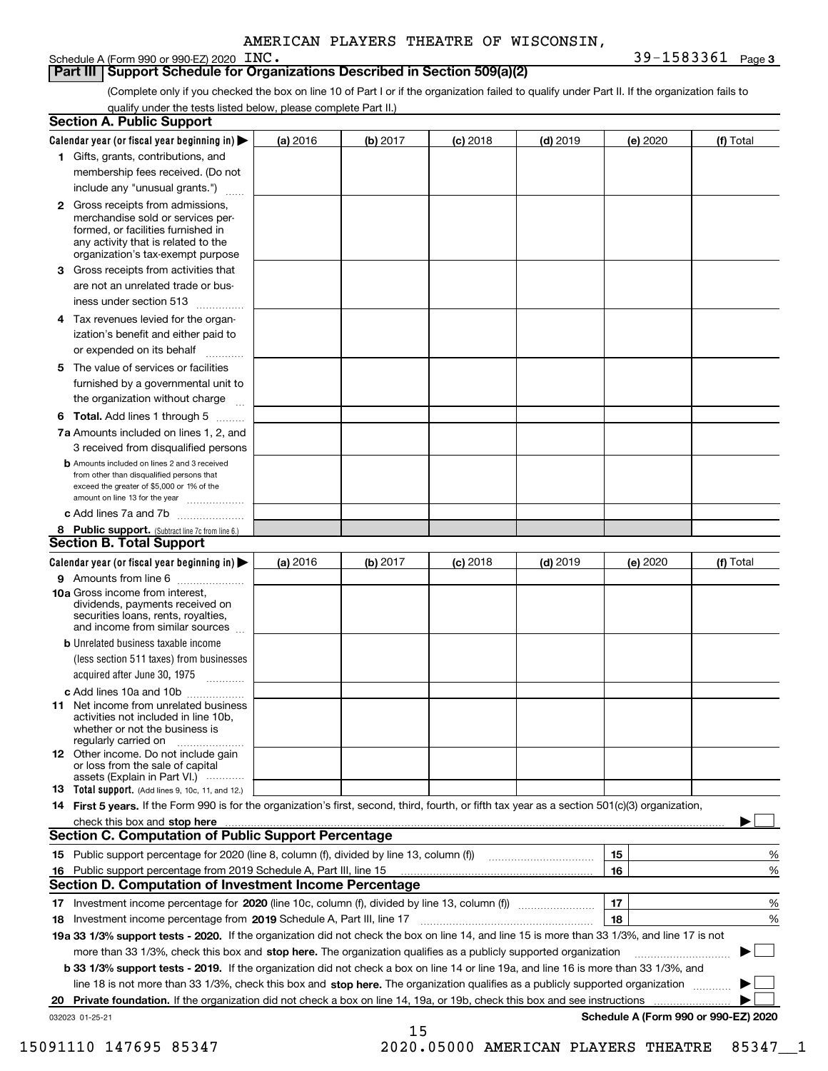## **Part III Support Schedule for Organizations Described in Section 509(a)(2)**

(Complete only if you checked the box on line 10 of Part I or if the organization failed to qualify under Part II. If the organization fails to qualify under the tests listed below, please complete Part II.)

| <b>Section A. Public Support</b>                                                                                                                                                                |          |          |            |            |          |                                      |
|-------------------------------------------------------------------------------------------------------------------------------------------------------------------------------------------------|----------|----------|------------|------------|----------|--------------------------------------|
| Calendar year (or fiscal year beginning in) $\blacktriangleright$                                                                                                                               | (a) 2016 | (b) 2017 | $(c)$ 2018 | $(d)$ 2019 | (e) 2020 | (f) Total                            |
| 1 Gifts, grants, contributions, and                                                                                                                                                             |          |          |            |            |          |                                      |
| membership fees received. (Do not                                                                                                                                                               |          |          |            |            |          |                                      |
| include any "unusual grants.")                                                                                                                                                                  |          |          |            |            |          |                                      |
| <b>2</b> Gross receipts from admissions,<br>merchandise sold or services per-<br>formed, or facilities furnished in<br>any activity that is related to the<br>organization's tax-exempt purpose |          |          |            |            |          |                                      |
| 3 Gross receipts from activities that                                                                                                                                                           |          |          |            |            |          |                                      |
| are not an unrelated trade or bus-                                                                                                                                                              |          |          |            |            |          |                                      |
| iness under section 513                                                                                                                                                                         |          |          |            |            |          |                                      |
| 4 Tax revenues levied for the organ-                                                                                                                                                            |          |          |            |            |          |                                      |
| ization's benefit and either paid to                                                                                                                                                            |          |          |            |            |          |                                      |
| or expended on its behalf<br>المتمددات                                                                                                                                                          |          |          |            |            |          |                                      |
| 5 The value of services or facilities<br>furnished by a governmental unit to                                                                                                                    |          |          |            |            |          |                                      |
| the organization without charge                                                                                                                                                                 |          |          |            |            |          |                                      |
| <b>6 Total.</b> Add lines 1 through 5                                                                                                                                                           |          |          |            |            |          |                                      |
| 7a Amounts included on lines 1, 2, and                                                                                                                                                          |          |          |            |            |          |                                      |
| 3 received from disqualified persons                                                                                                                                                            |          |          |            |            |          |                                      |
| <b>b</b> Amounts included on lines 2 and 3 received<br>from other than disqualified persons that<br>exceed the greater of \$5,000 or 1% of the<br>amount on line 13 for the year                |          |          |            |            |          |                                      |
| c Add lines 7a and 7b                                                                                                                                                                           |          |          |            |            |          |                                      |
| 8 Public support. (Subtract line 7c from line 6.)<br>Section B. Total Support                                                                                                                   |          |          |            |            |          |                                      |
| Calendar year (or fiscal year beginning in) >                                                                                                                                                   | (a) 2016 | (b) 2017 | $(c)$ 2018 | $(d)$ 2019 | (e) 2020 | (f) Total                            |
| 9 Amounts from line 6                                                                                                                                                                           |          |          |            |            |          |                                      |
| <b>10a</b> Gross income from interest,<br>dividends, payments received on<br>securities loans, rents, royalties,<br>and income from similar sources                                             |          |          |            |            |          |                                      |
| <b>b</b> Unrelated business taxable income                                                                                                                                                      |          |          |            |            |          |                                      |
| (less section 511 taxes) from businesses<br>acquired after June 30, 1975                                                                                                                        |          |          |            |            |          |                                      |
| c Add lines 10a and 10b                                                                                                                                                                         |          |          |            |            |          |                                      |
| 11 Net income from unrelated business<br>activities not included in line 10b.<br>whether or not the business is<br>regularly carried on                                                         |          |          |            |            |          |                                      |
| <b>12</b> Other income. Do not include gain<br>or loss from the sale of capital<br>assets (Explain in Part VI.)                                                                                 |          |          |            |            |          |                                      |
| <b>13</b> Total support. (Add lines 9, 10c, 11, and 12.)                                                                                                                                        |          |          |            |            |          |                                      |
| 14 First 5 years. If the Form 990 is for the organization's first, second, third, fourth, or fifth tax year as a section 501(c)(3) organization,                                                |          |          |            |            |          |                                      |
| check this box and stop here with an intermediate control to the control of the control of the control of the c                                                                                 |          |          |            |            |          |                                      |
| <b>Section C. Computation of Public Support Percentage</b>                                                                                                                                      |          |          |            |            |          |                                      |
|                                                                                                                                                                                                 |          |          |            |            | 15       | %                                    |
| 16 Public support percentage from 2019 Schedule A, Part III, line 15                                                                                                                            |          |          |            |            | 16       | %                                    |
| <b>Section D. Computation of Investment Income Percentage</b>                                                                                                                                   |          |          |            |            |          |                                      |
| 17 Investment income percentage for 2020 (line 10c, column (f), divided by line 13, column (f))                                                                                                 |          |          |            |            | 17       | %                                    |
| 18 Investment income percentage from 2019 Schedule A, Part III, line 17                                                                                                                         |          |          |            |            | 18       | %                                    |
| 19a 33 1/3% support tests - 2020. If the organization did not check the box on line 14, and line 15 is more than 33 1/3%, and line 17 is not                                                    |          |          |            |            |          |                                      |
| more than 33 1/3%, check this box and stop here. The organization qualifies as a publicly supported organization                                                                                |          |          |            |            |          | ▶                                    |
| b 33 1/3% support tests - 2019. If the organization did not check a box on line 14 or line 19a, and line 16 is more than 33 1/3%, and                                                           |          |          |            |            |          |                                      |
| line 18 is not more than 33 1/3%, check this box and stop here. The organization qualifies as a publicly supported organization                                                                 |          |          |            |            |          |                                      |
| 20 Private foundation. If the organization did not check a box on line 14, 19a, or 19b, check this box and see instructions                                                                     |          |          |            |            |          |                                      |
| 032023 01-25-21                                                                                                                                                                                 |          | 15       |            |            |          | Schedule A (Form 990 or 990-EZ) 2020 |

 <sup>15091110 147695 85347 2020.05000</sup> AMERICAN PLAYERS THEATRE 85347\_\_1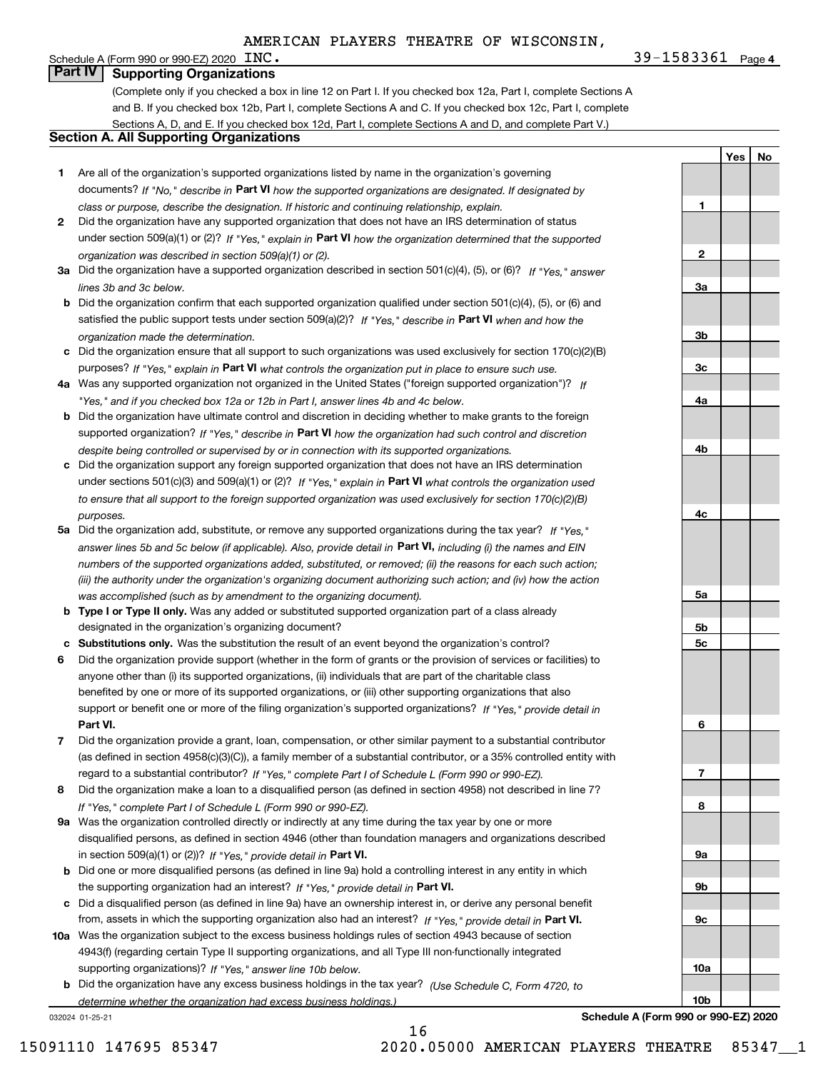**1**

**2**

**3a**

**3b**

**3c**

**4a**

**4b**

**4c**

**5a**

**5b5c**

**6**

**7**

**8**

**9a**

**9b**

**9c**

**10a**

**10b**

**YesNo**

# Schedule A (Form 990 or 990-EZ) 2020  $~\rm{INC}$ . **Part IV Supporting Organizations**

(Complete only if you checked a box in line 12 on Part I. If you checked box 12a, Part I, complete Sections A and B. If you checked box 12b, Part I, complete Sections A and C. If you checked box 12c, Part I, complete Sections A, D, and E. If you checked box 12d, Part I, complete Sections A and D, and complete Part V.)

## **Section A. All Supporting Organizations**

- **1** Are all of the organization's supported organizations listed by name in the organization's governing documents? If "No," describe in **Part VI** how the supported organizations are designated. If designated by *class or purpose, describe the designation. If historic and continuing relationship, explain.*
- **2** Did the organization have any supported organization that does not have an IRS determination of status under section 509(a)(1) or (2)? If "Yes," explain in Part VI how the organization determined that the supported *organization was described in section 509(a)(1) or (2).*
- **3a** Did the organization have a supported organization described in section 501(c)(4), (5), or (6)? If "Yes," answer *lines 3b and 3c below.*
- **b** Did the organization confirm that each supported organization qualified under section 501(c)(4), (5), or (6) and satisfied the public support tests under section 509(a)(2)? If "Yes," describe in **Part VI** when and how the *organization made the determination.*
- **c**Did the organization ensure that all support to such organizations was used exclusively for section 170(c)(2)(B) purposes? If "Yes," explain in **Part VI** what controls the organization put in place to ensure such use.
- **4a***If* Was any supported organization not organized in the United States ("foreign supported organization")? *"Yes," and if you checked box 12a or 12b in Part I, answer lines 4b and 4c below.*
- **b** Did the organization have ultimate control and discretion in deciding whether to make grants to the foreign supported organization? If "Yes," describe in **Part VI** how the organization had such control and discretion *despite being controlled or supervised by or in connection with its supported organizations.*
- **c** Did the organization support any foreign supported organization that does not have an IRS determination under sections 501(c)(3) and 509(a)(1) or (2)? If "Yes," explain in **Part VI** what controls the organization used *to ensure that all support to the foreign supported organization was used exclusively for section 170(c)(2)(B) purposes.*
- **5a** Did the organization add, substitute, or remove any supported organizations during the tax year? If "Yes," answer lines 5b and 5c below (if applicable). Also, provide detail in **Part VI,** including (i) the names and EIN *numbers of the supported organizations added, substituted, or removed; (ii) the reasons for each such action; (iii) the authority under the organization's organizing document authorizing such action; and (iv) how the action was accomplished (such as by amendment to the organizing document).*
- **b** Type I or Type II only. Was any added or substituted supported organization part of a class already designated in the organization's organizing document?
- **cSubstitutions only.**  Was the substitution the result of an event beyond the organization's control?
- **6** Did the organization provide support (whether in the form of grants or the provision of services or facilities) to **Part VI.** *If "Yes," provide detail in* support or benefit one or more of the filing organization's supported organizations? anyone other than (i) its supported organizations, (ii) individuals that are part of the charitable class benefited by one or more of its supported organizations, or (iii) other supporting organizations that also
- **7**Did the organization provide a grant, loan, compensation, or other similar payment to a substantial contributor *If "Yes," complete Part I of Schedule L (Form 990 or 990-EZ).* regard to a substantial contributor? (as defined in section 4958(c)(3)(C)), a family member of a substantial contributor, or a 35% controlled entity with
- **8** Did the organization make a loan to a disqualified person (as defined in section 4958) not described in line 7? *If "Yes," complete Part I of Schedule L (Form 990 or 990-EZ).*
- **9a** Was the organization controlled directly or indirectly at any time during the tax year by one or more in section 509(a)(1) or (2))? If "Yes," *provide detail in* <code>Part VI.</code> disqualified persons, as defined in section 4946 (other than foundation managers and organizations described
- **b**the supporting organization had an interest? If "Yes," provide detail in P**art VI**. Did one or more disqualified persons (as defined in line 9a) hold a controlling interest in any entity in which
- **c**Did a disqualified person (as defined in line 9a) have an ownership interest in, or derive any personal benefit from, assets in which the supporting organization also had an interest? If "Yes," provide detail in P**art VI.**
- **10a** Was the organization subject to the excess business holdings rules of section 4943 because of section supporting organizations)? If "Yes," answer line 10b below. 4943(f) (regarding certain Type II supporting organizations, and all Type III non-functionally integrated
- **b** Did the organization have any excess business holdings in the tax year? (Use Schedule C, Form 4720, to *determine whether the organization had excess business holdings.)*

16

032024 01-25-21

**Schedule A (Form 990 or 990-EZ) 2020**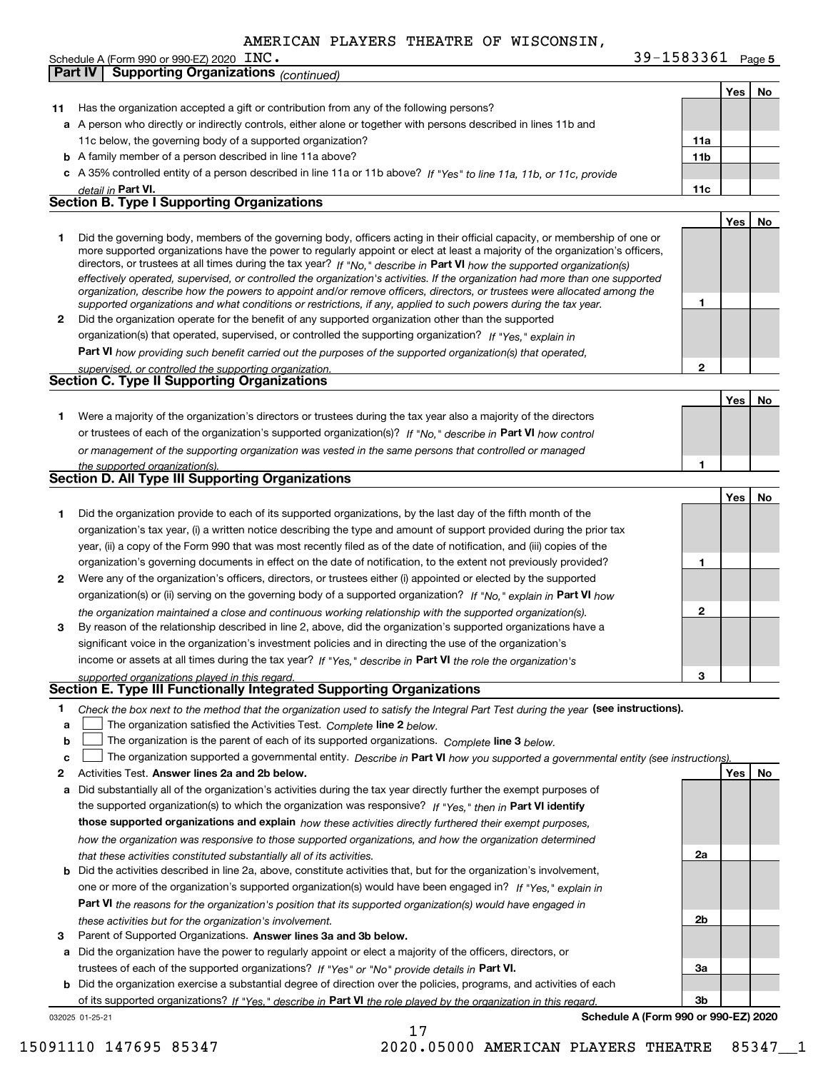**Part IV Supporting Organizations** *(continued)*

| Schedule A (Form 990 or 990-EZ) 2020 $~\>$ $~\rm{INC}$ . | 39-1583361<br>Page 5 |
|----------------------------------------------------------|----------------------|
|----------------------------------------------------------|----------------------|

|    |                                                                                                                                                                                                                                                             |                 | Yes | No |
|----|-------------------------------------------------------------------------------------------------------------------------------------------------------------------------------------------------------------------------------------------------------------|-----------------|-----|----|
| 11 | Has the organization accepted a gift or contribution from any of the following persons?                                                                                                                                                                     |                 |     |    |
|    | a A person who directly or indirectly controls, either alone or together with persons described in lines 11b and                                                                                                                                            |                 |     |    |
|    | 11c below, the governing body of a supported organization?                                                                                                                                                                                                  | 11a             |     |    |
|    | <b>b</b> A family member of a person described in line 11a above?                                                                                                                                                                                           | 11 <sub>b</sub> |     |    |
|    | c A 35% controlled entity of a person described in line 11a or 11b above? If "Yes" to line 11a, 11b, or 11c, provide                                                                                                                                        |                 |     |    |
|    | detail in Part VI.                                                                                                                                                                                                                                          | 11c             |     |    |
|    | Section B. Type I Supporting Organizations                                                                                                                                                                                                                  |                 |     |    |
|    |                                                                                                                                                                                                                                                             |                 | Yes | No |
|    |                                                                                                                                                                                                                                                             |                 |     |    |
| 1  | Did the governing body, members of the governing body, officers acting in their official capacity, or membership of one or<br>more supported organizations have the power to regularly appoint or elect at least a majority of the organization's officers, |                 |     |    |
|    | directors, or trustees at all times during the tax year? If "No," describe in Part VI how the supported organization(s)                                                                                                                                     |                 |     |    |
|    | effectively operated, supervised, or controlled the organization's activities. If the organization had more than one supported                                                                                                                              |                 |     |    |
|    | organization, describe how the powers to appoint and/or remove officers, directors, or trustees were allocated among the                                                                                                                                    |                 |     |    |
|    | supported organizations and what conditions or restrictions, if any, applied to such powers during the tax year.                                                                                                                                            | 1               |     |    |
| 2  | Did the organization operate for the benefit of any supported organization other than the supported                                                                                                                                                         |                 |     |    |
|    | organization(s) that operated, supervised, or controlled the supporting organization? If "Yes," explain in                                                                                                                                                  |                 |     |    |
|    | Part VI how providing such benefit carried out the purposes of the supported organization(s) that operated,                                                                                                                                                 |                 |     |    |
|    | supervised, or controlled the supporting organization.                                                                                                                                                                                                      | 2               |     |    |
|    | <b>Section C. Type II Supporting Organizations</b>                                                                                                                                                                                                          |                 |     |    |
|    |                                                                                                                                                                                                                                                             |                 | Yes | No |
| 1. | Were a majority of the organization's directors or trustees during the tax year also a majority of the directors                                                                                                                                            |                 |     |    |
|    | or trustees of each of the organization's supported organization(s)? If "No." describe in Part VI how control                                                                                                                                               |                 |     |    |
|    | or management of the supporting organization was vested in the same persons that controlled or managed                                                                                                                                                      |                 |     |    |
|    | the supported organization(s).                                                                                                                                                                                                                              | 1               |     |    |
|    | Section D. All Type III Supporting Organizations                                                                                                                                                                                                            |                 |     |    |
|    |                                                                                                                                                                                                                                                             |                 | Yes | No |
| 1  | Did the organization provide to each of its supported organizations, by the last day of the fifth month of the                                                                                                                                              |                 |     |    |
|    | organization's tax year, (i) a written notice describing the type and amount of support provided during the prior tax                                                                                                                                       |                 |     |    |
|    |                                                                                                                                                                                                                                                             |                 |     |    |
|    | year, (ii) a copy of the Form 990 that was most recently filed as of the date of notification, and (iii) copies of the                                                                                                                                      | 1               |     |    |
|    | organization's governing documents in effect on the date of notification, to the extent not previously provided?                                                                                                                                            |                 |     |    |
| 2  | Were any of the organization's officers, directors, or trustees either (i) appointed or elected by the supported                                                                                                                                            |                 |     |    |
|    | organization(s) or (ii) serving on the governing body of a supported organization? If "No," explain in Part VI how                                                                                                                                          |                 |     |    |
|    | the organization maintained a close and continuous working relationship with the supported organization(s).                                                                                                                                                 | $\mathbf{2}$    |     |    |
| 3  | By reason of the relationship described in line 2, above, did the organization's supported organizations have a                                                                                                                                             |                 |     |    |
|    | significant voice in the organization's investment policies and in directing the use of the organization's                                                                                                                                                  |                 |     |    |
|    | income or assets at all times during the tax year? If "Yes," describe in Part VI the role the organization's                                                                                                                                                |                 |     |    |
|    | supported organizations played in this regard.                                                                                                                                                                                                              | 3               |     |    |
|    | Section E. Type III Functionally Integrated Supporting Organizations                                                                                                                                                                                        |                 |     |    |
| 1. | Check the box next to the method that the organization used to satisfy the Integral Part Test during the year (see instructions).                                                                                                                           |                 |     |    |
| a  | The organization satisfied the Activities Test. Complete line 2 below.                                                                                                                                                                                      |                 |     |    |
| b  | The organization is the parent of each of its supported organizations. Complete line 3 below.                                                                                                                                                               |                 |     |    |
| c  | The organization supported a governmental entity. Describe in Part VI how you supported a governmental entity (see instructions)                                                                                                                            |                 |     |    |
| 2  | Activities Test. Answer lines 2a and 2b below.                                                                                                                                                                                                              |                 | Yes | No |
| а  | Did substantially all of the organization's activities during the tax year directly further the exempt purposes of                                                                                                                                          |                 |     |    |
|    | the supported organization(s) to which the organization was responsive? If "Yes," then in Part VI identify                                                                                                                                                  |                 |     |    |
|    | those supported organizations and explain how these activities directly furthered their exempt purposes,                                                                                                                                                    |                 |     |    |
|    | how the organization was responsive to those supported organizations, and how the organization determined                                                                                                                                                   |                 |     |    |
|    | that these activities constituted substantially all of its activities.                                                                                                                                                                                      | 2a              |     |    |
| b  | Did the activities described in line 2a, above, constitute activities that, but for the organization's involvement,                                                                                                                                         |                 |     |    |
|    | one or more of the organization's supported organization(s) would have been engaged in? If "Yes," explain in                                                                                                                                                |                 |     |    |
|    | <b>Part VI</b> the reasons for the organization's position that its supported organization(s) would have engaged in                                                                                                                                         |                 |     |    |
|    | these activities but for the organization's involvement.                                                                                                                                                                                                    | 2b              |     |    |
| 3  | Parent of Supported Organizations. Answer lines 3a and 3b below.                                                                                                                                                                                            |                 |     |    |
| а  | Did the organization have the power to regularly appoint or elect a majority of the officers, directors, or                                                                                                                                                 |                 |     |    |
|    |                                                                                                                                                                                                                                                             |                 |     |    |
|    | trustees of each of the supported organizations? If "Yes" or "No" provide details in Part VI.                                                                                                                                                               | За              |     |    |
| b  | Did the organization exercise a substantial degree of direction over the policies, programs, and activities of each                                                                                                                                         |                 |     |    |
|    | of its supported organizations? If "Yes." describe in Part VI the role played by the organization in this regard                                                                                                                                            | 3b              |     |    |
|    | Schedule A (Form 990 or 990-EZ) 2020<br>032025 01-25-21<br>17                                                                                                                                                                                               |                 |     |    |
|    |                                                                                                                                                                                                                                                             |                 |     |    |

15091110 147695 85347 2020.05000 AMERICAN PLAYERS THEATRE 85347\_\_1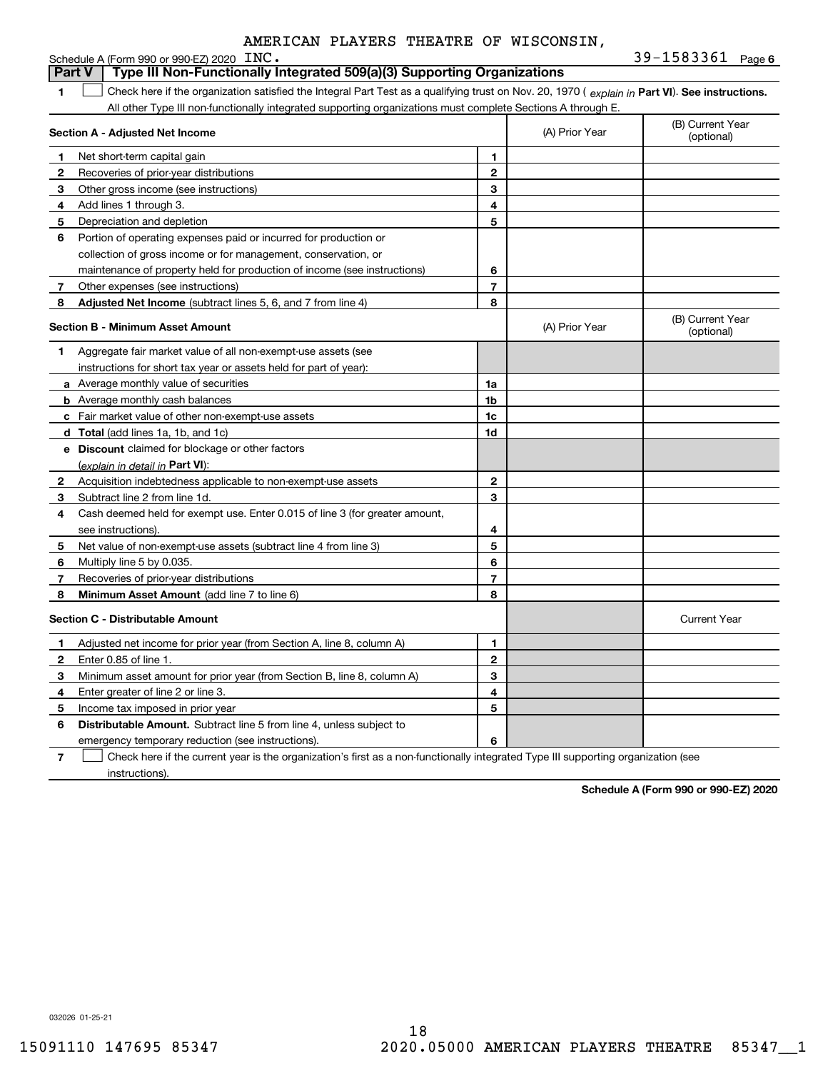|              | Schedule A (Form 990 or 990-EZ) 2020 $\text{INC}$ .                                                                                            |                |                                | 39-1583361 Page 6              |
|--------------|------------------------------------------------------------------------------------------------------------------------------------------------|----------------|--------------------------------|--------------------------------|
|              | Type III Non-Functionally Integrated 509(a)(3) Supporting Organizations<br><b>Part V</b>                                                       |                |                                |                                |
| 1            | Check here if the organization satisfied the Integral Part Test as a qualifying trust on Nov. 20, 1970 (explain in Part VI). See instructions. |                |                                |                                |
|              | All other Type III non-functionally integrated supporting organizations must complete Sections A through E.                                    |                |                                |                                |
|              | Section A - Adjusted Net Income                                                                                                                | (A) Prior Year | (B) Current Year<br>(optional) |                                |
| 1            | Net short-term capital gain                                                                                                                    | 1              |                                |                                |
| 2            | Recoveries of prior-year distributions                                                                                                         | $\overline{2}$ |                                |                                |
| З            | Other gross income (see instructions)                                                                                                          | 3              |                                |                                |
| 4            | Add lines 1 through 3.                                                                                                                         | 4              |                                |                                |
| 5            | Depreciation and depletion                                                                                                                     | 5              |                                |                                |
| 6            | Portion of operating expenses paid or incurred for production or                                                                               |                |                                |                                |
|              | collection of gross income or for management, conservation, or                                                                                 |                |                                |                                |
|              | maintenance of property held for production of income (see instructions)                                                                       | 6              |                                |                                |
| 7            | Other expenses (see instructions)                                                                                                              | $\overline{7}$ |                                |                                |
| 8            | <b>Adjusted Net Income</b> (subtract lines 5, 6, and 7 from line 4)                                                                            | 8              |                                |                                |
|              | Section B - Minimum Asset Amount                                                                                                               |                | (A) Prior Year                 | (B) Current Year<br>(optional) |
| 1            | Aggregate fair market value of all non-exempt-use assets (see                                                                                  |                |                                |                                |
|              | instructions for short tax year or assets held for part of year):                                                                              |                |                                |                                |
|              | a Average monthly value of securities                                                                                                          | 1a             |                                |                                |
|              | <b>b</b> Average monthly cash balances                                                                                                         | 1b             |                                |                                |
|              | c Fair market value of other non-exempt-use assets                                                                                             | 1c             |                                |                                |
|              | d Total (add lines 1a, 1b, and 1c)                                                                                                             | 1d             |                                |                                |
|              | e Discount claimed for blockage or other factors                                                                                               |                |                                |                                |
|              | (explain in detail in Part VI):                                                                                                                |                |                                |                                |
| 2            | Acquisition indebtedness applicable to non-exempt-use assets                                                                                   | $\mathbf{2}$   |                                |                                |
| з            | Subtract line 2 from line 1d.                                                                                                                  | 3              |                                |                                |
| 4            | Cash deemed held for exempt use. Enter 0.015 of line 3 (for greater amount,                                                                    |                |                                |                                |
|              | see instructions).                                                                                                                             | 4              |                                |                                |
| 5            | Net value of non-exempt-use assets (subtract line 4 from line 3)                                                                               | 5              |                                |                                |
| 6            | Multiply line 5 by 0.035.                                                                                                                      | 6              |                                |                                |
| 7            | Recoveries of prior-year distributions                                                                                                         | $\overline{7}$ |                                |                                |
| 8            | Minimum Asset Amount (add line 7 to line 6)                                                                                                    | 8              |                                |                                |
|              | <b>Section C - Distributable Amount</b>                                                                                                        |                |                                | <b>Current Year</b>            |
| 1            | Adjusted net income for prior year (from Section A, line 8, column A)                                                                          | $\mathbf{1}$   |                                |                                |
| $\mathbf{2}$ | Enter 0.85 of line 1.                                                                                                                          | $\overline{2}$ |                                |                                |
| З            | Minimum asset amount for prior year (from Section B, line 8, column A)                                                                         | 3              |                                |                                |
| 4            | Enter greater of line 2 or line 3.                                                                                                             | 4              |                                |                                |
| 5            | Income tax imposed in prior year                                                                                                               | 5              |                                |                                |
| 6            | <b>Distributable Amount.</b> Subtract line 5 from line 4, unless subject to                                                                    |                |                                |                                |
|              | emergency temporary reduction (see instructions).                                                                                              | 6              |                                |                                |

**7**Check here if the current year is the organization's first as a non-functionally integrated Type III supporting organization (see instructions).

**Schedule A (Form 990 or 990-EZ) 2020**

032026 01-25-21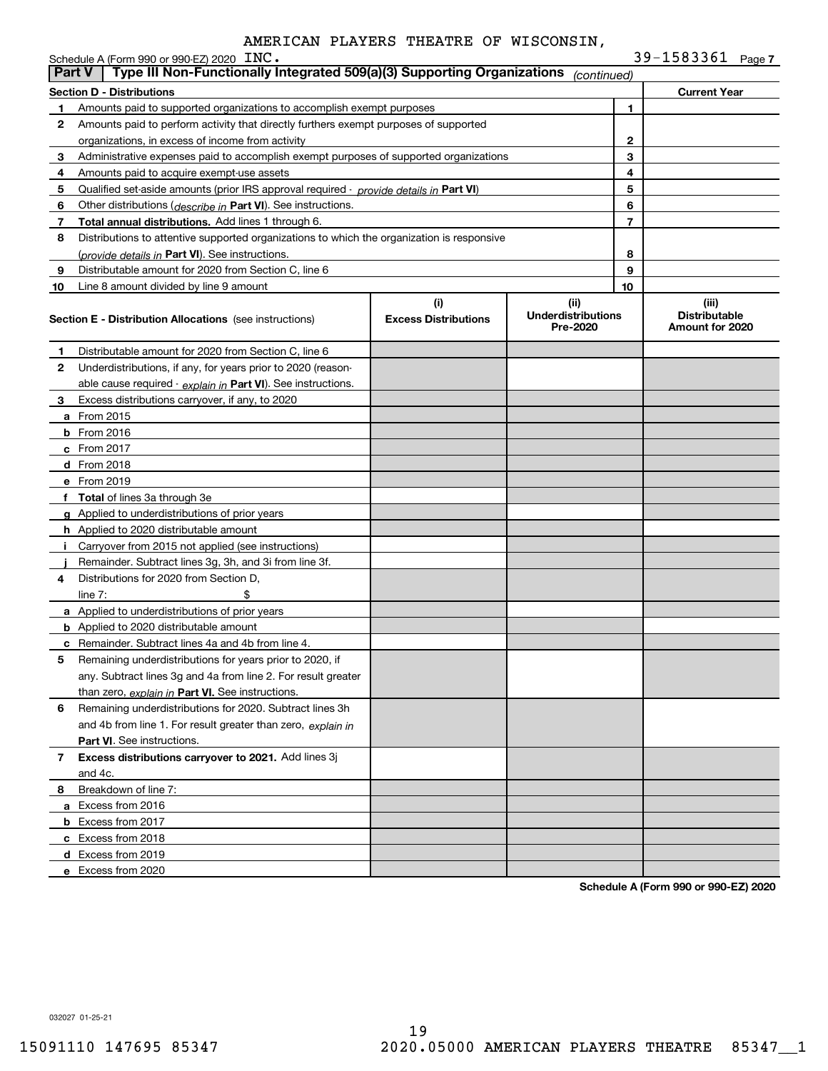|               | Schedule A (Form 990 or 990-EZ) 2020 INC.                                                  |                                    |                                               |                | 39-1583361 Page 7                                |  |
|---------------|--------------------------------------------------------------------------------------------|------------------------------------|-----------------------------------------------|----------------|--------------------------------------------------|--|
| <b>Part V</b> | Type III Non-Functionally Integrated 509(a)(3) Supporting Organizations                    |                                    | (continued)                                   |                |                                                  |  |
|               | <b>Section D - Distributions</b>                                                           |                                    |                                               |                | <b>Current Year</b>                              |  |
| 1             | Amounts paid to supported organizations to accomplish exempt purposes                      |                                    |                                               | 1              |                                                  |  |
| 2             | Amounts paid to perform activity that directly furthers exempt purposes of supported       |                                    |                                               |                |                                                  |  |
|               | organizations, in excess of income from activity                                           |                                    |                                               | 2              |                                                  |  |
| 3             | Administrative expenses paid to accomplish exempt purposes of supported organizations      |                                    |                                               | 3              |                                                  |  |
| 4             | Amounts paid to acquire exempt-use assets                                                  |                                    |                                               | 4              |                                                  |  |
| 5             | Qualified set-aside amounts (prior IRS approval required - provide details in Part VI)     |                                    |                                               | 5              |                                                  |  |
| 6             | Other distributions (describe in Part VI). See instructions.                               |                                    |                                               | 6              |                                                  |  |
| 7             | Total annual distributions. Add lines 1 through 6.                                         |                                    |                                               | $\overline{7}$ |                                                  |  |
| 8             | Distributions to attentive supported organizations to which the organization is responsive |                                    |                                               |                |                                                  |  |
|               | (provide details in Part VI). See instructions.                                            |                                    |                                               | 8              |                                                  |  |
| 9             | Distributable amount for 2020 from Section C, line 6                                       |                                    |                                               | 9              |                                                  |  |
| 10            | Line 8 amount divided by line 9 amount                                                     |                                    |                                               | 10             |                                                  |  |
|               | <b>Section E - Distribution Allocations</b> (see instructions)                             | (i)<br><b>Excess Distributions</b> | (ii)<br><b>Underdistributions</b><br>Pre-2020 |                | (iii)<br><b>Distributable</b><br>Amount for 2020 |  |
| 1             | Distributable amount for 2020 from Section C, line 6                                       |                                    |                                               |                |                                                  |  |
| 2             | Underdistributions, if any, for years prior to 2020 (reason-                               |                                    |                                               |                |                                                  |  |
|               | able cause required - explain in Part VI). See instructions.                               |                                    |                                               |                |                                                  |  |
| 3             | Excess distributions carryover, if any, to 2020                                            |                                    |                                               |                |                                                  |  |
|               | <b>a</b> From 2015                                                                         |                                    |                                               |                |                                                  |  |
|               | <b>b</b> From 2016                                                                         |                                    |                                               |                |                                                  |  |
|               | c From 2017                                                                                |                                    |                                               |                |                                                  |  |
|               | d From 2018                                                                                |                                    |                                               |                |                                                  |  |
|               | e From 2019                                                                                |                                    |                                               |                |                                                  |  |
|               | f Total of lines 3a through 3e                                                             |                                    |                                               |                |                                                  |  |
|               | g Applied to underdistributions of prior years                                             |                                    |                                               |                |                                                  |  |
|               | <b>h</b> Applied to 2020 distributable amount                                              |                                    |                                               |                |                                                  |  |
| Ť.            | Carryover from 2015 not applied (see instructions)                                         |                                    |                                               |                |                                                  |  |
|               | Remainder. Subtract lines 3g, 3h, and 3i from line 3f.                                     |                                    |                                               |                |                                                  |  |
| 4             | Distributions for 2020 from Section D,                                                     |                                    |                                               |                |                                                  |  |
|               | line $7:$                                                                                  |                                    |                                               |                |                                                  |  |
|               | a Applied to underdistributions of prior years                                             |                                    |                                               |                |                                                  |  |
|               | <b>b</b> Applied to 2020 distributable amount                                              |                                    |                                               |                |                                                  |  |
|               | <b>c</b> Remainder. Subtract lines 4a and 4b from line 4.                                  |                                    |                                               |                |                                                  |  |
|               | Remaining underdistributions for years prior to 2020, if                                   |                                    |                                               |                |                                                  |  |
|               | any. Subtract lines 3g and 4a from line 2. For result greater                              |                                    |                                               |                |                                                  |  |
|               | than zero, explain in Part VI. See instructions.                                           |                                    |                                               |                |                                                  |  |
| 6             | Remaining underdistributions for 2020. Subtract lines 3h                                   |                                    |                                               |                |                                                  |  |
|               | and 4b from line 1. For result greater than zero, explain in                               |                                    |                                               |                |                                                  |  |
|               | Part VI. See instructions.                                                                 |                                    |                                               |                |                                                  |  |
| 7             | Excess distributions carryover to 2021. Add lines 3j                                       |                                    |                                               |                |                                                  |  |
|               | and 4c.                                                                                    |                                    |                                               |                |                                                  |  |
| 8             | Breakdown of line 7:                                                                       |                                    |                                               |                |                                                  |  |
|               | a Excess from 2016                                                                         |                                    |                                               |                |                                                  |  |
|               | <b>b</b> Excess from 2017                                                                  |                                    |                                               |                |                                                  |  |
|               | c Excess from 2018                                                                         |                                    |                                               |                |                                                  |  |
|               | d Excess from 2019                                                                         |                                    |                                               |                |                                                  |  |
|               | e Excess from 2020                                                                         |                                    |                                               |                |                                                  |  |

**Schedule A (Form 990 or 990-EZ) 2020**

032027 01-25-21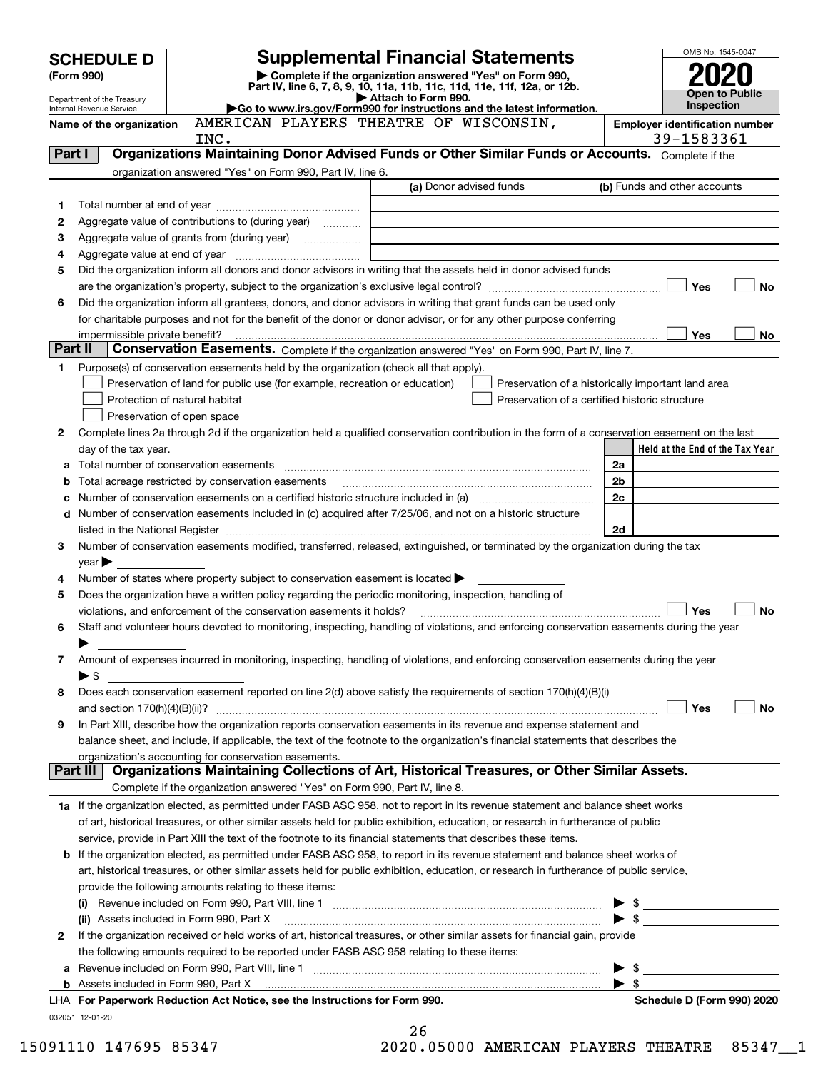| Complete if the organization answered "Yes" on Form 990,<br>(Form 990)<br>Part IV, line 6, 7, 8, 9, 10, 11a, 11b, 11c, 11d, 11e, 11f, 12a, or 12b.<br>Open to Public<br>Attach to Form 990.<br>Department of the Treasury<br>Inspection<br>Go to www.irs.gov/Form990 for instructions and the latest information.<br>Internal Revenue Service<br>AMERICAN PLAYERS THEATRE OF WISCONSIN,<br><b>Employer identification number</b><br>Name of the organization<br>39-1583361<br>INC.<br>Organizations Maintaining Donor Advised Funds or Other Similar Funds or Accounts. Complete if the<br>Part I<br>organization answered "Yes" on Form 990, Part IV, line 6.<br>(a) Donor advised funds<br>(b) Funds and other accounts<br>1<br>Aggregate value of contributions to (during year)<br>2<br>з<br>4<br>Did the organization inform all donors and donor advisors in writing that the assets held in donor advised funds<br>5<br>Yes<br>No<br>Did the organization inform all grantees, donors, and donor advisors in writing that grant funds can be used only<br>6<br>for charitable purposes and not for the benefit of the donor or donor advisor, or for any other purpose conferring<br>Yes<br>No<br>Part II<br>Conservation Easements. Complete if the organization answered "Yes" on Form 990, Part IV, line 7.<br>Purpose(s) of conservation easements held by the organization (check all that apply).<br>1<br>Preservation of land for public use (for example, recreation or education)<br>Preservation of a historically important land area<br>Protection of natural habitat<br>Preservation of a certified historic structure<br>Preservation of open space<br>Complete lines 2a through 2d if the organization held a qualified conservation contribution in the form of a conservation easement on the last<br>2<br>day of the tax year.<br>Held at the End of the Tax Year<br>2a<br>Total number of conservation easements [[11] matter conservation can be a series of conservation easements [11] matter conservation easements [11] matter conservation easements [11] matter conservation of the conservation<br>а<br>Total acreage restricted by conservation easements<br>2b<br>b<br>2c<br>с<br>Number of conservation easements included in (c) acquired after 7/25/06, and not on a historic structure<br>d<br>2d<br>Number of conservation easements modified, transferred, released, extinguished, or terminated by the organization during the tax<br>3<br>$year \blacktriangleright$<br>Number of states where property subject to conservation easement is located $\blacktriangleright$<br>4<br>Does the organization have a written policy regarding the periodic monitoring, inspection, handling of<br>5<br>Yes<br>No<br>violations, and enforcement of the conservation easements it holds?<br>Staff and volunteer hours devoted to monitoring, inspecting, handling of violations, and enforcing conservation easements during the year<br>6<br>Amount of expenses incurred in monitoring, inspecting, handling of violations, and enforcing conservation easements during the year<br>7<br>$\blacktriangleright$ \$<br>Does each conservation easement reported on line 2(d) above satisfy the requirements of section 170(h)(4)(B)(i)<br>8<br>Yes<br>No<br>In Part XIII, describe how the organization reports conservation easements in its revenue and expense statement and<br>9<br>balance sheet, and include, if applicable, the text of the footnote to the organization's financial statements that describes the<br>organization's accounting for conservation easements.<br>Organizations Maintaining Collections of Art, Historical Treasures, or Other Similar Assets.<br>Part III<br>Complete if the organization answered "Yes" on Form 990, Part IV, line 8.<br>1a If the organization elected, as permitted under FASB ASC 958, not to report in its revenue statement and balance sheet works<br>of art, historical treasures, or other similar assets held for public exhibition, education, or research in furtherance of public<br>service, provide in Part XIII the text of the footnote to its financial statements that describes these items.<br>If the organization elected, as permitted under FASB ASC 958, to report in its revenue statement and balance sheet works of<br>b<br>art, historical treasures, or other similar assets held for public exhibition, education, or research in furtherance of public service,<br>provide the following amounts relating to these items:<br>$\frac{1}{2}$<br>$\triangleright$ \$<br>(ii) Assets included in Form 990, Part X<br>If the organization received or held works of art, historical treasures, or other similar assets for financial gain, provide<br>2<br>the following amounts required to be reported under FASB ASC 958 relating to these items:<br>\$<br>a<br>\$<br>LHA For Paperwork Reduction Act Notice, see the Instructions for Form 990.<br>Schedule D (Form 990) 2020<br>032051 12-01-20<br>つん | <b>SCHEDULE D</b> |  | <b>Supplemental Financial Statements</b> |  | OMB No. 1545-0047 |  |
|--------------------------------------------------------------------------------------------------------------------------------------------------------------------------------------------------------------------------------------------------------------------------------------------------------------------------------------------------------------------------------------------------------------------------------------------------------------------------------------------------------------------------------------------------------------------------------------------------------------------------------------------------------------------------------------------------------------------------------------------------------------------------------------------------------------------------------------------------------------------------------------------------------------------------------------------------------------------------------------------------------------------------------------------------------------------------------------------------------------------------------------------------------------------------------------------------------------------------------------------------------------------------------------------------------------------------------------------------------------------------------------------------------------------------------------------------------------------------------------------------------------------------------------------------------------------------------------------------------------------------------------------------------------------------------------------------------------------------------------------------------------------------------------------------------------------------------------------------------------------------------------------------------------------------------------------------------------------------------------------------------------------------------------------------------------------------------------------------------------------------------------------------------------------------------------------------------------------------------------------------------------------------------------------------------------------------------------------------------------------------------------------------------------------------------------------------------------------------------------------------------------------------------------------------------------------------------------------------------------------------------------------------------------------------------------------------------------------------------------------------------------------------------------------------------------------------------------------------------------------------------------------------------------------------------------------------------------------------------------------------------------------------------------------------------------------------------------------------------------------------------------------------------------------------------------------------------------------------------------------------------------------------------------------------------------------------------------------------------------------------------------------------------------------------------------------------------------------------------------------------------------------------------------------------------------------------------------------------------------------------------------------------------------------------------------------------------------------------------------------------------------------------------------------------------------------------------------------------------------------------------------------------------------------------------------------------------------------------------------------------------------------------------------------------------------------------------------------------------------------------------------------------------------------------------------------------------------------------------------------------------------------------------------------------------------------------------------------------------------------------------------------------------------------------------------------------------------------------------------------------------------------------------------------------------------------------------------------------------------------------------------------------------------------------------------------------------------------------------------------------------------------------------------------------------------------------------------------------------------------------------------------------------------------------------------------------------------------------------------------------------------------------------|-------------------|--|------------------------------------------|--|-------------------|--|
|                                                                                                                                                                                                                                                                                                                                                                                                                                                                                                                                                                                                                                                                                                                                                                                                                                                                                                                                                                                                                                                                                                                                                                                                                                                                                                                                                                                                                                                                                                                                                                                                                                                                                                                                                                                                                                                                                                                                                                                                                                                                                                                                                                                                                                                                                                                                                                                                                                                                                                                                                                                                                                                                                                                                                                                                                                                                                                                                                                                                                                                                                                                                                                                                                                                                                                                                                                                                                                                                                                                                                                                                                                                                                                                                                                                                                                                                                                                                                                                                                                                                                                                                                                                                                                                                                                                                                                                                                                                                                                                                                                                                                                                                                                                                                                                                                                                                                                                                                                                                                                |                   |  |                                          |  |                   |  |
|                                                                                                                                                                                                                                                                                                                                                                                                                                                                                                                                                                                                                                                                                                                                                                                                                                                                                                                                                                                                                                                                                                                                                                                                                                                                                                                                                                                                                                                                                                                                                                                                                                                                                                                                                                                                                                                                                                                                                                                                                                                                                                                                                                                                                                                                                                                                                                                                                                                                                                                                                                                                                                                                                                                                                                                                                                                                                                                                                                                                                                                                                                                                                                                                                                                                                                                                                                                                                                                                                                                                                                                                                                                                                                                                                                                                                                                                                                                                                                                                                                                                                                                                                                                                                                                                                                                                                                                                                                                                                                                                                                                                                                                                                                                                                                                                                                                                                                                                                                                                                                |                   |  |                                          |  |                   |  |
|                                                                                                                                                                                                                                                                                                                                                                                                                                                                                                                                                                                                                                                                                                                                                                                                                                                                                                                                                                                                                                                                                                                                                                                                                                                                                                                                                                                                                                                                                                                                                                                                                                                                                                                                                                                                                                                                                                                                                                                                                                                                                                                                                                                                                                                                                                                                                                                                                                                                                                                                                                                                                                                                                                                                                                                                                                                                                                                                                                                                                                                                                                                                                                                                                                                                                                                                                                                                                                                                                                                                                                                                                                                                                                                                                                                                                                                                                                                                                                                                                                                                                                                                                                                                                                                                                                                                                                                                                                                                                                                                                                                                                                                                                                                                                                                                                                                                                                                                                                                                                                |                   |  |                                          |  |                   |  |
|                                                                                                                                                                                                                                                                                                                                                                                                                                                                                                                                                                                                                                                                                                                                                                                                                                                                                                                                                                                                                                                                                                                                                                                                                                                                                                                                                                                                                                                                                                                                                                                                                                                                                                                                                                                                                                                                                                                                                                                                                                                                                                                                                                                                                                                                                                                                                                                                                                                                                                                                                                                                                                                                                                                                                                                                                                                                                                                                                                                                                                                                                                                                                                                                                                                                                                                                                                                                                                                                                                                                                                                                                                                                                                                                                                                                                                                                                                                                                                                                                                                                                                                                                                                                                                                                                                                                                                                                                                                                                                                                                                                                                                                                                                                                                                                                                                                                                                                                                                                                                                |                   |  |                                          |  |                   |  |
|                                                                                                                                                                                                                                                                                                                                                                                                                                                                                                                                                                                                                                                                                                                                                                                                                                                                                                                                                                                                                                                                                                                                                                                                                                                                                                                                                                                                                                                                                                                                                                                                                                                                                                                                                                                                                                                                                                                                                                                                                                                                                                                                                                                                                                                                                                                                                                                                                                                                                                                                                                                                                                                                                                                                                                                                                                                                                                                                                                                                                                                                                                                                                                                                                                                                                                                                                                                                                                                                                                                                                                                                                                                                                                                                                                                                                                                                                                                                                                                                                                                                                                                                                                                                                                                                                                                                                                                                                                                                                                                                                                                                                                                                                                                                                                                                                                                                                                                                                                                                                                |                   |  |                                          |  |                   |  |
|                                                                                                                                                                                                                                                                                                                                                                                                                                                                                                                                                                                                                                                                                                                                                                                                                                                                                                                                                                                                                                                                                                                                                                                                                                                                                                                                                                                                                                                                                                                                                                                                                                                                                                                                                                                                                                                                                                                                                                                                                                                                                                                                                                                                                                                                                                                                                                                                                                                                                                                                                                                                                                                                                                                                                                                                                                                                                                                                                                                                                                                                                                                                                                                                                                                                                                                                                                                                                                                                                                                                                                                                                                                                                                                                                                                                                                                                                                                                                                                                                                                                                                                                                                                                                                                                                                                                                                                                                                                                                                                                                                                                                                                                                                                                                                                                                                                                                                                                                                                                                                |                   |  |                                          |  |                   |  |
|                                                                                                                                                                                                                                                                                                                                                                                                                                                                                                                                                                                                                                                                                                                                                                                                                                                                                                                                                                                                                                                                                                                                                                                                                                                                                                                                                                                                                                                                                                                                                                                                                                                                                                                                                                                                                                                                                                                                                                                                                                                                                                                                                                                                                                                                                                                                                                                                                                                                                                                                                                                                                                                                                                                                                                                                                                                                                                                                                                                                                                                                                                                                                                                                                                                                                                                                                                                                                                                                                                                                                                                                                                                                                                                                                                                                                                                                                                                                                                                                                                                                                                                                                                                                                                                                                                                                                                                                                                                                                                                                                                                                                                                                                                                                                                                                                                                                                                                                                                                                                                |                   |  |                                          |  |                   |  |
|                                                                                                                                                                                                                                                                                                                                                                                                                                                                                                                                                                                                                                                                                                                                                                                                                                                                                                                                                                                                                                                                                                                                                                                                                                                                                                                                                                                                                                                                                                                                                                                                                                                                                                                                                                                                                                                                                                                                                                                                                                                                                                                                                                                                                                                                                                                                                                                                                                                                                                                                                                                                                                                                                                                                                                                                                                                                                                                                                                                                                                                                                                                                                                                                                                                                                                                                                                                                                                                                                                                                                                                                                                                                                                                                                                                                                                                                                                                                                                                                                                                                                                                                                                                                                                                                                                                                                                                                                                                                                                                                                                                                                                                                                                                                                                                                                                                                                                                                                                                                                                |                   |  |                                          |  |                   |  |
|                                                                                                                                                                                                                                                                                                                                                                                                                                                                                                                                                                                                                                                                                                                                                                                                                                                                                                                                                                                                                                                                                                                                                                                                                                                                                                                                                                                                                                                                                                                                                                                                                                                                                                                                                                                                                                                                                                                                                                                                                                                                                                                                                                                                                                                                                                                                                                                                                                                                                                                                                                                                                                                                                                                                                                                                                                                                                                                                                                                                                                                                                                                                                                                                                                                                                                                                                                                                                                                                                                                                                                                                                                                                                                                                                                                                                                                                                                                                                                                                                                                                                                                                                                                                                                                                                                                                                                                                                                                                                                                                                                                                                                                                                                                                                                                                                                                                                                                                                                                                                                |                   |  |                                          |  |                   |  |
|                                                                                                                                                                                                                                                                                                                                                                                                                                                                                                                                                                                                                                                                                                                                                                                                                                                                                                                                                                                                                                                                                                                                                                                                                                                                                                                                                                                                                                                                                                                                                                                                                                                                                                                                                                                                                                                                                                                                                                                                                                                                                                                                                                                                                                                                                                                                                                                                                                                                                                                                                                                                                                                                                                                                                                                                                                                                                                                                                                                                                                                                                                                                                                                                                                                                                                                                                                                                                                                                                                                                                                                                                                                                                                                                                                                                                                                                                                                                                                                                                                                                                                                                                                                                                                                                                                                                                                                                                                                                                                                                                                                                                                                                                                                                                                                                                                                                                                                                                                                                                                |                   |  |                                          |  |                   |  |
|                                                                                                                                                                                                                                                                                                                                                                                                                                                                                                                                                                                                                                                                                                                                                                                                                                                                                                                                                                                                                                                                                                                                                                                                                                                                                                                                                                                                                                                                                                                                                                                                                                                                                                                                                                                                                                                                                                                                                                                                                                                                                                                                                                                                                                                                                                                                                                                                                                                                                                                                                                                                                                                                                                                                                                                                                                                                                                                                                                                                                                                                                                                                                                                                                                                                                                                                                                                                                                                                                                                                                                                                                                                                                                                                                                                                                                                                                                                                                                                                                                                                                                                                                                                                                                                                                                                                                                                                                                                                                                                                                                                                                                                                                                                                                                                                                                                                                                                                                                                                                                |                   |  |                                          |  |                   |  |
|                                                                                                                                                                                                                                                                                                                                                                                                                                                                                                                                                                                                                                                                                                                                                                                                                                                                                                                                                                                                                                                                                                                                                                                                                                                                                                                                                                                                                                                                                                                                                                                                                                                                                                                                                                                                                                                                                                                                                                                                                                                                                                                                                                                                                                                                                                                                                                                                                                                                                                                                                                                                                                                                                                                                                                                                                                                                                                                                                                                                                                                                                                                                                                                                                                                                                                                                                                                                                                                                                                                                                                                                                                                                                                                                                                                                                                                                                                                                                                                                                                                                                                                                                                                                                                                                                                                                                                                                                                                                                                                                                                                                                                                                                                                                                                                                                                                                                                                                                                                                                                |                   |  |                                          |  |                   |  |
|                                                                                                                                                                                                                                                                                                                                                                                                                                                                                                                                                                                                                                                                                                                                                                                                                                                                                                                                                                                                                                                                                                                                                                                                                                                                                                                                                                                                                                                                                                                                                                                                                                                                                                                                                                                                                                                                                                                                                                                                                                                                                                                                                                                                                                                                                                                                                                                                                                                                                                                                                                                                                                                                                                                                                                                                                                                                                                                                                                                                                                                                                                                                                                                                                                                                                                                                                                                                                                                                                                                                                                                                                                                                                                                                                                                                                                                                                                                                                                                                                                                                                                                                                                                                                                                                                                                                                                                                                                                                                                                                                                                                                                                                                                                                                                                                                                                                                                                                                                                                                                |                   |  |                                          |  |                   |  |
|                                                                                                                                                                                                                                                                                                                                                                                                                                                                                                                                                                                                                                                                                                                                                                                                                                                                                                                                                                                                                                                                                                                                                                                                                                                                                                                                                                                                                                                                                                                                                                                                                                                                                                                                                                                                                                                                                                                                                                                                                                                                                                                                                                                                                                                                                                                                                                                                                                                                                                                                                                                                                                                                                                                                                                                                                                                                                                                                                                                                                                                                                                                                                                                                                                                                                                                                                                                                                                                                                                                                                                                                                                                                                                                                                                                                                                                                                                                                                                                                                                                                                                                                                                                                                                                                                                                                                                                                                                                                                                                                                                                                                                                                                                                                                                                                                                                                                                                                                                                                                                |                   |  |                                          |  |                   |  |
|                                                                                                                                                                                                                                                                                                                                                                                                                                                                                                                                                                                                                                                                                                                                                                                                                                                                                                                                                                                                                                                                                                                                                                                                                                                                                                                                                                                                                                                                                                                                                                                                                                                                                                                                                                                                                                                                                                                                                                                                                                                                                                                                                                                                                                                                                                                                                                                                                                                                                                                                                                                                                                                                                                                                                                                                                                                                                                                                                                                                                                                                                                                                                                                                                                                                                                                                                                                                                                                                                                                                                                                                                                                                                                                                                                                                                                                                                                                                                                                                                                                                                                                                                                                                                                                                                                                                                                                                                                                                                                                                                                                                                                                                                                                                                                                                                                                                                                                                                                                                                                |                   |  |                                          |  |                   |  |
|                                                                                                                                                                                                                                                                                                                                                                                                                                                                                                                                                                                                                                                                                                                                                                                                                                                                                                                                                                                                                                                                                                                                                                                                                                                                                                                                                                                                                                                                                                                                                                                                                                                                                                                                                                                                                                                                                                                                                                                                                                                                                                                                                                                                                                                                                                                                                                                                                                                                                                                                                                                                                                                                                                                                                                                                                                                                                                                                                                                                                                                                                                                                                                                                                                                                                                                                                                                                                                                                                                                                                                                                                                                                                                                                                                                                                                                                                                                                                                                                                                                                                                                                                                                                                                                                                                                                                                                                                                                                                                                                                                                                                                                                                                                                                                                                                                                                                                                                                                                                                                |                   |  |                                          |  |                   |  |
|                                                                                                                                                                                                                                                                                                                                                                                                                                                                                                                                                                                                                                                                                                                                                                                                                                                                                                                                                                                                                                                                                                                                                                                                                                                                                                                                                                                                                                                                                                                                                                                                                                                                                                                                                                                                                                                                                                                                                                                                                                                                                                                                                                                                                                                                                                                                                                                                                                                                                                                                                                                                                                                                                                                                                                                                                                                                                                                                                                                                                                                                                                                                                                                                                                                                                                                                                                                                                                                                                                                                                                                                                                                                                                                                                                                                                                                                                                                                                                                                                                                                                                                                                                                                                                                                                                                                                                                                                                                                                                                                                                                                                                                                                                                                                                                                                                                                                                                                                                                                                                |                   |  |                                          |  |                   |  |
|                                                                                                                                                                                                                                                                                                                                                                                                                                                                                                                                                                                                                                                                                                                                                                                                                                                                                                                                                                                                                                                                                                                                                                                                                                                                                                                                                                                                                                                                                                                                                                                                                                                                                                                                                                                                                                                                                                                                                                                                                                                                                                                                                                                                                                                                                                                                                                                                                                                                                                                                                                                                                                                                                                                                                                                                                                                                                                                                                                                                                                                                                                                                                                                                                                                                                                                                                                                                                                                                                                                                                                                                                                                                                                                                                                                                                                                                                                                                                                                                                                                                                                                                                                                                                                                                                                                                                                                                                                                                                                                                                                                                                                                                                                                                                                                                                                                                                                                                                                                                                                |                   |  |                                          |  |                   |  |
|                                                                                                                                                                                                                                                                                                                                                                                                                                                                                                                                                                                                                                                                                                                                                                                                                                                                                                                                                                                                                                                                                                                                                                                                                                                                                                                                                                                                                                                                                                                                                                                                                                                                                                                                                                                                                                                                                                                                                                                                                                                                                                                                                                                                                                                                                                                                                                                                                                                                                                                                                                                                                                                                                                                                                                                                                                                                                                                                                                                                                                                                                                                                                                                                                                                                                                                                                                                                                                                                                                                                                                                                                                                                                                                                                                                                                                                                                                                                                                                                                                                                                                                                                                                                                                                                                                                                                                                                                                                                                                                                                                                                                                                                                                                                                                                                                                                                                                                                                                                                                                |                   |  |                                          |  |                   |  |
|                                                                                                                                                                                                                                                                                                                                                                                                                                                                                                                                                                                                                                                                                                                                                                                                                                                                                                                                                                                                                                                                                                                                                                                                                                                                                                                                                                                                                                                                                                                                                                                                                                                                                                                                                                                                                                                                                                                                                                                                                                                                                                                                                                                                                                                                                                                                                                                                                                                                                                                                                                                                                                                                                                                                                                                                                                                                                                                                                                                                                                                                                                                                                                                                                                                                                                                                                                                                                                                                                                                                                                                                                                                                                                                                                                                                                                                                                                                                                                                                                                                                                                                                                                                                                                                                                                                                                                                                                                                                                                                                                                                                                                                                                                                                                                                                                                                                                                                                                                                                                                |                   |  |                                          |  |                   |  |
|                                                                                                                                                                                                                                                                                                                                                                                                                                                                                                                                                                                                                                                                                                                                                                                                                                                                                                                                                                                                                                                                                                                                                                                                                                                                                                                                                                                                                                                                                                                                                                                                                                                                                                                                                                                                                                                                                                                                                                                                                                                                                                                                                                                                                                                                                                                                                                                                                                                                                                                                                                                                                                                                                                                                                                                                                                                                                                                                                                                                                                                                                                                                                                                                                                                                                                                                                                                                                                                                                                                                                                                                                                                                                                                                                                                                                                                                                                                                                                                                                                                                                                                                                                                                                                                                                                                                                                                                                                                                                                                                                                                                                                                                                                                                                                                                                                                                                                                                                                                                                                |                   |  |                                          |  |                   |  |
|                                                                                                                                                                                                                                                                                                                                                                                                                                                                                                                                                                                                                                                                                                                                                                                                                                                                                                                                                                                                                                                                                                                                                                                                                                                                                                                                                                                                                                                                                                                                                                                                                                                                                                                                                                                                                                                                                                                                                                                                                                                                                                                                                                                                                                                                                                                                                                                                                                                                                                                                                                                                                                                                                                                                                                                                                                                                                                                                                                                                                                                                                                                                                                                                                                                                                                                                                                                                                                                                                                                                                                                                                                                                                                                                                                                                                                                                                                                                                                                                                                                                                                                                                                                                                                                                                                                                                                                                                                                                                                                                                                                                                                                                                                                                                                                                                                                                                                                                                                                                                                |                   |  |                                          |  |                   |  |
|                                                                                                                                                                                                                                                                                                                                                                                                                                                                                                                                                                                                                                                                                                                                                                                                                                                                                                                                                                                                                                                                                                                                                                                                                                                                                                                                                                                                                                                                                                                                                                                                                                                                                                                                                                                                                                                                                                                                                                                                                                                                                                                                                                                                                                                                                                                                                                                                                                                                                                                                                                                                                                                                                                                                                                                                                                                                                                                                                                                                                                                                                                                                                                                                                                                                                                                                                                                                                                                                                                                                                                                                                                                                                                                                                                                                                                                                                                                                                                                                                                                                                                                                                                                                                                                                                                                                                                                                                                                                                                                                                                                                                                                                                                                                                                                                                                                                                                                                                                                                                                |                   |  |                                          |  |                   |  |
|                                                                                                                                                                                                                                                                                                                                                                                                                                                                                                                                                                                                                                                                                                                                                                                                                                                                                                                                                                                                                                                                                                                                                                                                                                                                                                                                                                                                                                                                                                                                                                                                                                                                                                                                                                                                                                                                                                                                                                                                                                                                                                                                                                                                                                                                                                                                                                                                                                                                                                                                                                                                                                                                                                                                                                                                                                                                                                                                                                                                                                                                                                                                                                                                                                                                                                                                                                                                                                                                                                                                                                                                                                                                                                                                                                                                                                                                                                                                                                                                                                                                                                                                                                                                                                                                                                                                                                                                                                                                                                                                                                                                                                                                                                                                                                                                                                                                                                                                                                                                                                |                   |  |                                          |  |                   |  |
|                                                                                                                                                                                                                                                                                                                                                                                                                                                                                                                                                                                                                                                                                                                                                                                                                                                                                                                                                                                                                                                                                                                                                                                                                                                                                                                                                                                                                                                                                                                                                                                                                                                                                                                                                                                                                                                                                                                                                                                                                                                                                                                                                                                                                                                                                                                                                                                                                                                                                                                                                                                                                                                                                                                                                                                                                                                                                                                                                                                                                                                                                                                                                                                                                                                                                                                                                                                                                                                                                                                                                                                                                                                                                                                                                                                                                                                                                                                                                                                                                                                                                                                                                                                                                                                                                                                                                                                                                                                                                                                                                                                                                                                                                                                                                                                                                                                                                                                                                                                                                                |                   |  |                                          |  |                   |  |
|                                                                                                                                                                                                                                                                                                                                                                                                                                                                                                                                                                                                                                                                                                                                                                                                                                                                                                                                                                                                                                                                                                                                                                                                                                                                                                                                                                                                                                                                                                                                                                                                                                                                                                                                                                                                                                                                                                                                                                                                                                                                                                                                                                                                                                                                                                                                                                                                                                                                                                                                                                                                                                                                                                                                                                                                                                                                                                                                                                                                                                                                                                                                                                                                                                                                                                                                                                                                                                                                                                                                                                                                                                                                                                                                                                                                                                                                                                                                                                                                                                                                                                                                                                                                                                                                                                                                                                                                                                                                                                                                                                                                                                                                                                                                                                                                                                                                                                                                                                                                                                |                   |  |                                          |  |                   |  |
|                                                                                                                                                                                                                                                                                                                                                                                                                                                                                                                                                                                                                                                                                                                                                                                                                                                                                                                                                                                                                                                                                                                                                                                                                                                                                                                                                                                                                                                                                                                                                                                                                                                                                                                                                                                                                                                                                                                                                                                                                                                                                                                                                                                                                                                                                                                                                                                                                                                                                                                                                                                                                                                                                                                                                                                                                                                                                                                                                                                                                                                                                                                                                                                                                                                                                                                                                                                                                                                                                                                                                                                                                                                                                                                                                                                                                                                                                                                                                                                                                                                                                                                                                                                                                                                                                                                                                                                                                                                                                                                                                                                                                                                                                                                                                                                                                                                                                                                                                                                                                                |                   |  |                                          |  |                   |  |
|                                                                                                                                                                                                                                                                                                                                                                                                                                                                                                                                                                                                                                                                                                                                                                                                                                                                                                                                                                                                                                                                                                                                                                                                                                                                                                                                                                                                                                                                                                                                                                                                                                                                                                                                                                                                                                                                                                                                                                                                                                                                                                                                                                                                                                                                                                                                                                                                                                                                                                                                                                                                                                                                                                                                                                                                                                                                                                                                                                                                                                                                                                                                                                                                                                                                                                                                                                                                                                                                                                                                                                                                                                                                                                                                                                                                                                                                                                                                                                                                                                                                                                                                                                                                                                                                                                                                                                                                                                                                                                                                                                                                                                                                                                                                                                                                                                                                                                                                                                                                                                |                   |  |                                          |  |                   |  |
|                                                                                                                                                                                                                                                                                                                                                                                                                                                                                                                                                                                                                                                                                                                                                                                                                                                                                                                                                                                                                                                                                                                                                                                                                                                                                                                                                                                                                                                                                                                                                                                                                                                                                                                                                                                                                                                                                                                                                                                                                                                                                                                                                                                                                                                                                                                                                                                                                                                                                                                                                                                                                                                                                                                                                                                                                                                                                                                                                                                                                                                                                                                                                                                                                                                                                                                                                                                                                                                                                                                                                                                                                                                                                                                                                                                                                                                                                                                                                                                                                                                                                                                                                                                                                                                                                                                                                                                                                                                                                                                                                                                                                                                                                                                                                                                                                                                                                                                                                                                                                                |                   |  |                                          |  |                   |  |
|                                                                                                                                                                                                                                                                                                                                                                                                                                                                                                                                                                                                                                                                                                                                                                                                                                                                                                                                                                                                                                                                                                                                                                                                                                                                                                                                                                                                                                                                                                                                                                                                                                                                                                                                                                                                                                                                                                                                                                                                                                                                                                                                                                                                                                                                                                                                                                                                                                                                                                                                                                                                                                                                                                                                                                                                                                                                                                                                                                                                                                                                                                                                                                                                                                                                                                                                                                                                                                                                                                                                                                                                                                                                                                                                                                                                                                                                                                                                                                                                                                                                                                                                                                                                                                                                                                                                                                                                                                                                                                                                                                                                                                                                                                                                                                                                                                                                                                                                                                                                                                |                   |  |                                          |  |                   |  |
|                                                                                                                                                                                                                                                                                                                                                                                                                                                                                                                                                                                                                                                                                                                                                                                                                                                                                                                                                                                                                                                                                                                                                                                                                                                                                                                                                                                                                                                                                                                                                                                                                                                                                                                                                                                                                                                                                                                                                                                                                                                                                                                                                                                                                                                                                                                                                                                                                                                                                                                                                                                                                                                                                                                                                                                                                                                                                                                                                                                                                                                                                                                                                                                                                                                                                                                                                                                                                                                                                                                                                                                                                                                                                                                                                                                                                                                                                                                                                                                                                                                                                                                                                                                                                                                                                                                                                                                                                                                                                                                                                                                                                                                                                                                                                                                                                                                                                                                                                                                                                                |                   |  |                                          |  |                   |  |
|                                                                                                                                                                                                                                                                                                                                                                                                                                                                                                                                                                                                                                                                                                                                                                                                                                                                                                                                                                                                                                                                                                                                                                                                                                                                                                                                                                                                                                                                                                                                                                                                                                                                                                                                                                                                                                                                                                                                                                                                                                                                                                                                                                                                                                                                                                                                                                                                                                                                                                                                                                                                                                                                                                                                                                                                                                                                                                                                                                                                                                                                                                                                                                                                                                                                                                                                                                                                                                                                                                                                                                                                                                                                                                                                                                                                                                                                                                                                                                                                                                                                                                                                                                                                                                                                                                                                                                                                                                                                                                                                                                                                                                                                                                                                                                                                                                                                                                                                                                                                                                |                   |  |                                          |  |                   |  |
|                                                                                                                                                                                                                                                                                                                                                                                                                                                                                                                                                                                                                                                                                                                                                                                                                                                                                                                                                                                                                                                                                                                                                                                                                                                                                                                                                                                                                                                                                                                                                                                                                                                                                                                                                                                                                                                                                                                                                                                                                                                                                                                                                                                                                                                                                                                                                                                                                                                                                                                                                                                                                                                                                                                                                                                                                                                                                                                                                                                                                                                                                                                                                                                                                                                                                                                                                                                                                                                                                                                                                                                                                                                                                                                                                                                                                                                                                                                                                                                                                                                                                                                                                                                                                                                                                                                                                                                                                                                                                                                                                                                                                                                                                                                                                                                                                                                                                                                                                                                                                                |                   |  |                                          |  |                   |  |
|                                                                                                                                                                                                                                                                                                                                                                                                                                                                                                                                                                                                                                                                                                                                                                                                                                                                                                                                                                                                                                                                                                                                                                                                                                                                                                                                                                                                                                                                                                                                                                                                                                                                                                                                                                                                                                                                                                                                                                                                                                                                                                                                                                                                                                                                                                                                                                                                                                                                                                                                                                                                                                                                                                                                                                                                                                                                                                                                                                                                                                                                                                                                                                                                                                                                                                                                                                                                                                                                                                                                                                                                                                                                                                                                                                                                                                                                                                                                                                                                                                                                                                                                                                                                                                                                                                                                                                                                                                                                                                                                                                                                                                                                                                                                                                                                                                                                                                                                                                                                                                |                   |  |                                          |  |                   |  |
|                                                                                                                                                                                                                                                                                                                                                                                                                                                                                                                                                                                                                                                                                                                                                                                                                                                                                                                                                                                                                                                                                                                                                                                                                                                                                                                                                                                                                                                                                                                                                                                                                                                                                                                                                                                                                                                                                                                                                                                                                                                                                                                                                                                                                                                                                                                                                                                                                                                                                                                                                                                                                                                                                                                                                                                                                                                                                                                                                                                                                                                                                                                                                                                                                                                                                                                                                                                                                                                                                                                                                                                                                                                                                                                                                                                                                                                                                                                                                                                                                                                                                                                                                                                                                                                                                                                                                                                                                                                                                                                                                                                                                                                                                                                                                                                                                                                                                                                                                                                                                                |                   |  |                                          |  |                   |  |
|                                                                                                                                                                                                                                                                                                                                                                                                                                                                                                                                                                                                                                                                                                                                                                                                                                                                                                                                                                                                                                                                                                                                                                                                                                                                                                                                                                                                                                                                                                                                                                                                                                                                                                                                                                                                                                                                                                                                                                                                                                                                                                                                                                                                                                                                                                                                                                                                                                                                                                                                                                                                                                                                                                                                                                                                                                                                                                                                                                                                                                                                                                                                                                                                                                                                                                                                                                                                                                                                                                                                                                                                                                                                                                                                                                                                                                                                                                                                                                                                                                                                                                                                                                                                                                                                                                                                                                                                                                                                                                                                                                                                                                                                                                                                                                                                                                                                                                                                                                                                                                |                   |  |                                          |  |                   |  |
|                                                                                                                                                                                                                                                                                                                                                                                                                                                                                                                                                                                                                                                                                                                                                                                                                                                                                                                                                                                                                                                                                                                                                                                                                                                                                                                                                                                                                                                                                                                                                                                                                                                                                                                                                                                                                                                                                                                                                                                                                                                                                                                                                                                                                                                                                                                                                                                                                                                                                                                                                                                                                                                                                                                                                                                                                                                                                                                                                                                                                                                                                                                                                                                                                                                                                                                                                                                                                                                                                                                                                                                                                                                                                                                                                                                                                                                                                                                                                                                                                                                                                                                                                                                                                                                                                                                                                                                                                                                                                                                                                                                                                                                                                                                                                                                                                                                                                                                                                                                                                                |                   |  |                                          |  |                   |  |
|                                                                                                                                                                                                                                                                                                                                                                                                                                                                                                                                                                                                                                                                                                                                                                                                                                                                                                                                                                                                                                                                                                                                                                                                                                                                                                                                                                                                                                                                                                                                                                                                                                                                                                                                                                                                                                                                                                                                                                                                                                                                                                                                                                                                                                                                                                                                                                                                                                                                                                                                                                                                                                                                                                                                                                                                                                                                                                                                                                                                                                                                                                                                                                                                                                                                                                                                                                                                                                                                                                                                                                                                                                                                                                                                                                                                                                                                                                                                                                                                                                                                                                                                                                                                                                                                                                                                                                                                                                                                                                                                                                                                                                                                                                                                                                                                                                                                                                                                                                                                                                |                   |  |                                          |  |                   |  |
|                                                                                                                                                                                                                                                                                                                                                                                                                                                                                                                                                                                                                                                                                                                                                                                                                                                                                                                                                                                                                                                                                                                                                                                                                                                                                                                                                                                                                                                                                                                                                                                                                                                                                                                                                                                                                                                                                                                                                                                                                                                                                                                                                                                                                                                                                                                                                                                                                                                                                                                                                                                                                                                                                                                                                                                                                                                                                                                                                                                                                                                                                                                                                                                                                                                                                                                                                                                                                                                                                                                                                                                                                                                                                                                                                                                                                                                                                                                                                                                                                                                                                                                                                                                                                                                                                                                                                                                                                                                                                                                                                                                                                                                                                                                                                                                                                                                                                                                                                                                                                                |                   |  |                                          |  |                   |  |
|                                                                                                                                                                                                                                                                                                                                                                                                                                                                                                                                                                                                                                                                                                                                                                                                                                                                                                                                                                                                                                                                                                                                                                                                                                                                                                                                                                                                                                                                                                                                                                                                                                                                                                                                                                                                                                                                                                                                                                                                                                                                                                                                                                                                                                                                                                                                                                                                                                                                                                                                                                                                                                                                                                                                                                                                                                                                                                                                                                                                                                                                                                                                                                                                                                                                                                                                                                                                                                                                                                                                                                                                                                                                                                                                                                                                                                                                                                                                                                                                                                                                                                                                                                                                                                                                                                                                                                                                                                                                                                                                                                                                                                                                                                                                                                                                                                                                                                                                                                                                                                |                   |  |                                          |  |                   |  |
|                                                                                                                                                                                                                                                                                                                                                                                                                                                                                                                                                                                                                                                                                                                                                                                                                                                                                                                                                                                                                                                                                                                                                                                                                                                                                                                                                                                                                                                                                                                                                                                                                                                                                                                                                                                                                                                                                                                                                                                                                                                                                                                                                                                                                                                                                                                                                                                                                                                                                                                                                                                                                                                                                                                                                                                                                                                                                                                                                                                                                                                                                                                                                                                                                                                                                                                                                                                                                                                                                                                                                                                                                                                                                                                                                                                                                                                                                                                                                                                                                                                                                                                                                                                                                                                                                                                                                                                                                                                                                                                                                                                                                                                                                                                                                                                                                                                                                                                                                                                                                                |                   |  |                                          |  |                   |  |
|                                                                                                                                                                                                                                                                                                                                                                                                                                                                                                                                                                                                                                                                                                                                                                                                                                                                                                                                                                                                                                                                                                                                                                                                                                                                                                                                                                                                                                                                                                                                                                                                                                                                                                                                                                                                                                                                                                                                                                                                                                                                                                                                                                                                                                                                                                                                                                                                                                                                                                                                                                                                                                                                                                                                                                                                                                                                                                                                                                                                                                                                                                                                                                                                                                                                                                                                                                                                                                                                                                                                                                                                                                                                                                                                                                                                                                                                                                                                                                                                                                                                                                                                                                                                                                                                                                                                                                                                                                                                                                                                                                                                                                                                                                                                                                                                                                                                                                                                                                                                                                |                   |  |                                          |  |                   |  |
|                                                                                                                                                                                                                                                                                                                                                                                                                                                                                                                                                                                                                                                                                                                                                                                                                                                                                                                                                                                                                                                                                                                                                                                                                                                                                                                                                                                                                                                                                                                                                                                                                                                                                                                                                                                                                                                                                                                                                                                                                                                                                                                                                                                                                                                                                                                                                                                                                                                                                                                                                                                                                                                                                                                                                                                                                                                                                                                                                                                                                                                                                                                                                                                                                                                                                                                                                                                                                                                                                                                                                                                                                                                                                                                                                                                                                                                                                                                                                                                                                                                                                                                                                                                                                                                                                                                                                                                                                                                                                                                                                                                                                                                                                                                                                                                                                                                                                                                                                                                                                                |                   |  |                                          |  |                   |  |
|                                                                                                                                                                                                                                                                                                                                                                                                                                                                                                                                                                                                                                                                                                                                                                                                                                                                                                                                                                                                                                                                                                                                                                                                                                                                                                                                                                                                                                                                                                                                                                                                                                                                                                                                                                                                                                                                                                                                                                                                                                                                                                                                                                                                                                                                                                                                                                                                                                                                                                                                                                                                                                                                                                                                                                                                                                                                                                                                                                                                                                                                                                                                                                                                                                                                                                                                                                                                                                                                                                                                                                                                                                                                                                                                                                                                                                                                                                                                                                                                                                                                                                                                                                                                                                                                                                                                                                                                                                                                                                                                                                                                                                                                                                                                                                                                                                                                                                                                                                                                                                |                   |  |                                          |  |                   |  |
|                                                                                                                                                                                                                                                                                                                                                                                                                                                                                                                                                                                                                                                                                                                                                                                                                                                                                                                                                                                                                                                                                                                                                                                                                                                                                                                                                                                                                                                                                                                                                                                                                                                                                                                                                                                                                                                                                                                                                                                                                                                                                                                                                                                                                                                                                                                                                                                                                                                                                                                                                                                                                                                                                                                                                                                                                                                                                                                                                                                                                                                                                                                                                                                                                                                                                                                                                                                                                                                                                                                                                                                                                                                                                                                                                                                                                                                                                                                                                                                                                                                                                                                                                                                                                                                                                                                                                                                                                                                                                                                                                                                                                                                                                                                                                                                                                                                                                                                                                                                                                                |                   |  |                                          |  |                   |  |
|                                                                                                                                                                                                                                                                                                                                                                                                                                                                                                                                                                                                                                                                                                                                                                                                                                                                                                                                                                                                                                                                                                                                                                                                                                                                                                                                                                                                                                                                                                                                                                                                                                                                                                                                                                                                                                                                                                                                                                                                                                                                                                                                                                                                                                                                                                                                                                                                                                                                                                                                                                                                                                                                                                                                                                                                                                                                                                                                                                                                                                                                                                                                                                                                                                                                                                                                                                                                                                                                                                                                                                                                                                                                                                                                                                                                                                                                                                                                                                                                                                                                                                                                                                                                                                                                                                                                                                                                                                                                                                                                                                                                                                                                                                                                                                                                                                                                                                                                                                                                                                |                   |  |                                          |  |                   |  |
|                                                                                                                                                                                                                                                                                                                                                                                                                                                                                                                                                                                                                                                                                                                                                                                                                                                                                                                                                                                                                                                                                                                                                                                                                                                                                                                                                                                                                                                                                                                                                                                                                                                                                                                                                                                                                                                                                                                                                                                                                                                                                                                                                                                                                                                                                                                                                                                                                                                                                                                                                                                                                                                                                                                                                                                                                                                                                                                                                                                                                                                                                                                                                                                                                                                                                                                                                                                                                                                                                                                                                                                                                                                                                                                                                                                                                                                                                                                                                                                                                                                                                                                                                                                                                                                                                                                                                                                                                                                                                                                                                                                                                                                                                                                                                                                                                                                                                                                                                                                                                                |                   |  |                                          |  |                   |  |
|                                                                                                                                                                                                                                                                                                                                                                                                                                                                                                                                                                                                                                                                                                                                                                                                                                                                                                                                                                                                                                                                                                                                                                                                                                                                                                                                                                                                                                                                                                                                                                                                                                                                                                                                                                                                                                                                                                                                                                                                                                                                                                                                                                                                                                                                                                                                                                                                                                                                                                                                                                                                                                                                                                                                                                                                                                                                                                                                                                                                                                                                                                                                                                                                                                                                                                                                                                                                                                                                                                                                                                                                                                                                                                                                                                                                                                                                                                                                                                                                                                                                                                                                                                                                                                                                                                                                                                                                                                                                                                                                                                                                                                                                                                                                                                                                                                                                                                                                                                                                                                |                   |  |                                          |  |                   |  |
|                                                                                                                                                                                                                                                                                                                                                                                                                                                                                                                                                                                                                                                                                                                                                                                                                                                                                                                                                                                                                                                                                                                                                                                                                                                                                                                                                                                                                                                                                                                                                                                                                                                                                                                                                                                                                                                                                                                                                                                                                                                                                                                                                                                                                                                                                                                                                                                                                                                                                                                                                                                                                                                                                                                                                                                                                                                                                                                                                                                                                                                                                                                                                                                                                                                                                                                                                                                                                                                                                                                                                                                                                                                                                                                                                                                                                                                                                                                                                                                                                                                                                                                                                                                                                                                                                                                                                                                                                                                                                                                                                                                                                                                                                                                                                                                                                                                                                                                                                                                                                                |                   |  |                                          |  |                   |  |
|                                                                                                                                                                                                                                                                                                                                                                                                                                                                                                                                                                                                                                                                                                                                                                                                                                                                                                                                                                                                                                                                                                                                                                                                                                                                                                                                                                                                                                                                                                                                                                                                                                                                                                                                                                                                                                                                                                                                                                                                                                                                                                                                                                                                                                                                                                                                                                                                                                                                                                                                                                                                                                                                                                                                                                                                                                                                                                                                                                                                                                                                                                                                                                                                                                                                                                                                                                                                                                                                                                                                                                                                                                                                                                                                                                                                                                                                                                                                                                                                                                                                                                                                                                                                                                                                                                                                                                                                                                                                                                                                                                                                                                                                                                                                                                                                                                                                                                                                                                                                                                |                   |  |                                          |  |                   |  |
|                                                                                                                                                                                                                                                                                                                                                                                                                                                                                                                                                                                                                                                                                                                                                                                                                                                                                                                                                                                                                                                                                                                                                                                                                                                                                                                                                                                                                                                                                                                                                                                                                                                                                                                                                                                                                                                                                                                                                                                                                                                                                                                                                                                                                                                                                                                                                                                                                                                                                                                                                                                                                                                                                                                                                                                                                                                                                                                                                                                                                                                                                                                                                                                                                                                                                                                                                                                                                                                                                                                                                                                                                                                                                                                                                                                                                                                                                                                                                                                                                                                                                                                                                                                                                                                                                                                                                                                                                                                                                                                                                                                                                                                                                                                                                                                                                                                                                                                                                                                                                                |                   |  |                                          |  |                   |  |

| 40 |             |  |
|----|-------------|--|
|    | በ በ5000 አΜሞ |  |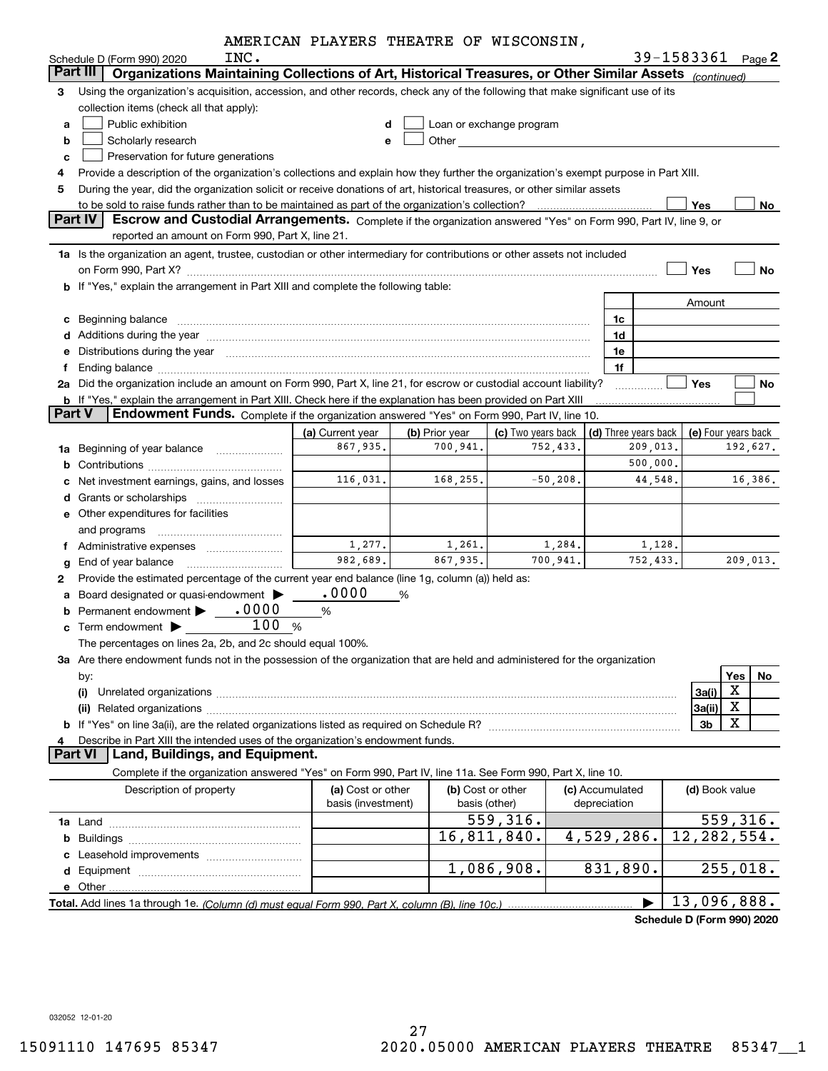|  |  | AMERICAN PLAYERS THEATRE OF WISCONSIN, |
|--|--|----------------------------------------|
|  |  |                                        |

|               | INC.<br>Schedule D (Form 990) 2020                                                                                                                                                                                             | AMERICAN FUAIERS INEAIRE OF WISCONSIN,  |                            |                                                                                                                                                                                                                               |             |                                  | 39-1583361     | Page 2                          |
|---------------|--------------------------------------------------------------------------------------------------------------------------------------------------------------------------------------------------------------------------------|-----------------------------------------|----------------------------|-------------------------------------------------------------------------------------------------------------------------------------------------------------------------------------------------------------------------------|-------------|----------------------------------|----------------|---------------------------------|
| Part III      | Organizations Maintaining Collections of Art, Historical Treasures, or Other Similar Assets (continued)                                                                                                                        |                                         |                            |                                                                                                                                                                                                                               |             |                                  |                |                                 |
| 3             | Using the organization's acquisition, accession, and other records, check any of the following that make significant use of its                                                                                                |                                         |                            |                                                                                                                                                                                                                               |             |                                  |                |                                 |
|               | collection items (check all that apply):                                                                                                                                                                                       |                                         |                            |                                                                                                                                                                                                                               |             |                                  |                |                                 |
| a             | Public exhibition                                                                                                                                                                                                              | d                                       |                            | Loan or exchange program                                                                                                                                                                                                      |             |                                  |                |                                 |
| b             | Scholarly research                                                                                                                                                                                                             | е                                       |                            | Other and the contract of the contract of the contract of the contract of the contract of the contract of the contract of the contract of the contract of the contract of the contract of the contract of the contract of the |             |                                  |                |                                 |
| c             | Preservation for future generations                                                                                                                                                                                            |                                         |                            |                                                                                                                                                                                                                               |             |                                  |                |                                 |
| 4             | Provide a description of the organization's collections and explain how they further the organization's exempt purpose in Part XIII.                                                                                           |                                         |                            |                                                                                                                                                                                                                               |             |                                  |                |                                 |
| 5             | During the year, did the organization solicit or receive donations of art, historical treasures, or other similar assets                                                                                                       |                                         |                            |                                                                                                                                                                                                                               |             |                                  |                |                                 |
|               |                                                                                                                                                                                                                                |                                         |                            |                                                                                                                                                                                                                               |             |                                  | Yes            | No                              |
|               | <b>Part IV</b><br>Escrow and Custodial Arrangements. Complete if the organization answered "Yes" on Form 990, Part IV, line 9, or                                                                                              |                                         |                            |                                                                                                                                                                                                                               |             |                                  |                |                                 |
|               | reported an amount on Form 990, Part X, line 21.                                                                                                                                                                               |                                         |                            |                                                                                                                                                                                                                               |             |                                  |                |                                 |
|               | 1a Is the organization an agent, trustee, custodian or other intermediary for contributions or other assets not included                                                                                                       |                                         |                            |                                                                                                                                                                                                                               |             |                                  |                |                                 |
|               |                                                                                                                                                                                                                                |                                         |                            |                                                                                                                                                                                                                               |             |                                  | Yes            | No                              |
|               | <b>b</b> If "Yes," explain the arrangement in Part XIII and complete the following table:                                                                                                                                      |                                         |                            |                                                                                                                                                                                                                               |             |                                  |                |                                 |
|               |                                                                                                                                                                                                                                |                                         |                            |                                                                                                                                                                                                                               |             |                                  | Amount         |                                 |
| c             | Beginning balance                                                                                                                                                                                                              |                                         |                            |                                                                                                                                                                                                                               |             | 1c                               |                |                                 |
|               |                                                                                                                                                                                                                                |                                         |                            |                                                                                                                                                                                                                               |             | 1d                               |                |                                 |
|               |                                                                                                                                                                                                                                |                                         |                            |                                                                                                                                                                                                                               |             | 1e                               |                |                                 |
| f             | Ending balance manufacture contract contract contract contract contract contract contract contract contract contract contract contract contract contract contract contract contract contract contract contract contract contra |                                         |                            |                                                                                                                                                                                                                               |             | 1f                               |                |                                 |
|               | 2a Did the organization include an amount on Form 990, Part X, line 21, for escrow or custodial account liability?                                                                                                             |                                         |                            |                                                                                                                                                                                                                               |             |                                  | Yes            | No                              |
| <b>Part V</b> | <b>b</b> If "Yes," explain the arrangement in Part XIII. Check here if the explanation has been provided on Part XIII                                                                                                          |                                         |                            |                                                                                                                                                                                                                               |             |                                  |                |                                 |
|               | Endowment Funds. Complete if the organization answered "Yes" on Form 990, Part IV, line 10.                                                                                                                                    |                                         |                            |                                                                                                                                                                                                                               |             |                                  |                |                                 |
|               |                                                                                                                                                                                                                                | (a) Current year<br>867,935.            | (b) Prior year<br>700,941. | (c) Two years back                                                                                                                                                                                                            | 752,433.    | (d) Three years back<br>209,013. |                | (e) Four years back<br>192,627. |
|               | 1a Beginning of year balance                                                                                                                                                                                                   |                                         |                            |                                                                                                                                                                                                                               |             | 500,000.                         |                |                                 |
| b             |                                                                                                                                                                                                                                | 116,031.                                | 168,255.                   |                                                                                                                                                                                                                               | $-50,208$ . | 44,548.                          |                | 16,386.                         |
|               | Net investment earnings, gains, and losses                                                                                                                                                                                     |                                         |                            |                                                                                                                                                                                                                               |             |                                  |                |                                 |
| d             | <b>e</b> Other expenditures for facilities                                                                                                                                                                                     |                                         |                            |                                                                                                                                                                                                                               |             |                                  |                |                                 |
|               |                                                                                                                                                                                                                                |                                         |                            |                                                                                                                                                                                                                               |             |                                  |                |                                 |
| f             | and programs                                                                                                                                                                                                                   | 1,277.                                  | 1,261.                     |                                                                                                                                                                                                                               | 1,284.      | 1,128.                           |                |                                 |
| g             | End of year balance                                                                                                                                                                                                            | 982,689.                                | 867,935.                   |                                                                                                                                                                                                                               | 700,941.    | 752,433.                         |                | 209,013.                        |
| 2             | Provide the estimated percentage of the current year end balance (line 1g, column (a)) held as:                                                                                                                                |                                         |                            |                                                                                                                                                                                                                               |             |                                  |                |                                 |
| a             | Board designated or quasi-endowment                                                                                                                                                                                            | .0000                                   | %                          |                                                                                                                                                                                                                               |             |                                  |                |                                 |
| b             | .0000<br>Permanent endowment                                                                                                                                                                                                   | %                                       |                            |                                                                                                                                                                                                                               |             |                                  |                |                                 |
|               | 100<br>Term endowment $\blacktriangleright$                                                                                                                                                                                    | %                                       |                            |                                                                                                                                                                                                                               |             |                                  |                |                                 |
|               | The percentages on lines 2a, 2b, and 2c should equal 100%.                                                                                                                                                                     |                                         |                            |                                                                                                                                                                                                                               |             |                                  |                |                                 |
|               | 3a Are there endowment funds not in the possession of the organization that are held and administered for the organization                                                                                                     |                                         |                            |                                                                                                                                                                                                                               |             |                                  |                |                                 |
|               | by:                                                                                                                                                                                                                            |                                         |                            |                                                                                                                                                                                                                               |             |                                  |                | Yes<br>No                       |
|               | (i)                                                                                                                                                                                                                            |                                         |                            |                                                                                                                                                                                                                               |             |                                  | 3a(i)          | X                               |
|               |                                                                                                                                                                                                                                |                                         |                            |                                                                                                                                                                                                                               |             |                                  | 3a(ii)         | X                               |
|               |                                                                                                                                                                                                                                |                                         |                            |                                                                                                                                                                                                                               |             |                                  | 3 <sub>b</sub> | X                               |
|               | Describe in Part XIII the intended uses of the organization's endowment funds.                                                                                                                                                 |                                         |                            |                                                                                                                                                                                                                               |             |                                  |                |                                 |
|               | <b>Part VI</b><br>Land, Buildings, and Equipment.                                                                                                                                                                              |                                         |                            |                                                                                                                                                                                                                               |             |                                  |                |                                 |
|               | Complete if the organization answered "Yes" on Form 990, Part IV, line 11a. See Form 990, Part X, line 10.                                                                                                                     |                                         |                            |                                                                                                                                                                                                                               |             |                                  |                |                                 |
|               | Description of property                                                                                                                                                                                                        | (a) Cost or other<br>basis (investment) |                            | (b) Cost or other<br>basis (other)                                                                                                                                                                                            |             | (c) Accumulated<br>depreciation  | (d) Book value |                                 |
|               |                                                                                                                                                                                                                                |                                         |                            | $\overline{559,316}$ .                                                                                                                                                                                                        |             |                                  |                | 559, 316.                       |
|               |                                                                                                                                                                                                                                |                                         |                            | 16,811,840.                                                                                                                                                                                                                   |             | 4,529,286.                       | 12, 282, 554.  |                                 |
|               | Leasehold improvements                                                                                                                                                                                                         |                                         |                            |                                                                                                                                                                                                                               |             |                                  |                |                                 |
|               |                                                                                                                                                                                                                                |                                         |                            | 1,086,908.                                                                                                                                                                                                                    |             | 831,890.                         |                | 255,018.                        |
| е             |                                                                                                                                                                                                                                |                                         |                            |                                                                                                                                                                                                                               |             |                                  |                |                                 |
|               |                                                                                                                                                                                                                                |                                         |                            |                                                                                                                                                                                                                               |             |                                  | 13,096,888.    |                                 |

**Schedule D (Form 990) 2020**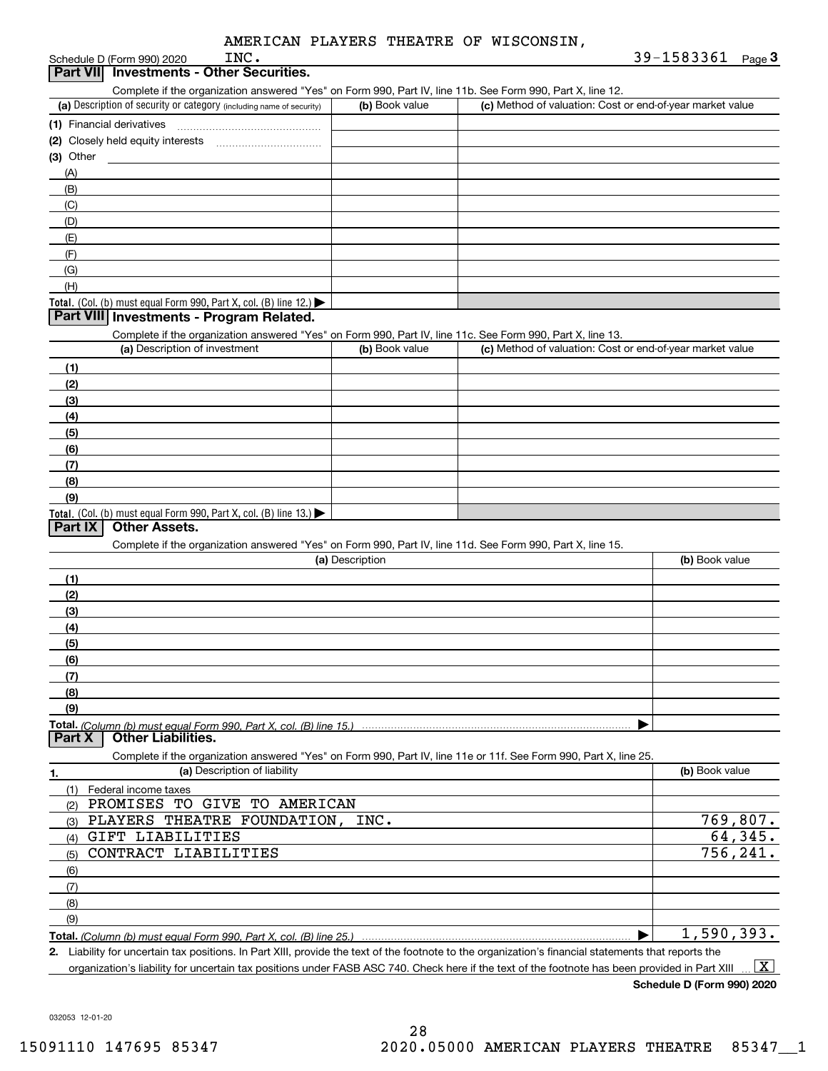| INC.<br>Schedule D (Form 990) 2020                                                                                |                 |                                                           | 39-1583361<br>$Page$ <sup>3</sup> |
|-------------------------------------------------------------------------------------------------------------------|-----------------|-----------------------------------------------------------|-----------------------------------|
| <b>Investments - Other Securities.</b><br><b>Part VIII</b>                                                        |                 |                                                           |                                   |
| Complete if the organization answered "Yes" on Form 990, Part IV, line 11b. See Form 990, Part X, line 12.        |                 |                                                           |                                   |
| (a) Description of security or category (including name of security)                                              | (b) Book value  | (c) Method of valuation: Cost or end-of-year market value |                                   |
|                                                                                                                   |                 |                                                           |                                   |
|                                                                                                                   |                 |                                                           |                                   |
| $(3)$ Other                                                                                                       |                 |                                                           |                                   |
| (A)                                                                                                               |                 |                                                           |                                   |
| (B)                                                                                                               |                 |                                                           |                                   |
| (C)                                                                                                               |                 |                                                           |                                   |
| (D)                                                                                                               |                 |                                                           |                                   |
| (E)                                                                                                               |                 |                                                           |                                   |
| (F)                                                                                                               |                 |                                                           |                                   |
| (G)                                                                                                               |                 |                                                           |                                   |
| (H)                                                                                                               |                 |                                                           |                                   |
| Total. (Col. (b) must equal Form 990, Part X, col. (B) line 12.)                                                  |                 |                                                           |                                   |
| Part VIII Investments - Program Related.                                                                          |                 |                                                           |                                   |
| Complete if the organization answered "Yes" on Form 990, Part IV, line 11c. See Form 990, Part X, line 13.        |                 |                                                           |                                   |
| (a) Description of investment                                                                                     | (b) Book value  | (c) Method of valuation: Cost or end-of-year market value |                                   |
| (1)                                                                                                               |                 |                                                           |                                   |
| (2)                                                                                                               |                 |                                                           |                                   |
| (3)                                                                                                               |                 |                                                           |                                   |
| (4)                                                                                                               |                 |                                                           |                                   |
| (5)                                                                                                               |                 |                                                           |                                   |
| (6)                                                                                                               |                 |                                                           |                                   |
| (7)                                                                                                               |                 |                                                           |                                   |
| (8)                                                                                                               |                 |                                                           |                                   |
| (9)                                                                                                               |                 |                                                           |                                   |
| Total. (Col. (b) must equal Form 990, Part X, col. (B) line 13.)                                                  |                 |                                                           |                                   |
| <b>Other Assets.</b><br>Part IX                                                                                   |                 |                                                           |                                   |
| Complete if the organization answered "Yes" on Form 990, Part IV, line 11d. See Form 990, Part X, line 15.        |                 |                                                           |                                   |
|                                                                                                                   | (a) Description |                                                           | (b) Book value                    |
| (1)                                                                                                               |                 |                                                           |                                   |
| (2)                                                                                                               |                 |                                                           |                                   |
| (3)                                                                                                               |                 |                                                           |                                   |
| (4)                                                                                                               |                 |                                                           |                                   |
| (5)                                                                                                               |                 |                                                           |                                   |
| (6)                                                                                                               |                 |                                                           |                                   |
| (7)                                                                                                               |                 |                                                           |                                   |
| (8)                                                                                                               |                 |                                                           |                                   |
| (9)                                                                                                               |                 |                                                           |                                   |
| <b>Other Liabilities.</b><br>Part X                                                                               |                 |                                                           |                                   |
| Complete if the organization answered "Yes" on Form 990, Part IV, line 11e or 11f. See Form 990, Part X, line 25. |                 |                                                           |                                   |
| (a) Description of liability<br>1.                                                                                |                 |                                                           | (b) Book value                    |
| (1) Federal income taxes                                                                                          |                 |                                                           |                                   |
| PROMISES TO GIVE TO AMERICAN<br>(2)                                                                               |                 |                                                           |                                   |
| PLAYERS THEATRE FOUNDATION,<br>(3)                                                                                | INC.            |                                                           | 769,807.                          |
| (4) GIFT LIABILITIES                                                                                              |                 |                                                           | 64,345.                           |
| CONTRACT LIABILITIES<br>(5)                                                                                       |                 |                                                           | 756, 241.                         |
| (6)                                                                                                               |                 |                                                           |                                   |
| (7)                                                                                                               |                 |                                                           |                                   |
| (8)                                                                                                               |                 |                                                           |                                   |

**Total.**  *(Column (b) must equal Form 990, Part X, col. (B) line 25.)*  $\blacktriangleright$ 1,590,393.

**2.** Liability for uncertain tax positions. In Part XIII, provide the text of the footnote to the organization's financial statements that reports the organization's liability for uncertain tax positions under FASB ASC 740. Check here if the text of the footnote has been provided in Part XIII  $\boxed{\text{X}}$ 

**Schedule D (Form 990) 2020**

032053 12-01-20

(9)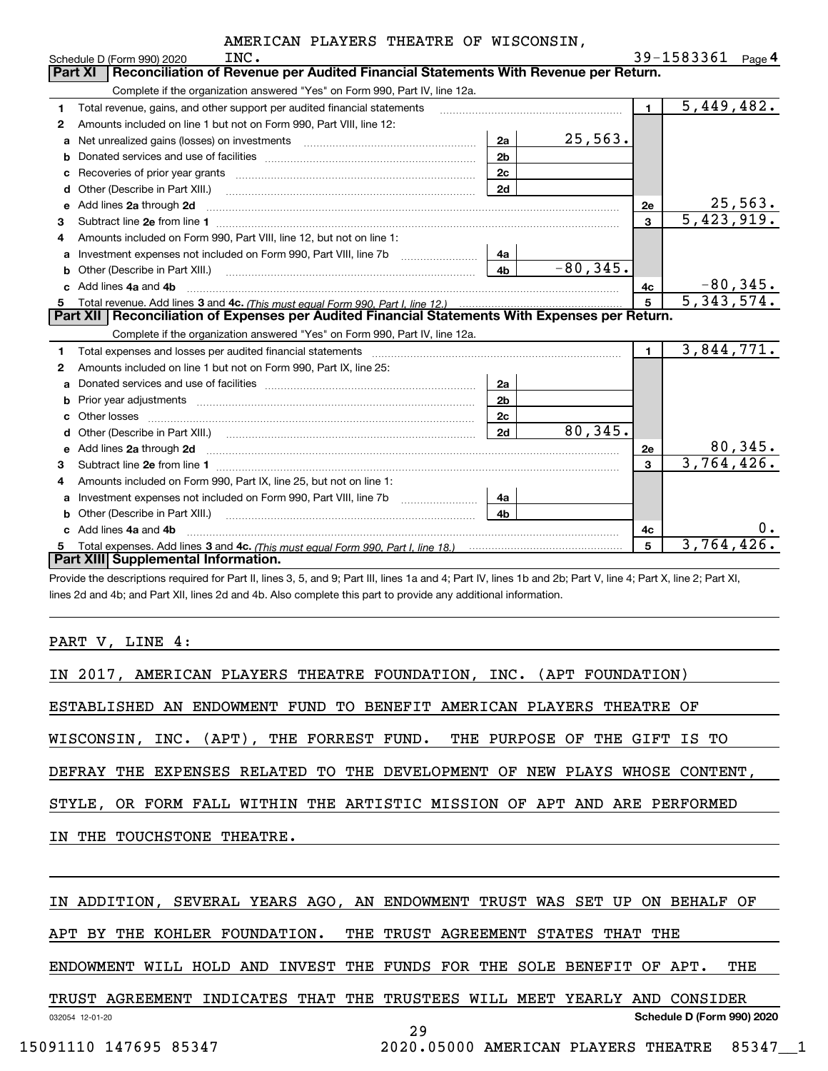|   | INC.<br>Schedule D (Form 990) 2020                                                                                                                                                                                                              |                | 39-1583361<br>Page $4$ |
|---|-------------------------------------------------------------------------------------------------------------------------------------------------------------------------------------------------------------------------------------------------|----------------|------------------------|
|   | Reconciliation of Revenue per Audited Financial Statements With Revenue per Return.<br><b>Part XI</b>                                                                                                                                           |                |                        |
|   | Complete if the organization answered "Yes" on Form 990, Part IV, line 12a.                                                                                                                                                                     |                |                        |
| 1 | Total revenue, gains, and other support per audited financial statements                                                                                                                                                                        | $\blacksquare$ | 5,449,482.             |
| 2 | Amounts included on line 1 but not on Form 990, Part VIII, line 12:                                                                                                                                                                             |                |                        |
| a | 25,563.<br>2a                                                                                                                                                                                                                                   |                |                        |
|   | 2 <sub>b</sub>                                                                                                                                                                                                                                  |                |                        |
| с | 2c                                                                                                                                                                                                                                              |                |                        |
| d | 2d                                                                                                                                                                                                                                              |                |                        |
| е | Add lines 2a through 2d                                                                                                                                                                                                                         | 2e             | 25,563.                |
| 3 |                                                                                                                                                                                                                                                 | 3              | 5,423,919.             |
| 4 | Amounts included on Form 990, Part VIII, line 12, but not on line 1:                                                                                                                                                                            |                |                        |
| а | 4a                                                                                                                                                                                                                                              |                |                        |
| b | $-80, 345.$<br>4 <sub>b</sub>                                                                                                                                                                                                                   |                |                        |
| c | Add lines 4a and 4b                                                                                                                                                                                                                             | 4с             | $-80,345.$             |
| 5 |                                                                                                                                                                                                                                                 | 5              | 5,343,574.             |
|   | Part XII   Reconciliation of Expenses per Audited Financial Statements With Expenses per Return.                                                                                                                                                |                |                        |
|   | Complete if the organization answered "Yes" on Form 990, Part IV, line 12a.                                                                                                                                                                     |                |                        |
| 1 | Total expenses and losses per audited financial statements [11, 11] matter controlled and statements [11] matter controlled and the statements [11] matter controlled and the statements and the statements and statements and                  | $\mathbf{1}$   | 3,844,771.             |
| 2 | Amounts included on line 1 but not on Form 990, Part IX, line 25:                                                                                                                                                                               |                |                        |
| a | 2a                                                                                                                                                                                                                                              |                |                        |
| b | 2 <sub>b</sub><br>Prior year adjustments expressional contracts and prior year adjustments experience and the prior of the state of the state of the state of the state of the state of the state of the state of the state of the state of the |                |                        |
| c | 2c                                                                                                                                                                                                                                              |                |                        |
|   | 80, 345.<br>2d                                                                                                                                                                                                                                  |                |                        |
| е | Add lines 2a through 2d <b>must be a constructed as the constant of the constant of the constant of the construction</b>                                                                                                                        | 2e             | 80,345.                |
| 3 |                                                                                                                                                                                                                                                 | 3              | 3,764,426.             |
| 4 | Amounts included on Form 990, Part IX, line 25, but not on line 1:                                                                                                                                                                              |                |                        |
| a | 4a                                                                                                                                                                                                                                              |                |                        |
| b | 4 <sub>b</sub><br>Other (Describe in Part XIII.)                                                                                                                                                                                                |                |                        |
|   | Add lines 4a and 4b                                                                                                                                                                                                                             | 4с             | 0.                     |
| 5 |                                                                                                                                                                                                                                                 | 5              | 3,764,426.             |
|   | Part XIII Supplemental Information.                                                                                                                                                                                                             |                |                        |

Provide the descriptions required for Part II, lines 3, 5, and 9; Part III, lines 1a and 4; Part IV, lines 1b and 2b; Part V, line 4; Part X, line 2; Part XI, lines 2d and 4b; and Part XII, lines 2d and 4b. Also complete this part to provide any additional information.

PART V, LINE 4:

| IN 2017, AMERICAN PLAYERS THEATRE FOUNDATION, INC. (APT FOUNDATION)          |
|------------------------------------------------------------------------------|
| ESTABLISHED AN ENDOWMENT FUND TO BENEFIT AMERICAN PLAYERS THEATRE OF         |
| WISCONSIN, INC. (APT), THE FORREST FUND. THE PURPOSE OF THE GIFT IS TO       |
| DEFRAY THE EXPENSES RELATED TO THE DEVELOPMENT OF NEW PLAYS WHOSE CONTENT,   |
| STYLE, OR FORM FALL WITHIN THE ARTISTIC MISSION OF APT AND ARE PERFORMED     |
| IN THE TOUCHSTONE THEATRE.                                                   |
|                                                                              |
| IN ADDITION, SEVERAL YEARS AGO, AN ENDOWMENT TRUST WAS SET UP ON BEHALF OF   |
| APT BY THE KOHLER FOUNDATION. THE TRUST AGREEMENT STATES THAT THE            |
| ENDOWMENT WILL HOLD AND INVEST THE FUNDS FOR THE SOLE BENEFIT OF APT.<br>THE |

032054 12-01-20 **Schedule D (Form 990) 2020** TRUST AGREEMENT INDICATES THAT THE TRUSTEES WILL MEET YEARLY AND CONSIDER

29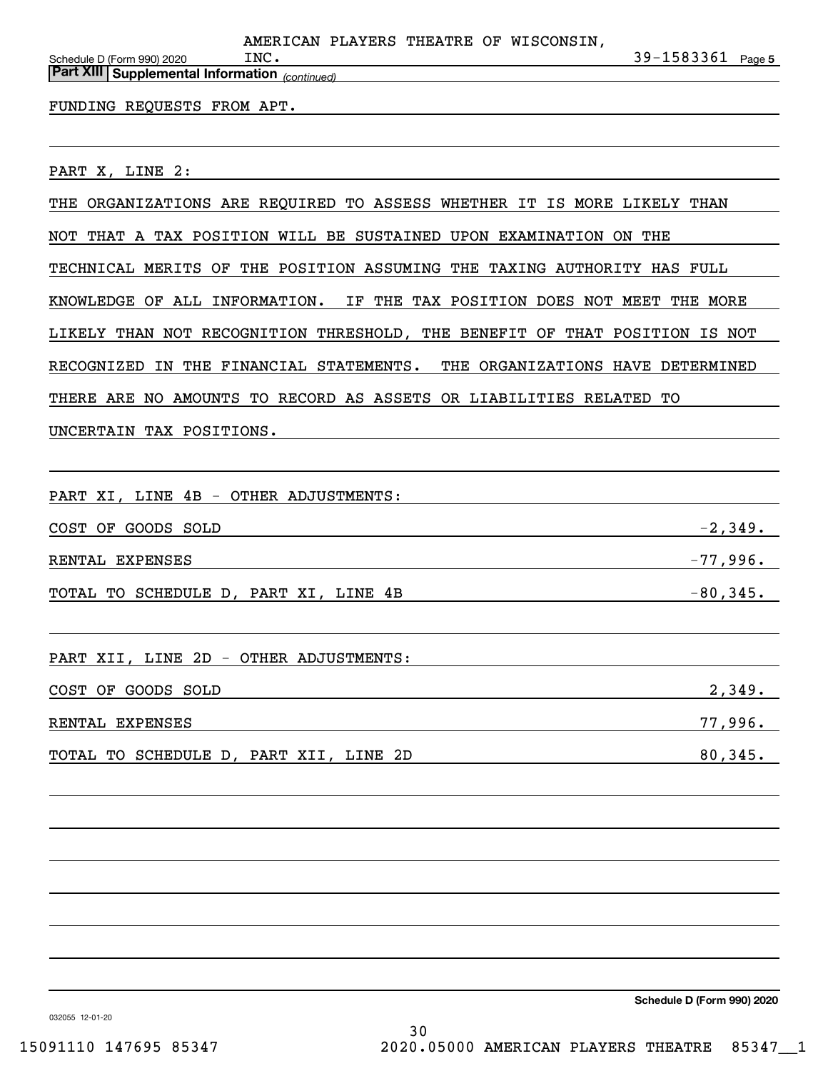|      |  | AMERICAN PLAYERS THEATRE OF WISCONSIN, |                       |  |
|------|--|----------------------------------------|-----------------------|--|
| INC. |  |                                        | $39 - 1583361$ Page 5 |  |

*(continued)* **Part XIII Supplemental Information** 

#### FUNDING REQUESTS FROM APT.

PART X, LINE 2:

Schedule D (Form 990) 2020

THE ORGANIZATIONS ARE REQUIRED TO ASSESS WHETHER IT IS MORE LIKELY THAN

NOT THAT A TAX POSITION WILL BE SUSTAINED UPON EXAMINATION ON THE

TECHNICAL MERITS OF THE POSITION ASSUMING THE TAXING AUTHORITY HAS FULL

KNOWLEDGE OF ALL INFORMATION. IF THE TAX POSITION DOES NOT MEET THE MORE

LIKELY THAN NOT RECOGNITION THRESHOLD, THE BENEFIT OF THAT POSITION IS NOT

RECOGNIZED IN THE FINANCIAL STATEMENTS. THE ORGANIZATIONS HAVE DETERMINED

THERE ARE NO AMOUNTS TO RECORD AS ASSETS OR LIABILITIES RELATED TO

UNCERTAIN TAX POSITIONS.

PART XI, LINE 4B - OTHER ADJUSTMENTS:

| COST OF GOODS SOLD                    | $-2,349$ .  |
|---------------------------------------|-------------|
| RENTAL EXPENSES                       | $-77,996.$  |
| TOTAL TO SCHEDULE D, PART XI, LINE 4B | $-80, 345.$ |

PART XII, LINE 2D - OTHER ADJUSTMENTS:

| COST OF GOODS SOLD                     | 2,349.  |
|----------------------------------------|---------|
| RENTAL EXPENSES                        | 77,996. |
| TOTAL TO SCHEDULE D, PART XII, LINE 2D | 80,345. |

**Schedule D (Form 990) 2020**

032055 12-01-20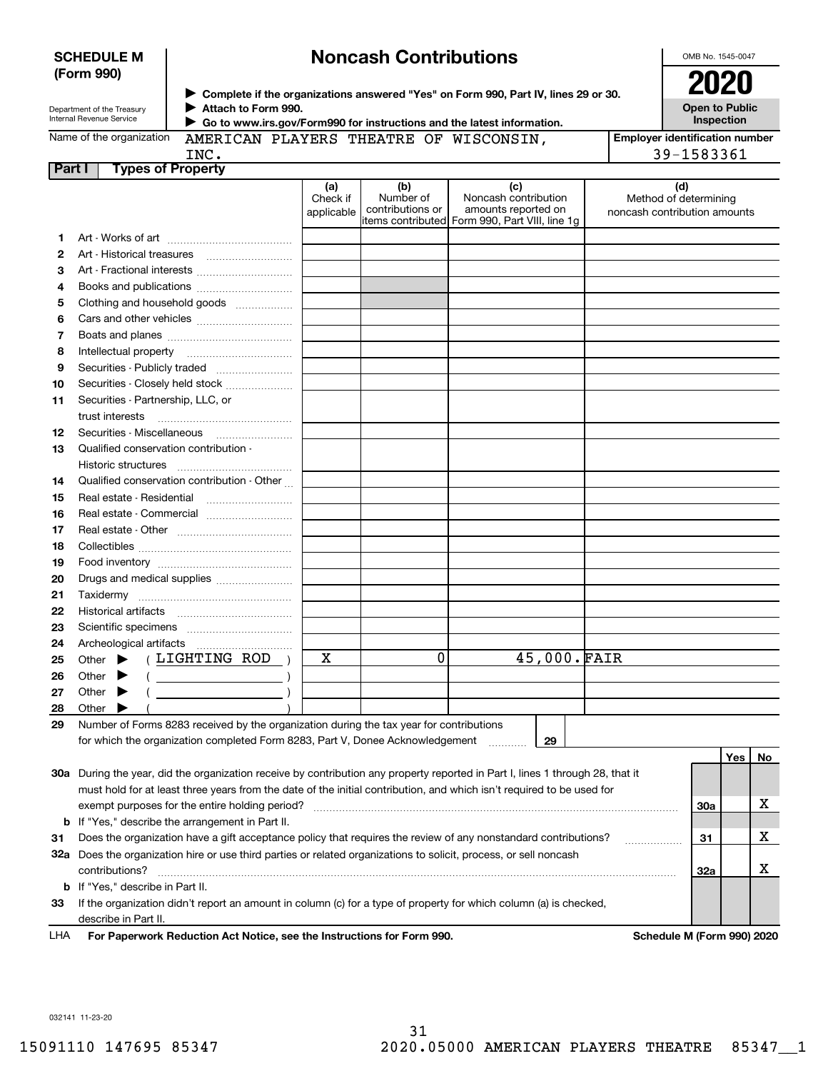| <b>SCHEDULE M</b> |  |
|-------------------|--|
| (Form 990)        |  |

# **Noncash Contributions**

OMB No. 1545-0047

| Department of the Treasury |
|----------------------------|
| Internal Revenue Service   |

**Complete if the organizations answered "Yes" on Form 990, Part IV, lines 29 or 30.** <sup>J</sup>**2020 Attach to Form 990.** J

**Open to Public Inspection**

| Name of the organization |  |  |  |
|--------------------------|--|--|--|
|                          |  |  |  |

 **Go to www.irs.gov/Form990 for instructions and the latest information.** J TRE OF WISCONSIN,

| AMERICAN PLAYERS THEA |  |
|-----------------------|--|
| INC.                  |  |

**Employer identification number** 39-1583361

|        | -----                    |                               |                                |                                             | - -               |
|--------|--------------------------|-------------------------------|--------------------------------|---------------------------------------------|-------------------|
| Part I | <b>Types of Property</b> |                               |                                |                                             |                   |
|        |                          | (a                            | (b)                            |                                             | (d)               |
|        |                          | Check if<br>$\cdots$ $\cdots$ | Number of<br>الممتموم المتحافظ | Noncash contribution<br>amaunta vanastad an | Method of de<br>. |

|    |                                                                                                                                | Check if<br>applicable | Number of<br>contributions or | Noncash contribution<br>amounts reported on<br>items contributed  Form 990, Part VIII, line 1g | Method of determining<br>noncash contribution amounts |     |     |    |
|----|--------------------------------------------------------------------------------------------------------------------------------|------------------------|-------------------------------|------------------------------------------------------------------------------------------------|-------------------------------------------------------|-----|-----|----|
| 1. |                                                                                                                                |                        |                               |                                                                                                |                                                       |     |     |    |
| 2  |                                                                                                                                |                        |                               |                                                                                                |                                                       |     |     |    |
| 3  | Art - Fractional interests                                                                                                     |                        |                               |                                                                                                |                                                       |     |     |    |
| 4  |                                                                                                                                |                        |                               |                                                                                                |                                                       |     |     |    |
| 5  | Clothing and household goods                                                                                                   |                        |                               |                                                                                                |                                                       |     |     |    |
| 6  |                                                                                                                                |                        |                               |                                                                                                |                                                       |     |     |    |
| 7  |                                                                                                                                |                        |                               |                                                                                                |                                                       |     |     |    |
| 8  | Intellectual property                                                                                                          |                        |                               |                                                                                                |                                                       |     |     |    |
| 9  |                                                                                                                                |                        |                               |                                                                                                |                                                       |     |     |    |
| 10 | Securities - Closely held stock                                                                                                |                        |                               |                                                                                                |                                                       |     |     |    |
| 11 | Securities - Partnership, LLC, or                                                                                              |                        |                               |                                                                                                |                                                       |     |     |    |
|    |                                                                                                                                |                        |                               |                                                                                                |                                                       |     |     |    |
| 12 | Securities - Miscellaneous                                                                                                     |                        |                               |                                                                                                |                                                       |     |     |    |
| 13 | Qualified conservation contribution -                                                                                          |                        |                               |                                                                                                |                                                       |     |     |    |
|    |                                                                                                                                |                        |                               |                                                                                                |                                                       |     |     |    |
| 14 | Qualified conservation contribution - Other                                                                                    |                        |                               |                                                                                                |                                                       |     |     |    |
| 15 | Real estate - Residential                                                                                                      |                        |                               |                                                                                                |                                                       |     |     |    |
| 16 | Real estate - Commercial                                                                                                       |                        |                               |                                                                                                |                                                       |     |     |    |
| 17 |                                                                                                                                |                        |                               |                                                                                                |                                                       |     |     |    |
| 18 |                                                                                                                                |                        |                               |                                                                                                |                                                       |     |     |    |
| 19 |                                                                                                                                |                        |                               |                                                                                                |                                                       |     |     |    |
| 20 | Drugs and medical supplies                                                                                                     |                        |                               |                                                                                                |                                                       |     |     |    |
| 21 | Taxidermy                                                                                                                      |                        |                               |                                                                                                |                                                       |     |     |    |
| 22 |                                                                                                                                |                        |                               |                                                                                                |                                                       |     |     |    |
| 23 |                                                                                                                                |                        |                               |                                                                                                |                                                       |     |     |    |
| 24 |                                                                                                                                |                        |                               |                                                                                                |                                                       |     |     |    |
| 25 | (LIGHTING ROD)<br>Other $\blacktriangleright$                                                                                  | x                      | 0                             | 45,000.FAIR                                                                                    |                                                       |     |     |    |
| 26 | $\left(\begin{array}{ccc}\n\end{array}\right)$<br>Other $\blacktriangleright$                                                  |                        |                               |                                                                                                |                                                       |     |     |    |
| 27 | Other $\blacktriangleright$                                                                                                    |                        |                               |                                                                                                |                                                       |     |     |    |
| 28 | Other $\blacktriangleright$                                                                                                    |                        |                               |                                                                                                |                                                       |     |     |    |
| 29 | Number of Forms 8283 received by the organization during the tax year for contributions                                        |                        |                               |                                                                                                |                                                       |     |     |    |
|    | for which the organization completed Form 8283, Part V, Donee Acknowledgement                                                  |                        |                               | 29                                                                                             |                                                       |     |     |    |
|    |                                                                                                                                |                        |                               |                                                                                                |                                                       |     | Yes | No |
|    | 30a During the year, did the organization receive by contribution any property reported in Part I, lines 1 through 28, that it |                        |                               |                                                                                                |                                                       |     |     |    |
|    | must hold for at least three years from the date of the initial contribution, and which isn't required to be used for          |                        |                               |                                                                                                |                                                       |     |     |    |
|    | exempt purposes for the entire holding period?                                                                                 |                        |                               |                                                                                                |                                                       | 30a |     | х  |
|    | <b>b</b> If "Yes," describe the arrangement in Part II.                                                                        |                        |                               |                                                                                                |                                                       |     |     |    |
| 31 | Does the organization have a gift acceptance policy that requires the review of any nonstandard contributions?                 |                        |                               |                                                                                                | .                                                     | 31  |     | x  |
|    | 32a Does the organization hire or use third parties or related organizations to solicit, process, or sell noncash              |                        |                               |                                                                                                |                                                       |     |     |    |

| <b>b</b> If "Yes." describe in Part II.                                                                              |
|----------------------------------------------------------------------------------------------------------------------|
| 33 If the organization didn't report an amount in column (c) for a type of property for which column (a) is checked, |
| describe in Part II.                                                                                                 |

**For Paperwork Reduction Act Notice, see the Instructions for Form 990. Schedule M (Form 990) 2020** LHA

contributions?

**32a**

X

032141 11-23-20

~~~~~~~~~~~~~~~~~~~~~~~~~~~~~~~~~~~~~~~~~~~~~~~~~~~~~~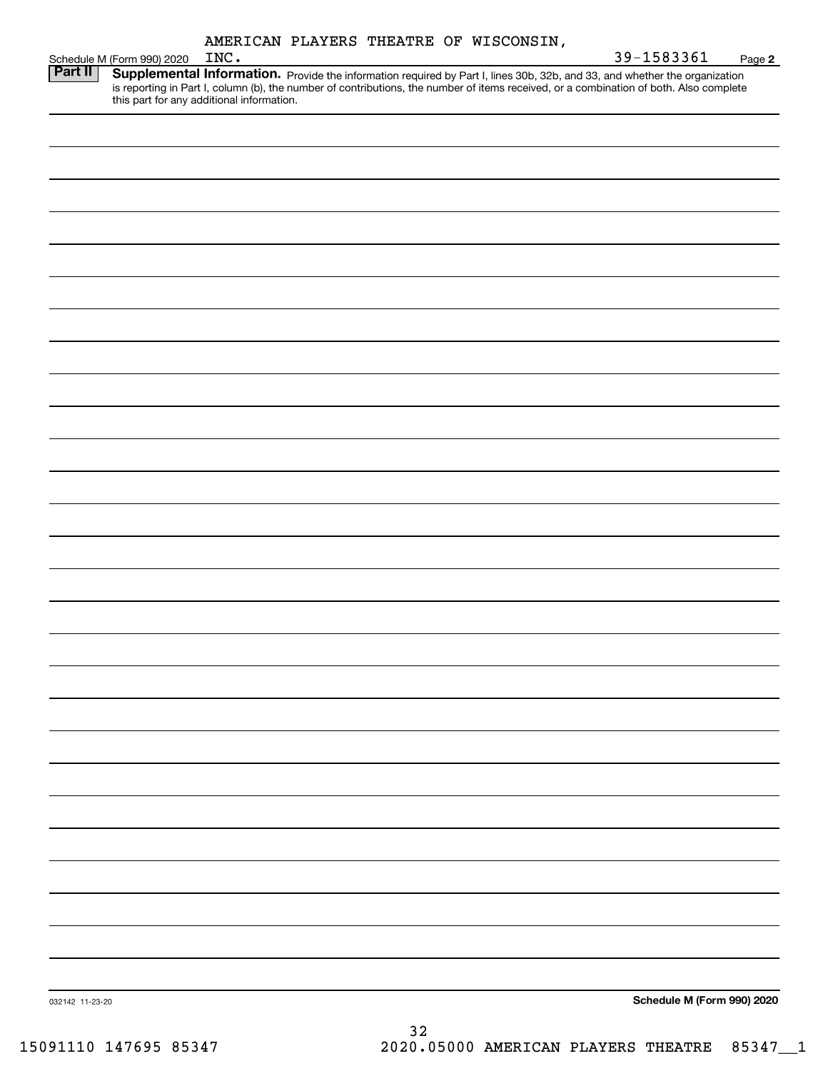|  |  | AMERICAN PLAYERS THEATRE OF WISCONSIN, |
|--|--|----------------------------------------|

|                 | Schedule M (Form 990) 2020 | INC. |                                                                                                                                                                                                                                     | 39-1583361                 | Page 2 |
|-----------------|----------------------------|------|-------------------------------------------------------------------------------------------------------------------------------------------------------------------------------------------------------------------------------------|----------------------------|--------|
| Part II         |                            |      | <b>Supplemental Information.</b> Provide the information required by Part I, lines 30b, 32b, and 33, and whether the organization is reporting in Part I, column (b), the number of contributions, the number of items received, or |                            |        |
|                 |                            |      |                                                                                                                                                                                                                                     |                            |        |
|                 |                            |      |                                                                                                                                                                                                                                     |                            |        |
|                 |                            |      |                                                                                                                                                                                                                                     |                            |        |
|                 |                            |      |                                                                                                                                                                                                                                     |                            |        |
|                 |                            |      |                                                                                                                                                                                                                                     |                            |        |
|                 |                            |      |                                                                                                                                                                                                                                     |                            |        |
|                 |                            |      |                                                                                                                                                                                                                                     |                            |        |
|                 |                            |      |                                                                                                                                                                                                                                     |                            |        |
|                 |                            |      |                                                                                                                                                                                                                                     |                            |        |
|                 |                            |      |                                                                                                                                                                                                                                     |                            |        |
|                 |                            |      |                                                                                                                                                                                                                                     |                            |        |
|                 |                            |      |                                                                                                                                                                                                                                     |                            |        |
|                 |                            |      |                                                                                                                                                                                                                                     |                            |        |
|                 |                            |      |                                                                                                                                                                                                                                     |                            |        |
|                 |                            |      |                                                                                                                                                                                                                                     |                            |        |
|                 |                            |      |                                                                                                                                                                                                                                     |                            |        |
|                 |                            |      |                                                                                                                                                                                                                                     |                            |        |
|                 |                            |      |                                                                                                                                                                                                                                     |                            |        |
|                 |                            |      |                                                                                                                                                                                                                                     |                            |        |
|                 |                            |      |                                                                                                                                                                                                                                     |                            |        |
|                 |                            |      |                                                                                                                                                                                                                                     |                            |        |
|                 |                            |      |                                                                                                                                                                                                                                     |                            |        |
|                 |                            |      |                                                                                                                                                                                                                                     |                            |        |
|                 |                            |      |                                                                                                                                                                                                                                     |                            |        |
| 032142 11-23-20 |                            |      |                                                                                                                                                                                                                                     | Schedule M (Form 990) 2020 |        |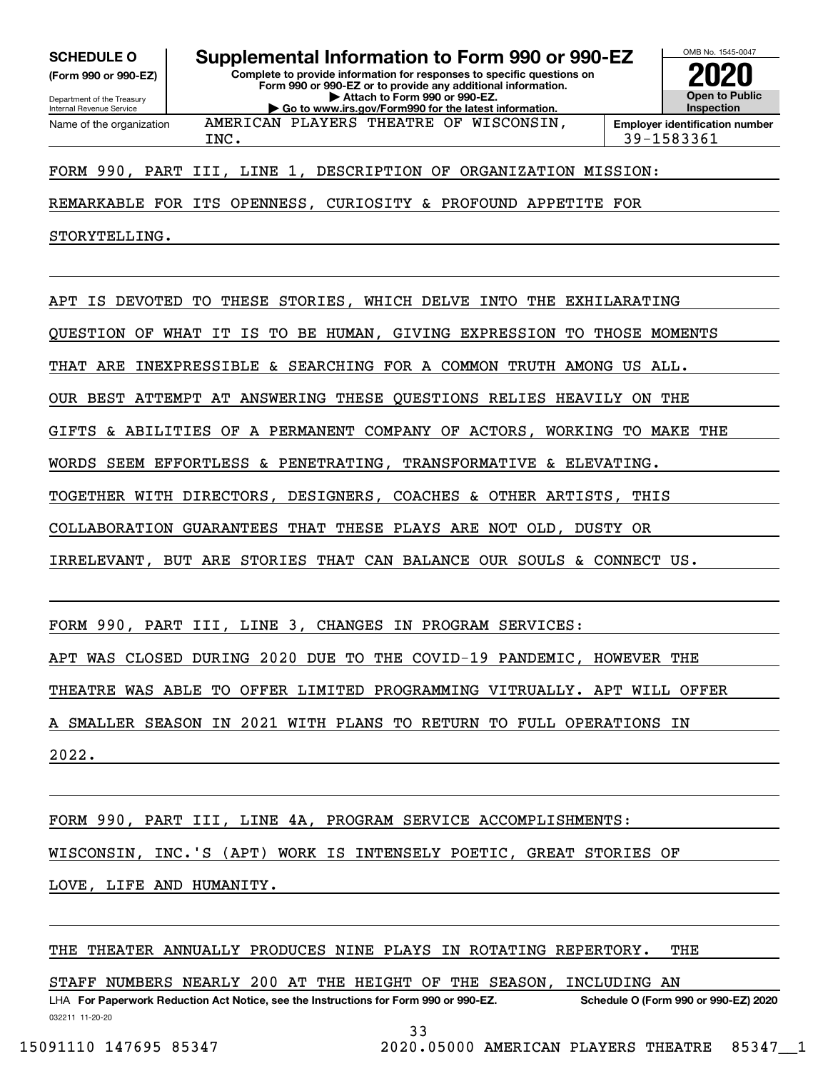**(Form 990 or 990-EZ)**

Department of the Treasury Internal Revenue Service Name of the organization

**SCHEDULE O Supplemental Information to Form 990 or 990-EZ**

**Complete to provide information for responses to specific questions on Form 990 or 990-EZ or to provide any additional information. | Attach to Form 990 or 990-EZ. | Go to www.irs.gov/Form990 for the latest information.**

AMERICAN PLAYERS THEATRE OF WISCONSIN,



INC. 39-1583361

FORM 990, PART III, LINE 1, DESCRIPTION OF ORGANIZATION MISSION:

REMARKABLE FOR ITS OPENNESS, CURIOSITY & PROFOUND APPETITE FOR

STORYTELLING.

APT IS DEVOTED TO THESE STORIES, WHICH DELVE INTO THE EXHILARATING

QUESTION OF WHAT IT IS TO BE HUMAN, GIVING EXPRESSION TO THOSE MOMENTS

THAT ARE INEXPRESSIBLE & SEARCHING FOR A COMMON TRUTH AMONG US ALL.

OUR BEST ATTEMPT AT ANSWERING THESE QUESTIONS RELIES HEAVILY ON THE

GIFTS & ABILITIES OF A PERMANENT COMPANY OF ACTORS, WORKING TO MAKE THE

WORDS SEEM EFFORTLESS & PENETRATING, TRANSFORMATIVE & ELEVATING.

TOGETHER WITH DIRECTORS, DESIGNERS, COACHES & OTHER ARTISTS, THIS

COLLABORATION GUARANTEES THAT THESE PLAYS ARE NOT OLD, DUSTY OR

IRRELEVANT, BUT ARE STORIES THAT CAN BALANCE OUR SOULS & CONNECT US.

FORM 990, PART III, LINE 3, CHANGES IN PROGRAM SERVICES:

APT WAS CLOSED DURING 2020 DUE TO THE COVID-19 PANDEMIC, HOWEVER THE

THEATRE WAS ABLE TO OFFER LIMITED PROGRAMMING VITRUALLY. APT WILL OFFER

A SMALLER SEASON IN 2021 WITH PLANS TO RETURN TO FULL OPERATIONS IN

2022.

FORM 990, PART III, LINE 4A, PROGRAM SERVICE ACCOMPLISHMENTS:

WISCONSIN, INC.'S (APT) WORK IS INTENSELY POETIC, GREAT STORIES OF

LOVE, LIFE AND HUMANITY.

THE THEATER ANNUALLY PRODUCES NINE PLAYS IN ROTATING REPERTORY. THE

STAFF NUMBERS NEARLY 200 AT THE HEIGHT OF THE SEASON, INCLUDING AN

032211 11-20-20 LHA For Paperwork Reduction Act Notice, see the Instructions for Form 990 or 990-EZ. Schedule O (Form 990 or 990-EZ) 2020

33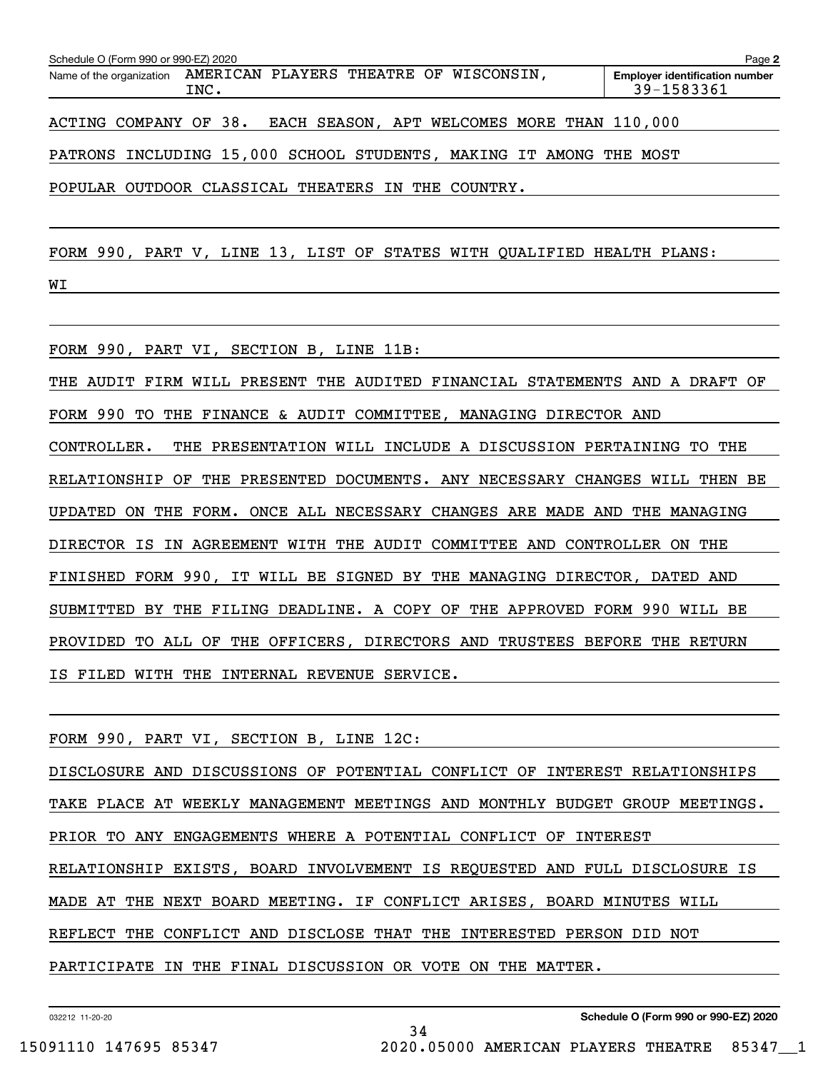| Schedule O (Form 990 or 990-EZ) 2020                            |      |                        |  |                                 | Page 2                                              |
|-----------------------------------------------------------------|------|------------------------|--|---------------------------------|-----------------------------------------------------|
| Name of the organization AMERICAN PLAYERS THEATRE OF WISCONSIN. | TNC. |                        |  |                                 | <b>Employer identification number</b><br>39-1583361 |
| 20 EL VIII COMPANY OF 20                                        |      | <b>ELORE CELL CONT</b> |  | ADD ALL TANDO MODE DUAN 110 000 |                                                     |

ACTING COMPANY OF 38. EACH SEASON, APT WELCOMES MORE THAN 110,000

PATRONS INCLUDING 15,000 SCHOOL STUDENTS, MAKING IT AMONG THE MOST

POPULAR OUTDOOR CLASSICAL THEATERS IN THE COUNTRY.

FORM 990, PART V, LINE 13, LIST OF STATES WITH QUALIFIED HEALTH PLANS:

WI

FORM 990, PART VI, SECTION B, LINE 11B:

THE AUDIT FIRM WILL PRESENT THE AUDITED FINANCIAL STATEMENTS AND A DRAFT OF FORM 990 TO THE FINANCE & AUDIT COMMITTEE, MANAGING DIRECTOR AND CONTROLLER. THE PRESENTATION WILL INCLUDE A DISCUSSION PERTAINING TO THE RELATIONSHIP OF THE PRESENTED DOCUMENTS. ANY NECESSARY CHANGES WILL THEN BE UPDATED ON THE FORM. ONCE ALL NECESSARY CHANGES ARE MADE AND THE MANAGING DIRECTOR IS IN AGREEMENT WITH THE AUDIT COMMITTEE AND CONTROLLER ON THE FINISHED FORM 990, IT WILL BE SIGNED BY THE MANAGING DIRECTOR, DATED AND SUBMITTED BY THE FILING DEADLINE. A COPY OF THE APPROVED FORM 990 WILL BE PROVIDED TO ALL OF THE OFFICERS, DIRECTORS AND TRUSTEES BEFORE THE RETURN

IS FILED WITH THE INTERNAL REVENUE SERVICE.

FORM 990, PART VI, SECTION B, LINE 12C:

DISCLOSURE AND DISCUSSIONS OF POTENTIAL CONFLICT OF INTEREST RELATIONSHIPS TAKE PLACE AT WEEKLY MANAGEMENT MEETINGS AND MONTHLY BUDGET GROUP MEETINGS. PRIOR TO ANY ENGAGEMENTS WHERE A POTENTIAL CONFLICT OF INTEREST RELATIONSHIP EXISTS, BOARD INVOLVEMENT IS REQUESTED AND FULL DISCLOSURE IS MADE AT THE NEXT BOARD MEETING. IF CONFLICT ARISES, BOARD MINUTES WILL REFLECT THE CONFLICT AND DISCLOSE THAT THE INTERESTED PERSON DID NOT PARTICIPATE IN THE FINAL DISCUSSION OR VOTE ON THE MATTER.

34

032212 11-20-20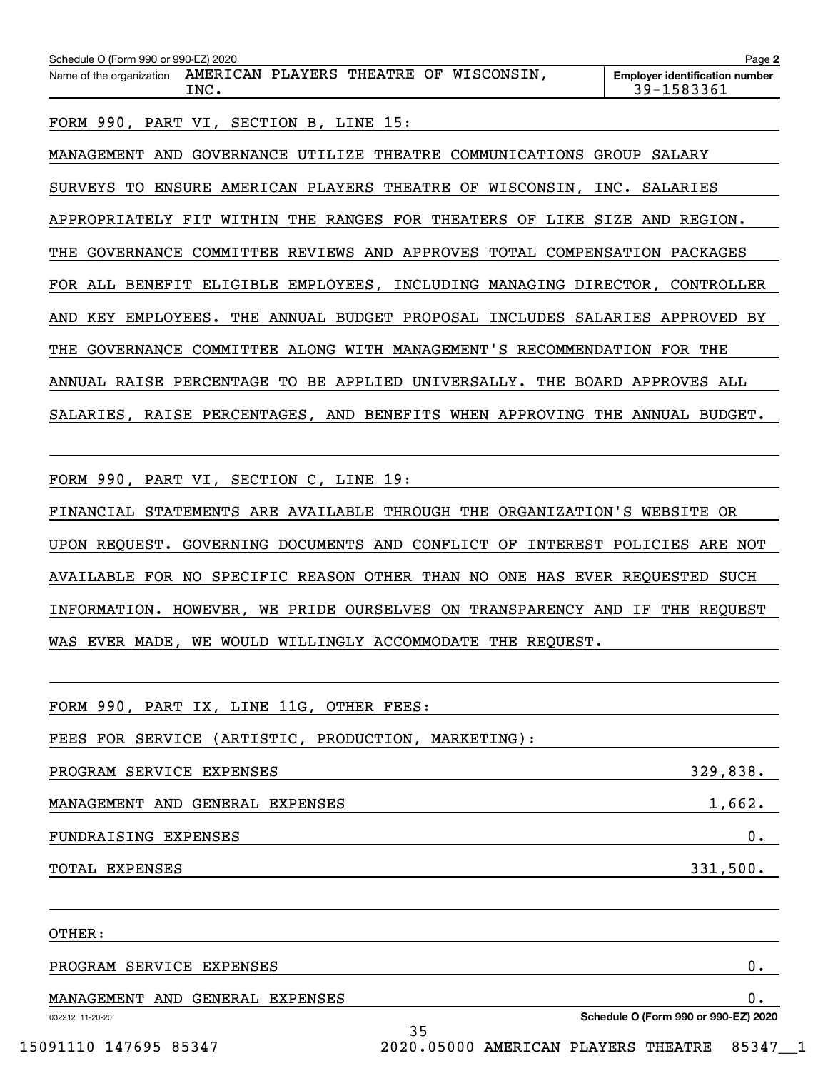| Schedule O (Form 990 or 990-EZ) 2020<br>Page 2 |      |  |  |  |                                        |                                                     |
|------------------------------------------------|------|--|--|--|----------------------------------------|-----------------------------------------------------|
| Name of the organization                       | TNC. |  |  |  | AMERICAN PLAYERS THEATRE OF WISCONSIN. | <b>Employer identification number</b><br>39-1583361 |
|                                                |      |  |  |  |                                        |                                                     |

FORM 990, PART VI, SECTION B, LINE 15:

MANAGEMENT AND GOVERNANCE UTILIZE THEATRE COMMUNICATIONS GROUP SALARY SURVEYS TO ENSURE AMERICAN PLAYERS THEATRE OF WISCONSIN, INC. SALARIES APPROPRIATELY FIT WITHIN THE RANGES FOR THEATERS OF LIKE SIZE AND REGION. THE GOVERNANCE COMMITTEE REVIEWS AND APPROVES TOTAL COMPENSATION PACKAGES FOR ALL BENEFIT ELIGIBLE EMPLOYEES, INCLUDING MANAGING DIRECTOR, CONTROLLER AND KEY EMPLOYEES. THE ANNUAL BUDGET PROPOSAL INCLUDES SALARIES APPROVED BY THE GOVERNANCE COMMITTEE ALONG WITH MANAGEMENT'S RECOMMENDATION FOR THE ANNUAL RAISE PERCENTAGE TO BE APPLIED UNIVERSALLY. THE BOARD APPROVES ALL SALARIES, RAISE PERCENTAGES, AND BENEFITS WHEN APPROVING THE ANNUAL BUDGET.

FORM 990, PART VI, SECTION C, LINE 19:

FINANCIAL STATEMENTS ARE AVAILABLE THROUGH THE ORGANIZATION'S WEBSITE OR UPON REQUEST. GOVERNING DOCUMENTS AND CONFLICT OF INTEREST POLICIES ARE NOT AVAILABLE FOR NO SPECIFIC REASON OTHER THAN NO ONE HAS EVER REQUESTED SUCH INFORMATION. HOWEVER, WE PRIDE OURSELVES ON TRANSPARENCY AND IF THE REQUEST WAS EVER MADE, WE WOULD WILLINGLY ACCOMMODATE THE REQUEST.

| FORM 990, PART IX, LINE 11G, OTHER FEES:            |                                      |
|-----------------------------------------------------|--------------------------------------|
| FEES FOR SERVICE (ARTISTIC, PRODUCTION, MARKETING): |                                      |
| PROGRAM SERVICE EXPENSES                            | 329,838.                             |
| MANAGEMENT AND GENERAL EXPENSES                     | 1,662.                               |
| FUNDRAISING EXPENSES                                | 0.                                   |
| TOTAL EXPENSES                                      | 331,500.                             |
|                                                     |                                      |
| OTHER:                                              |                                      |
| PROGRAM SERVICE EXPENSES                            | 0.                                   |
| MANAGEMENT AND GENERAL EXPENSES                     | 0.                                   |
| 032212 11-20-20<br>35                               | Schedule O (Form 990 or 990-EZ) 2020 |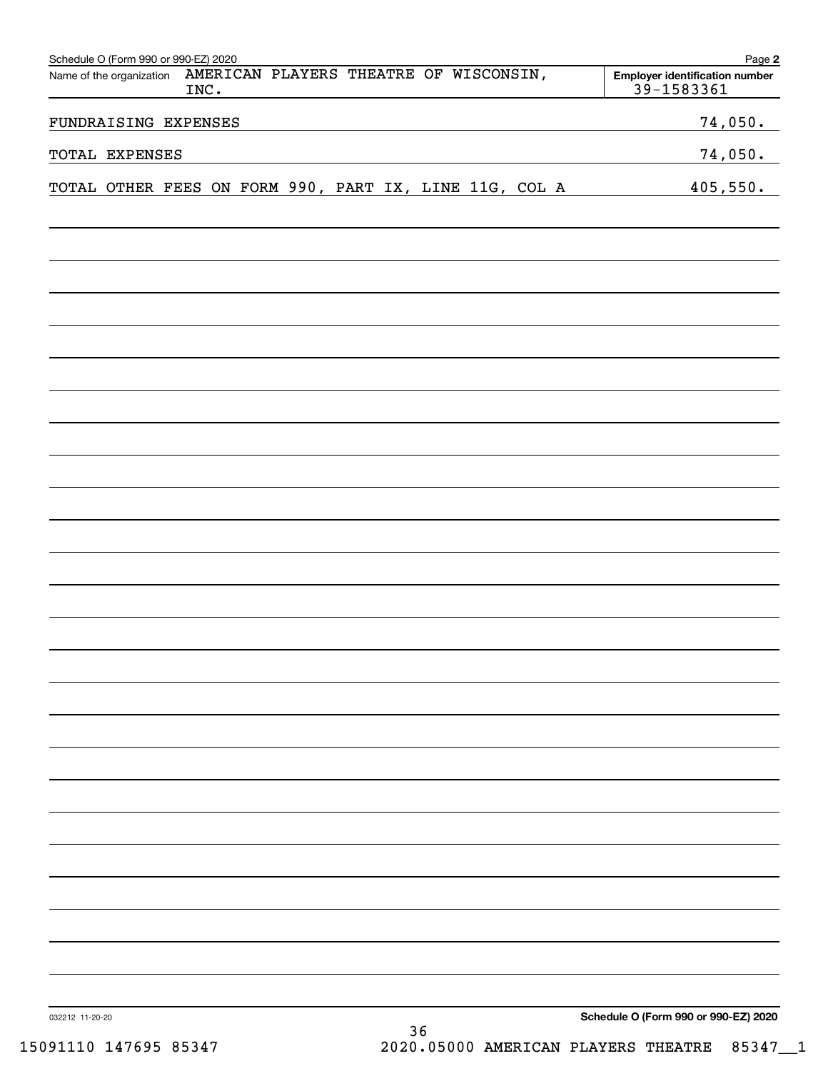|                 | Schedule O (Form 990 or 990-EZ) 2020<br>Name of the organization | INC. | AMERICAN PLAYERS THEATRE OF WISCONSIN, |  |    |  | Page 2<br><b>Employer identification number</b><br>39-1583361 |
|-----------------|------------------------------------------------------------------|------|----------------------------------------|--|----|--|---------------------------------------------------------------|
|                 | FUNDRAISING EXPENSES                                             |      |                                        |  |    |  | 74,050.                                                       |
|                 | TOTAL EXPENSES                                                   |      |                                        |  |    |  | 74,050.                                                       |
|                 | TOTAL OTHER FEES ON FORM 990, PART IX, LINE 11G, COL A           |      |                                        |  |    |  | 405,550.                                                      |
|                 |                                                                  |      |                                        |  |    |  |                                                               |
|                 |                                                                  |      |                                        |  |    |  |                                                               |
|                 |                                                                  |      |                                        |  |    |  |                                                               |
|                 |                                                                  |      |                                        |  |    |  |                                                               |
|                 |                                                                  |      |                                        |  |    |  |                                                               |
|                 |                                                                  |      |                                        |  |    |  |                                                               |
|                 |                                                                  |      |                                        |  |    |  |                                                               |
|                 |                                                                  |      |                                        |  |    |  |                                                               |
|                 |                                                                  |      |                                        |  |    |  |                                                               |
|                 |                                                                  |      |                                        |  |    |  |                                                               |
|                 |                                                                  |      |                                        |  |    |  |                                                               |
|                 |                                                                  |      |                                        |  |    |  |                                                               |
|                 |                                                                  |      |                                        |  |    |  |                                                               |
|                 |                                                                  |      |                                        |  |    |  |                                                               |
|                 |                                                                  |      |                                        |  |    |  |                                                               |
|                 |                                                                  |      |                                        |  |    |  |                                                               |
|                 |                                                                  |      |                                        |  |    |  |                                                               |
|                 |                                                                  |      |                                        |  |    |  |                                                               |
|                 |                                                                  |      |                                        |  |    |  |                                                               |
|                 |                                                                  |      |                                        |  |    |  |                                                               |
|                 |                                                                  |      |                                        |  |    |  |                                                               |
|                 |                                                                  |      |                                        |  |    |  |                                                               |
|                 |                                                                  |      |                                        |  |    |  |                                                               |
|                 |                                                                  |      |                                        |  |    |  |                                                               |
|                 |                                                                  |      |                                        |  |    |  |                                                               |
| 032212 11-20-20 |                                                                  |      |                                        |  | 36 |  | Schedule O (Form 990 or 990-EZ) 2020                          |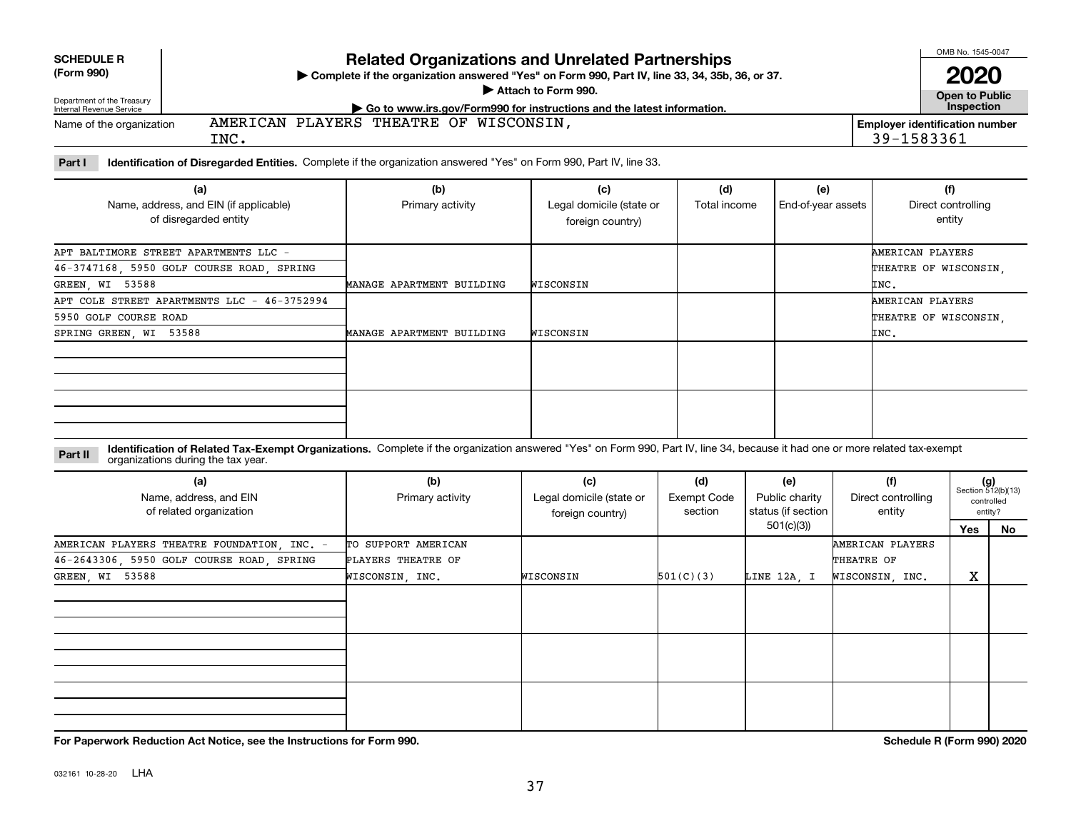| <b>SCHEDULE R</b> |  |  |
|-------------------|--|--|
|                   |  |  |

# **(Form 990)**

# **Related Organizations and Unrelated Partnerships**

**Complete if the organization answered "Yes" on Form 990, Part IV, line 33, 34, 35b, 36, or 37.** |

**Attach to Form 990.**  |

**Open to Public 2020**

OMB No. 1545-0047

| Department of the Treasury<br>Internal Revenue Service | $\cdot$ Go to www.irs.gov/Form990 for instructions and the latest information. |                                                            |  |  |  |  |  |  |
|--------------------------------------------------------|--------------------------------------------------------------------------------|------------------------------------------------------------|--|--|--|--|--|--|
| Name of the organization                               | WISCONSIN<br>PLAYERS<br>THEATRE OF<br>AMERICAN<br>INC.                         | <b>Employer identification number</b><br>1583361<br>$30 -$ |  |  |  |  |  |  |

**Part I Identification of Disregarded Entities.**  Complete if the organization answered "Yes" on Form 990, Part IV, line 33.

| (a)<br>Name, address, and EIN (if applicable)<br>of disregarded entity | (b)<br>Primary activity   | (c)<br>Legal domicile (state or<br>foreign country) | (d)<br>Total income | (e)<br>End-of-year assets | (f)<br>Direct controlling<br>entity |
|------------------------------------------------------------------------|---------------------------|-----------------------------------------------------|---------------------|---------------------------|-------------------------------------|
| APT BALTIMORE STREET APARTMENTS LLC -                                  |                           |                                                     |                     |                           | AMERICAN PLAYERS                    |
| 46-3747168, 5950 GOLF COURSE ROAD, SPRING                              |                           |                                                     |                     |                           | THEATRE OF WISCONSIN,               |
| GREEN, WI 53588                                                        | MANAGE APARTMENT BUILDING | WISCONSIN                                           |                     |                           | INC.                                |
| APT COLE STREET APARTMENTS LLC - 46-3752994                            |                           |                                                     |                     |                           | AMERICAN PLAYERS                    |
| 5950 GOLF COURSE ROAD                                                  |                           |                                                     |                     |                           | THEATRE OF WISCONSIN,               |
| SPRING GREEN, WI 53588                                                 | MANAGE APARTMENT BUILDING | WISCONSIN                                           |                     |                           | INC.                                |
|                                                                        |                           |                                                     |                     |                           |                                     |
|                                                                        |                           |                                                     |                     |                           |                                     |

#### **Identification of Related Tax-Exempt Organizations.** Complete if the organization answered "Yes" on Form 990, Part IV, line 34, because it had one or more related tax-exempt **Part II** organizations during the tax year.

| (a)<br>Name, address, and EIN<br>of related organization | (b)<br>Primary activity | (c)<br>Legal domicile (state or<br>foreign country) | (d)<br><b>Exempt Code</b><br>section | (e)<br>Public charity<br>status (if section | (f)<br>Direct controlling<br>entity |     | $(g)$<br>Section 512(b)(13)<br>controlled<br>entity? |
|----------------------------------------------------------|-------------------------|-----------------------------------------------------|--------------------------------------|---------------------------------------------|-------------------------------------|-----|------------------------------------------------------|
|                                                          |                         |                                                     |                                      | 501(c)(3))                                  |                                     | Yes | No                                                   |
| AMERICAN PLAYERS THEATRE FOUNDATION, INC. -              | TO SUPPORT AMERICAN     |                                                     |                                      |                                             | AMERICAN PLAYERS                    |     |                                                      |
| 46-2643306, 5950 GOLF COURSE ROAD, SPRING                | PLAYERS THEATRE OF      |                                                     |                                      |                                             | THEATRE OF                          |     |                                                      |
| GREEN, WI 53588                                          | WISCONSIN, INC.         | WISCONSIN                                           | 501(C)(3)                            | LINE 12A, I                                 | WISCONSIN, INC.                     | х   |                                                      |
|                                                          |                         |                                                     |                                      |                                             |                                     |     |                                                      |
|                                                          |                         |                                                     |                                      |                                             |                                     |     |                                                      |
|                                                          |                         |                                                     |                                      |                                             |                                     |     |                                                      |

**For Paperwork Reduction Act Notice, see the Instructions for Form 990. Schedule R (Form 990) 2020**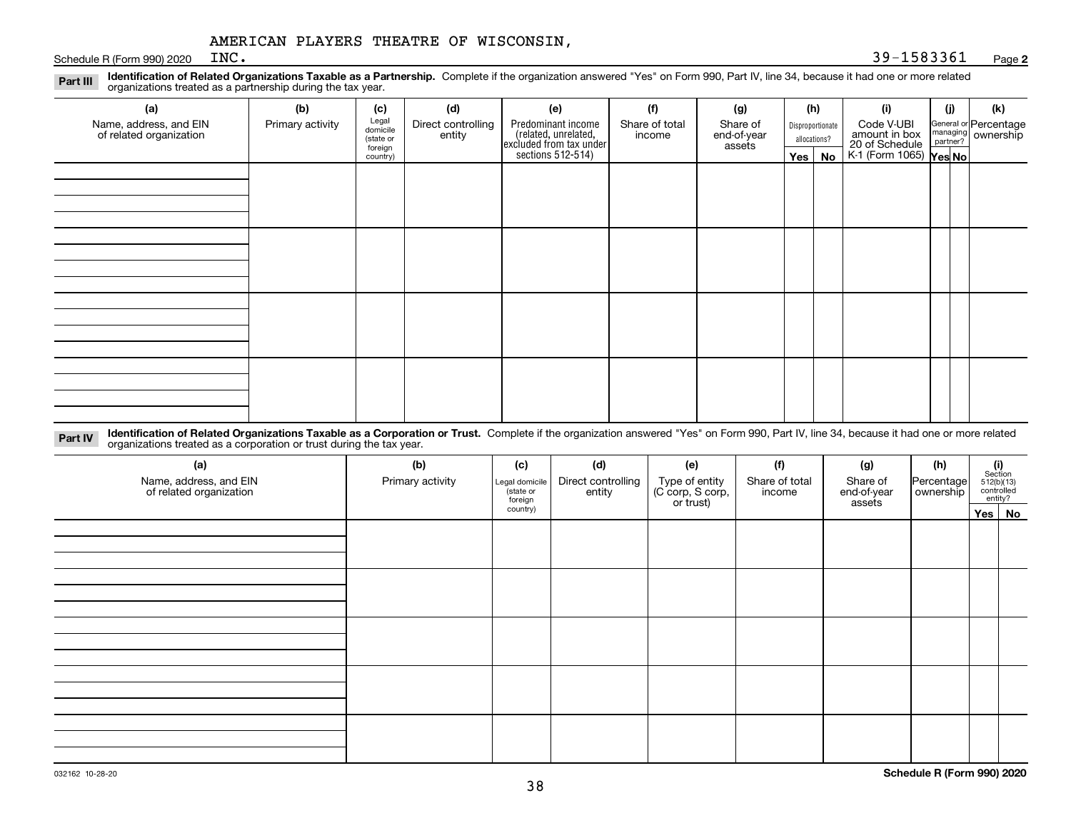Schedule R (Form 990) 2020  $R$ 

#### **2**INC. 39-1583361

**Identification of Related Organizations Taxable as a Partnership.** Complete if the organization answered "Yes" on Form 990, Part IV, line 34, because it had one or more related **Part III** organizations treated as a partnership during the tax year.

| (a)                                               | (b)              | (c)                  | (d)                          | (e)                                                                 | (f)                      | (g)                     |         | (h)              | (i)                                                       | (j) | (k)                                                       |
|---------------------------------------------------|------------------|----------------------|------------------------------|---------------------------------------------------------------------|--------------------------|-------------------------|---------|------------------|-----------------------------------------------------------|-----|-----------------------------------------------------------|
| Name, address, and EIN<br>of related organization | Primary activity | Legal<br>domicile    | Direct controlling<br>entity | Predominant income                                                  | Share of total<br>income | Share of<br>end-of-year |         | Disproportionate | Code V-UBI                                                |     | General or Percentage<br>managing<br>partner?<br>partner? |
|                                                   |                  | (state or<br>foreign |                              |                                                                     |                          | assets                  |         | allocations?     |                                                           |     |                                                           |
|                                                   |                  | country)             |                              | related, unrelated,<br>excluded from tax under<br>sections 512-514) |                          |                         | Yes $ $ | No               | amount in box<br>20 of Schedule<br>K-1 (Form 1065) Yes No |     |                                                           |
|                                                   |                  |                      |                              |                                                                     |                          |                         |         |                  |                                                           |     |                                                           |
|                                                   |                  |                      |                              |                                                                     |                          |                         |         |                  |                                                           |     |                                                           |
|                                                   |                  |                      |                              |                                                                     |                          |                         |         |                  |                                                           |     |                                                           |
|                                                   |                  |                      |                              |                                                                     |                          |                         |         |                  |                                                           |     |                                                           |
|                                                   |                  |                      |                              |                                                                     |                          |                         |         |                  |                                                           |     |                                                           |
|                                                   |                  |                      |                              |                                                                     |                          |                         |         |                  |                                                           |     |                                                           |
|                                                   |                  |                      |                              |                                                                     |                          |                         |         |                  |                                                           |     |                                                           |
|                                                   |                  |                      |                              |                                                                     |                          |                         |         |                  |                                                           |     |                                                           |
|                                                   |                  |                      |                              |                                                                     |                          |                         |         |                  |                                                           |     |                                                           |
|                                                   |                  |                      |                              |                                                                     |                          |                         |         |                  |                                                           |     |                                                           |
|                                                   |                  |                      |                              |                                                                     |                          |                         |         |                  |                                                           |     |                                                           |
|                                                   |                  |                      |                              |                                                                     |                          |                         |         |                  |                                                           |     |                                                           |
|                                                   |                  |                      |                              |                                                                     |                          |                         |         |                  |                                                           |     |                                                           |
|                                                   |                  |                      |                              |                                                                     |                          |                         |         |                  |                                                           |     |                                                           |
|                                                   |                  |                      |                              |                                                                     |                          |                         |         |                  |                                                           |     |                                                           |
|                                                   |                  |                      |                              |                                                                     |                          |                         |         |                  |                                                           |     |                                                           |

**Identification of Related Organizations Taxable as a Corporation or Trust.** Complete if the organization answered "Yes" on Form 990, Part IV, line 34, because it had one or more related **Part IV** organizations treated as a corporation or trust during the tax year.

| (a)<br>Name, address, and EIN<br>of related organization | (b)<br>Primary activity | (c)<br>Legal domicile<br>(state or<br>foreign | (d)<br>Direct controlling<br>entity | (e)<br>Type of entity<br>(C corp, S corp,<br>or trust) | (f)<br>Share of total<br>income | (g)<br>Share of<br>end-of-year<br>assets | (h)<br>Percentage<br>ownership | (i)<br>Section<br>512(b)(13)<br>controlled | entity?  |
|----------------------------------------------------------|-------------------------|-----------------------------------------------|-------------------------------------|--------------------------------------------------------|---------------------------------|------------------------------------------|--------------------------------|--------------------------------------------|----------|
|                                                          |                         | country)                                      |                                     |                                                        |                                 |                                          |                                |                                            | Yes   No |
|                                                          |                         |                                               |                                     |                                                        |                                 |                                          |                                |                                            |          |
|                                                          |                         |                                               |                                     |                                                        |                                 |                                          |                                |                                            |          |
|                                                          |                         |                                               |                                     |                                                        |                                 |                                          |                                |                                            |          |
|                                                          |                         |                                               |                                     |                                                        |                                 |                                          |                                |                                            |          |
|                                                          |                         |                                               |                                     |                                                        |                                 |                                          |                                |                                            |          |
|                                                          |                         |                                               |                                     |                                                        |                                 |                                          |                                |                                            |          |
|                                                          |                         |                                               |                                     |                                                        |                                 |                                          |                                |                                            |          |
|                                                          |                         |                                               |                                     |                                                        |                                 |                                          |                                |                                            |          |
|                                                          |                         |                                               |                                     |                                                        |                                 |                                          |                                |                                            |          |
|                                                          |                         |                                               |                                     |                                                        |                                 |                                          |                                |                                            |          |
|                                                          |                         |                                               |                                     |                                                        |                                 |                                          |                                |                                            |          |
|                                                          |                         |                                               |                                     |                                                        |                                 |                                          |                                |                                            |          |
|                                                          |                         |                                               |                                     |                                                        |                                 |                                          |                                |                                            |          |
|                                                          |                         |                                               |                                     |                                                        |                                 |                                          |                                |                                            |          |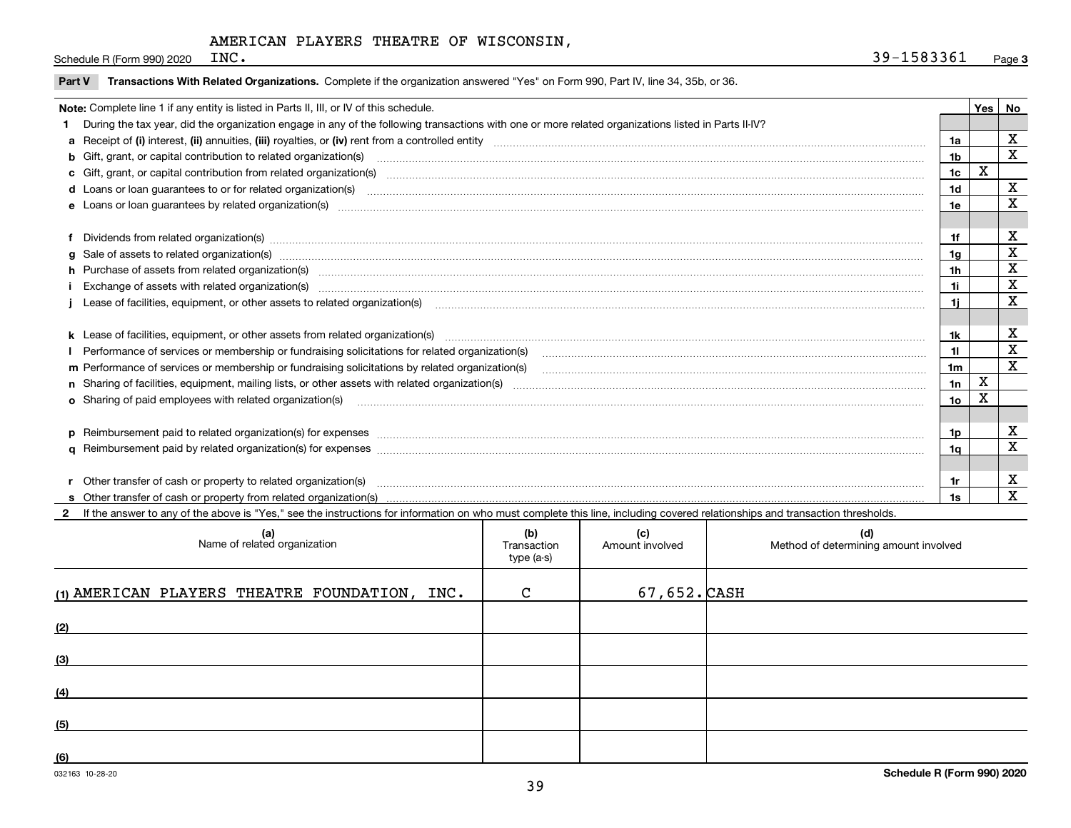Schedule R (Form 990) 2020  $R$ 

|  | Part V Transactions With Related Organizations. Complete if the organization answered "Yes" on Form 990, Part IV, line 34, 35b, or 36. |  |  |  |
|--|----------------------------------------------------------------------------------------------------------------------------------------|--|--|--|
|--|----------------------------------------------------------------------------------------------------------------------------------------|--|--|--|

| Note: Complete line 1 if any entity is listed in Parts II, III, or IV of this schedule.                                                                                                                                        |                | Yes | <b>No</b>   |
|--------------------------------------------------------------------------------------------------------------------------------------------------------------------------------------------------------------------------------|----------------|-----|-------------|
| During the tax year, did the organization engage in any of the following transactions with one or more related organizations listed in Parts II-IV?                                                                            |                |     |             |
|                                                                                                                                                                                                                                | 1a             |     | X           |
| b Gift, grant, or capital contribution to related organization(s) manufaction contains and contribution to related organization(s) manufaction contribution for related organization(s) manufaction contains and contribution  | 1b             |     | X           |
|                                                                                                                                                                                                                                | 1 <sub>c</sub> | х   |             |
|                                                                                                                                                                                                                                | 1d             |     | х           |
|                                                                                                                                                                                                                                | 1e             |     | X           |
|                                                                                                                                                                                                                                |                |     |             |
| f Dividends from related organization(s) manufactured contains and contained a state of the contact of the contact of the contact of the contact of the contact of the contact of the contact of the contact of the contact of | 1f             |     | X           |
|                                                                                                                                                                                                                                | 1q             |     | X           |
| h Purchase of assets from related organization(s) manufactured and content to content the content of assets from related organization(s)                                                                                       | 1 <sub>h</sub> |     | X           |
| Exchange of assets with related organization(s) www.assettion.com/www.assettion.com/www.assettion.com/www.assettion.com/www.assettion.com/www.assettion.com/www.assettion.com/www.assettion.com/www.assettion.com/www.assettio | 1i             |     | X           |
| Lease of facilities, equipment, or other assets to related organization(s) manufactured content and content and content and content and content and content and content and content and content and content and content and co | 1i.            |     | X           |
|                                                                                                                                                                                                                                |                |     |             |
| k Lease of facilities, equipment, or other assets from related organization(s) manufaction content and content to the assets from related organization(s) manufaction content and content and content and content and content  | 1k             |     | X           |
|                                                                                                                                                                                                                                | 11             |     | X           |
| m Performance of services or membership or fundraising solicitations by related organization(s)                                                                                                                                | 1 <sub>m</sub> |     | X           |
|                                                                                                                                                                                                                                | 1n             | x   |             |
| o Sharing of paid employees with related organization(s) manufactured content to the content of the content of the content of the content of the content of the content of the content of the content of the content of the co | 1o             | Χ   |             |
|                                                                                                                                                                                                                                |                |     |             |
|                                                                                                                                                                                                                                | 1p             |     | X           |
|                                                                                                                                                                                                                                | 1a             |     | X           |
|                                                                                                                                                                                                                                |                |     |             |
| r Other transfer of cash or property to related organization(s)                                                                                                                                                                | 1r             |     | х           |
|                                                                                                                                                                                                                                | 1s             |     | $\mathbf x$ |

**2**If the answer to any of the above is "Yes," see the instructions for information on who must complete this line, including covered relationships and transaction thresholds.

| (a)<br>Name of related organization           | (b)<br>Transaction<br>type (a-s) | (c)<br>Amount involved | (d)<br>Method of determining amount involved |
|-----------------------------------------------|----------------------------------|------------------------|----------------------------------------------|
| (1) AMERICAN PLAYERS THEATRE FOUNDATION, INC. | $\mathbf C$                      | $67,652.$ CASH         |                                              |
| (2)                                           |                                  |                        |                                              |
| (3)                                           |                                  |                        |                                              |
| (4)                                           |                                  |                        |                                              |
| (5)                                           |                                  |                        |                                              |
| (6)                                           |                                  |                        |                                              |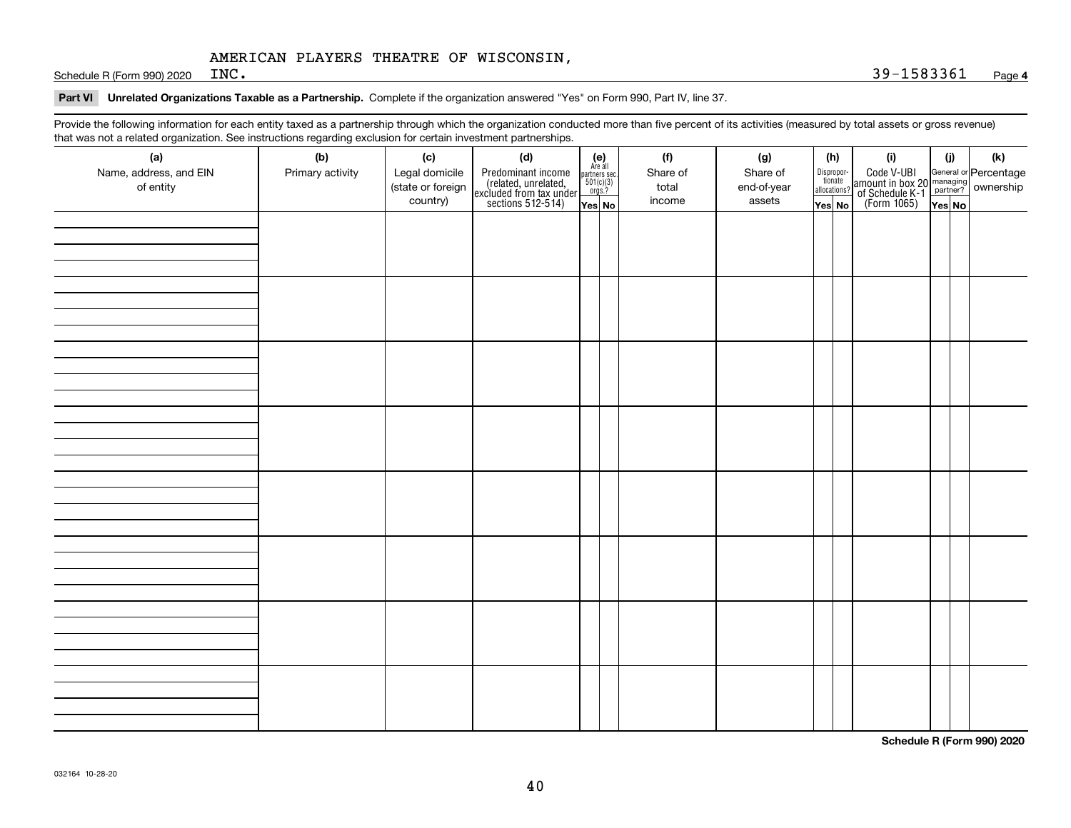Schedule R (Form 990) 2020  $INC$ .

#### **Part VI Unrelated Organizations Taxable as a Partnership. Complete if the organization answered "Yes" on Form 990, Part IV, line 37.**

Provide the following information for each entity taxed as a partnership through which the organization conducted more than five percent of its activities (measured by total assets or gross revenue) that was not a related organization. See instructions regarding exclusion for certain investment partnerships.

| that machieve a related erganization. See includitional regarding excludion for contain invectment partnerompe.<br>(a) | (b)              | (c)                                 | (d)                                                                                        |                                                                                                                  | (f)               | (g)                     | (h)                              | (i)                                                                                          | (i) | (k) |
|------------------------------------------------------------------------------------------------------------------------|------------------|-------------------------------------|--------------------------------------------------------------------------------------------|------------------------------------------------------------------------------------------------------------------|-------------------|-------------------------|----------------------------------|----------------------------------------------------------------------------------------------|-----|-----|
| Name, address, and EIN<br>of entity                                                                                    | Primary activity | Legal domicile<br>(state or foreign | Predominant income<br>(related, unrelated,<br>excluded from tax under<br>sections 512-514) | $\begin{array}{c} \textbf{(e)}\\ \text{Are all} \\ \text{partners sec.}\\ 501(c)(3)\\ \text{orgs.?} \end{array}$ | Share of<br>total | Share of<br>end-of-year | Disproportionate<br>allocations? | Code V-UBI<br>amount in box 20 managing<br>of Schedule K-1 partner?<br>(Form 1065)<br>ves No |     |     |
|                                                                                                                        |                  | country)                            |                                                                                            | Yes No                                                                                                           | income            | assets                  | Yes No                           |                                                                                              |     |     |
|                                                                                                                        |                  |                                     |                                                                                            |                                                                                                                  |                   |                         |                                  |                                                                                              |     |     |
|                                                                                                                        |                  |                                     |                                                                                            |                                                                                                                  |                   |                         |                                  |                                                                                              |     |     |
|                                                                                                                        |                  |                                     |                                                                                            |                                                                                                                  |                   |                         |                                  |                                                                                              |     |     |
|                                                                                                                        |                  |                                     |                                                                                            |                                                                                                                  |                   |                         |                                  |                                                                                              |     |     |
|                                                                                                                        |                  |                                     |                                                                                            |                                                                                                                  |                   |                         |                                  |                                                                                              |     |     |
|                                                                                                                        |                  |                                     |                                                                                            |                                                                                                                  |                   |                         |                                  |                                                                                              |     |     |
|                                                                                                                        |                  |                                     |                                                                                            |                                                                                                                  |                   |                         |                                  |                                                                                              |     |     |
|                                                                                                                        |                  |                                     |                                                                                            |                                                                                                                  |                   |                         |                                  |                                                                                              |     |     |
|                                                                                                                        |                  |                                     |                                                                                            |                                                                                                                  |                   |                         |                                  |                                                                                              |     |     |
|                                                                                                                        |                  |                                     |                                                                                            |                                                                                                                  |                   |                         |                                  |                                                                                              |     |     |
|                                                                                                                        |                  |                                     |                                                                                            |                                                                                                                  |                   |                         |                                  |                                                                                              |     |     |
|                                                                                                                        |                  |                                     |                                                                                            |                                                                                                                  |                   |                         |                                  |                                                                                              |     |     |
|                                                                                                                        |                  |                                     |                                                                                            |                                                                                                                  |                   |                         |                                  |                                                                                              |     |     |
|                                                                                                                        |                  |                                     |                                                                                            |                                                                                                                  |                   |                         |                                  |                                                                                              |     |     |
|                                                                                                                        |                  |                                     |                                                                                            |                                                                                                                  |                   |                         |                                  |                                                                                              |     |     |
|                                                                                                                        |                  |                                     |                                                                                            |                                                                                                                  |                   |                         |                                  |                                                                                              |     |     |
|                                                                                                                        |                  |                                     |                                                                                            |                                                                                                                  |                   |                         |                                  |                                                                                              |     |     |
|                                                                                                                        |                  |                                     |                                                                                            |                                                                                                                  |                   |                         |                                  |                                                                                              |     |     |
|                                                                                                                        |                  |                                     |                                                                                            |                                                                                                                  |                   |                         |                                  |                                                                                              |     |     |
|                                                                                                                        |                  |                                     |                                                                                            |                                                                                                                  |                   |                         |                                  |                                                                                              |     |     |
|                                                                                                                        |                  |                                     |                                                                                            |                                                                                                                  |                   |                         |                                  |                                                                                              |     |     |
|                                                                                                                        |                  |                                     |                                                                                            |                                                                                                                  |                   |                         |                                  |                                                                                              |     |     |
|                                                                                                                        |                  |                                     |                                                                                            |                                                                                                                  |                   |                         |                                  |                                                                                              |     |     |
|                                                                                                                        |                  |                                     |                                                                                            |                                                                                                                  |                   |                         |                                  |                                                                                              |     |     |
|                                                                                                                        |                  |                                     |                                                                                            |                                                                                                                  |                   |                         |                                  |                                                                                              |     |     |
|                                                                                                                        |                  |                                     |                                                                                            |                                                                                                                  |                   |                         |                                  |                                                                                              |     |     |
|                                                                                                                        |                  |                                     |                                                                                            |                                                                                                                  |                   |                         |                                  |                                                                                              |     |     |
|                                                                                                                        |                  |                                     |                                                                                            |                                                                                                                  |                   |                         |                                  |                                                                                              |     |     |
|                                                                                                                        |                  |                                     |                                                                                            |                                                                                                                  |                   |                         |                                  |                                                                                              |     |     |
|                                                                                                                        |                  |                                     |                                                                                            |                                                                                                                  |                   |                         |                                  |                                                                                              |     |     |
|                                                                                                                        |                  |                                     |                                                                                            |                                                                                                                  |                   |                         |                                  |                                                                                              |     |     |

**Schedule R (Form 990) 2020**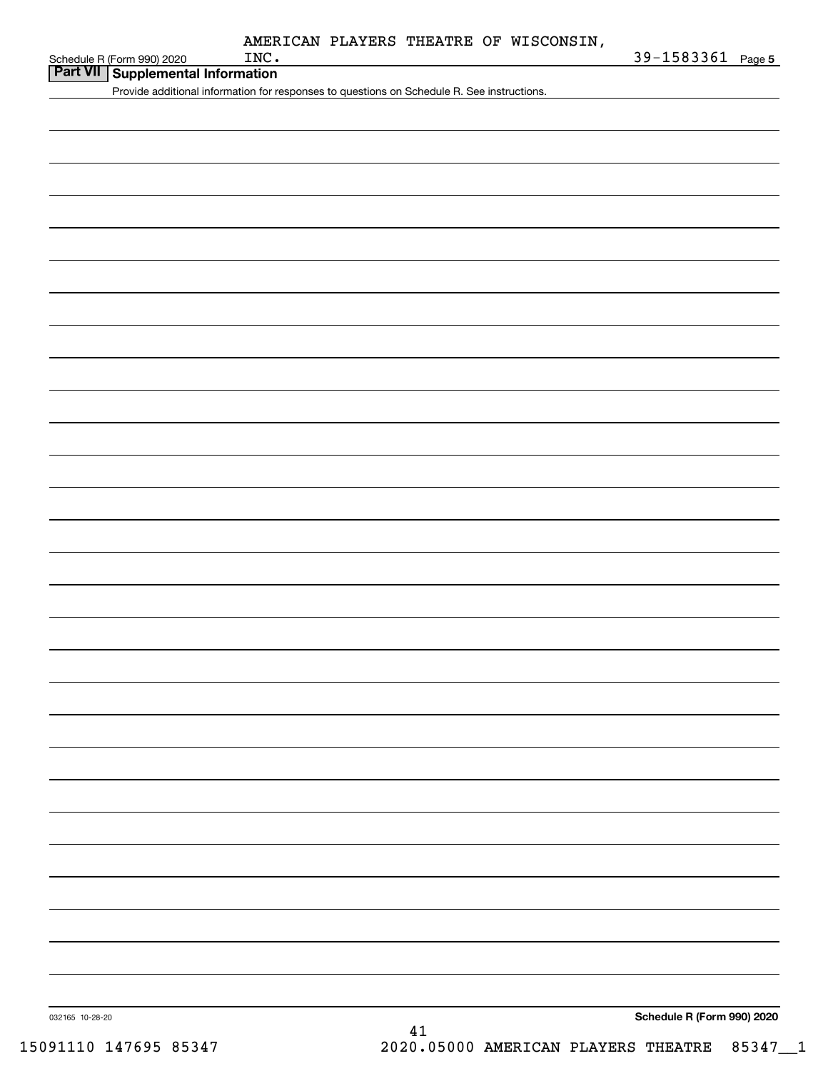| Schedule R (Form 990) 2020 |  |
|----------------------------|--|

**Part VII Supplemental Information**

Provide additional information for responses to questions on Schedule R. See instructions.

**Schedule R (Form 990) 2020**

032165 10-28-20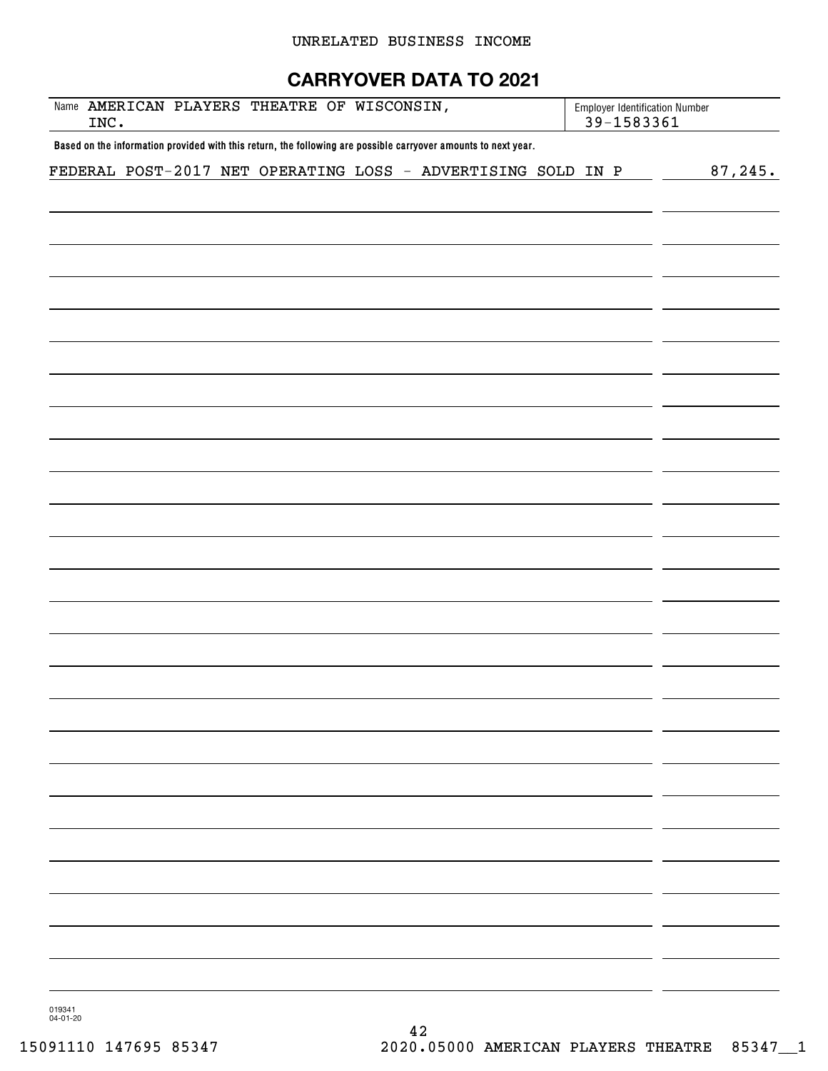# UNRELATED BUSINESS INCOME

# **CARRYOVER DATA TO 2021**

| Name AMERICAN PLAYERS THEATRE OF WISCONSIN,<br>INC.                                                            | <b>Employer Identification Number</b><br>39-1583361 |          |
|----------------------------------------------------------------------------------------------------------------|-----------------------------------------------------|----------|
| Based on the information provided with this return, the following are possible carryover amounts to next year. |                                                     |          |
| FEDERAL POST-2017 NET OPERATING LOSS - ADVERTISING SOLD IN P                                                   |                                                     | 87, 245. |
|                                                                                                                |                                                     |          |
|                                                                                                                |                                                     |          |
|                                                                                                                |                                                     |          |
|                                                                                                                |                                                     |          |
|                                                                                                                |                                                     |          |
|                                                                                                                |                                                     |          |
|                                                                                                                |                                                     |          |
|                                                                                                                |                                                     |          |
|                                                                                                                |                                                     |          |
|                                                                                                                |                                                     |          |
|                                                                                                                |                                                     |          |
|                                                                                                                |                                                     |          |
|                                                                                                                |                                                     |          |
|                                                                                                                |                                                     |          |
|                                                                                                                |                                                     |          |
|                                                                                                                |                                                     |          |
|                                                                                                                |                                                     |          |
|                                                                                                                |                                                     |          |
|                                                                                                                |                                                     |          |
|                                                                                                                |                                                     |          |
|                                                                                                                |                                                     |          |
|                                                                                                                |                                                     |          |
|                                                                                                                |                                                     |          |
|                                                                                                                |                                                     |          |
|                                                                                                                |                                                     |          |
|                                                                                                                |                                                     |          |
|                                                                                                                |                                                     |          |
|                                                                                                                |                                                     |          |
|                                                                                                                |                                                     |          |
|                                                                                                                |                                                     |          |
|                                                                                                                |                                                     |          |
|                                                                                                                |                                                     |          |
|                                                                                                                |                                                     |          |
|                                                                                                                |                                                     |          |
|                                                                                                                |                                                     |          |

019341 04-01-20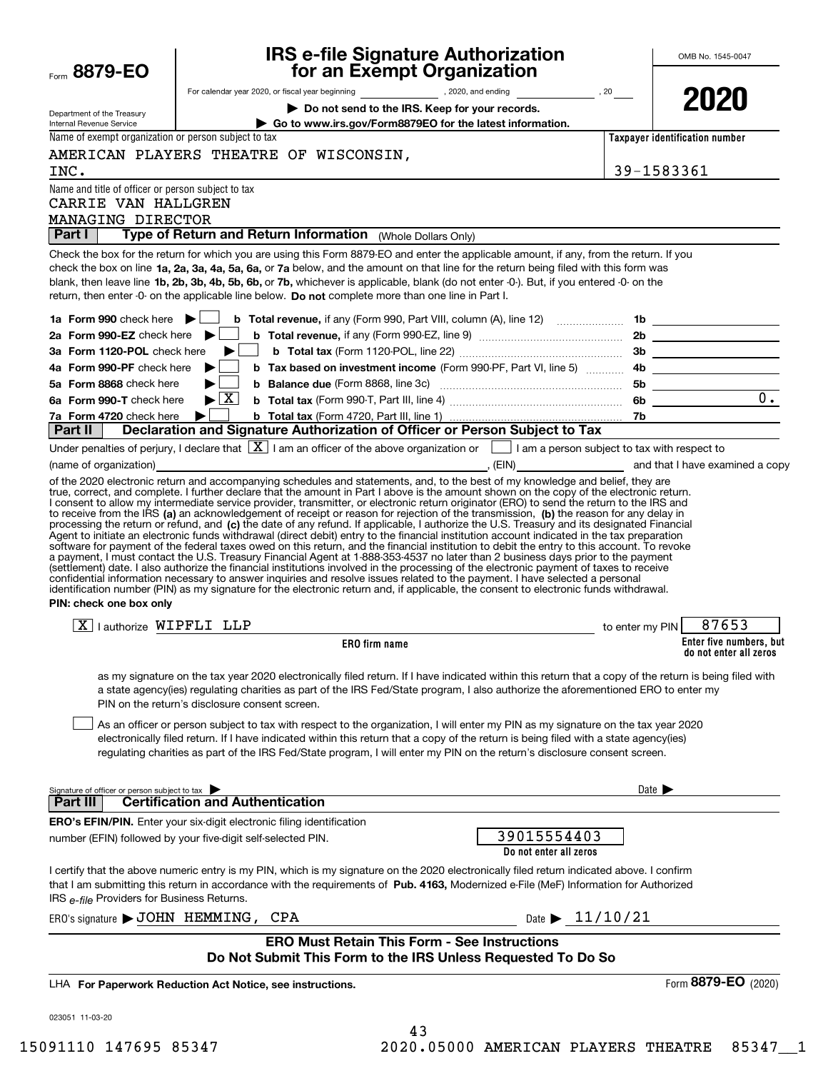| Form 8879-EO                                            | <b>IRS e-file Signature Authorization<br/>for an Exempt Organization</b>                                                                                                                                                                                                                                                                                                                                                                                                                                                                                                                                                                                                                                                                                                                                                                                                                                                                                                                                                                                                                                                                                                                                                                                                                                                                                                                                                                                                                                                                                             |                                | OMB No. 1545-0047       |
|---------------------------------------------------------|----------------------------------------------------------------------------------------------------------------------------------------------------------------------------------------------------------------------------------------------------------------------------------------------------------------------------------------------------------------------------------------------------------------------------------------------------------------------------------------------------------------------------------------------------------------------------------------------------------------------------------------------------------------------------------------------------------------------------------------------------------------------------------------------------------------------------------------------------------------------------------------------------------------------------------------------------------------------------------------------------------------------------------------------------------------------------------------------------------------------------------------------------------------------------------------------------------------------------------------------------------------------------------------------------------------------------------------------------------------------------------------------------------------------------------------------------------------------------------------------------------------------------------------------------------------------|--------------------------------|-------------------------|
|                                                         |                                                                                                                                                                                                                                                                                                                                                                                                                                                                                                                                                                                                                                                                                                                                                                                                                                                                                                                                                                                                                                                                                                                                                                                                                                                                                                                                                                                                                                                                                                                                                                      |                                |                         |
|                                                         | Do not send to the IRS. Keep for your records.                                                                                                                                                                                                                                                                                                                                                                                                                                                                                                                                                                                                                                                                                                                                                                                                                                                                                                                                                                                                                                                                                                                                                                                                                                                                                                                                                                                                                                                                                                                       |                                | 2020                    |
| Department of the Treasury<br>Internal Revenue Service  | Go to www.irs.gov/Form8879EO for the latest information.                                                                                                                                                                                                                                                                                                                                                                                                                                                                                                                                                                                                                                                                                                                                                                                                                                                                                                                                                                                                                                                                                                                                                                                                                                                                                                                                                                                                                                                                                                             |                                |                         |
| Name of exempt organization or person subject to tax    |                                                                                                                                                                                                                                                                                                                                                                                                                                                                                                                                                                                                                                                                                                                                                                                                                                                                                                                                                                                                                                                                                                                                                                                                                                                                                                                                                                                                                                                                                                                                                                      | Taxpayer identification number |                         |
|                                                         | AMERICAN PLAYERS THEATRE OF WISCONSIN,                                                                                                                                                                                                                                                                                                                                                                                                                                                                                                                                                                                                                                                                                                                                                                                                                                                                                                                                                                                                                                                                                                                                                                                                                                                                                                                                                                                                                                                                                                                               |                                |                         |
| INC.                                                    |                                                                                                                                                                                                                                                                                                                                                                                                                                                                                                                                                                                                                                                                                                                                                                                                                                                                                                                                                                                                                                                                                                                                                                                                                                                                                                                                                                                                                                                                                                                                                                      | 39-1583361                     |                         |
| Name and title of officer or person subject to tax      |                                                                                                                                                                                                                                                                                                                                                                                                                                                                                                                                                                                                                                                                                                                                                                                                                                                                                                                                                                                                                                                                                                                                                                                                                                                                                                                                                                                                                                                                                                                                                                      |                                |                         |
| CARRIE VAN HALLGREN                                     |                                                                                                                                                                                                                                                                                                                                                                                                                                                                                                                                                                                                                                                                                                                                                                                                                                                                                                                                                                                                                                                                                                                                                                                                                                                                                                                                                                                                                                                                                                                                                                      |                                |                         |
| MANAGING DIRECTOR                                       |                                                                                                                                                                                                                                                                                                                                                                                                                                                                                                                                                                                                                                                                                                                                                                                                                                                                                                                                                                                                                                                                                                                                                                                                                                                                                                                                                                                                                                                                                                                                                                      |                                |                         |
| Part I                                                  | Type of Return and Return Information (Whole Dollars Only)                                                                                                                                                                                                                                                                                                                                                                                                                                                                                                                                                                                                                                                                                                                                                                                                                                                                                                                                                                                                                                                                                                                                                                                                                                                                                                                                                                                                                                                                                                           |                                |                         |
|                                                         | Check the box for the return for which you are using this Form 8879-EO and enter the applicable amount, if any, from the return. If you<br>check the box on line 1a, 2a, 3a, 4a, 5a, 6a, or 7a below, and the amount on that line for the return being filed with this form was<br>blank, then leave line 1b, 2b, 3b, 4b, 5b, 6b, or 7b, whichever is applicable, blank (do not enter -0-). But, if you entered -0- on the<br>return, then enter -0- on the applicable line below. Do not complete more than one line in Part I.                                                                                                                                                                                                                                                                                                                                                                                                                                                                                                                                                                                                                                                                                                                                                                                                                                                                                                                                                                                                                                     |                                |                         |
| 1a Form 990 check here                                  |                                                                                                                                                                                                                                                                                                                                                                                                                                                                                                                                                                                                                                                                                                                                                                                                                                                                                                                                                                                                                                                                                                                                                                                                                                                                                                                                                                                                                                                                                                                                                                      |                                |                         |
| 2a Form 990-EZ check here $\blacktriangleright$         |                                                                                                                                                                                                                                                                                                                                                                                                                                                                                                                                                                                                                                                                                                                                                                                                                                                                                                                                                                                                                                                                                                                                                                                                                                                                                                                                                                                                                                                                                                                                                                      |                                |                         |
| 3a Form 1120-POL check here                             | ▶∣                                                                                                                                                                                                                                                                                                                                                                                                                                                                                                                                                                                                                                                                                                                                                                                                                                                                                                                                                                                                                                                                                                                                                                                                                                                                                                                                                                                                                                                                                                                                                                   |                                |                         |
| 4a Form 990-PF check here                               |                                                                                                                                                                                                                                                                                                                                                                                                                                                                                                                                                                                                                                                                                                                                                                                                                                                                                                                                                                                                                                                                                                                                                                                                                                                                                                                                                                                                                                                                                                                                                                      |                                |                         |
| 5a Form 8868 check here                                 | <b>b</b> Balance due (Form 8868, line 3c)<br><b>b</b> Balance due (Form 8868, line 3c)<br><b>6b</b> 60                                                                                                                                                                                                                                                                                                                                                                                                                                                                                                                                                                                                                                                                                                                                                                                                                                                                                                                                                                                                                                                                                                                                                                                                                                                                                                                                                                                                                                                               |                                |                         |
| 6a Form 990-T check here                                | $\blacktriangleright$ $\vert$ X                                                                                                                                                                                                                                                                                                                                                                                                                                                                                                                                                                                                                                                                                                                                                                                                                                                                                                                                                                                                                                                                                                                                                                                                                                                                                                                                                                                                                                                                                                                                      |                                |                         |
| 7a Form 4720 check here<br>Part II                      | ▶∣<br>Declaration and Signature Authorization of Officer or Person Subject to Tax                                                                                                                                                                                                                                                                                                                                                                                                                                                                                                                                                                                                                                                                                                                                                                                                                                                                                                                                                                                                                                                                                                                                                                                                                                                                                                                                                                                                                                                                                    |                                |                         |
|                                                         | Under penalties of perjury, I declare that $\boxed{X}$ I am an officer of the above organization or $\boxed{\phantom{1}}$ I am a person subject to tax with respect to                                                                                                                                                                                                                                                                                                                                                                                                                                                                                                                                                                                                                                                                                                                                                                                                                                                                                                                                                                                                                                                                                                                                                                                                                                                                                                                                                                                               |                                |                         |
| (name of organization)                                  | examined a copy of $\overline{E}$ (EIN) and that I have examined a copy                                                                                                                                                                                                                                                                                                                                                                                                                                                                                                                                                                                                                                                                                                                                                                                                                                                                                                                                                                                                                                                                                                                                                                                                                                                                                                                                                                                                                                                                                              |                                |                         |
| PIN: check one box only                                 | of the 2020 electronic return and accompanying schedules and statements, and, to the best of my knowledge and belief, they are<br>true, correct, and complete. I further declare that the amount in Part I above is the amount shown on the copy of the electronic return.<br>I consent to allow my intermediate service provider, transmitter, or electronic return originator (ERO) to send the return to the IRS and<br>to receive from the IRS (a) an acknowledgement of receipt or reason for rejection of the transmission, (b) the reason for any delay in<br>processing the return or retund, and (c) the date of any refund. If applicable, I authorize the U.S. Treasury and its designated Financial<br>Agent to initiate an electronic funds withdrawal (direct debit) entry to the financial institution account indicated in the tax preparation<br>software for payment of the federal taxes owed on this return, and the financial institution to debit the entry to this account. To revoke<br>a payment, I must contact the U.S. Treasury Financial Agent at 1-888-353-4537 no later than 2 business days prior to the payment<br>(settlement) date. I also authorize the financial institutions involved in the processing of the electronic payment of taxes to receive<br>confidential information necessary to answer inquiries and resolve issues related to the payment. I have selected a personal<br>identification number (PIN) as my signature for the electronic return and, if applicable, the consent to electronic funds withdrawal. |                                |                         |
| $\boxed{\text{X}}$   authorize WIPFLI LLP               | to enter my PIN                                                                                                                                                                                                                                                                                                                                                                                                                                                                                                                                                                                                                                                                                                                                                                                                                                                                                                                                                                                                                                                                                                                                                                                                                                                                                                                                                                                                                                                                                                                                                      |                                | 87653                   |
|                                                         | <b>ERO</b> firm name                                                                                                                                                                                                                                                                                                                                                                                                                                                                                                                                                                                                                                                                                                                                                                                                                                                                                                                                                                                                                                                                                                                                                                                                                                                                                                                                                                                                                                                                                                                                                 |                                | Enter five numbers, but |
|                                                         | as my signature on the tax year 2020 electronically filed return. If I have indicated within this return that a copy of the return is being filed with<br>a state agency(ies) regulating charities as part of the IRS Fed/State program, I also authorize the aforementioned ERO to enter my<br>PIN on the return's disclosure consent screen.<br>As an officer or person subject to tax with respect to the organization, I will enter my PIN as my signature on the tax year 2020<br>electronically filed return. If I have indicated within this return that a copy of the return is being filed with a state agency(ies)<br>regulating charities as part of the IRS Fed/State program, I will enter my PIN on the return's disclosure consent screen.                                                                                                                                                                                                                                                                                                                                                                                                                                                                                                                                                                                                                                                                                                                                                                                                            |                                | do not enter all zeros  |
| Signature of officer or person subject to tax           |                                                                                                                                                                                                                                                                                                                                                                                                                                                                                                                                                                                                                                                                                                                                                                                                                                                                                                                                                                                                                                                                                                                                                                                                                                                                                                                                                                                                                                                                                                                                                                      | Date $\blacktriangleright$     |                         |
| Part III                                                | <b>Certification and Authentication</b>                                                                                                                                                                                                                                                                                                                                                                                                                                                                                                                                                                                                                                                                                                                                                                                                                                                                                                                                                                                                                                                                                                                                                                                                                                                                                                                                                                                                                                                                                                                              |                                |                         |
|                                                         | <b>ERO's EFIN/PIN.</b> Enter your six-digit electronic filing identification                                                                                                                                                                                                                                                                                                                                                                                                                                                                                                                                                                                                                                                                                                                                                                                                                                                                                                                                                                                                                                                                                                                                                                                                                                                                                                                                                                                                                                                                                         |                                |                         |
|                                                         | 39015554403<br>number (EFIN) followed by your five-digit self-selected PIN.<br>Do not enter all zeros                                                                                                                                                                                                                                                                                                                                                                                                                                                                                                                                                                                                                                                                                                                                                                                                                                                                                                                                                                                                                                                                                                                                                                                                                                                                                                                                                                                                                                                                |                                |                         |
| IRS e-file Providers for Business Returns.              | I certify that the above numeric entry is my PIN, which is my signature on the 2020 electronically filed return indicated above. I confirm<br>that I am submitting this return in accordance with the requirements of Pub. 4163, Modernized e-File (MeF) Information for Authorized                                                                                                                                                                                                                                                                                                                                                                                                                                                                                                                                                                                                                                                                                                                                                                                                                                                                                                                                                                                                                                                                                                                                                                                                                                                                                  |                                |                         |
| ERO's signature $\blacktriangleright$ JOHN HEMMING, CPA | Date $\triangleright$ 11/10/21                                                                                                                                                                                                                                                                                                                                                                                                                                                                                                                                                                                                                                                                                                                                                                                                                                                                                                                                                                                                                                                                                                                                                                                                                                                                                                                                                                                                                                                                                                                                       |                                |                         |
|                                                         | <b>ERO Must Retain This Form - See Instructions</b><br>Do Not Submit This Form to the IRS Unless Requested To Do So                                                                                                                                                                                                                                                                                                                                                                                                                                                                                                                                                                                                                                                                                                                                                                                                                                                                                                                                                                                                                                                                                                                                                                                                                                                                                                                                                                                                                                                  |                                |                         |
|                                                         | LHA For Paperwork Reduction Act Notice, see instructions.                                                                                                                                                                                                                                                                                                                                                                                                                                                                                                                                                                                                                                                                                                                                                                                                                                                                                                                                                                                                                                                                                                                                                                                                                                                                                                                                                                                                                                                                                                            |                                | Form 8879-EO (2020)     |
|                                                         |                                                                                                                                                                                                                                                                                                                                                                                                                                                                                                                                                                                                                                                                                                                                                                                                                                                                                                                                                                                                                                                                                                                                                                                                                                                                                                                                                                                                                                                                                                                                                                      |                                |                         |
| 023051 11-03-20                                         | 43                                                                                                                                                                                                                                                                                                                                                                                                                                                                                                                                                                                                                                                                                                                                                                                                                                                                                                                                                                                                                                                                                                                                                                                                                                                                                                                                                                                                                                                                                                                                                                   |                                |                         |

15091110 147695 85347 2020.05000 AMERICAN PLAYERS THEATRE 85347\_\_1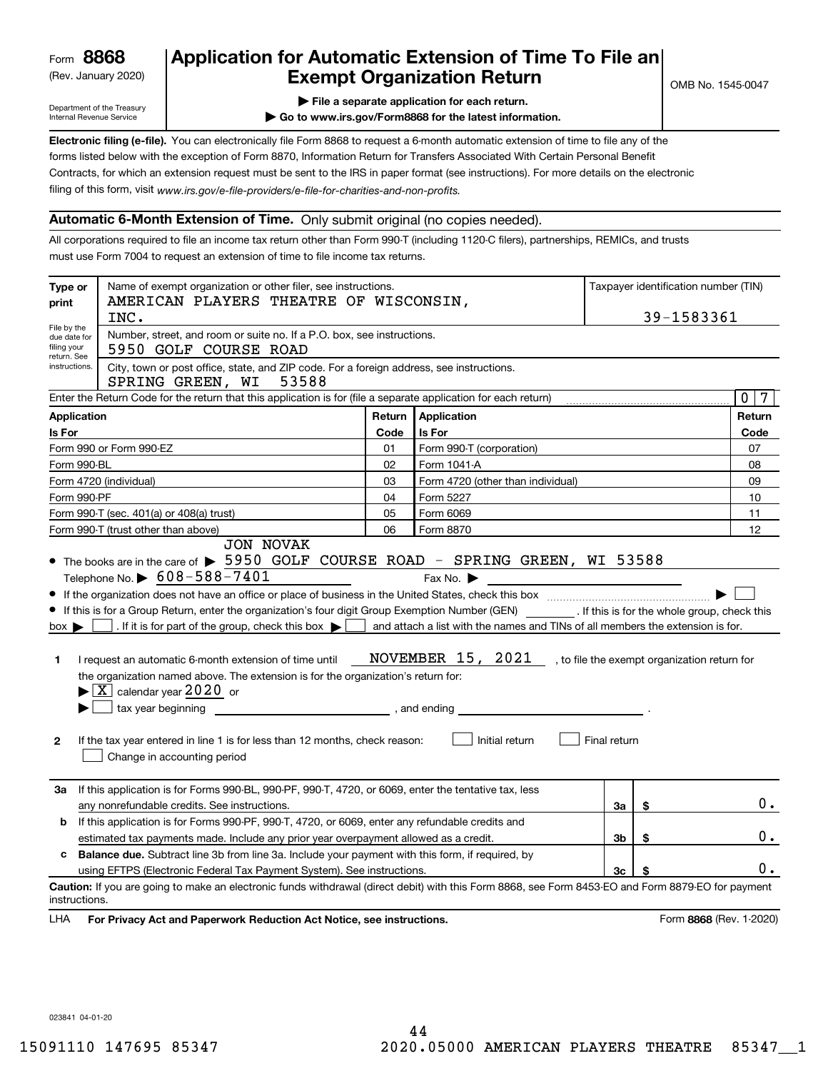(Rev. January 2020)

# **Application for Automatic Extension of Time To File an Exempt Organization Return**

Department of the Treasury Internal Revenue Service

**| File a separate application for each return.**

**| Go to www.irs.gov/Form8868 for the latest information.**

**Electronic filing (e-file).**  You can electronically file Form 8868 to request a 6-month automatic extension of time to file any of the filing of this form, visit www.irs.gov/e-file-providers/e-file-for-charities-and-non-profits. forms listed below with the exception of Form 8870, Information Return for Transfers Associated With Certain Personal Benefit Contracts, for which an extension request must be sent to the IRS in paper format (see instructions). For more details on the electronic

### **Automatic 6-Month Extension of Time.** Only submit original (no copies needed).

All corporations required to file an income tax return other than Form 990-T (including 1120-C filers), partnerships, REMICs, and trusts must use Form 7004 to request an extension of time to file income tax returns.

| Type or<br>print                                          | Name of exempt organization or other filer, see instructions.<br>AMERICAN PLAYERS THEATRE OF WISCONSIN,                                                                                                                                                                                                                                                                                                                                                                                                                                                                                                                                                                                                                                                                                                     | Taxpayer identification number (TIN) |                                                                      |                |                                              |                         |  |  |
|-----------------------------------------------------------|-------------------------------------------------------------------------------------------------------------------------------------------------------------------------------------------------------------------------------------------------------------------------------------------------------------------------------------------------------------------------------------------------------------------------------------------------------------------------------------------------------------------------------------------------------------------------------------------------------------------------------------------------------------------------------------------------------------------------------------------------------------------------------------------------------------|--------------------------------------|----------------------------------------------------------------------|----------------|----------------------------------------------|-------------------------|--|--|
|                                                           | INC.                                                                                                                                                                                                                                                                                                                                                                                                                                                                                                                                                                                                                                                                                                                                                                                                        |                                      | 39-1583361                                                           |                |                                              |                         |  |  |
| File by the<br>due date for<br>filing your<br>return. See | Number, street, and room or suite no. If a P.O. box, see instructions.<br>5950 GOLF COURSE ROAD                                                                                                                                                                                                                                                                                                                                                                                                                                                                                                                                                                                                                                                                                                             |                                      |                                                                      |                |                                              |                         |  |  |
| instructions.                                             | City, town or post office, state, and ZIP code. For a foreign address, see instructions.<br>SPRING GREEN, WI<br>53588                                                                                                                                                                                                                                                                                                                                                                                                                                                                                                                                                                                                                                                                                       |                                      |                                                                      |                |                                              |                         |  |  |
|                                                           | Enter the Return Code for the return that this application is for (file a separate application for each return)                                                                                                                                                                                                                                                                                                                                                                                                                                                                                                                                                                                                                                                                                             |                                      |                                                                      |                |                                              |                         |  |  |
|                                                           | Application<br>Return<br>Application                                                                                                                                                                                                                                                                                                                                                                                                                                                                                                                                                                                                                                                                                                                                                                        |                                      |                                                                      |                |                                              |                         |  |  |
| Is For<br>Code<br>Is For                                  |                                                                                                                                                                                                                                                                                                                                                                                                                                                                                                                                                                                                                                                                                                                                                                                                             |                                      |                                                                      |                |                                              | Code                    |  |  |
|                                                           | Form 990 or Form 990-EZ                                                                                                                                                                                                                                                                                                                                                                                                                                                                                                                                                                                                                                                                                                                                                                                     | 01                                   | Form 990-T (corporation)                                             |                |                                              | 07                      |  |  |
| Form 990-BL                                               |                                                                                                                                                                                                                                                                                                                                                                                                                                                                                                                                                                                                                                                                                                                                                                                                             | 02                                   | Form 1041-A                                                          |                |                                              | 08                      |  |  |
|                                                           | Form 4720 (individual)                                                                                                                                                                                                                                                                                                                                                                                                                                                                                                                                                                                                                                                                                                                                                                                      | 03                                   | Form 4720 (other than individual)                                    |                |                                              | 09                      |  |  |
| Form 990-PF                                               |                                                                                                                                                                                                                                                                                                                                                                                                                                                                                                                                                                                                                                                                                                                                                                                                             | 04                                   | Form 5227                                                            |                |                                              | 10                      |  |  |
|                                                           | Form 990-T (sec. 401(a) or 408(a) trust)                                                                                                                                                                                                                                                                                                                                                                                                                                                                                                                                                                                                                                                                                                                                                                    | 05                                   | Form 6069                                                            |                |                                              | 11                      |  |  |
|                                                           | Form 990-T (trust other than above)                                                                                                                                                                                                                                                                                                                                                                                                                                                                                                                                                                                                                                                                                                                                                                         | 06                                   | Form 8870                                                            |                |                                              | 12                      |  |  |
| $box \rightarrow$<br>1<br>$\mathbf{2}$                    | • The books are in the care of > 5950 GOLF COURSE ROAD - SPRING GREEN, WI 53588<br>Telephone No. $\triangleright$ 608-588-7401<br>If this is for a Group Return, enter the organization's four digit Group Exemption Number (GEN) [f this is for the whole group, check this<br>If it is for part of the group, check this box $\blacktriangleright$ and attach a list with the names and TINs of all members the extension is for.<br>I request an automatic 6-month extension of time until<br>the organization named above. The extension is for the organization's return for:<br>$\blacktriangleright$ $\boxed{\text{X}}$ calendar year 2020 or<br>tax year beginning tax year beginning<br>If the tax year entered in line 1 is for less than 12 months, check reason:<br>Change in accounting period |                                      | Fax No. $\blacktriangleright$<br>NOVEMBER 15, 2021<br>Initial return | Final return   | , to file the exempt organization return for |                         |  |  |
| За                                                        | If this application is for Forms 990-BL, 990-PF, 990-T, 4720, or 6069, enter the tentative tax, less<br>any nonrefundable credits. See instructions.                                                                                                                                                                                                                                                                                                                                                                                                                                                                                                                                                                                                                                                        |                                      |                                                                      | За             | \$                                           | $0$ .                   |  |  |
| b                                                         | If this application is for Forms 990-PF, 990-T, 4720, or 6069, enter any refundable credits and                                                                                                                                                                                                                                                                                                                                                                                                                                                                                                                                                                                                                                                                                                             |                                      |                                                                      |                |                                              |                         |  |  |
|                                                           | estimated tax payments made. Include any prior year overpayment allowed as a credit.                                                                                                                                                                                                                                                                                                                                                                                                                                                                                                                                                                                                                                                                                                                        |                                      |                                                                      | 3 <sub>b</sub> | \$                                           | 0.                      |  |  |
| c                                                         | <b>Balance due.</b> Subtract line 3b from line 3a. Include your payment with this form, if required, by                                                                                                                                                                                                                                                                                                                                                                                                                                                                                                                                                                                                                                                                                                     |                                      |                                                                      |                |                                              |                         |  |  |
|                                                           | using EFTPS (Electronic Federal Tax Payment System). See instructions.                                                                                                                                                                                                                                                                                                                                                                                                                                                                                                                                                                                                                                                                                                                                      |                                      |                                                                      | 3 <sub>c</sub> |                                              | 0.                      |  |  |
| instructions.<br>LHA                                      | Caution: If you are going to make an electronic funds withdrawal (direct debit) with this Form 8868, see Form 8453-EO and Form 8879-EO for payment<br>For Privacy Act and Paperwork Reduction Act Notice, see instructions.                                                                                                                                                                                                                                                                                                                                                                                                                                                                                                                                                                                 |                                      |                                                                      |                |                                              | Form 8868 (Rev. 1-2020) |  |  |

023841 04-01-20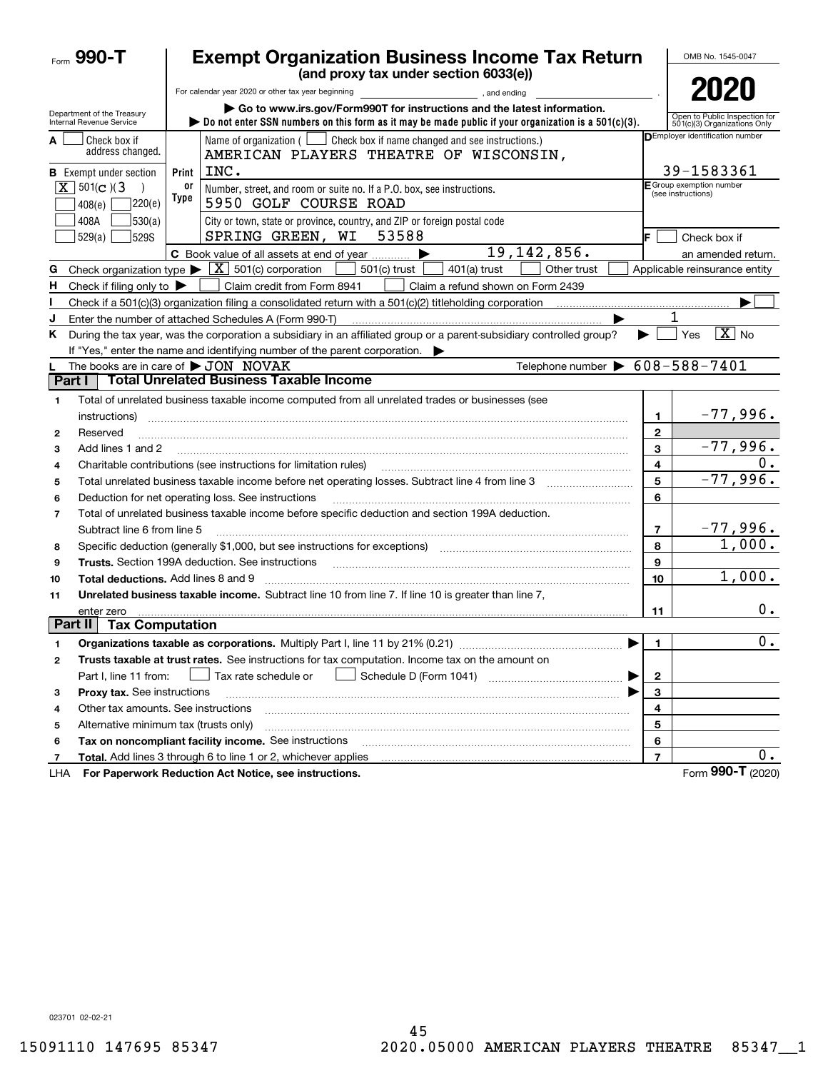|                          | Form $990 - T$                                                               |                       | <b>Exempt Organization Business Income Tax Return</b><br>(and proxy tax under section 6033(e))                                                                                                      |                         | OMB No. 1545-0047                                             |
|--------------------------|------------------------------------------------------------------------------|-----------------------|-----------------------------------------------------------------------------------------------------------------------------------------------------------------------------------------------------|-------------------------|---------------------------------------------------------------|
|                          |                                                                              |                       | For calendar year 2020 or other tax year beginning<br>and ending, and ending                                                                                                                        |                         | 2020                                                          |
|                          | Department of the Treasury<br>Internal Revenue Service                       |                       | Go to www.irs.gov/Form990T for instructions and the latest information.<br>bo not enter SSN numbers on this form as it may be made public if your organization is a $501(c)(3)$ .                   |                         | Open to Public Inspection for<br>501(c)(3) Organizations Only |
| А                        | Check box if<br>address changed.                                             |                       | Name of organization $($ $\Box$ Check box if name changed and see instructions.)<br>AMERICAN PLAYERS THEATRE OF WISCONSIN,<br>INC.                                                                  |                         | <b>DEmployer identification number</b><br>39-1583361          |
|                          | <b>B</b> Exempt under section<br>$\overline{X}$ 501(c)(3<br>220(e)<br>408(e) | Print 1<br>or<br>Type | Number, street, and room or suite no. If a P.O. box, see instructions.<br>5950 GOLF COURSE ROAD                                                                                                     |                         | E Group exemption number<br>(see instructions)                |
|                          | 408A<br>530(a)<br>529(a)<br><b>529S</b>                                      |                       | City or town, state or province, country, and ZIP or foreign postal code<br>53588<br>SPRING GREEN, WI                                                                                               |                         | Check box if                                                  |
|                          |                                                                              |                       | 19, 142, 856.<br>C Book value of all assets at end of year                                                                                                                                          |                         | an amended return.                                            |
| G                        |                                                                              |                       | Check organization type $\blacktriangleright \boxed{X}$ 501(c) corporation<br>501(c) trust<br>$401(a)$ trust<br>Other trust                                                                         |                         | Applicable reinsurance entity                                 |
| н.                       | Check if filing only to $\blacktriangleright$                                |                       | Claim credit from Form 8941<br>Claim a refund shown on Form 2439                                                                                                                                    |                         |                                                               |
|                          |                                                                              |                       |                                                                                                                                                                                                     |                         |                                                               |
| J                        |                                                                              |                       | Enter the number of attached Schedules A (Form 990-T)                                                                                                                                               |                         | 1                                                             |
| Κ                        |                                                                              |                       | During the tax year, was the corporation a subsidiary in an affiliated group or a parent-subsidiary controlled group?<br>If "Yes," enter the name and identifying number of the parent corporation. | ▶                       | $\boxed{\text{X}}$ No<br>Yes                                  |
|                          | The books are in care of $\blacktriangleright$ JON NOVAK                     |                       | Telephone number $\triangleright$ 608-588-7401                                                                                                                                                      |                         |                                                               |
| Part I                   |                                                                              |                       | <b>Total Unrelated Business Taxable Income</b>                                                                                                                                                      |                         |                                                               |
| 1                        |                                                                              |                       | Total of unrelated business taxable income computed from all unrelated trades or businesses (see                                                                                                    |                         |                                                               |
|                          | instructions)                                                                |                       |                                                                                                                                                                                                     | 1                       | $-77,996.$                                                    |
| 2                        | Reserved                                                                     |                       |                                                                                                                                                                                                     | 2                       |                                                               |
| 3                        | Add lines 1 and 2                                                            |                       |                                                                                                                                                                                                     | 3                       | $-77,996.$                                                    |
| 4                        |                                                                              |                       | Charitable contributions (see instructions for limitation rules)                                                                                                                                    | 4                       |                                                               |
| 5                        |                                                                              |                       |                                                                                                                                                                                                     | 5                       | $-77,996.$                                                    |
| 6                        |                                                                              |                       | Deduction for net operating loss. See instructions                                                                                                                                                  | 6                       |                                                               |
| $\overline{\phantom{a}}$ |                                                                              |                       | Total of unrelated business taxable income before specific deduction and section 199A deduction.                                                                                                    |                         |                                                               |
|                          | Subtract line 6 from line 5                                                  |                       |                                                                                                                                                                                                     | 7                       | <u>–77,996.</u>                                               |
| 8                        |                                                                              |                       | Specific deduction (generally \$1,000, but see instructions for exceptions) manufactured contains an exception of                                                                                   | 8                       | 1,000.                                                        |
| 9                        |                                                                              |                       | <b>Trusts.</b> Section 199A deduction. See instructions                                                                                                                                             | 9                       |                                                               |
| 10                       | <b>Total deductions.</b> Add lines 8 and 9                                   |                       |                                                                                                                                                                                                     | 10                      | 1,000.                                                        |
| 11                       |                                                                              |                       | Unrelated business taxable income. Subtract line 10 from line 7. If line 10 is greater than line 7,                                                                                                 |                         |                                                               |
|                          | enter zero                                                                   |                       |                                                                                                                                                                                                     | 11                      | 0.                                                            |
|                          | Part II<br><b>Tax Computation</b>                                            |                       |                                                                                                                                                                                                     |                         |                                                               |
|                          |                                                                              |                       | Organizations taxable as corporations. Multiply Part I, line 11 by 21% (0.21)                                                                                                                       | $\mathbf{1}$            | $\overline{0}$ .                                              |
| 2                        |                                                                              |                       | Trusts taxable at trust rates. See instructions for tax computation. Income tax on the amount on                                                                                                    |                         |                                                               |
|                          | Part I, line 11 from:                                                        |                       | Tax rate schedule or<br>▶                                                                                                                                                                           | $\mathbf{2}$            |                                                               |
| з                        | Proxy tax. See instructions                                                  |                       |                                                                                                                                                                                                     | 3                       |                                                               |
| 4                        | Other tax amounts. See instructions                                          |                       |                                                                                                                                                                                                     | 4                       |                                                               |
| 5                        | Alternative minimum tax (trusts only)                                        |                       |                                                                                                                                                                                                     | 5                       |                                                               |
| 6                        |                                                                              |                       | Tax on noncompliant facility income. See instructions                                                                                                                                               | 6                       |                                                               |
| 7                        |                                                                              |                       | Total. Add lines 3 through 6 to line 1 or 2, whichever applies                                                                                                                                      | $\overline{\mathbf{r}}$ | $0 \cdot$                                                     |
| LHA                      |                                                                              |                       | For Paperwork Reduction Act Notice, see instructions.                                                                                                                                               |                         | Form 990-T (2020)                                             |

023701 02-02-21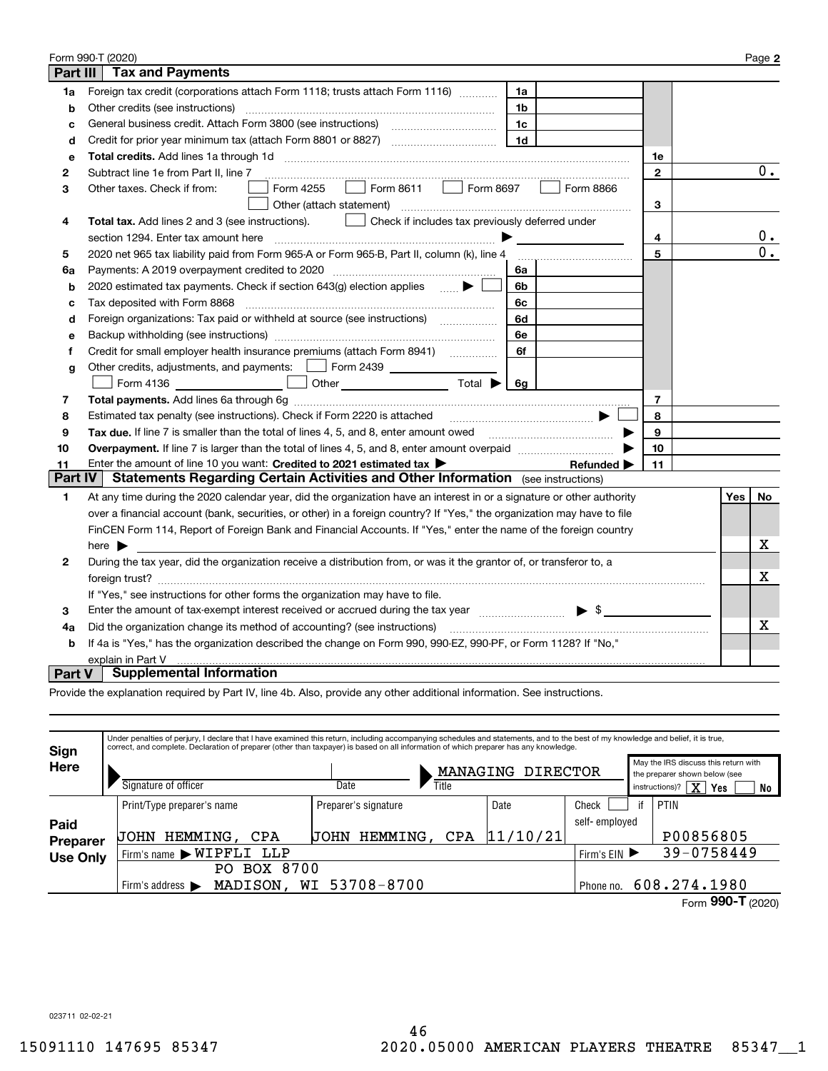|                 | Form 990-T (2020)                                                                                                       |              |     | Page 2           |
|-----------------|-------------------------------------------------------------------------------------------------------------------------|--------------|-----|------------------|
| <b>Part III</b> | <b>Tax and Payments</b>                                                                                                 |              |     |                  |
| 1a              | Foreign tax credit (corporations attach Form 1118; trusts attach Form 1116)<br>1a                                       |              |     |                  |
| b               | Other credits (see instructions)<br>1b                                                                                  |              |     |                  |
| C               | 1c                                                                                                                      |              |     |                  |
| d               | 1 <sub>d</sub>                                                                                                          |              |     |                  |
| е               | Total credits. Add lines 1a through 1d                                                                                  | 1e           |     |                  |
| 2               | Subtract line 1e from Part II, line 7                                                                                   | $\mathbf{2}$ |     | 0.               |
| 3               | Form 8611<br>Form 8697<br>Form 4255<br>Form 8866<br>Other taxes. Check if from:<br>$\mathbf{1}$                         |              |     |                  |
|                 | Other (attach statement)                                                                                                | 3            |     |                  |
| 4               | Check if includes tax previously deferred under<br>Total tax. Add lines 2 and 3 (see instructions).                     |              |     |                  |
|                 | section 1294. Enter tax amount here                                                                                     | 4            |     | 0.               |
| 5               | 2020 net 965 tax liability paid from Form 965-A or Form 965-B, Part II, column (k), line 4                              | 5            |     | $\overline{0}$ . |
| 6a              | Payments: A 2019 overpayment credited to 2020 [11] [11] maximum materials: A 2019 overpayment credited to 2020<br>6a    |              |     |                  |
| b               | 2020 estimated tax payments. Check if section 643(g) election applies $\qquad \qquad \bullet$<br>6b                     |              |     |                  |
| c               | Tax deposited with Form 8868<br>6c                                                                                      |              |     |                  |
| d               | Foreign organizations: Tax paid or withheld at source (see instructions) [<br>6d                                        |              |     |                  |
| e               | 6e                                                                                                                      |              |     |                  |
| f               | 6f                                                                                                                      |              |     |                  |
| g               | Other credits, adjustments, and payments:   Form 2439                                                                   |              |     |                  |
|                 | Other $\overline{\hspace{1cm}}$ Total $\blacktriangleright$ $\overline{\hspace{1cm}}$ 6g<br>Form 4136                   |              |     |                  |
| 7               |                                                                                                                         | 7            |     |                  |
| 8               | Estimated tax penalty (see instructions). Check if Form 2220 is attached                                                | 8            |     |                  |
| 9               | Tax due. If line 7 is smaller than the total of lines 4, 5, and 8, enter amount owed <b>Face and Conservers</b> in the  | 9            |     |                  |
| 10              |                                                                                                                         | 10           |     |                  |
| 11              | Enter the amount of line 10 you want: Credited to 2021 estimated tax<br>Refunded $\blacktriangleright$                  | 11           |     |                  |
| <b>Part IV</b>  | <b>Statements Regarding Certain Activities and Other Information</b> (see instructions)                                 |              |     |                  |
| 1               | At any time during the 2020 calendar year, did the organization have an interest in or a signature or other authority   |              | Yes | No               |
|                 | over a financial account (bank, securities, or other) in a foreign country? If "Yes," the organization may have to file |              |     |                  |
|                 | FinCEN Form 114, Report of Foreign Bank and Financial Accounts. If "Yes," enter the name of the foreign country         |              |     |                  |
|                 | here $\blacktriangleright$                                                                                              |              |     | х                |
| 2               | During the tax year, did the organization receive a distribution from, or was it the grantor of, or transferor to, a    |              |     |                  |
|                 |                                                                                                                         |              |     | X                |
|                 | If "Yes," see instructions for other forms the organization may have to file.                                           |              |     |                  |
| 3               | Enter the amount of tax-exempt interest received or accrued during the tax year manufactured $\blacktriangleright$ \$   |              |     |                  |
| 4a              | Did the organization change its method of accounting? (see instructions)                                                |              |     | x                |
| b               | If 4a is "Yes," has the organization described the change on Form 990, 990-EZ, 990-PF, or Form 1128? If "No,"           |              |     |                  |
|                 | explain in Part V                                                                                                       |              |     |                  |
| <b>Part V</b>   | <b>Supplemental Information</b>                                                                                         |              |     |                  |

Provide the explanation required by Part IV, line 4b. Also, provide any other additional information. See instructions.

| Sign            |                                                  | Under penalties of perjury, I declare that I have examined this return, including accompanying schedules and statements, and to the best of my knowledge and belief, it is true,<br>correct, and complete. Declaration of preparer (other than taxpayer) is based on all information of which preparer has any knowledge. |                   |               |  |                                                                                                    |      |  |  |  |  |  |
|-----------------|--------------------------------------------------|---------------------------------------------------------------------------------------------------------------------------------------------------------------------------------------------------------------------------------------------------------------------------------------------------------------------------|-------------------|---------------|--|----------------------------------------------------------------------------------------------------|------|--|--|--|--|--|
| Here            | Signature of officer                             | Date<br>Title                                                                                                                                                                                                                                                                                                             | MANAGING DIRECTOR |               |  | May the IRS discuss this return with<br>the preparer shown below (see<br>$X$ Yes<br>instructions)? | No   |  |  |  |  |  |
|                 | Print/Type preparer's name                       | Preparer's signature                                                                                                                                                                                                                                                                                                      | Date              | Check         |  | PTIN                                                                                               |      |  |  |  |  |  |
| Paid            |                                                  |                                                                                                                                                                                                                                                                                                                           |                   | self-employed |  |                                                                                                    |      |  |  |  |  |  |
| <b>Preparer</b> | HEMMING, CPA<br><b>UOHN</b>                      | HEMMING, CPA<br>UOHN                                                                                                                                                                                                                                                                                                      | 11/10/21          |               |  | P00856805                                                                                          |      |  |  |  |  |  |
| <b>Use Only</b> | Firm's name WIPFLI LLP                           |                                                                                                                                                                                                                                                                                                                           |                   | Firm's $EIN$  |  | 39-0758449                                                                                         |      |  |  |  |  |  |
|                 | BOX 8700<br>PO.                                  |                                                                                                                                                                                                                                                                                                                           |                   |               |  |                                                                                                    |      |  |  |  |  |  |
|                 | MADISON,<br>Firm's address $\blacktriangleright$ | WI 53708-8700                                                                                                                                                                                                                                                                                                             |                   | Phone no.     |  | 608.274.1980                                                                                       |      |  |  |  |  |  |
|                 |                                                  |                                                                                                                                                                                                                                                                                                                           |                   |               |  |                                                                                                    | 000T |  |  |  |  |  |

023711 02-02-21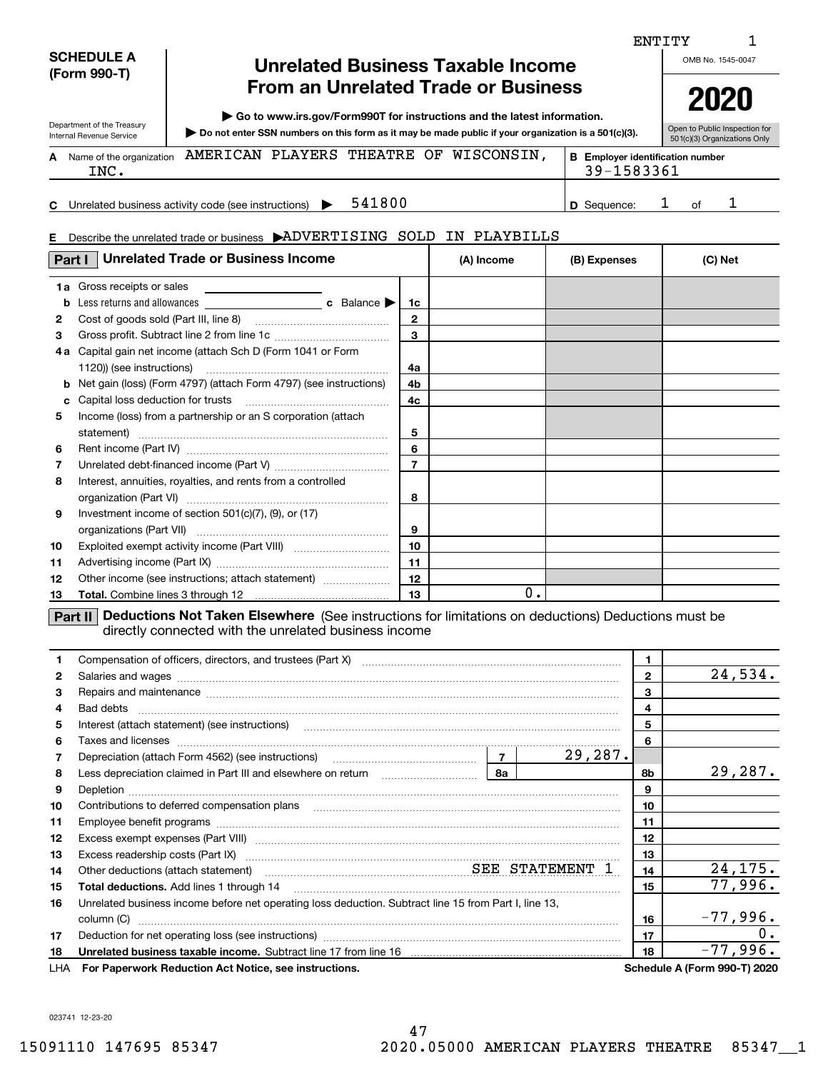|                                                                                                 | <b>SCHEDULE A</b>                  | <b>Unrelated Business Taxable Income</b>                                                                                                                                                                                                                |                |            |                                                       |                         | ENTITY | OMB No. 1545-0047                                                            |
|-------------------------------------------------------------------------------------------------|------------------------------------|---------------------------------------------------------------------------------------------------------------------------------------------------------------------------------------------------------------------------------------------------------|----------------|------------|-------------------------------------------------------|-------------------------|--------|------------------------------------------------------------------------------|
| (Form 990-T)                                                                                    |                                    | <b>From an Unrelated Trade or Business</b>                                                                                                                                                                                                              |                |            |                                                       |                         |        | 2020                                                                         |
| Department of the Treasury                                                                      |                                    | $\triangleright$ Go to www.irs.gov/Form990T for instructions and the latest information.                                                                                                                                                                |                |            |                                                       |                         |        | Open to Public Inspection for                                                |
| Internal Revenue Service                                                                        |                                    | Do not enter SSN numbers on this form as it may be made public if your organization is a 501(c)(3).                                                                                                                                                     |                |            |                                                       |                         |        | 501(c)(3) Organizations Only                                                 |
|                                                                                                 | A Name of the organization<br>INC. | AMERICAN PLAYERS THEATRE OF WISCONSIN,                                                                                                                                                                                                                  |                |            | <b>B</b> Employer identification number<br>39-1583361 |                         |        |                                                                              |
|                                                                                                 |                                    | 541800<br>Unrelated business activity code (see instructions)                                                                                                                                                                                           |                |            | D Sequence:                                           | ı                       | of     | 1                                                                            |
| E.                                                                                              |                                    | Describe the unrelated trade or business ADVERTISING SOLD IN PLAYBILLS                                                                                                                                                                                  |                |            |                                                       |                         |        |                                                                              |
| Part I                                                                                          |                                    | <b>Unrelated Trade or Business Income</b>                                                                                                                                                                                                               |                | (A) Income | (B) Expenses                                          |                         |        | (C) Net                                                                      |
|                                                                                                 | <b>1a</b> Gross receipts or sales  |                                                                                                                                                                                                                                                         |                |            |                                                       |                         |        |                                                                              |
| b                                                                                               |                                    | Less returns and allowances <b>by c</b> Balance <b>D</b>                                                                                                                                                                                                | 1c             |            |                                                       |                         |        |                                                                              |
| $\mathbf{2}$                                                                                    |                                    |                                                                                                                                                                                                                                                         | $\mathbf{2}$   |            |                                                       |                         |        |                                                                              |
| 3                                                                                               |                                    |                                                                                                                                                                                                                                                         | 3              |            |                                                       |                         |        |                                                                              |
|                                                                                                 |                                    | 4a Capital gain net income (attach Sch D (Form 1041 or Form                                                                                                                                                                                             |                |            |                                                       |                         |        |                                                                              |
|                                                                                                 | 1120)) (see instructions)          |                                                                                                                                                                                                                                                         | 4a             |            |                                                       |                         |        |                                                                              |
| b                                                                                               |                                    | Net gain (loss) (Form 4797) (attach Form 4797) (see instructions)                                                                                                                                                                                       | 4b             |            |                                                       |                         |        |                                                                              |
| с                                                                                               | Capital loss deduction for trusts  |                                                                                                                                                                                                                                                         | 4c             |            |                                                       |                         |        |                                                                              |
| 5                                                                                               |                                    | Income (loss) from a partnership or an S corporation (attach                                                                                                                                                                                            |                |            |                                                       |                         |        |                                                                              |
|                                                                                                 |                                    |                                                                                                                                                                                                                                                         | 5              |            |                                                       |                         |        |                                                                              |
| 6                                                                                               |                                    |                                                                                                                                                                                                                                                         | 6              |            |                                                       |                         |        |                                                                              |
| 7                                                                                               |                                    |                                                                                                                                                                                                                                                         | $\overline{7}$ |            |                                                       |                         |        |                                                                              |
| 8                                                                                               |                                    | Interest, annuities, royalties, and rents from a controlled                                                                                                                                                                                             |                |            |                                                       |                         |        |                                                                              |
|                                                                                                 |                                    |                                                                                                                                                                                                                                                         | 8              |            |                                                       |                         |        |                                                                              |
| 9                                                                                               |                                    | Investment income of section $501(c)(7)$ , $(9)$ , or $(17)$                                                                                                                                                                                            | 9              |            |                                                       |                         |        |                                                                              |
| 10                                                                                              |                                    |                                                                                                                                                                                                                                                         | 10             |            |                                                       |                         |        |                                                                              |
| 11                                                                                              |                                    |                                                                                                                                                                                                                                                         | 11             |            |                                                       |                         |        |                                                                              |
| 12                                                                                              |                                    | Other income (see instructions; attach statement)                                                                                                                                                                                                       | 12             |            |                                                       |                         |        |                                                                              |
| 13                                                                                              |                                    |                                                                                                                                                                                                                                                         | 13             | 0.         |                                                       |                         |        |                                                                              |
|                                                                                                 |                                    |                                                                                                                                                                                                                                                         |                |            |                                                       |                         |        |                                                                              |
| 1                                                                                               |                                    | Deductions Not Taken Elsewhere (See instructions for limitations on deductions) Deductions must be<br>directly connected with the unrelated business income                                                                                             |                |            |                                                       | 1.                      |        |                                                                              |
|                                                                                                 |                                    |                                                                                                                                                                                                                                                         |                |            |                                                       |                         |        |                                                                              |
|                                                                                                 |                                    | Salaries and wages with the continuum contract of the contract of the contract of the contract of the contract of the contract of the contract of the contract of the contract of the contract of the contract of the contract                          |                |            |                                                       | $\mathbf{2}$<br>3       |        |                                                                              |
|                                                                                                 |                                    | Repairs and maintenance material content content content and material content and maintenance material content                                                                                                                                          |                |            |                                                       | $\overline{\mathbf{4}}$ |        |                                                                              |
|                                                                                                 |                                    | Interest (attach statement) (see instructions) [11] manufactured and according to the statement of the statement of the statement of the statement of the statement of the statement of the statement of the statement of the                           |                |            |                                                       | 5                       |        |                                                                              |
|                                                                                                 |                                    |                                                                                                                                                                                                                                                         |                |            |                                                       | 6                       |        |                                                                              |
|                                                                                                 |                                    | Taxes and licenses <b>continuum continuum continuum continuum continuum continuum continuum continuum continuum continuum continuum continuum continuum continuum continuum continuum continuum continuum continuum continuum co</b>                    |                | <b>7</b> l | 29,287.                                               |                         |        |                                                                              |
|                                                                                                 |                                    | Depreciation (attach Form 4562) (see instructions) maturities and successive and perfection and perfection and<br>Less depreciation claimed in Part III and elsewhere on return [11] [12] Less depreciation claimed in Part III and elsewhere on return |                | -8a l      |                                                       | 8b                      |        |                                                                              |
|                                                                                                 |                                    |                                                                                                                                                                                                                                                         |                |            |                                                       | 9                       |        |                                                                              |
|                                                                                                 |                                    |                                                                                                                                                                                                                                                         |                |            |                                                       | 10                      |        |                                                                              |
|                                                                                                 |                                    |                                                                                                                                                                                                                                                         |                |            |                                                       | 11                      |        |                                                                              |
|                                                                                                 |                                    |                                                                                                                                                                                                                                                         |                |            |                                                       | 12                      |        |                                                                              |
|                                                                                                 |                                    |                                                                                                                                                                                                                                                         |                |            |                                                       | 13                      |        |                                                                              |
|                                                                                                 |                                    | Other deductions (attach statement) material material material SEE STATEMENT 1                                                                                                                                                                          |                |            |                                                       | 14                      |        |                                                                              |
|                                                                                                 |                                    | Total deductions. Add lines 1 through 14                                                                                                                                                                                                                |                |            |                                                       | 15                      |        |                                                                              |
|                                                                                                 |                                    | Unrelated business income before net operating loss deduction. Subtract line 15 from Part I, line 13,                                                                                                                                                   |                |            |                                                       |                         |        |                                                                              |
|                                                                                                 |                                    |                                                                                                                                                                                                                                                         |                |            |                                                       | 16                      |        |                                                                              |
| Part II<br>2<br>3<br>4<br>5<br>6<br>7<br>8<br>9<br>10<br>11<br>12<br>13<br>14<br>15<br>16<br>17 |                                    |                                                                                                                                                                                                                                                         |                |            |                                                       | 17<br>18                |        | 24,534.<br>29, 287.<br>24, 175.<br>77,996.<br>$-77,996.$<br>0.<br>$-77,996.$ |

023741 12-23-20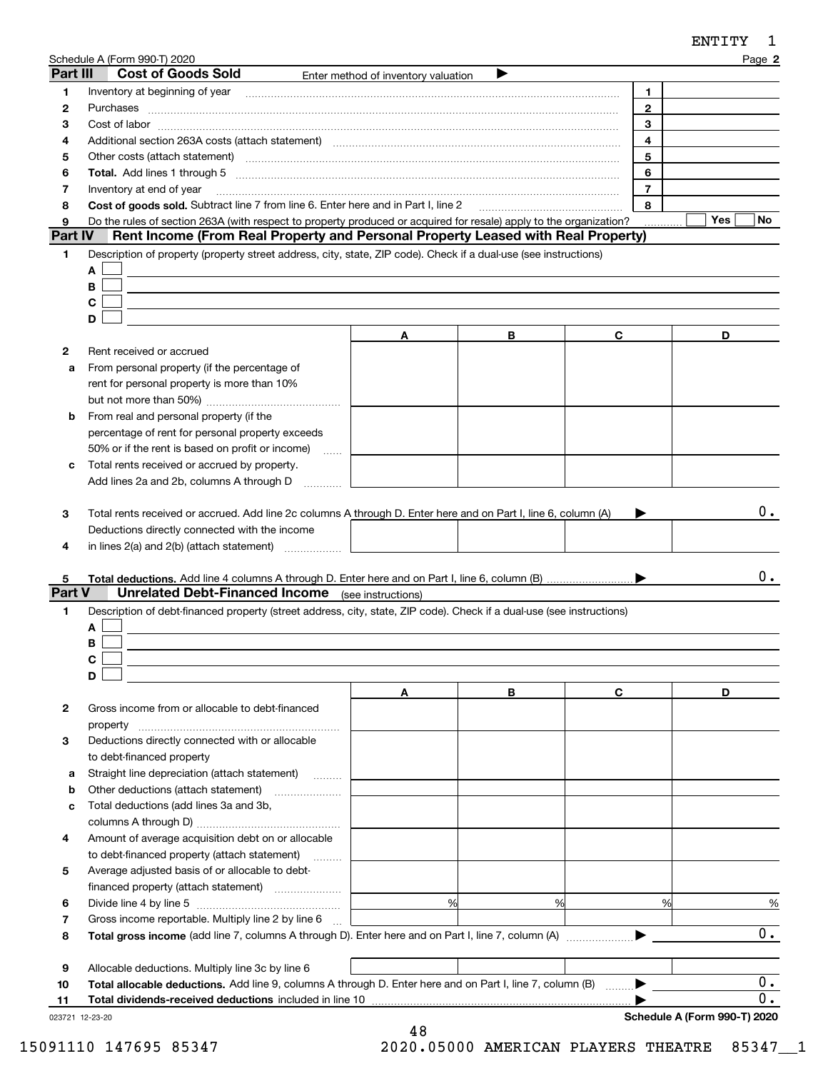|              | Sche <u>dule A (Form 990-T) 2020</u>                                                                                                                                                                                          |                                              |   |                | Page 2     |
|--------------|-------------------------------------------------------------------------------------------------------------------------------------------------------------------------------------------------------------------------------|----------------------------------------------|---|----------------|------------|
| Part III     | <b>Cost of Goods Sold</b>                                                                                                                                                                                                     | Enter method of inventory valuation          |   |                |            |
| 1            | Inventory at beginning of year encouragement and an intervention of the state of the state of the state of the                                                                                                                |                                              |   | 1.             |            |
| 2            |                                                                                                                                                                                                                               |                                              |   | $\overline{2}$ |            |
| 3            | Cost of labor www.communication.com/www.communication.com/www.communication.com/www.communication.com                                                                                                                         |                                              |   | 3              |            |
| 4            | Additional section 263A costs (attach statement) material content and according to the Additional section 263A                                                                                                                |                                              |   | 4              |            |
| 5            | Other costs (attach statement) material contracts and a statement of the statement of the statement of the statement of the statement of the statement of the statement of the statement of the statement of the statement of |                                              |   | 5              |            |
| 6            |                                                                                                                                                                                                                               |                                              |   | 6              |            |
| 7            | Inventory at end of year                                                                                                                                                                                                      |                                              |   | $\overline{7}$ |            |
| 8            | Cost of goods sold. Subtract line 7 from line 6. Enter here and in Part I, line 2                                                                                                                                             |                                              |   | 8              |            |
| 9            | Do the rules of section 263A (with respect to property produced or acquired for resale) apply to the organization?                                                                                                            |                                              |   |                | Yes<br>No. |
| Part IV      | Rent Income (From Real Property and Personal Property Leased with Real Property)                                                                                                                                              |                                              |   |                |            |
| 1            | Description of property (property street address, city, state, ZIP code). Check if a dual-use (see instructions)                                                                                                              |                                              |   |                |            |
|              | A                                                                                                                                                                                                                             |                                              |   |                |            |
|              | B                                                                                                                                                                                                                             |                                              |   |                |            |
|              | C                                                                                                                                                                                                                             |                                              |   |                |            |
|              | D                                                                                                                                                                                                                             |                                              |   |                |            |
|              |                                                                                                                                                                                                                               | A                                            | В | C              | D          |
| 2            | Rent received or accrued                                                                                                                                                                                                      |                                              |   |                |            |
| a            | From personal property (if the percentage of                                                                                                                                                                                  |                                              |   |                |            |
|              | rent for personal property is more than 10%                                                                                                                                                                                   |                                              |   |                |            |
|              |                                                                                                                                                                                                                               |                                              |   |                |            |
| b            | From real and personal property (if the                                                                                                                                                                                       |                                              |   |                |            |
|              | percentage of rent for personal property exceeds                                                                                                                                                                              |                                              |   |                |            |
|              | 50% or if the rent is based on profit or income)<br>المتنب                                                                                                                                                                    |                                              |   |                |            |
| c            | Total rents received or accrued by property.                                                                                                                                                                                  |                                              |   |                |            |
|              | Add lines 2a and 2b, columns A through D                                                                                                                                                                                      |                                              |   |                |            |
| 4            | Deductions directly connected with the income<br>in lines $2(a)$ and $2(b)$ (attach statement) $\ldots$                                                                                                                       |                                              |   |                |            |
|              |                                                                                                                                                                                                                               |                                              |   |                |            |
| 5.<br>Part V | <b>Unrelated Debt-Financed Income</b> (see instructions)                                                                                                                                                                      |                                              |   |                | 0.         |
|              |                                                                                                                                                                                                                               |                                              |   |                |            |
| 1            | Description of debt-financed property (street address, city, state, ZIP code). Check if a dual-use (see instructions)                                                                                                         |                                              |   |                |            |
|              | A                                                                                                                                                                                                                             |                                              |   |                |            |
|              | В                                                                                                                                                                                                                             |                                              |   |                |            |
|              | D                                                                                                                                                                                                                             |                                              |   |                |            |
|              |                                                                                                                                                                                                                               | Α                                            | В | C              | D          |
| 2            | Gross income from or allocable to debt-financed                                                                                                                                                                               |                                              |   |                |            |
|              | property                                                                                                                                                                                                                      |                                              |   |                |            |
| 3            | Deductions directly connected with or allocable                                                                                                                                                                               |                                              |   |                |            |
|              | to debt-financed property                                                                                                                                                                                                     |                                              |   |                |            |
| а            | Straight line depreciation (attach statement)                                                                                                                                                                                 |                                              |   |                |            |
| b            |                                                                                                                                                                                                                               |                                              |   |                |            |
| c            | Total deductions (add lines 3a and 3b,                                                                                                                                                                                        |                                              |   |                |            |
|              |                                                                                                                                                                                                                               |                                              |   |                |            |
| 4            | Amount of average acquisition debt on or allocable                                                                                                                                                                            |                                              |   |                |            |
|              | to debt-financed property (attach statement)                                                                                                                                                                                  |                                              |   |                |            |
| 5            | Average adjusted basis of or allocable to debt-                                                                                                                                                                               |                                              |   |                |            |
|              |                                                                                                                                                                                                                               | the control of the control of the control of |   |                |            |
| 6            |                                                                                                                                                                                                                               | %                                            | % | %              | $\%$       |
| 7            | Gross income reportable. Multiply line 2 by line 6                                                                                                                                                                            | the control of the control of the control of |   |                |            |
| 8            |                                                                                                                                                                                                                               |                                              |   |                | 0.         |
|              |                                                                                                                                                                                                                               |                                              |   |                |            |
| 9            | Allocable deductions. Multiply line 3c by line 6                                                                                                                                                                              |                                              |   |                |            |
| 10           | Total allocable deductions. Add line 9, columns A through D. Enter here and on Part I, line 7, column (B)                                                                                                                     |                                              |   |                | $0$ .      |
| 11           |                                                                                                                                                                                                                               |                                              |   |                | 0.         |

48

023721 12-23-20

**Schedule A (Form 990-T) 2020**

ENTITY 1

15091110 147695 85347 2020.05000 AMERICAN PLAYERS THEATRE 85347\_\_1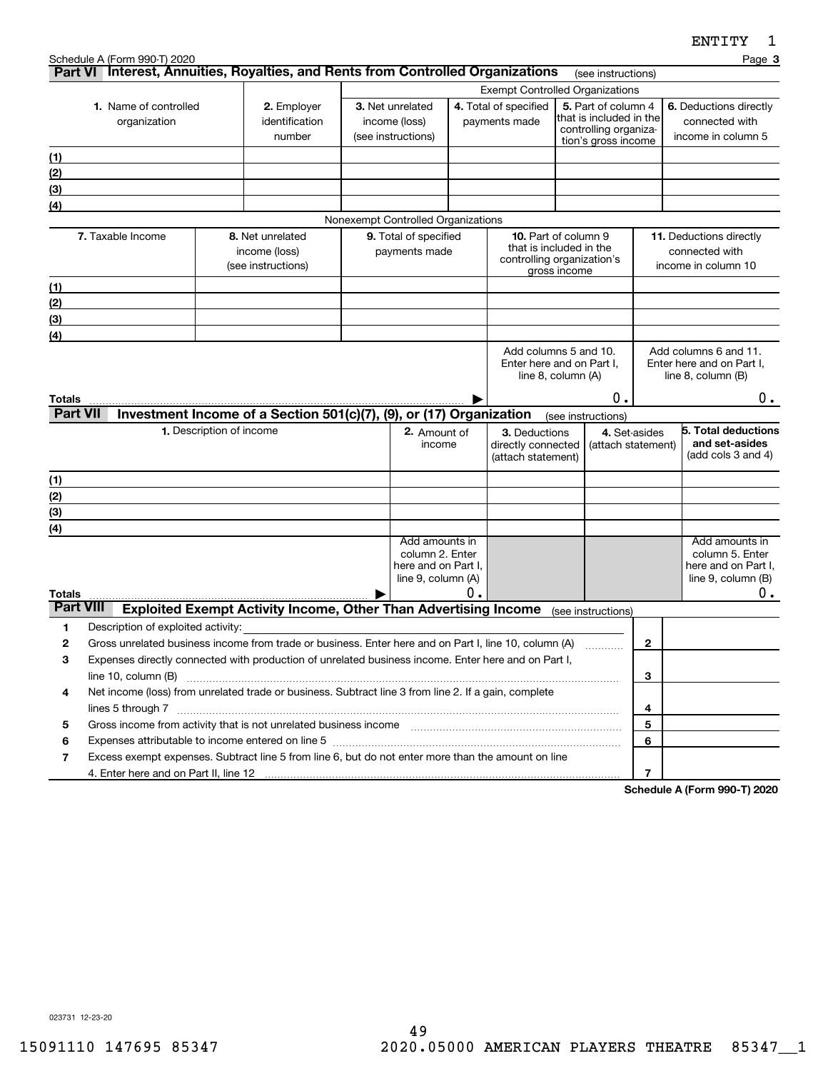|                  | Schedule A (Form 990-T) 2020                                                                                                                                                                                                                          |                          |                                                                        |                                    |    |                                                       |              |                                                |                | Page 3                                             |
|------------------|-------------------------------------------------------------------------------------------------------------------------------------------------------------------------------------------------------------------------------------------------------|--------------------------|------------------------------------------------------------------------|------------------------------------|----|-------------------------------------------------------|--------------|------------------------------------------------|----------------|----------------------------------------------------|
|                  | Part VI Interest, Annuities, Royalties, and Rents from Controlled Organizations                                                                                                                                                                       |                          |                                                                        |                                    |    |                                                       |              | (see instructions)                             |                |                                                    |
|                  |                                                                                                                                                                                                                                                       |                          |                                                                        |                                    |    | <b>Exempt Controlled Organizations</b>                |              |                                                |                |                                                    |
|                  | 1. Name of controlled                                                                                                                                                                                                                                 |                          | 2. Employer<br>identification                                          | 3. Net unrelated<br>income (loss)  |    | 4. Total of specified<br>payments made                |              | 5. Part of column 4<br>that is included in the |                | 6. Deductions directly<br>connected with           |
|                  | organization                                                                                                                                                                                                                                          |                          | number                                                                 | (see instructions)                 |    |                                                       |              | controlling organiza-                          |                | income in column 5                                 |
|                  |                                                                                                                                                                                                                                                       |                          |                                                                        |                                    |    |                                                       |              | tion's gross income                            |                |                                                    |
| (1)<br>(2)       |                                                                                                                                                                                                                                                       |                          |                                                                        |                                    |    |                                                       |              |                                                |                |                                                    |
| (3)              |                                                                                                                                                                                                                                                       |                          |                                                                        |                                    |    |                                                       |              |                                                |                |                                                    |
| (4)              |                                                                                                                                                                                                                                                       |                          |                                                                        |                                    |    |                                                       |              |                                                |                |                                                    |
|                  |                                                                                                                                                                                                                                                       |                          |                                                                        | Nonexempt Controlled Organizations |    |                                                       |              |                                                |                |                                                    |
|                  | 7. Taxable Income                                                                                                                                                                                                                                     |                          | 8. Net unrelated                                                       | 9. Total of specified              |    | <b>10.</b> Part of column 9                           |              |                                                |                | 11. Deductions directly                            |
|                  |                                                                                                                                                                                                                                                       |                          | income (loss)                                                          | payments made                      |    | that is included in the<br>controlling organization's |              |                                                |                | connected with                                     |
|                  |                                                                                                                                                                                                                                                       |                          | (see instructions)                                                     |                                    |    |                                                       | gross income |                                                |                | income in column 10                                |
| (1)              |                                                                                                                                                                                                                                                       |                          |                                                                        |                                    |    |                                                       |              |                                                |                |                                                    |
| (2)              |                                                                                                                                                                                                                                                       |                          |                                                                        |                                    |    |                                                       |              |                                                |                |                                                    |
| (3)              |                                                                                                                                                                                                                                                       |                          |                                                                        |                                    |    |                                                       |              |                                                |                |                                                    |
| (4)              |                                                                                                                                                                                                                                                       |                          |                                                                        |                                    |    |                                                       |              |                                                |                |                                                    |
|                  |                                                                                                                                                                                                                                                       |                          |                                                                        |                                    |    | Add columns 5 and 10.<br>Enter here and on Part I,    |              |                                                |                | Add columns 6 and 11.<br>Enter here and on Part I, |
|                  |                                                                                                                                                                                                                                                       |                          |                                                                        |                                    |    | line 8, column (A)                                    |              |                                                |                | line $8$ , column $(B)$                            |
| Totals           |                                                                                                                                                                                                                                                       |                          |                                                                        |                                    |    |                                                       |              | Ο.                                             |                | 0.                                                 |
| <b>Part VII</b>  |                                                                                                                                                                                                                                                       |                          | Investment Income of a Section 501(c)(7), (9), or (17) Organization    |                                    |    |                                                       |              | (see instructions)                             |                |                                                    |
|                  |                                                                                                                                                                                                                                                       | 1. Description of income |                                                                        | 2. Amount of                       |    | 3. Deductions                                         |              |                                                | 4. Set-asides  | 5. Total deductions                                |
|                  |                                                                                                                                                                                                                                                       |                          |                                                                        | income                             |    | directly connected                                    |              | (attach statement)                             |                | and set-asides                                     |
|                  |                                                                                                                                                                                                                                                       |                          |                                                                        |                                    |    | (attach statement)                                    |              |                                                |                | (add cols 3 and 4)                                 |
| (1)              |                                                                                                                                                                                                                                                       |                          |                                                                        |                                    |    |                                                       |              |                                                |                |                                                    |
| (2)              |                                                                                                                                                                                                                                                       |                          |                                                                        |                                    |    |                                                       |              |                                                |                |                                                    |
| (3)              |                                                                                                                                                                                                                                                       |                          |                                                                        |                                    |    |                                                       |              |                                                |                |                                                    |
| (4)              |                                                                                                                                                                                                                                                       |                          |                                                                        | Add amounts in                     |    |                                                       |              |                                                |                | Add amounts in                                     |
|                  |                                                                                                                                                                                                                                                       |                          |                                                                        | column 2. Enter                    |    |                                                       |              |                                                |                | column 5. Enter                                    |
|                  |                                                                                                                                                                                                                                                       |                          |                                                                        | here and on Part I,                |    |                                                       |              |                                                |                | here and on Part I,                                |
| Totals           |                                                                                                                                                                                                                                                       |                          |                                                                        | line 9, column (A)                 | О. |                                                       |              |                                                |                | line $9$ , column $(B)$<br>0.                      |
| <b>Part VIII</b> |                                                                                                                                                                                                                                                       |                          | <b>Exploited Exempt Activity Income, Other Than Advertising Income</b> |                                    |    |                                                       |              | (see instructions)                             |                |                                                    |
| 1                | Description of exploited activity:                                                                                                                                                                                                                    |                          |                                                                        |                                    |    |                                                       |              |                                                |                |                                                    |
| 2                | Gross unrelated business income from trade or business. Enter here and on Part I, line 10, column (A)                                                                                                                                                 |                          |                                                                        |                                    |    |                                                       |              |                                                | 2              |                                                    |
| 3                | Expenses directly connected with production of unrelated business income. Enter here and on Part I,                                                                                                                                                   |                          |                                                                        |                                    |    |                                                       |              |                                                |                |                                                    |
|                  | line 10, column (B)                                                                                                                                                                                                                                   |                          |                                                                        |                                    |    |                                                       |              |                                                | 3              |                                                    |
| 4                | Net income (loss) from unrelated trade or business. Subtract line 3 from line 2. If a gain, complete                                                                                                                                                  |                          |                                                                        |                                    |    |                                                       |              |                                                |                |                                                    |
|                  |                                                                                                                                                                                                                                                       |                          |                                                                        |                                    |    |                                                       |              |                                                | 4              |                                                    |
| 5                | Gross income from activity that is not unrelated business income [11] [11] content material content from activity that is not unrelated business income [11] [11] [11] $\alpha$ [11] $\alpha$ [11] $\alpha$ [11] $\alpha$ [11] $\alpha$ [11] $\alpha$ |                          |                                                                        |                                    |    |                                                       |              |                                                | 5              |                                                    |
| 6                | Expenses attributable to income entered on line 5 [[11] manufacture manufacture attributable to income entered on line 5 [[11] manufacture manufacture attributable to income entered on line 5 [[11] manufacture manufacture                         |                          |                                                                        |                                    |    |                                                       |              |                                                | 6              |                                                    |
| 7                | Excess exempt expenses. Subtract line 5 from line 6, but do not enter more than the amount on line                                                                                                                                                    |                          |                                                                        |                                    |    |                                                       |              |                                                |                |                                                    |
|                  |                                                                                                                                                                                                                                                       |                          |                                                                        |                                    |    |                                                       |              |                                                | $\overline{7}$ | 000T0000                                           |

**Schedule A (Form 990-T) 2020**

023731 12-23-20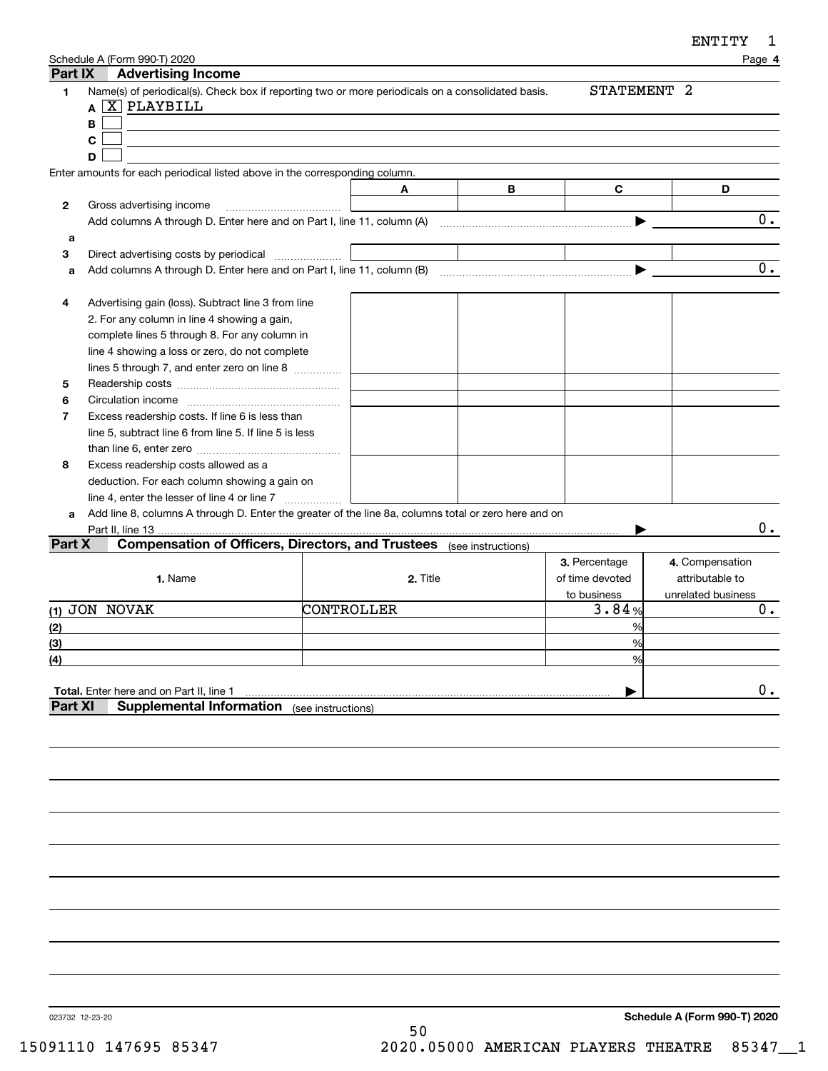| ENTITY |  |
|--------|--|
|--------|--|

|         | Schedule A (Form 990-T) 2020                                                                                             |     |            |                    |                 | ≖≖ ⊥ ⊥ ⊥ ⊥<br>Page 4 |
|---------|--------------------------------------------------------------------------------------------------------------------------|-----|------------|--------------------|-----------------|----------------------|
| Part IX | <b>Advertising Income</b>                                                                                                |     |            |                    |                 |                      |
| 1       | Name(s) of periodical(s). Check box if reporting two or more periodicals on a consolidated basis.<br>A <b>X</b> PLAYBILL |     |            |                    | STATEMENT 2     |                      |
|         | В                                                                                                                        |     |            |                    |                 |                      |
|         | C                                                                                                                        |     |            |                    |                 |                      |
|         | D                                                                                                                        |     |            |                    |                 |                      |
|         | Enter amounts for each periodical listed above in the corresponding column.                                              |     |            |                    |                 |                      |
|         |                                                                                                                          |     | A          | В                  | C               | D                    |
| 2       | Gross advertising income                                                                                                 |     |            |                    |                 |                      |
|         |                                                                                                                          |     |            |                    |                 | $0$ .                |
| а       |                                                                                                                          |     |            |                    |                 |                      |
| 3       |                                                                                                                          |     |            |                    |                 |                      |
| a       |                                                                                                                          |     |            |                    |                 | 0.                   |
| 4       | Advertising gain (loss). Subtract line 3 from line                                                                       |     |            |                    |                 |                      |
|         | 2. For any column in line 4 showing a gain,                                                                              |     |            |                    |                 |                      |
|         | complete lines 5 through 8. For any column in                                                                            |     |            |                    |                 |                      |
|         | line 4 showing a loss or zero, do not complete                                                                           |     |            |                    |                 |                      |
|         | lines 5 through 7, and enter zero on line 8                                                                              |     |            |                    |                 |                      |
| 5       |                                                                                                                          |     |            |                    |                 |                      |
| 6       |                                                                                                                          |     |            |                    |                 |                      |
| 7       | Excess readership costs. If line 6 is less than                                                                          |     |            |                    |                 |                      |
|         | line 5, subtract line 6 from line 5. If line 5 is less                                                                   |     |            |                    |                 |                      |
|         |                                                                                                                          |     |            |                    |                 |                      |
| 8       | Excess readership costs allowed as a                                                                                     |     |            |                    |                 |                      |
|         | deduction. For each column showing a gain on                                                                             |     |            |                    |                 |                      |
|         | line 4, enter the lesser of line 4 or line 7                                                                             | . 1 |            |                    |                 |                      |
| a       | Add line 8, columns A through D. Enter the greater of the line 8a, columns total or zero here and on                     |     |            |                    |                 |                      |
|         |                                                                                                                          |     |            |                    |                 | $0$ .                |
| Part X  | <b>Compensation of Officers, Directors, and Trustees</b>                                                                 |     |            | (see instructions) |                 |                      |
|         |                                                                                                                          |     |            |                    | 3. Percentage   | 4. Compensation      |
|         | 1. Name                                                                                                                  |     | 2. Title   |                    | of time devoted | attributable to      |
|         |                                                                                                                          |     |            |                    | to business     | unrelated business   |
|         | (1) JON NOVAK                                                                                                            |     | CONTROLLER |                    | 3.84%           | 0.                   |
| (2)     |                                                                                                                          |     |            |                    | %               |                      |
| (3)     |                                                                                                                          |     |            |                    | %               |                      |
| (4)     |                                                                                                                          |     |            |                    | %               |                      |
|         |                                                                                                                          |     |            |                    |                 |                      |
|         | Total. Enter here and on Part II, line 1                                                                                 |     |            |                    |                 | $0$ .                |
| Part XI | <b>Supplemental Information</b> (see instructions)                                                                       |     |            |                    |                 |                      |
|         |                                                                                                                          |     |            |                    |                 |                      |
|         |                                                                                                                          |     |            |                    |                 |                      |
|         |                                                                                                                          |     |            |                    |                 |                      |
|         |                                                                                                                          |     |            |                    |                 |                      |
|         |                                                                                                                          |     |            |                    |                 |                      |
|         |                                                                                                                          |     |            |                    |                 |                      |

023732 12-23-20